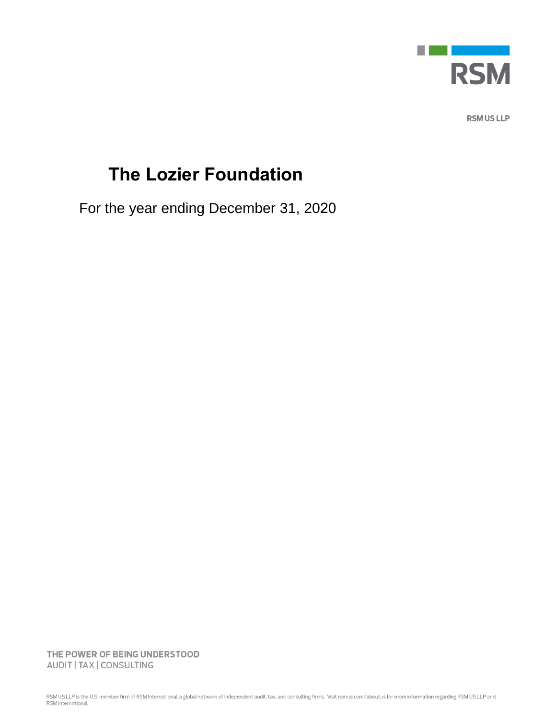

**RSM US LLP** 

# **The Lozier Foundation**

For the year ending December 31, 2020

THE POWER OF BEING UNDERSTOOD AUDIT | TAX | CONSULTING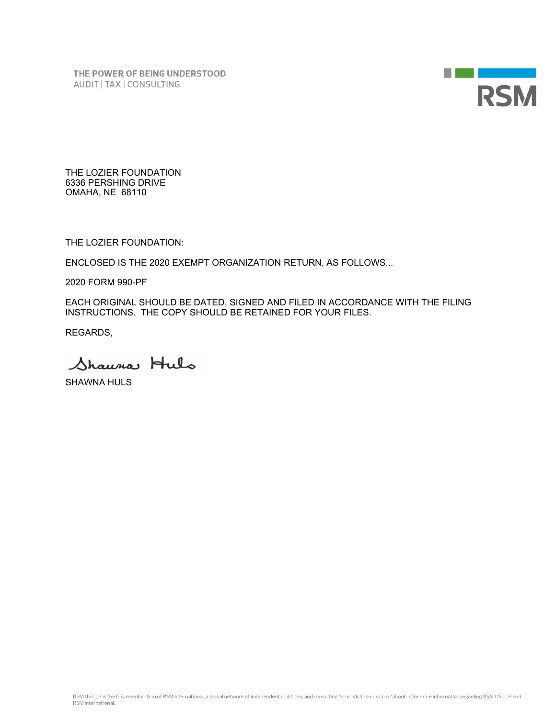THE POWER OF BEING UNDERSTOOD AUDIT | TAX | CONSULTING



THE LOZIER FOUNDATION 6336 PERSHING DRIVE OMAHA, NE 68110

THE LOZIER FOUNDATION:

ENCLOSED IS THE 2020 EXEMPT ORGANIZATION RETURN, AS FOLLOWS...

2020 FORM 990-PF

EACH ORIGINAL SHOULD BE DATED, SIGNED AND FILED IN ACCORDANCE WITH THE FILING INSTRUCTIONS. THE COPY SHOULD BE RETAINED FOR YOUR FILES.

REGARDS,

Shauna Huls

SHAWNA HULS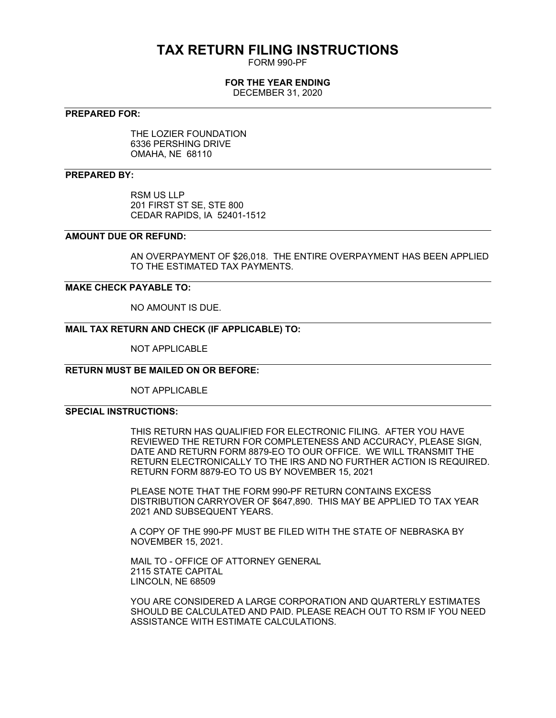## **TAX RETURN FILING INSTRUCTIONS**

FORM 990-PF

### **FOR THE YEAR ENDING**

DECEMBER 31, 2020

#### **PREPARED FOR:**

THE LOZIER FOUNDATION 6336 PERSHING DRIVE OMAHA, NE 68110

#### **PREPARED BY:**

RSM US LLP 201 FIRST ST SE, STE 800 CEDAR RAPIDS, IA 52401-1512

#### **AMOUNT DUE OR REFUND:**

AN OVERPAYMENT OF \$26,018. THE ENTIRE OVERPAYMENT HAS BEEN APPLIED TO THE ESTIMATED TAX PAYMENTS.

#### **MAKE CHECK PAYABLE TO:**

NO AMOUNT IS DUE.

### **MAIL TAX RETURN AND CHECK (IF APPLICABLE) TO:**

NOT APPLICABLE

#### **RETURN MUST BE MAILED ON OR BEFORE:**

NOT APPLICABLE

#### **SPECIAL INSTRUCTIONS:**

THIS RETURN HAS QUALIFIED FOR ELECTRONIC FILING. AFTER YOU HAVE REVIEWED THE RETURN FOR COMPLETENESS AND ACCURACY, PLEASE SIGN, DATE AND RETURN FORM 8879-EO TO OUR OFFICE. WE WILL TRANSMIT THE RETURN ELECTRONICALLY TO THE IRS AND NO FURTHER ACTION IS REQUIRED. RETURN FORM 8879-EO TO US BY NOVEMBER 15, 2021

PLEASE NOTE THAT THE FORM 990-PF RETURN CONTAINS EXCESS DISTRIBUTION CARRYOVER OF \$647,890. THIS MAY BE APPLIED TO TAX YEAR 2021 AND SUBSEQUENT YEARS.

A COPY OF THE 990-PF MUST BE FILED WITH THE STATE OF NEBRASKA BY NOVEMBER 15, 2021.

MAIL TO - OFFICE OF ATTORNEY GENERAL 2115 STATE CAPITAL LINCOLN, NE 68509

YOU ARE CONSIDERED A LARGE CORPORATION AND QUARTERLY ESTIMATES SHOULD BE CALCULATED AND PAID. PLEASE REACH OUT TO RSM IF YOU NEED ASSISTANCE WITH ESTIMATE CALCULATIONS.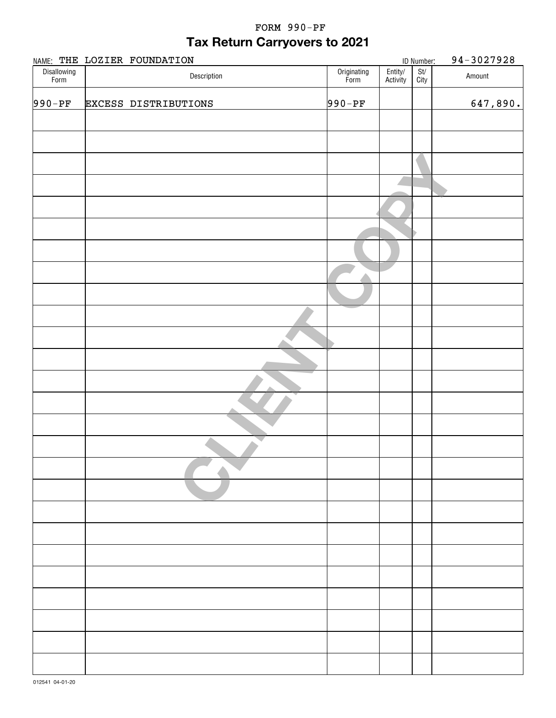## **Tax Return Carryovers to 2021** FORM 990-PF

|                     | NAME: THE LOZIER FOUNDATION |                     |                     | ID Number:  | 94-3027928 |  |
|---------------------|-----------------------------|---------------------|---------------------|-------------|------------|--|
| Disallowing<br>Form | Description                 | Originating<br>Form | Entity/<br>Activity | St/<br>City | Amount     |  |
| $990 - PF$          | <b>EXCESS DISTRIBUTIONS</b> | $990 - PF$          |                     |             | 647,890.   |  |
|                     |                             |                     |                     |             |            |  |
|                     |                             |                     |                     |             |            |  |
|                     |                             |                     |                     |             |            |  |
|                     |                             |                     |                     |             |            |  |
|                     |                             |                     |                     |             |            |  |
|                     |                             |                     |                     |             |            |  |
|                     |                             |                     |                     |             |            |  |
|                     |                             |                     |                     |             |            |  |
|                     |                             |                     |                     |             |            |  |
|                     |                             |                     |                     |             |            |  |
|                     |                             |                     |                     |             |            |  |
|                     |                             |                     |                     |             |            |  |
|                     |                             |                     |                     |             |            |  |
|                     |                             |                     |                     |             |            |  |
|                     |                             |                     |                     |             |            |  |
|                     |                             |                     |                     |             |            |  |
|                     |                             |                     |                     |             |            |  |
|                     |                             |                     |                     |             |            |  |
|                     |                             |                     |                     |             |            |  |
|                     |                             |                     |                     |             |            |  |
|                     |                             |                     |                     |             |            |  |
|                     |                             |                     |                     |             |            |  |
|                     |                             |                     |                     |             |            |  |
|                     |                             |                     |                     |             |            |  |
|                     |                             |                     |                     |             |            |  |
|                     |                             |                     |                     |             |            |  |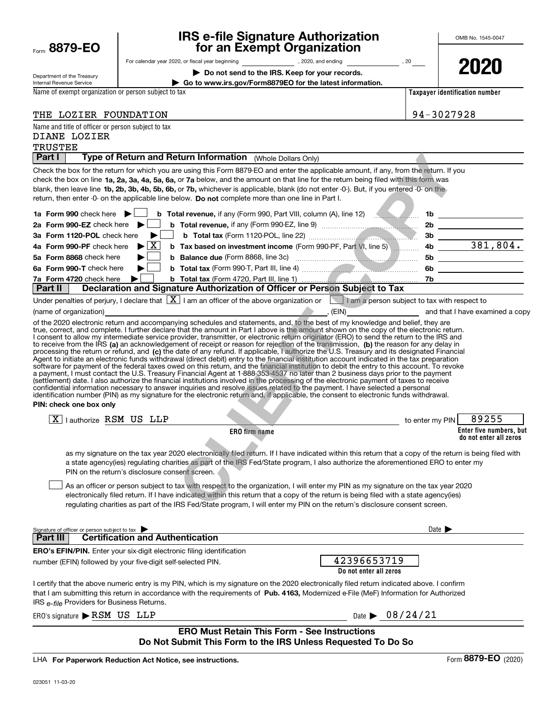|                                                                                   |                                                                                                                                                                                                                                                                                                                                                                                                                                                                                                                                                                                                                                                                                                                                                                                                                                                                                                                                                                                                                                                                                                                                                                                                                                                                                                                                                                                                                                                                                                                                                                      | <b>IRS e-file Signature Authorization<br/>for an Exempt Organization</b>                                    |                            | OMB No. 1545-0047                                 |
|-----------------------------------------------------------------------------------|----------------------------------------------------------------------------------------------------------------------------------------------------------------------------------------------------------------------------------------------------------------------------------------------------------------------------------------------------------------------------------------------------------------------------------------------------------------------------------------------------------------------------------------------------------------------------------------------------------------------------------------------------------------------------------------------------------------------------------------------------------------------------------------------------------------------------------------------------------------------------------------------------------------------------------------------------------------------------------------------------------------------------------------------------------------------------------------------------------------------------------------------------------------------------------------------------------------------------------------------------------------------------------------------------------------------------------------------------------------------------------------------------------------------------------------------------------------------------------------------------------------------------------------------------------------------|-------------------------------------------------------------------------------------------------------------|----------------------------|---------------------------------------------------|
| Form 8879-EO                                                                      |                                                                                                                                                                                                                                                                                                                                                                                                                                                                                                                                                                                                                                                                                                                                                                                                                                                                                                                                                                                                                                                                                                                                                                                                                                                                                                                                                                                                                                                                                                                                                                      |                                                                                                             |                            |                                                   |
|                                                                                   |                                                                                                                                                                                                                                                                                                                                                                                                                                                                                                                                                                                                                                                                                                                                                                                                                                                                                                                                                                                                                                                                                                                                                                                                                                                                                                                                                                                                                                                                                                                                                                      |                                                                                                             |                            | 2020                                              |
| Department of the Treasury                                                        |                                                                                                                                                                                                                                                                                                                                                                                                                                                                                                                                                                                                                                                                                                                                                                                                                                                                                                                                                                                                                                                                                                                                                                                                                                                                                                                                                                                                                                                                                                                                                                      | Do not send to the IRS. Keep for your records.                                                              |                            |                                                   |
| Internal Revenue Service<br>Name of exempt organization or person subject to tax  |                                                                                                                                                                                                                                                                                                                                                                                                                                                                                                                                                                                                                                                                                                                                                                                                                                                                                                                                                                                                                                                                                                                                                                                                                                                                                                                                                                                                                                                                                                                                                                      | Go to www.irs.gov/Form8879EO for the latest information.                                                    |                            | Taxpayer identification number                    |
|                                                                                   |                                                                                                                                                                                                                                                                                                                                                                                                                                                                                                                                                                                                                                                                                                                                                                                                                                                                                                                                                                                                                                                                                                                                                                                                                                                                                                                                                                                                                                                                                                                                                                      |                                                                                                             |                            |                                                   |
| THE LOZIER FOUNDATION                                                             |                                                                                                                                                                                                                                                                                                                                                                                                                                                                                                                                                                                                                                                                                                                                                                                                                                                                                                                                                                                                                                                                                                                                                                                                                                                                                                                                                                                                                                                                                                                                                                      |                                                                                                             |                            | 94-3027928                                        |
| Name and title of officer or person subject to tax                                |                                                                                                                                                                                                                                                                                                                                                                                                                                                                                                                                                                                                                                                                                                                                                                                                                                                                                                                                                                                                                                                                                                                                                                                                                                                                                                                                                                                                                                                                                                                                                                      |                                                                                                             |                            |                                                   |
| DIANE LOZIER                                                                      |                                                                                                                                                                                                                                                                                                                                                                                                                                                                                                                                                                                                                                                                                                                                                                                                                                                                                                                                                                                                                                                                                                                                                                                                                                                                                                                                                                                                                                                                                                                                                                      |                                                                                                             |                            |                                                   |
| <b>TRUSTEE</b>                                                                    |                                                                                                                                                                                                                                                                                                                                                                                                                                                                                                                                                                                                                                                                                                                                                                                                                                                                                                                                                                                                                                                                                                                                                                                                                                                                                                                                                                                                                                                                                                                                                                      |                                                                                                             |                            |                                                   |
| Part I                                                                            | Type of Return and Return Information (Whole Dollars Only)                                                                                                                                                                                                                                                                                                                                                                                                                                                                                                                                                                                                                                                                                                                                                                                                                                                                                                                                                                                                                                                                                                                                                                                                                                                                                                                                                                                                                                                                                                           |                                                                                                             |                            |                                                   |
|                                                                                   | Check the box for the return for which you are using this Form 8879-EO and enter the applicable amount, if any, from the return. If you                                                                                                                                                                                                                                                                                                                                                                                                                                                                                                                                                                                                                                                                                                                                                                                                                                                                                                                                                                                                                                                                                                                                                                                                                                                                                                                                                                                                                              |                                                                                                             |                            |                                                   |
|                                                                                   | check the box on line 1a, 2a, 3a, 4a, 5a, 6a, or 7a below, and the amount on that line for the return being filed with this form was<br>blank, then leave line 1b, 2b, 3b, 4b, 5b, 6b, or 7b, whichever is applicable, blank (do not enter -0-). But, if you entered -0- on the                                                                                                                                                                                                                                                                                                                                                                                                                                                                                                                                                                                                                                                                                                                                                                                                                                                                                                                                                                                                                                                                                                                                                                                                                                                                                      |                                                                                                             |                            |                                                   |
|                                                                                   | return, then enter -0- on the applicable line below. Do not complete more than one line in Part I.                                                                                                                                                                                                                                                                                                                                                                                                                                                                                                                                                                                                                                                                                                                                                                                                                                                                                                                                                                                                                                                                                                                                                                                                                                                                                                                                                                                                                                                                   |                                                                                                             |                            |                                                   |
|                                                                                   |                                                                                                                                                                                                                                                                                                                                                                                                                                                                                                                                                                                                                                                                                                                                                                                                                                                                                                                                                                                                                                                                                                                                                                                                                                                                                                                                                                                                                                                                                                                                                                      |                                                                                                             |                            |                                                   |
| 2a Form 990-EZ check here $\blacktriangleright$                                   |                                                                                                                                                                                                                                                                                                                                                                                                                                                                                                                                                                                                                                                                                                                                                                                                                                                                                                                                                                                                                                                                                                                                                                                                                                                                                                                                                                                                                                                                                                                                                                      |                                                                                                             |                            |                                                   |
| 3a Form 1120-POL check here                                                       | ▶<br>$\sim$ 1                                                                                                                                                                                                                                                                                                                                                                                                                                                                                                                                                                                                                                                                                                                                                                                                                                                                                                                                                                                                                                                                                                                                                                                                                                                                                                                                                                                                                                                                                                                                                        |                                                                                                             |                            | 3b                                                |
| 4a Form 990-PF check here                                                         | $\blacktriangleright$ $\vert$ X $\vert$                                                                                                                                                                                                                                                                                                                                                                                                                                                                                                                                                                                                                                                                                                                                                                                                                                                                                                                                                                                                                                                                                                                                                                                                                                                                                                                                                                                                                                                                                                                              | <b>b</b> Tax based on investment income (Form 990-PF, Part VI, line 5) 4b $\overline{\hspace{1cm}381,804.}$ |                            |                                                   |
| 5a Form 8868 check here                                                           |                                                                                                                                                                                                                                                                                                                                                                                                                                                                                                                                                                                                                                                                                                                                                                                                                                                                                                                                                                                                                                                                                                                                                                                                                                                                                                                                                                                                                                                                                                                                                                      |                                                                                                             |                            |                                                   |
| 6a Form 990-T check here                                                          |                                                                                                                                                                                                                                                                                                                                                                                                                                                                                                                                                                                                                                                                                                                                                                                                                                                                                                                                                                                                                                                                                                                                                                                                                                                                                                                                                                                                                                                                                                                                                                      | <b>b</b> Total tax (Form 990-T, Part III, line 4) <b>Construction and Construction</b> of <b>6b</b>         |                            |                                                   |
| 7a Form 4720 check here                                                           | $\blacktriangleright$ $\vdash$                                                                                                                                                                                                                                                                                                                                                                                                                                                                                                                                                                                                                                                                                                                                                                                                                                                                                                                                                                                                                                                                                                                                                                                                                                                                                                                                                                                                                                                                                                                                       |                                                                                                             |                            |                                                   |
| Part II                                                                           | Declaration and Signature Authorization of Officer or Person Subject to Tax                                                                                                                                                                                                                                                                                                                                                                                                                                                                                                                                                                                                                                                                                                                                                                                                                                                                                                                                                                                                                                                                                                                                                                                                                                                                                                                                                                                                                                                                                          |                                                                                                             |                            |                                                   |
|                                                                                   | Under penalties of perjury, I declare that $\boxed{\mathbf{X}}$ I am an officer of the above organization or $\boxed{\phantom{\mathbf{X}}\phantom{\mathbf{X}}}$ I am a person subject to tax with respect to                                                                                                                                                                                                                                                                                                                                                                                                                                                                                                                                                                                                                                                                                                                                                                                                                                                                                                                                                                                                                                                                                                                                                                                                                                                                                                                                                         |                                                                                                             |                            |                                                   |
|                                                                                   | (name of organization) and that I have examined a copy of the state of organization) and that I have examined a copy                                                                                                                                                                                                                                                                                                                                                                                                                                                                                                                                                                                                                                                                                                                                                                                                                                                                                                                                                                                                                                                                                                                                                                                                                                                                                                                                                                                                                                                 |                                                                                                             |                            |                                                   |
|                                                                                   | of the 2020 electronic return and accompanying schedules and statements, and, to the best of my knowledge and belief, they are<br>true, correct, and complete. I further declare that the amount in Part I above is the amount shown on the copy of the electronic return.<br>I consent to allow my intermediate service provider, transmitter, or electronic return originator (ERO) to send the return to the IRS and<br>to receive from the IRS (a) an acknowledgement of receipt or reason for rejection of the transmission, (b) the reason for any delay in<br>processing the return or refund, and (c) the date of any refund. If applicable, I authorize the U.S. Treasury and its designated Financial<br>Agent to initiate an electronic funds withdrawal (direct debit) entry to the financial institution account indicated in the tax preparation<br>software for payment of the federal taxes owed on this return, and the financial institution to debit the entry to this account. To revoke<br>a payment, I must contact the U.S. Treasury Financial Agent at 1-888 353-4537 no later than 2 business days prior to the payment<br>(settlement) date. I also authorize the financial institutions involved in the processing of the electronic payment of taxes to receive<br>confidential information necessary to answer inquiries and resolve issues related to the payment. I have selected a personal<br>identification number (PIN) as my signature for the electronic return and, if applicable, the consent to electronic funds withdrawal. |                                                                                                             |                            |                                                   |
| PIN: check one box only                                                           |                                                                                                                                                                                                                                                                                                                                                                                                                                                                                                                                                                                                                                                                                                                                                                                                                                                                                                                                                                                                                                                                                                                                                                                                                                                                                                                                                                                                                                                                                                                                                                      |                                                                                                             |                            |                                                   |
| $\overline{\mathbf{r} \cdot \mathbf{r}}$<br>$\overline{X}$   authorize RSM US LLP |                                                                                                                                                                                                                                                                                                                                                                                                                                                                                                                                                                                                                                                                                                                                                                                                                                                                                                                                                                                                                                                                                                                                                                                                                                                                                                                                                                                                                                                                                                                                                                      |                                                                                                             | to enter my PIN            | 89255                                             |
|                                                                                   | ERO firm name                                                                                                                                                                                                                                                                                                                                                                                                                                                                                                                                                                                                                                                                                                                                                                                                                                                                                                                                                                                                                                                                                                                                                                                                                                                                                                                                                                                                                                                                                                                                                        |                                                                                                             |                            | Enter five numbers, but<br>do not enter all zeros |
|                                                                                   | as my signature on the tax year 2020 electronically filed return. If I have indicated within this return that a copy of the return is being filed with<br>a state agency(ies) regulating charities as part of the IRS Fed/State program, I also authorize the aforementioned ERO to enter my<br>PIN on the return's disclosure consent screen.<br>As an officer or person subject to tax with respect to the organization, I will enter my PIN as my signature on the tax year 2020<br>electronically filed return. If I have indicated within this return that a copy of the return is being filed with a state agency(ies)<br>regulating charities as part of the IRS Fed/State program, I will enter my PIN on the return's disclosure consent screen.                                                                                                                                                                                                                                                                                                                                                                                                                                                                                                                                                                                                                                                                                                                                                                                                            |                                                                                                             |                            |                                                   |
|                                                                                   |                                                                                                                                                                                                                                                                                                                                                                                                                                                                                                                                                                                                                                                                                                                                                                                                                                                                                                                                                                                                                                                                                                                                                                                                                                                                                                                                                                                                                                                                                                                                                                      |                                                                                                             |                            |                                                   |
| Signature of officer or person subject to tax                                     |                                                                                                                                                                                                                                                                                                                                                                                                                                                                                                                                                                                                                                                                                                                                                                                                                                                                                                                                                                                                                                                                                                                                                                                                                                                                                                                                                                                                                                                                                                                                                                      |                                                                                                             | Date $\blacktriangleright$ |                                                   |
| Part III                                                                          | <b>Certification and Authentication</b>                                                                                                                                                                                                                                                                                                                                                                                                                                                                                                                                                                                                                                                                                                                                                                                                                                                                                                                                                                                                                                                                                                                                                                                                                                                                                                                                                                                                                                                                                                                              |                                                                                                             |                            |                                                   |
|                                                                                   | <b>ERO's EFIN/PIN.</b> Enter your six-digit electronic filing identification                                                                                                                                                                                                                                                                                                                                                                                                                                                                                                                                                                                                                                                                                                                                                                                                                                                                                                                                                                                                                                                                                                                                                                                                                                                                                                                                                                                                                                                                                         |                                                                                                             |                            |                                                   |
|                                                                                   | number (EFIN) followed by your five-digit self-selected PIN.                                                                                                                                                                                                                                                                                                                                                                                                                                                                                                                                                                                                                                                                                                                                                                                                                                                                                                                                                                                                                                                                                                                                                                                                                                                                                                                                                                                                                                                                                                         | 42396653719                                                                                                 |                            |                                                   |

## **ERO Must Retain This Form - See Instructions Do Not Submit This Form to the IRS Unless Requested To Do So**

ERO's signature | Date | RSM US LLP

LHA For Paperwork Reduction Act Notice, see instructions.

IRS <sub>e-file</sub> Providers for Business Returns.

Date  $\triangleright$  08/24/21

| -פ וכ |  |  |
|-------|--|--|
|       |  |  |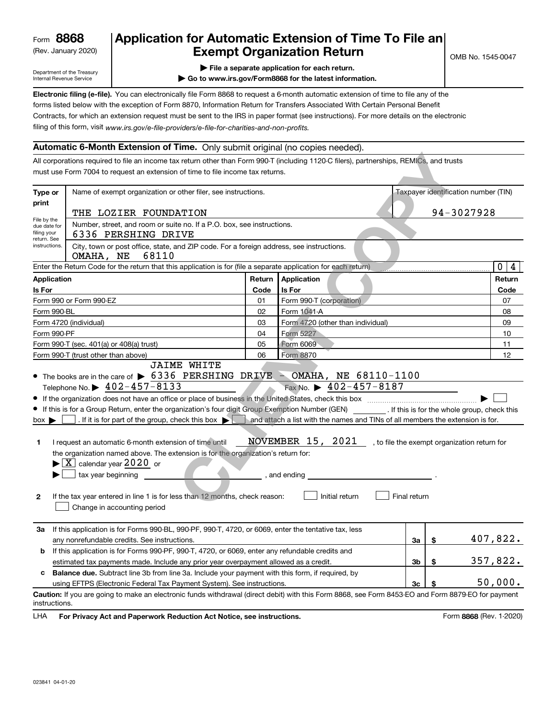(Rev. January 2020)

## **Application for Automatic Extension of Time To File an Exempt Organization Return**

Department of the Treasury Internal Revenue Service

- **| File a separate application for each return.**
- **| Go to www.irs.gov/Form8868 for the latest information.**

**Electronic filing (e-file).**  You can electronically file Form 8868 to request a 6-month automatic extension of time to file any of the filing of this form, visit www.irs.gov/e-file-providers/e-file-for-charities-and-non-profits. forms listed below with the exception of Form 8870, Information Return for Transfers Associated With Certain Personal Benefit Contracts, for which an extension request must be sent to the IRS in paper format (see instructions). For more details on the electronic

### **Automatic 6-Month Extension of Time.** Only submit original (no copies needed).

|                                                           | All corporations required to file an income tax return other than Form 990-T (including 1120-C filers), partnerships, REMICs, and trusts<br>must use Form 7004 to request an extension of time to file income tax returns.                                                                                                                                                                                                                                                                                                                                                                                                                                                                                                                                                                            |        |                                                                                              |                |                                              |                 |
|-----------------------------------------------------------|-------------------------------------------------------------------------------------------------------------------------------------------------------------------------------------------------------------------------------------------------------------------------------------------------------------------------------------------------------------------------------------------------------------------------------------------------------------------------------------------------------------------------------------------------------------------------------------------------------------------------------------------------------------------------------------------------------------------------------------------------------------------------------------------------------|--------|----------------------------------------------------------------------------------------------|----------------|----------------------------------------------|-----------------|
| Type or<br>print                                          | Taxpayer identification number (TIN)<br>Name of exempt organization or other filer, see instructions.                                                                                                                                                                                                                                                                                                                                                                                                                                                                                                                                                                                                                                                                                                 |        |                                                                                              |                |                                              |                 |
| File by the<br>due date for<br>filing your<br>return. See | THE LOZIER FOUNDATION<br>Number, street, and room or suite no. If a P.O. box, see instructions.<br>6336 PERSHING DRIVE                                                                                                                                                                                                                                                                                                                                                                                                                                                                                                                                                                                                                                                                                |        |                                                                                              |                | 94-3027928                                   |                 |
| instructions.                                             | City, town or post office, state, and ZIP code. For a foreign address, see instructions.<br>68110<br>OMAHA, NE                                                                                                                                                                                                                                                                                                                                                                                                                                                                                                                                                                                                                                                                                        |        |                                                                                              |                |                                              |                 |
|                                                           | Enter the Return Code for the return that this application is for (file a separate application for each return)                                                                                                                                                                                                                                                                                                                                                                                                                                                                                                                                                                                                                                                                                       |        |                                                                                              |                |                                              | 0 <sub>14</sub> |
| <b>Application</b>                                        |                                                                                                                                                                                                                                                                                                                                                                                                                                                                                                                                                                                                                                                                                                                                                                                                       | Return | Application                                                                                  |                |                                              | Return          |
| Is For                                                    |                                                                                                                                                                                                                                                                                                                                                                                                                                                                                                                                                                                                                                                                                                                                                                                                       | Code   | <b>Is For</b>                                                                                |                |                                              | Code            |
|                                                           | Form 990 or Form 990-EZ                                                                                                                                                                                                                                                                                                                                                                                                                                                                                                                                                                                                                                                                                                                                                                               | 01     | Form 990-T (corporation)                                                                     |                |                                              | 07              |
| Form 990-BL                                               |                                                                                                                                                                                                                                                                                                                                                                                                                                                                                                                                                                                                                                                                                                                                                                                                       | 02     | Form 1041-A                                                                                  |                |                                              | 08              |
|                                                           | Form 4720 (individual)                                                                                                                                                                                                                                                                                                                                                                                                                                                                                                                                                                                                                                                                                                                                                                                | 03     | Form 4720 (other than individual)                                                            |                |                                              | 09              |
| Form 990-PF                                               |                                                                                                                                                                                                                                                                                                                                                                                                                                                                                                                                                                                                                                                                                                                                                                                                       | 04     | Form 5227                                                                                    |                |                                              | 10              |
|                                                           | Form 990-T (sec. 401(a) or 408(a) trust)                                                                                                                                                                                                                                                                                                                                                                                                                                                                                                                                                                                                                                                                                                                                                              | 05     | Form 6069                                                                                    |                |                                              | 11              |
|                                                           | Form 990-T (trust other than above)                                                                                                                                                                                                                                                                                                                                                                                                                                                                                                                                                                                                                                                                                                                                                                   | 06     | Form 8870                                                                                    |                |                                              | 12              |
| $box \blacktriangleright$<br>1<br>$\mathbf{2}$            | • The books are in the care of $\triangleright$ 6336 PERSHING DRIVE - OMAHA, NE 68110-1100<br>Telephone No. $\triangleright$ 402-457-8133<br>If this is for a Group Return, enter the organization's four digit Group Exemption Number (GEN) [f this is for the whole group, check this<br>. If it is for part of the group, check this box $\blacktriangleright$ and attach a list with the names and TINs of all members the extension is for.<br>I request an automatic 6-month extension of time until<br>the organization named above. The extension is for the organization's return for:<br>$\blacktriangleright$ $\boxed{\text{X}}$ calendar year 2020 or<br>tax year beginning<br>If the tax year entered in line 1 is for less than 12 months, check reason:<br>Change in accounting period |        | Fax No. $\triangleright$ 402-457-8187<br>NOVEMBER 15, 2021<br>, and ending<br>Initial return | Final return   | , to file the exempt organization return for |                 |
| За                                                        | If this application is for Forms 990-BL, 990-PF, 990-T, 4720, or 6069, enter the tentative tax, less<br>any nonrefundable credits. See instructions.                                                                                                                                                                                                                                                                                                                                                                                                                                                                                                                                                                                                                                                  |        |                                                                                              | За             | \$                                           | 407,822.        |
| b                                                         | If this application is for Forms 990-PF, 990-T, 4720, or 6069, enter any refundable credits and                                                                                                                                                                                                                                                                                                                                                                                                                                                                                                                                                                                                                                                                                                       |        |                                                                                              |                |                                              |                 |
|                                                           | estimated tax payments made. Include any prior year overpayment allowed as a credit.                                                                                                                                                                                                                                                                                                                                                                                                                                                                                                                                                                                                                                                                                                                  |        |                                                                                              | 3 <sub>b</sub> | \$                                           | 357,822.        |
| c                                                         | <b>Balance due.</b> Subtract line 3b from line 3a. Include your payment with this form, if required, by                                                                                                                                                                                                                                                                                                                                                                                                                                                                                                                                                                                                                                                                                               |        |                                                                                              |                |                                              |                 |
|                                                           | using EFTPS (Electronic Federal Tax Payment System). See instructions.                                                                                                                                                                                                                                                                                                                                                                                                                                                                                                                                                                                                                                                                                                                                |        |                                                                                              | 3 <sub>c</sub> |                                              | 50,000.         |
| instructions.                                             | Caution: If you are going to make an electronic funds withdrawal (direct debit) with this Form 8868, see Form 8453-EO and Form 8879-EO for payment                                                                                                                                                                                                                                                                                                                                                                                                                                                                                                                                                                                                                                                    |        |                                                                                              |                |                                              |                 |

**HA** For Privacy Act and Paperwork Reduction Act Notice, see instructions. **But a struction of the Constantion Constant** Form 8868 (Rev. 1-2020) LHA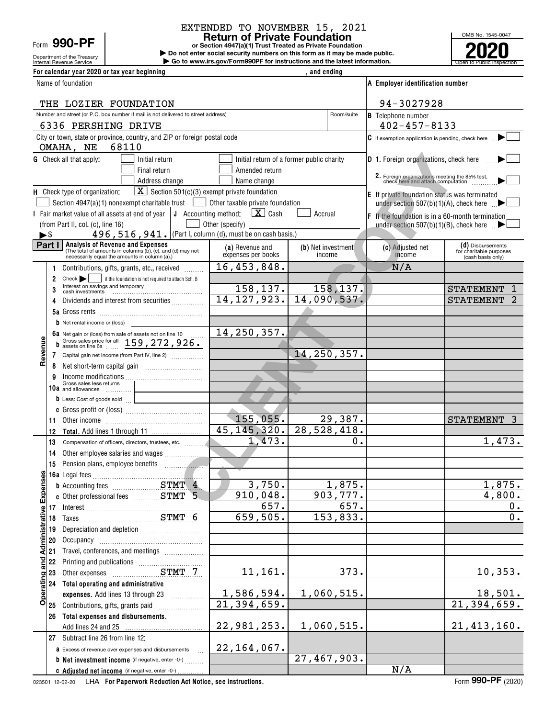Department of the Treasury Form **990-PF**

#### **Return of Private Foundation** EXTENDED TO NOVEMBER 15, 2021

**or Section 4947(a)(1) Trust Treated as Private Foundation**

Internal Revenue Service **Number 19th Construction Constructions and the latest information.** The Service of Public Inspection **| Do not enter social security numbers on this form as it may be made public. | Go to www.irs.gov/Form990PF for instructions and the latest information.**

**For calendar year 2020 or tax year beginning , and ending**



| Name of foundation                                                                                          |                                  |                                           | A Employer identification number                                                                  |                                              |
|-------------------------------------------------------------------------------------------------------------|----------------------------------|-------------------------------------------|---------------------------------------------------------------------------------------------------|----------------------------------------------|
| THE LOZIER FOUNDATION                                                                                       |                                  |                                           | 94-3027928                                                                                        |                                              |
| Number and street (or P.O. box number if mail is not delivered to street address)                           |                                  | Room/suite                                |                                                                                                   |                                              |
| 6336 PERSHING DRIVE                                                                                         |                                  |                                           | <b>B</b> Telephone number<br>$402 - 457 - 8133$                                                   |                                              |
| City or town, state or province, country, and ZIP or foreign postal code<br>68110                           |                                  |                                           | $\mathsf C$ If exemption application is pending, check here                                       |                                              |
| OMAHA, NE<br><b>G</b> Check all that apply:<br>Initial return                                               |                                  | Initial return of a former public charity | D 1. Foreign organizations, check here                                                            |                                              |
| Final return                                                                                                | Amended return                   |                                           |                                                                                                   |                                              |
| Address change                                                                                              | Name change                      |                                           | 2. Foreign organizations meeting the 85% test,<br>check here and attach computation               |                                              |
| $\lfloor \mathbf{X} \rfloor$ Section 501(c)(3) exempt private foundation<br>H Check type of organization:   |                                  |                                           |                                                                                                   |                                              |
| Section 4947(a)(1) nonexempt charitable trust                                                               | Other taxable private foundation |                                           | E If private foundation status was terminated<br>under section 507(b)(1)(A), check here $\Box$    |                                              |
| I Fair market value of all assets at end of year $\vert \mathbf{J} \vert$ Accounting method:                | $X$ Cash                         | Accrual                                   |                                                                                                   |                                              |
| (from Part II, col. (c), line 16)                                                                           | Other (specify)                  |                                           | F If the foundation is in a 60-month termination<br>under section 507(b)(1)(B), check here $\Box$ |                                              |
| 496, 516, 941.   (Part I, column (d), must be on cash basis.)<br>►\$                                        |                                  |                                           |                                                                                                   |                                              |
| Part I<br>Analysis of Revenue and Expenses                                                                  | (a) Revenue and                  | (b) Net investment                        | (c) Adjusted net                                                                                  | (d) Disbursements                            |
| (The total of amounts in columns (b), (c), and (d) may not<br>necessarily equal the amounts in column (a).) | expenses per books               | income                                    | income                                                                                            | for charitable purposes<br>(cash basis only) |
| Contributions, gifts, grants, etc., received                                                                | 16,453,848.                      |                                           | N/A                                                                                               |                                              |
| Check<br>if the foundation is not required to attach Sch. B<br>$\overline{2}$                               |                                  |                                           |                                                                                                   |                                              |
| Interest on savings and temporary<br>3                                                                      | 158, 137.                        | 158, 137.                                 |                                                                                                   | <b>STATEMENT</b>                             |
| Dividends and interest from securities<br>4                                                                 |                                  | 14, 127, 923.   14, 090, 537.             |                                                                                                   | <b>STATEMENT</b>                             |
|                                                                                                             |                                  |                                           |                                                                                                   |                                              |
| <b>b</b> Net rental income or (loss)                                                                        |                                  |                                           |                                                                                                   |                                              |
|                                                                                                             | 14, 250, 357.                    |                                           |                                                                                                   |                                              |
| 6a Net gain or (loss) from sale of assets not on line 10<br>b assets on line 6a  159, 272, 926.             |                                  |                                           |                                                                                                   |                                              |
| Revenue<br>7 Capital gain net income (from Part IV, line 2)                                                 |                                  | 14,250,357.                               |                                                                                                   |                                              |
| 8                                                                                                           |                                  |                                           |                                                                                                   |                                              |
| 9                                                                                                           |                                  |                                           |                                                                                                   |                                              |
| Gross sales less returns<br>10a and allowances                                                              |                                  |                                           |                                                                                                   |                                              |
| <b>b</b> Less: Cost of goods sold $\begin{bmatrix} 1 \\ 1 \end{bmatrix}$                                    |                                  |                                           |                                                                                                   |                                              |
|                                                                                                             |                                  |                                           |                                                                                                   |                                              |
| 11                                                                                                          | 155,055.                         | 29,387.                                   |                                                                                                   | <b>STATEMENT</b>                             |
| 12                                                                                                          |                                  | 45, 145, 320.   28, 528, 418.             |                                                                                                   |                                              |
| 13<br>Compensation of officers, directors, trustees, etc.                                                   | 1,473.                           | 0.                                        |                                                                                                   | 1,473.                                       |
| 14                                                                                                          |                                  |                                           |                                                                                                   |                                              |
| Pension plans, employee benefits [111] [11] Pension plans, employee benefits<br>15                          |                                  |                                           |                                                                                                   |                                              |
| <b>Ses</b>                                                                                                  |                                  |                                           |                                                                                                   |                                              |
| <b>b</b> Accounting fees <b>ETMT</b> 4                                                                      | 3,750.                           | 1,875.                                    |                                                                                                   | 1,875.                                       |
| Expen                                                                                                       | 910,048.                         | 903,777.                                  |                                                                                                   | 4,800.                                       |
|                                                                                                             | 657.                             | 657.                                      |                                                                                                   | $0$ .                                        |
| 17 Interest<br>18 Taxes                                                                                     | 659,505.                         | 153,833.                                  |                                                                                                   | $\overline{0}$ .                             |
| 19                                                                                                          |                                  |                                           |                                                                                                   |                                              |
| 20                                                                                                          |                                  |                                           |                                                                                                   |                                              |
| Travel, conferences, and meetings<br>21                                                                     |                                  |                                           |                                                                                                   |                                              |
| 22                                                                                                          |                                  |                                           |                                                                                                   |                                              |
| <b>Operating and Administrative</b><br>Other expenses STMT 7<br>23                                          | 11,161.                          | 373.                                      |                                                                                                   | 10,353.                                      |
| 24 Total operating and administrative                                                                       |                                  |                                           |                                                                                                   |                                              |
| expenses. Add lines 13 through 23                                                                           | 1,586,594.                       | 1,060,515.                                |                                                                                                   | 18,501.                                      |
| Contributions, gifts, grants paid<br>25                                                                     | $\overline{21,394,659}$ .        |                                           |                                                                                                   | 21,394,659.                                  |
| 26 Total expenses and disbursements.                                                                        |                                  |                                           |                                                                                                   |                                              |
| Add lines 24 and 25                                                                                         | 22,981,253.                      | 1,060,515.                                |                                                                                                   | 21,413,160.                                  |
| 27 Subtract line 26 from line 12:                                                                           |                                  |                                           |                                                                                                   |                                              |
| <b>a</b> Excess of revenue over expenses and disbursements                                                  | 22, 164, 067.                    |                                           |                                                                                                   |                                              |
| <b>b</b> Net investment income (if negative, enter -0-)                                                     |                                  | 27,467,903.                               |                                                                                                   |                                              |
| C Adjusted net income (if negative, enter -0-)                                                              |                                  |                                           | N/A                                                                                               |                                              |

023501 12-02-20 **For Paperwork Reduction Act Notice, see instructions.** LHA Form (2020)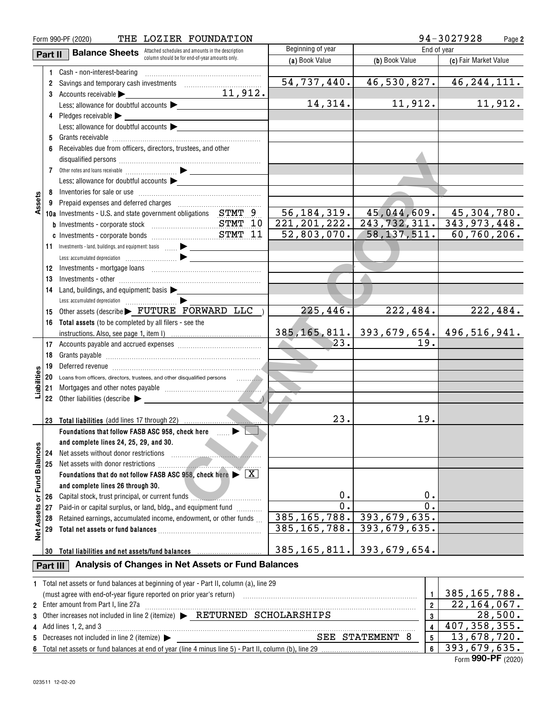|                   |                                                                                       | THE LOZIER FOUNDATION<br>Form 990-PF (2020)                                                                                                                                                                                    |                               | 94-3027928<br>Page 2       |                                                    |
|-------------------|---------------------------------------------------------------------------------------|--------------------------------------------------------------------------------------------------------------------------------------------------------------------------------------------------------------------------------|-------------------------------|----------------------------|----------------------------------------------------|
|                   | Attached schedules and amounts in the description<br><b>Balance Sheets</b><br>Part II |                                                                                                                                                                                                                                | Beginning of year             |                            | End of year                                        |
|                   |                                                                                       | column should be for end-of-year amounts only.                                                                                                                                                                                 | (a) Book Value                | (b) Book Value             | (c) Fair Market Value                              |
|                   | 1.                                                                                    | Cash - non-interest-bearing                                                                                                                                                                                                    |                               |                            |                                                    |
|                   | 2                                                                                     | Savings and temporary cash investments                                                                                                                                                                                         | 54,737,440.                   | 46,530,827.                | 46, 244, 111.                                      |
|                   |                                                                                       | 11,912.<br>3 Accounts receivable                                                                                                                                                                                               |                               |                            |                                                    |
|                   |                                                                                       | Less: allowance for doubtful accounts Less: allowance for doubtful accounts                                                                                                                                                    | 14,314.                       | 11,912.                    | 11,912.                                            |
|                   |                                                                                       | 4 Pledges receivable                                                                                                                                                                                                           |                               |                            |                                                    |
|                   |                                                                                       | Less: allowance for doubtful accounts                                                                                                                                                                                          |                               |                            |                                                    |
|                   | 5                                                                                     |                                                                                                                                                                                                                                |                               |                            |                                                    |
|                   | 6                                                                                     | Receivables due from officers, directors, trustees, and other                                                                                                                                                                  |                               |                            |                                                    |
|                   |                                                                                       |                                                                                                                                                                                                                                |                               |                            |                                                    |
|                   |                                                                                       |                                                                                                                                                                                                                                |                               |                            |                                                    |
|                   |                                                                                       | Less: allowance for doubtful accounts $\blacktriangleright$                                                                                                                                                                    |                               |                            |                                                    |
|                   |                                                                                       |                                                                                                                                                                                                                                |                               |                            |                                                    |
| Assets            |                                                                                       |                                                                                                                                                                                                                                |                               |                            |                                                    |
|                   |                                                                                       | 10a Investments - U.S. and state government obligations STMT 9                                                                                                                                                                 | 56, 184, 319.                 |                            | 45,044,609. 45,304,780.                            |
|                   |                                                                                       |                                                                                                                                                                                                                                |                               |                            | $221, 201, 222.   243, 732, 311.   343, 973, 448.$ |
|                   |                                                                                       |                                                                                                                                                                                                                                | 52,803,070.                   | 58, 137, 511.              | 60, 760, 206.                                      |
|                   |                                                                                       | 11 Investments - land, buildings, and equipment: basis  > _______________                                                                                                                                                      |                               |                            |                                                    |
|                   |                                                                                       |                                                                                                                                                                                                                                |                               |                            |                                                    |
|                   | 12                                                                                    |                                                                                                                                                                                                                                |                               |                            |                                                    |
|                   | 13                                                                                    |                                                                                                                                                                                                                                |                               |                            |                                                    |
|                   | 14                                                                                    |                                                                                                                                                                                                                                |                               |                            |                                                    |
|                   |                                                                                       |                                                                                                                                                                                                                                |                               |                            |                                                    |
|                   | 15                                                                                    | Other assets (describe FUTURE FORWARD LLC)                                                                                                                                                                                     | 225,446.                      | 222, 484.                  | $\overline{222}$ , 484.                            |
|                   |                                                                                       | 16 Total assets (to be completed by all filers - see the                                                                                                                                                                       |                               |                            |                                                    |
|                   |                                                                                       |                                                                                                                                                                                                                                |                               |                            | 385, 165, 811. 393, 679, 654. 496, 516, 941.       |
|                   |                                                                                       |                                                                                                                                                                                                                                | 23.                           | $\overline{19}$ .          |                                                    |
|                   | 18                                                                                    |                                                                                                                                                                                                                                |                               |                            |                                                    |
|                   | 19                                                                                    | Deferred revenue imminimum contractors and contract the contractors of the contractors of the contractors of the contractors of the contractors of the contractors of the contractors of the contractors of the contractors of |                               |                            |                                                    |
|                   | 20                                                                                    |                                                                                                                                                                                                                                |                               |                            |                                                    |
| Liabiliti         | 21                                                                                    |                                                                                                                                                                                                                                |                               |                            |                                                    |
|                   |                                                                                       | 22 Other liabilities (describe >                                                                                                                                                                                               |                               |                            |                                                    |
|                   |                                                                                       |                                                                                                                                                                                                                                |                               |                            |                                                    |
|                   |                                                                                       | 23 Total liabilities (add lines 17 through 22)                                                                                                                                                                                 | 23.                           | 19.                        |                                                    |
|                   |                                                                                       | Foundations that follow FASB ASC 958, check here                                                                                                                                                                               |                               |                            |                                                    |
|                   |                                                                                       | and complete lines $24, 25, 29,$ and $30.$                                                                                                                                                                                     |                               |                            |                                                    |
|                   | 24                                                                                    | Net assets without donor restrictions                                                                                                                                                                                          |                               |                            |                                                    |
|                   | 25                                                                                    | Net assets with donor restrictions                                                                                                                                                                                             |                               |                            |                                                    |
|                   |                                                                                       | Foundations that do not follow FASB ASC 958, check here $\blacktriangleright$ $\boxed{\text{X}}$                                                                                                                               |                               |                            |                                                    |
| or Fund Balances  |                                                                                       | and complete lines 26 through 30.                                                                                                                                                                                              | 0.                            |                            |                                                    |
|                   | 26                                                                                    | Capital stock, trust principal, or current funds                                                                                                                                                                               | $\overline{0}$ .              | 0.<br>0.                   |                                                    |
|                   | 27                                                                                    | Paid-in or capital surplus, or land, bldg., and equipment fund                                                                                                                                                                 | 385, 165, 788.                | $\overline{393,679,635}$ . |                                                    |
|                   | 28                                                                                    | Retained earnings, accumulated income, endowment, or other funds                                                                                                                                                               | 385, 165, 788.                | 393,679,635.               |                                                    |
| <b>Net Assets</b> | 29                                                                                    |                                                                                                                                                                                                                                |                               |                            |                                                    |
|                   |                                                                                       | 30 Total liabilities and net assets/fund balances                                                                                                                                                                              | $385, 165, 811.$ 393,679,654. |                            |                                                    |
|                   |                                                                                       |                                                                                                                                                                                                                                |                               |                            |                                                    |
|                   | Part III                                                                              | Analysis of Changes in Net Assets or Fund Balances                                                                                                                                                                             |                               |                            |                                                    |
|                   |                                                                                       | 1 Total net assets or fund balances at beginning of year - Part II, column (a), line 29                                                                                                                                        |                               |                            |                                                    |
|                   |                                                                                       |                                                                                                                                                                                                                                |                               | 1                          | 385, 165, 788.                                     |
| $\mathbf{2}$      |                                                                                       | Enter amount from Part I, line 27a                                                                                                                                                                                             |                               | $\overline{2}$             | 22, 164, 067.                                      |
| 3                 |                                                                                       | Other increases not included in line 2 (itemize) > RETURNED SCHOLARSHIPS                                                                                                                                                       |                               | 3                          | 28,500.                                            |
| 4                 |                                                                                       | Add lines 1, 2, and 3                                                                                                                                                                                                          |                               | 4                          | 407, 358, 355.                                     |
| 5                 |                                                                                       | Decreases not included in line 2 (itemize) ><br><u> 1989 - Johann Stoff, fransk politik (d. 19</u>                                                                                                                             |                               | SEE STATEMENT 8<br>5       | 13,678,720.                                        |
|                   |                                                                                       |                                                                                                                                                                                                                                |                               | 6                          | 393,679,635.                                       |

| $T100$ $T1100$ $T_1$ $T_2$ $T110$ $T_2$                                                                                                                | . | --- |
|--------------------------------------------------------------------------------------------------------------------------------------------------------|---|-----|
| i in line<br>(itemize)<br>ា uucinge⊾<br>'NI                                                                                                            |   |     |
| $\cdot$ f year (line 4,<br>$\mathsf{L}$ line $2^r$<br>column<br>l balances at end of<br>Part I<br>l minus line 51<br>l otal<br>tund.<br>፡ or<br>accatc |   |     |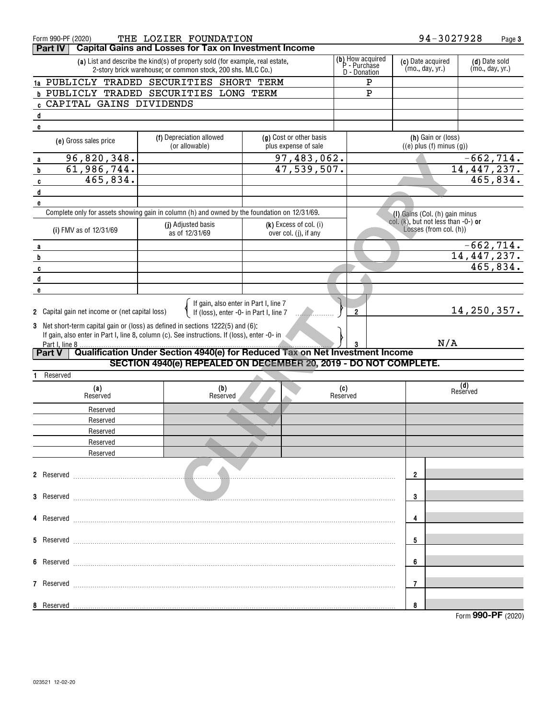| Form 990-PF (2020)                                                                                                                                                                               | THE LOZIER FOUNDATION                                                                        |  |                                                   |                                      |                                                               | 94-3027928         | Page 3      |
|--------------------------------------------------------------------------------------------------------------------------------------------------------------------------------------------------|----------------------------------------------------------------------------------------------|--|---------------------------------------------------|--------------------------------------|---------------------------------------------------------------|--------------------|-------------|
| Part IV                                                                                                                                                                                          | <b>Capital Gains and Losses for Tax on Investment Income</b>                                 |  |                                                   |                                      |                                                               |                    |             |
| (b) How acquired<br>P - Purchase<br>(a) List and describe the kind(s) of property sold (for example, real estate,<br>2-story brick warehouse; or common stock, 200 shs. MLC Co.)<br>D - Donation |                                                                                              |  |                                                   | (c) Date acquired<br>(mo., day, yr.) | (d) Date sold<br>(mo., day, yr.)                              |                    |             |
| 1a PUBLICLY TRADED SECURITIES SHORT TERM                                                                                                                                                         |                                                                                              |  |                                                   | Ρ                                    |                                                               |                    |             |
|                                                                                                                                                                                                  | <b>b PUBLICLY TRADED SECURITIES LONG TERM</b>                                                |  |                                                   | $\overline{P}$                       |                                                               |                    |             |
| <b>CAPITAL GAINS DIVIDENDS</b>                                                                                                                                                                   |                                                                                              |  |                                                   |                                      |                                                               |                    |             |
| $\mathbf d$                                                                                                                                                                                      |                                                                                              |  |                                                   |                                      |                                                               |                    |             |
| $\mathbf{e}$                                                                                                                                                                                     |                                                                                              |  |                                                   |                                      |                                                               |                    |             |
| (e) Gross sales price                                                                                                                                                                            | (f) Depreciation allowed<br>(or allowable)                                                   |  | (g) Cost or other basis<br>plus expense of sale   |                                      | (h) Gain or (loss)<br>$((e)$ plus $(f)$ minus $(g))$          |                    |             |
| 96,820,348.<br>a                                                                                                                                                                                 |                                                                                              |  | 97,483,062.                                       |                                      |                                                               |                    | $-662,714.$ |
| $\overline{61,986,744}$ .<br>b                                                                                                                                                                   |                                                                                              |  | 47,539,507.                                       |                                      |                                                               | 14, 447, 237.      |             |
| 465,834.<br>$\mathbf{c}$                                                                                                                                                                         |                                                                                              |  |                                                   |                                      |                                                               |                    | 465,834.    |
| $\mathsf d$                                                                                                                                                                                      |                                                                                              |  |                                                   |                                      |                                                               |                    |             |
| e                                                                                                                                                                                                |                                                                                              |  |                                                   |                                      |                                                               |                    |             |
|                                                                                                                                                                                                  | Complete only for assets showing gain in column (h) and owned by the foundation on 12/31/69. |  |                                                   |                                      | (I) Gains (Col. (h) gain minus                                |                    |             |
| (i) FMV as of 12/31/69                                                                                                                                                                           | (j) Adjusted basis<br>as of 12/31/69                                                         |  | $(k)$ Excess of col. (i)<br>over col. (j), if any |                                      | col. (k), but not less than -0-) or<br>Losses (from col. (h)) |                    |             |
| a                                                                                                                                                                                                |                                                                                              |  |                                                   |                                      |                                                               |                    | $-662,714.$ |
| b                                                                                                                                                                                                |                                                                                              |  |                                                   |                                      |                                                               | 14,447,237.        |             |
| C                                                                                                                                                                                                |                                                                                              |  |                                                   |                                      |                                                               |                    | 465,834.    |
| $\mathbf d$                                                                                                                                                                                      |                                                                                              |  |                                                   |                                      |                                                               |                    |             |
| e                                                                                                                                                                                                |                                                                                              |  |                                                   |                                      |                                                               |                    |             |
|                                                                                                                                                                                                  | If gain, also enter in Part I, line 7                                                        |  |                                                   |                                      |                                                               |                    |             |
| 2 Capital gain net income or (net capital loss)                                                                                                                                                  | If (loss), enter -0- in Part I, line 7                                                       |  |                                                   | 2                                    |                                                               | 14,250,357.        |             |
| 3 Net short-term capital gain or (loss) as defined in sections 1222(5) and (6):                                                                                                                  |                                                                                              |  |                                                   |                                      |                                                               |                    |             |
|                                                                                                                                                                                                  | If gain, also enter in Part I, line 8, column (c). See instructions. If (loss), enter -0- in |  |                                                   |                                      | N/A                                                           |                    |             |
| Part I, line 8<br><b>Part V</b>                                                                                                                                                                  | Qualification Under Section 4940(e) for Reduced Tax on Net Investment Income                 |  |                                                   |                                      |                                                               |                    |             |
|                                                                                                                                                                                                  | SECTION 4940(e) REPEALED ON DECEMBER 20, 2019 - DO NOT COMPLETE.                             |  |                                                   |                                      |                                                               |                    |             |
| Reserved                                                                                                                                                                                         |                                                                                              |  |                                                   |                                      |                                                               |                    |             |
| (a)                                                                                                                                                                                              | (b)                                                                                          |  |                                                   | (c)                                  |                                                               | (d)<br>Reserved    |             |
| Reserved                                                                                                                                                                                         | Reserved                                                                                     |  |                                                   | Reserved                             |                                                               |                    |             |
| Reserved                                                                                                                                                                                         |                                                                                              |  |                                                   |                                      |                                                               |                    |             |
| Reserved                                                                                                                                                                                         |                                                                                              |  |                                                   |                                      |                                                               |                    |             |
| Reserved                                                                                                                                                                                         |                                                                                              |  |                                                   |                                      |                                                               |                    |             |
| Reserved                                                                                                                                                                                         |                                                                                              |  |                                                   |                                      |                                                               |                    |             |
| Reserved                                                                                                                                                                                         |                                                                                              |  |                                                   |                                      |                                                               |                    |             |
|                                                                                                                                                                                                  |                                                                                              |  |                                                   |                                      | $\overline{2}$                                                |                    |             |
|                                                                                                                                                                                                  |                                                                                              |  |                                                   |                                      |                                                               |                    |             |
|                                                                                                                                                                                                  |                                                                                              |  |                                                   |                                      | 3                                                             |                    |             |
|                                                                                                                                                                                                  |                                                                                              |  |                                                   |                                      |                                                               |                    |             |
|                                                                                                                                                                                                  |                                                                                              |  |                                                   |                                      | 4                                                             |                    |             |
|                                                                                                                                                                                                  |                                                                                              |  |                                                   |                                      | 5                                                             |                    |             |
|                                                                                                                                                                                                  |                                                                                              |  |                                                   |                                      | 6                                                             |                    |             |
|                                                                                                                                                                                                  |                                                                                              |  |                                                   |                                      |                                                               |                    |             |
|                                                                                                                                                                                                  |                                                                                              |  |                                                   |                                      | 7                                                             |                    |             |
| 8 Reserved                                                                                                                                                                                       |                                                                                              |  |                                                   |                                      | 8                                                             | Form 990-PF (2020) |             |
|                                                                                                                                                                                                  |                                                                                              |  |                                                   |                                      |                                                               |                    |             |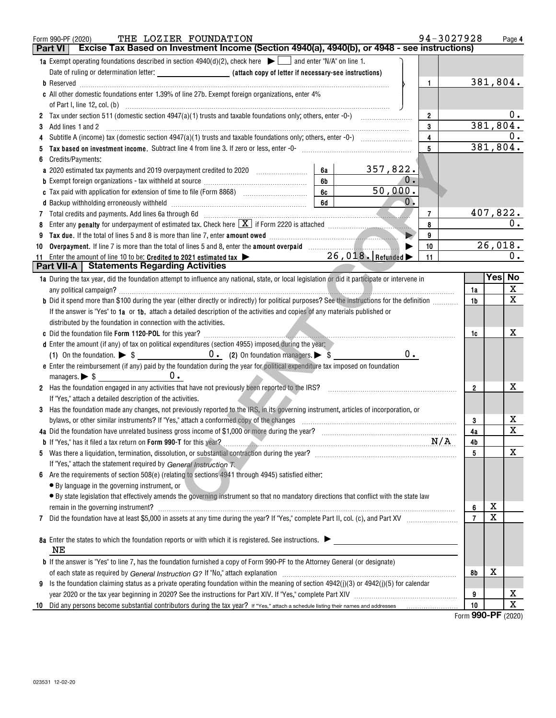| THE LOZIER FOUNDATION<br>Form 990-PF (2020)<br>Excise Tax Based on Investment Income (Section 4940(a), 4940(b), or 4948 - see instructions)<br><b>Part VI</b>                                                                  |               |                         | 94-3027928 |                                |             | Page 4                  |
|--------------------------------------------------------------------------------------------------------------------------------------------------------------------------------------------------------------------------------|---------------|-------------------------|------------|--------------------------------|-------------|-------------------------|
| 1a Exempt operating foundations described in section $4940(d)(2)$ , check here $\blacktriangleright \Box$ and enter "N/A" on line 1.                                                                                           |               |                         |            |                                |             |                         |
| Date of ruling or determination letter: <b>we can also also constructed as a construction</b> (attach copy of letter if necessary-see instructions)                                                                            |               |                         |            |                                |             |                         |
| <b>b</b> Reserved                                                                                                                                                                                                              |               | $\mathbf{1}$            |            |                                | 381,804.    |                         |
| c All other domestic foundations enter 1.39% of line 27b. Exempt foreign organizations, enter 4%                                                                                                                               |               |                         |            |                                |             |                         |
|                                                                                                                                                                                                                                |               |                         |            |                                |             |                         |
|                                                                                                                                                                                                                                |               | $\overline{\mathbf{2}}$ |            |                                |             |                         |
| Add lines 1 and 2<br>3                                                                                                                                                                                                         |               | 3                       |            |                                | 381,804.    |                         |
| 4                                                                                                                                                                                                                              |               | 4                       |            |                                |             | О.                      |
|                                                                                                                                                                                                                                |               | 5                       |            |                                | 381,804.    |                         |
| Credits/Payments:<br>6                                                                                                                                                                                                         |               |                         |            |                                |             |                         |
| 357,822.<br>a 2020 estimated tax payments and 2019 overpayment credited to 2020 [11, 12, 12, 13, 13, 13, 13, 13, 13, 13, 1<br>6a                                                                                               |               |                         |            |                                |             |                         |
| 6b                                                                                                                                                                                                                             | $0$ .         |                         |            |                                |             |                         |
| 6c                                                                                                                                                                                                                             | 50,000.       |                         |            |                                |             |                         |
| 6d                                                                                                                                                                                                                             | $\mathbf 0$ . |                         |            |                                |             |                         |
| 7 Total credits and payments. Add lines 6a through 6d [11] [11] Total Community Contract Den Lines Community Community Community Community Community Community Community Community Community Community Community Community Com |               | 7                       |            |                                | 407,822.    |                         |
| Enter any penalty for underpayment of estimated tax. Check here $\boxed{\textbf{X}}$ if Form 2220 is attached $\boxed{\text{}}$<br>8                                                                                           |               | 8                       |            |                                |             | 0.                      |
| 9                                                                                                                                                                                                                              |               | 9                       |            |                                |             |                         |
| 10                                                                                                                                                                                                                             |               | 10                      |            |                                | 26,018.     | 0.                      |
| 26,018. Refunded<br>Enter the amount of line 10 to be: Credited to 2021 estimated tax<br>11<br><b>Part VII-A   Statements Regarding Activities</b>                                                                             |               | 11                      |            |                                |             |                         |
| 1a During the tax year, did the foundation attempt to influence any national, state, or local legislation or did it participate or intervene in                                                                                |               |                         |            |                                | Yes  No     |                         |
|                                                                                                                                                                                                                                |               |                         |            | 1a                             |             | $\mathbf x$             |
| b Did it spend more than \$100 during the year (either directly or indirectly) for political purposes? See the instructions for the definition                                                                                 |               |                         |            | 1b                             |             | X                       |
| If the answer is "Yes" to 1a or 1b, attach a detailed description of the activities and copies of any materials published or                                                                                                   |               |                         |            |                                |             |                         |
| distributed by the foundation in connection with the activities.                                                                                                                                                               |               |                         |            |                                |             |                         |
|                                                                                                                                                                                                                                |               |                         |            | 1c                             |             | x.                      |
| d Enter the amount (if any) of tax on political expenditures (section 4955) imposed during the year:                                                                                                                           |               |                         |            |                                |             |                         |
|                                                                                                                                                                                                                                | 0.            |                         |            |                                |             |                         |
| e Enter the reimbursement (if any) paid by the foundation during the year for political expenditure tax imposed on foundation                                                                                                  |               |                         |            |                                |             |                         |
| managers. $\triangleright$ \$<br>$0 -$                                                                                                                                                                                         |               |                         |            |                                |             |                         |
| 2 Has the foundation engaged in any activities that have not previously been reported to the IRS?                                                                                                                              |               |                         |            | 2                              |             | х                       |
| If "Yes," attach a detailed description of the activities.                                                                                                                                                                     |               |                         |            |                                |             |                         |
| Has the foundation made any changes, not previously reported to the IRS, in its governing instrument, articles of incorporation, or<br>3.                                                                                      |               |                         |            |                                |             |                         |
| bylaws, or other similar instruments? If "Yes," attach a conformed copy of the changes                                                                                                                                         |               |                         |            | 3                              |             | х                       |
| 4a Did the foundation have unrelated business gross income of \$1,000 or more during the year?                                                                                                                                 |               |                         |            | 4a                             |             | $\overline{\mathbf{x}}$ |
| <b>b</b> If "Yes," has it filed a tax return on <b>Form 990-T</b> for this year?                                                                                                                                               |               | N/A                     |            | 4b                             |             |                         |
| 5                                                                                                                                                                                                                              |               |                         |            | 5                              |             | х                       |
| If "Yes," attach the statement required by General Instruction T.                                                                                                                                                              |               |                         |            |                                |             |                         |
| Are the requirements of section 508(e) (relating to sections 4941 through 4945) satisfied either:<br>6                                                                                                                         |               |                         |            |                                |             |                         |
| • By language in the governing instrument, or                                                                                                                                                                                  |               |                         |            |                                |             |                         |
| . By state legislation that effectively amends the governing instrument so that no mandatory directions that conflict with the state law                                                                                       |               |                         |            |                                |             |                         |
| remain in the governing instrument?                                                                                                                                                                                            |               |                         |            | 6                              | х           |                         |
| 7                                                                                                                                                                                                                              |               |                         |            | $\overline{7}$                 | $\mathbf X$ |                         |
|                                                                                                                                                                                                                                |               |                         |            |                                |             |                         |
| 8a Enter the states to which the foundation reports or with which it is registered. See instructions. ▶                                                                                                                        |               |                         |            |                                |             |                         |
| ΝE                                                                                                                                                                                                                             |               |                         |            |                                |             |                         |
| <b>b</b> If the answer is "Yes" to line 7, has the foundation furnished a copy of Form 990-PF to the Attorney General (or designate)                                                                                           |               |                         |            |                                |             |                         |
| of each state as required by General Instruction G? If "No," attach explanation                                                                                                                                                |               |                         |            | 8b                             | X           |                         |
| Is the foundation claiming status as a private operating foundation within the meaning of section $4942(j)(3)$ or $4942(j)(5)$ for calendar<br>9                                                                               |               |                         |            |                                |             |                         |
| year 2020 or the tax year beginning in 2020? See the instructions for Part XIV. If "Yes," complete Part XIV [11] [11] [11] Array complete Part XIV [11] [12] Array complete Part XIV [12] [12] Array complete Part XIV [12] [1 |               |                         |            | 9                              |             | x                       |
| 10                                                                                                                                                                                                                             |               |                         |            | 10<br>$\overline{\phantom{a}}$ |             | X                       |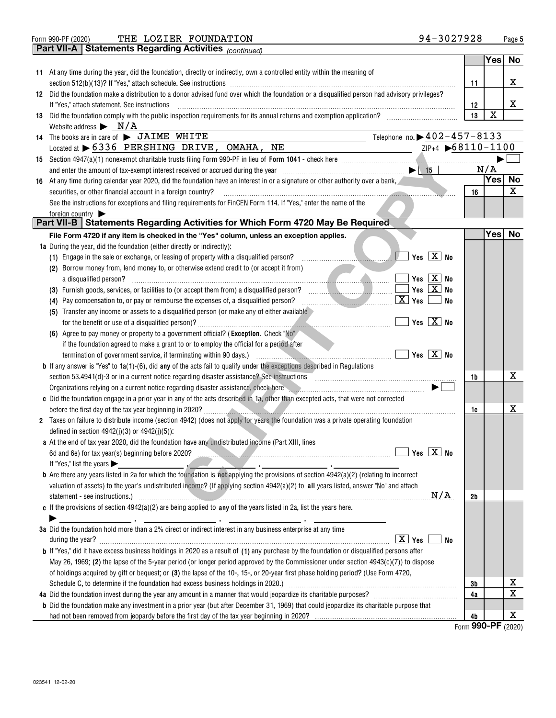|    | 94-3027928<br>THE LOZIER FOUNDATION<br>Form 990-PF (2020)                                                                                                                                                                                                                                                                                                                                                                                                                                   |                |             | Page 5    |
|----|---------------------------------------------------------------------------------------------------------------------------------------------------------------------------------------------------------------------------------------------------------------------------------------------------------------------------------------------------------------------------------------------------------------------------------------------------------------------------------------------|----------------|-------------|-----------|
|    | Part VII-A   Statements Regarding Activities (continued)                                                                                                                                                                                                                                                                                                                                                                                                                                    |                |             |           |
|    |                                                                                                                                                                                                                                                                                                                                                                                                                                                                                             |                | Yes         | <b>No</b> |
|    | 11 At any time during the year, did the foundation, directly or indirectly, own a controlled entity within the meaning of                                                                                                                                                                                                                                                                                                                                                                   |                |             |           |
|    |                                                                                                                                                                                                                                                                                                                                                                                                                                                                                             | 11             |             | х         |
|    | 12 Did the foundation make a distribution to a donor advised fund over which the foundation or a disqualified person had advisory privileges?                                                                                                                                                                                                                                                                                                                                               |                |             |           |
|    | If "Yes," attach statement. See instructions<br>$\begin{minipage}{0.5\textwidth} \begin{tabular}{ l l l } \hline \multicolumn{1}{ l l l } \hline \multicolumn{1}{ l l } \multicolumn{1}{ l } \multicolumn{1}{ l } \multicolumn{1}{ l } \multicolumn{1}{ l } \multicolumn{1}{ l } \multicolumn{1}{ l } \multicolumn{1}{ l } \multicolumn{1}{ l } \multicolumn{1}{ l } \multicolumn{1}{ l } \multicolumn{1}{ l } \multicolumn{1}{ l } \multicolumn{1}{ l } \multicolumn{1}{ l } \multicolumn$ | 12             |             | х         |
| 13 | Did the foundation comply with the public inspection requirements for its annual returns and exemption application?<br>                                                                                                                                                                                                                                                                                                                                                                     | 13             | $\mathbf X$ |           |
|    | Website address $\blacktriangleright \underline{N/A}$                                                                                                                                                                                                                                                                                                                                                                                                                                       |                |             |           |
|    | Telephone no. $\triangleright$ 402-457-8133<br>14 The books are in care of > JAIME WHITE                                                                                                                                                                                                                                                                                                                                                                                                    |                |             |           |
|    | $\frac{1}{2}$ $\frac{1}{2}$ $\frac{1}{2}$ $\frac{1}{2}$ $\frac{68110-1100}{2}$<br>Located at $\triangleright$ 6336 PERSHING DRIVE, OMAHA, NE                                                                                                                                                                                                                                                                                                                                                |                |             |           |
| 15 | Section 4947(a)(1) nonexempt charitable trusts filing Form 990-PF in lieu of Form 1041 - check here manufactured and manufactured and manufactured and manufactured and manufactured and manufactured and manufactured and man                                                                                                                                                                                                                                                              |                |             |           |
|    |                                                                                                                                                                                                                                                                                                                                                                                                                                                                                             |                | N/A         |           |
| 16 | At any time during calendar year 2020, did the foundation have an interest in or a signature or other authority over a bank,                                                                                                                                                                                                                                                                                                                                                                |                | Yes         | No        |
|    | securities, or other financial account in a foreign country?                                                                                                                                                                                                                                                                                                                                                                                                                                | 16             |             | х         |
|    | See the instructions for exceptions and filing requirements for FinCEN Form 114. If "Yes," enter the name of the                                                                                                                                                                                                                                                                                                                                                                            |                |             |           |
|    | foreign country                                                                                                                                                                                                                                                                                                                                                                                                                                                                             |                |             |           |
|    | Part VII-B   Statements Regarding Activities for Which Form 4720 May Be Required                                                                                                                                                                                                                                                                                                                                                                                                            |                |             |           |
|    | File Form 4720 if any item is checked in the "Yes" column, unless an exception applies.                                                                                                                                                                                                                                                                                                                                                                                                     |                | Yes         | No        |
|    | 1a During the year, did the foundation (either directly or indirectly);                                                                                                                                                                                                                                                                                                                                                                                                                     |                |             |           |
|    | Yes $X$ No<br>(1) Engage in the sale or exchange, or leasing of property with a disqualified person?                                                                                                                                                                                                                                                                                                                                                                                        |                |             |           |
|    | (2) Borrow money from, lend money to, or otherwise extend credit to (or accept it from)                                                                                                                                                                                                                                                                                                                                                                                                     |                |             |           |
|    | Yes $\boxed{\text{X}}$ No<br>a disqualified person?                                                                                                                                                                                                                                                                                                                                                                                                                                         |                |             |           |
|    | Yes $X$ No                                                                                                                                                                                                                                                                                                                                                                                                                                                                                  |                |             |           |
|    | (4) Pay compensation to, or pay or reimburse the expenses of, a disqualified person? $\ldots$<br>No                                                                                                                                                                                                                                                                                                                                                                                         |                |             |           |
|    | (5) Transfer any income or assets to a disqualified person (or make any of either available                                                                                                                                                                                                                                                                                                                                                                                                 |                |             |           |
|    | $Yes \nX \nNo$                                                                                                                                                                                                                                                                                                                                                                                                                                                                              |                |             |           |
|    | (6) Agree to pay money or property to a government official? (Exception. Check "No"                                                                                                                                                                                                                                                                                                                                                                                                         |                |             |           |
|    | if the foundation agreed to make a grant to or to employ the official for a period after                                                                                                                                                                                                                                                                                                                                                                                                    |                |             |           |
|    | $\Box$ Yes $\Box X$ No<br>termination of government service, if terminating within 90 days.) [1989] [1989] [1989] [1989] [1989] [1989] [                                                                                                                                                                                                                                                                                                                                                    |                |             |           |
|    | <b>b</b> If any answer is "Yes" to $1a(1)$ -(6), did any of the acts fail to qualify under the exceptions described in Regulations                                                                                                                                                                                                                                                                                                                                                          |                |             |           |
|    | section 53.4941(d)-3 or in a current notice regarding disaster assistance? See instructions [1986] and the section 53.4941(d)-3 or in a current notice regarding disaster assistance? See instructions                                                                                                                                                                                                                                                                                      | 1b             |             | x         |
|    | Organizations relying on a current notice regarding disaster assistance, check here encontaind and according on a surface of $\blacktriangleright$ [                                                                                                                                                                                                                                                                                                                                        |                |             |           |
|    | c Did the foundation engage in a prior year in any of the acts described in 1a, other than excepted acts, that were not corrected                                                                                                                                                                                                                                                                                                                                                           |                |             |           |
|    | before the first day of the tax year beginning in 2020?                                                                                                                                                                                                                                                                                                                                                                                                                                     | 1c             |             | x         |
| 2  | Taxes on failure to distribute income (section 4942) (does not apply for years the foundation was a private operating foundation                                                                                                                                                                                                                                                                                                                                                            |                |             |           |
|    | defined in section $4942(j)(3)$ or $4942(j)(5)$ ):                                                                                                                                                                                                                                                                                                                                                                                                                                          |                |             |           |
|    | a At the end of tax year 2020, did the foundation have any undistributed income (Part XIII, lines                                                                                                                                                                                                                                                                                                                                                                                           |                |             |           |
|    | $\Box$ Yes $[X]$ No                                                                                                                                                                                                                                                                                                                                                                                                                                                                         |                |             |           |
|    |                                                                                                                                                                                                                                                                                                                                                                                                                                                                                             |                |             |           |
|    | <b>b</b> Are there any years listed in 2a for which the foundation is not applying the provisions of section $4942(a)(2)$ (relating to incorrect                                                                                                                                                                                                                                                                                                                                            |                |             |           |
|    | valuation of assets) to the year's undistributed income? (If applying section 4942(a)(2) to all years listed, answer "No" and attach                                                                                                                                                                                                                                                                                                                                                        |                |             |           |
|    | N/A                                                                                                                                                                                                                                                                                                                                                                                                                                                                                         | 2 <sub>b</sub> |             |           |
|    | c If the provisions of section $4942(a)(2)$ are being applied to any of the years listed in 2a, list the years here.                                                                                                                                                                                                                                                                                                                                                                        |                |             |           |
|    |                                                                                                                                                                                                                                                                                                                                                                                                                                                                                             |                |             |           |
|    | 3a Did the foundation hold more than a 2% direct or indirect interest in any business enterprise at any time                                                                                                                                                                                                                                                                                                                                                                                |                |             |           |
|    | $\boxed{\mathbf{X}}$ Yes<br>No                                                                                                                                                                                                                                                                                                                                                                                                                                                              |                |             |           |
|    | <b>b</b> If "Yes," did it have excess business holdings in 2020 as a result of (1) any purchase by the foundation or disqualified persons after                                                                                                                                                                                                                                                                                                                                             |                |             |           |
|    | May 26, 1969; (2) the lapse of the 5-year period (or longer period approved by the Commissioner under section 4943(c)(7)) to dispose                                                                                                                                                                                                                                                                                                                                                        |                |             |           |
|    | of holdings acquired by gift or bequest; or (3) the lapse of the 10-, 15-, or 20-year first phase holding period? (Use Form 4720,                                                                                                                                                                                                                                                                                                                                                           |                |             |           |
|    | Schedule C, to determine if the foundation had excess business holdings in 2020.) [11] content the content of the foundation had excess business holdings in 2020.) [11] content of the foundation of the state of the state o                                                                                                                                                                                                                                                              | 3b             |             | х         |
|    | 4a Did the foundation invest during the year any amount in a manner that would jeopardize its charitable purposes?                                                                                                                                                                                                                                                                                                                                                                          | 4a             |             | х         |
|    | <b>b</b> Did the foundation make any investment in a prior year (but after December 31, 1969) that could jeopardize its charitable purpose that                                                                                                                                                                                                                                                                                                                                             |                |             |           |
|    |                                                                                                                                                                                                                                                                                                                                                                                                                                                                                             | 4b             |             | x         |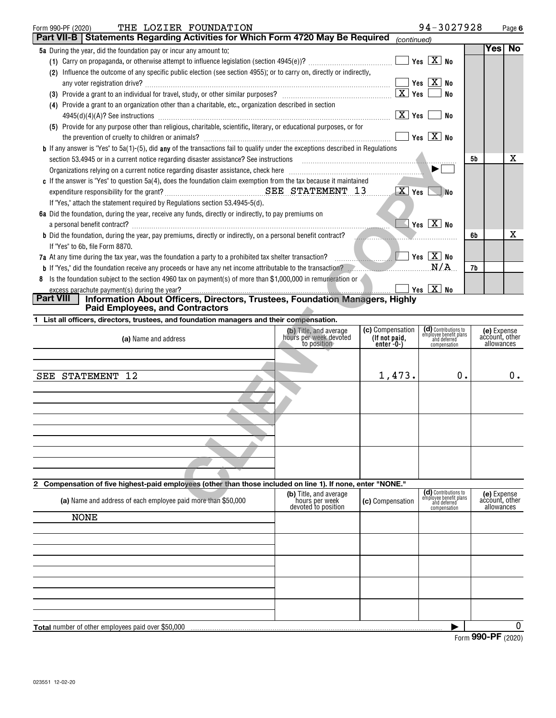| THE LOZIER FOUNDATION<br>Form 990-PF (2020)                                                                                                                                                                                    |                                                  |                  | 94-3027928                                                     |    | Page 6                        |
|--------------------------------------------------------------------------------------------------------------------------------------------------------------------------------------------------------------------------------|--------------------------------------------------|------------------|----------------------------------------------------------------|----|-------------------------------|
| Part VII-B   Statements Regarding Activities for Which Form 4720 May Be Required                                                                                                                                               |                                                  | (continued)      |                                                                |    |                               |
| 5a During the year, did the foundation pay or incur any amount to:                                                                                                                                                             |                                                  |                  |                                                                |    | Yes No                        |
|                                                                                                                                                                                                                                |                                                  |                  |                                                                |    |                               |
| (2) Influence the outcome of any specific public election (see section 4955); or to carry on, directly or indirectly,                                                                                                          |                                                  |                  |                                                                |    |                               |
|                                                                                                                                                                                                                                |                                                  |                  | $\Box$ Yes $\Box X$ No                                         |    |                               |
|                                                                                                                                                                                                                                |                                                  |                  | <b>No</b>                                                      |    |                               |
| (4) Provide a grant to an organization other than a charitable, etc., organization described in section                                                                                                                        |                                                  |                  |                                                                |    |                               |
|                                                                                                                                                                                                                                |                                                  |                  | No                                                             |    |                               |
| (5) Provide for any purpose other than religious, charitable, scientific, literary, or educational purposes, or for                                                                                                            |                                                  |                  |                                                                |    |                               |
|                                                                                                                                                                                                                                |                                                  |                  | $\Box$ Yes $\boxed{\text{X}}$ No                               |    |                               |
| <b>b</b> If any answer is "Yes" to 5a(1)-(5), did any of the transactions fail to qualify under the exceptions described in Regulations                                                                                        |                                                  |                  |                                                                |    |                               |
| section 53.4945 or in a current notice regarding disaster assistance? See instructions [11] manufacture in the content of the content of the content of the content of the content of the content of the content of the conten |                                                  |                  |                                                                | 5b | x                             |
| Organizations relying on a current notice regarding disaster assistance, check here [111] [11] Content contents and the content of the content of the content of the content of the content of the content of the content of t |                                                  |                  | $\blacktriangleright$                                          |    |                               |
| c If the answer is "Yes" to question $5a(4)$ , does the foundation claim exemption from the tax because it maintained                                                                                                          |                                                  |                  |                                                                |    |                               |
|                                                                                                                                                                                                                                |                                                  |                  |                                                                |    |                               |
| If "Yes," attach the statement required by Regulations section 53.4945-5(d).                                                                                                                                                   |                                                  |                  |                                                                |    |                               |
| 6a Did the foundation, during the year, receive any funds, directly or indirectly, to pay premiums on                                                                                                                          |                                                  |                  |                                                                |    |                               |
|                                                                                                                                                                                                                                |                                                  |                  | $\sqrt{}$ Yes $\sqrt{}$ No                                     |    |                               |
| <b>b</b> Did the foundation, during the year, pay premiums, directly or indirectly, on a personal benefit contract?                                                                                                            |                                                  |                  |                                                                | 6b | x                             |
| If "Yes" to 6b, file Form 8870.                                                                                                                                                                                                |                                                  |                  |                                                                |    |                               |
| 7a At any time during the tax year, was the foundation a party to a prohibited tax shelter transaction? $\Box$ Thes $\Box$ Yes $\Box$ No                                                                                       |                                                  |                  |                                                                |    |                               |
| <b>b</b> If "Yes," did the foundation receive any proceeds or have any net income attributable to the transaction?                                                                                                             |                                                  |                  |                                                                | 7b |                               |
| 8 Is the foundation subject to the section 4960 tax on payment(s) of more than \$1,000,000 in remuneration or                                                                                                                  |                                                  |                  |                                                                |    |                               |
| excess parachute payment(s) during the year?                                                                                                                                                                                   |                                                  |                  | $\sqrt{ }$ Yes $\boxed{\text{X}}$ No                           |    |                               |
| Information About Officers, Directors, Trustees, Foundation Managers, Highly<br>Part VIII                                                                                                                                      |                                                  |                  |                                                                |    |                               |
| <b>Paid Employees, and Contractors</b>                                                                                                                                                                                         |                                                  |                  |                                                                |    |                               |
| 1 List all officers, directors, trustees, and foundation managers and their compensation.                                                                                                                                      |                                                  | (c) Compensation |                                                                |    |                               |
| (a) Name and address                                                                                                                                                                                                           | (b) Title, and average<br>hours per week devoted | (If not paid,    | (d) Contributions to<br>employee benefit plans<br>and deferred |    | (e) Expense<br>account, other |
|                                                                                                                                                                                                                                | to position                                      | enter $-0$ - $)$ | compensation                                                   |    | allowances                    |
|                                                                                                                                                                                                                                |                                                  |                  |                                                                |    |                               |
|                                                                                                                                                                                                                                |                                                  |                  |                                                                |    |                               |
| SEE STATEMENT 12                                                                                                                                                                                                               |                                                  | 1,473.           | $0$ .                                                          |    | 0.                            |
|                                                                                                                                                                                                                                |                                                  |                  |                                                                |    |                               |
|                                                                                                                                                                                                                                |                                                  |                  |                                                                |    |                               |
|                                                                                                                                                                                                                                |                                                  |                  |                                                                |    |                               |
|                                                                                                                                                                                                                                |                                                  |                  |                                                                |    |                               |
|                                                                                                                                                                                                                                |                                                  |                  |                                                                |    |                               |
|                                                                                                                                                                                                                                |                                                  |                  |                                                                |    |                               |
|                                                                                                                                                                                                                                |                                                  |                  |                                                                |    |                               |
|                                                                                                                                                                                                                                |                                                  |                  |                                                                |    |                               |
| Compensation of five highest-paid employees (other than those included on line 1). If none, enter "NONE."<br>$\mathbf{2}$                                                                                                      |                                                  |                  |                                                                |    |                               |
|                                                                                                                                                                                                                                | (b) Title, and average                           |                  | (d) Contributions to                                           |    | (e) Expense                   |
| (a) Name and address of each employee paid more than \$50,000                                                                                                                                                                  | hours per week<br>devoted to position            | (c) Compensation | employee benefit plans<br>and deferred<br>compensation         |    | account, other<br>allowances  |

| $\overline{\phantom{a}}$ |                                                                 |                                                 |                                                                                |                                             |
|--------------------------|-----------------------------------------------------------------|-------------------------------------------------|--------------------------------------------------------------------------------|---------------------------------------------|
| (a) Name and address     | (b) Title, and average<br>hours per week devoted<br>to position | (c) Compensation<br>(If not paid,<br>enter -0-) | (d) Contributions to<br>employee benefit plans<br>and deferred<br>compensation | (e) Expense<br>account, other<br>allowances |
|                          |                                                                 |                                                 |                                                                                |                                             |
| SEE STATEMENT 12         |                                                                 | 1,473.                                          | 0.                                                                             | $0$ .                                       |
|                          |                                                                 |                                                 |                                                                                |                                             |
|                          |                                                                 |                                                 |                                                                                |                                             |
|                          |                                                                 |                                                 |                                                                                |                                             |

| (a) Name and address of each employee paid more than \$50,000 | (b) Title, and average<br>hours per week<br>devoted to position | (c) Compensation | (d) Contributions to<br>employee benefit plans<br>and deferred<br>compensation | (e) Expense<br>account, other<br>allowances |
|---------------------------------------------------------------|-----------------------------------------------------------------|------------------|--------------------------------------------------------------------------------|---------------------------------------------|
| <b>NONE</b>                                                   |                                                                 |                  |                                                                                |                                             |
|                                                               |                                                                 |                  |                                                                                |                                             |
|                                                               |                                                                 |                  |                                                                                |                                             |
|                                                               |                                                                 |                  |                                                                                |                                             |
|                                                               |                                                                 |                  |                                                                                |                                             |
|                                                               |                                                                 |                  |                                                                                |                                             |
|                                                               |                                                                 |                  |                                                                                |                                             |
|                                                               |                                                                 |                  |                                                                                |                                             |
|                                                               |                                                                 |                  |                                                                                |                                             |
| <b>Total</b> number of other employees paid over \$50,000     |                                                                 |                  |                                                                                | 0                                           |
|                                                               |                                                                 |                  | $\overline{a}$                                                                 | $000 \nF \cdot \text{const}$                |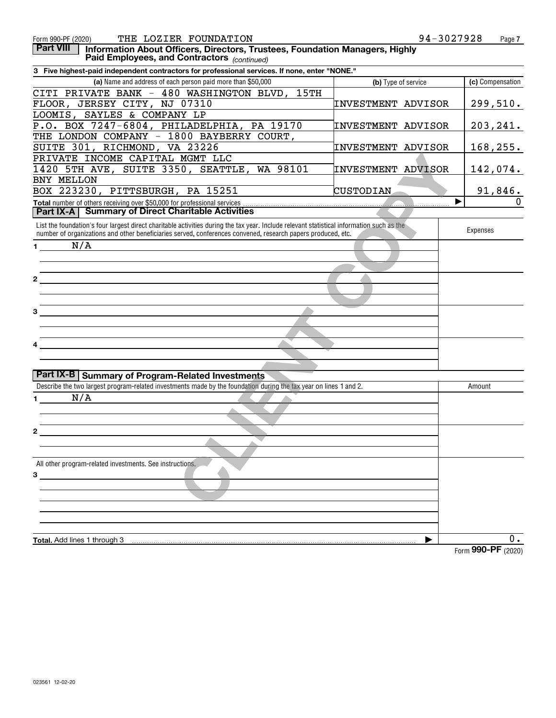| THE LOZIER FOUNDATION<br>Form 990-PF (2020)                                                                                                                                                                                                               |                     | 94-3027928<br>Page 7 |
|-----------------------------------------------------------------------------------------------------------------------------------------------------------------------------------------------------------------------------------------------------------|---------------------|----------------------|
| Information About Officers, Directors, Trustees, Foundation Managers, Highly<br><b>Part VIII</b><br>Paid Employees, and Contractors (continued)                                                                                                           |                     |                      |
| 3 Five highest-paid independent contractors for professional services. If none, enter "NONE."                                                                                                                                                             |                     |                      |
| (a) Name and address of each person paid more than \$50,000                                                                                                                                                                                               | (b) Type of service | (c) Compensation     |
| CITI PRIVATE BANK - 480 WASHINGTON BLVD, 15TH                                                                                                                                                                                                             |                     |                      |
| FLOOR, JERSEY CITY, NJ 07310                                                                                                                                                                                                                              | INVESTMENT ADVISOR  | 299,510.             |
| LOOMIS, SAYLES & COMPANY LP                                                                                                                                                                                                                               |                     |                      |
| P.O. BOX 7247-6804, PHILADELPHIA, PA 19170                                                                                                                                                                                                                | INVESTMENT ADVISOR  | 203,241.             |
| THE LONDON COMPANY - 1800 BAYBERRY COURT,                                                                                                                                                                                                                 |                     |                      |
| SUITE 301, RICHMOND, VA 23226                                                                                                                                                                                                                             | INVESTMENT ADVISOR  | 168, 255.            |
| PRIVATE INCOME CAPITAL MGMT LLC                                                                                                                                                                                                                           |                     |                      |
| 1420 5TH AVE, SUITE 3350, SEATTLE, WA 98101                                                                                                                                                                                                               | INVESTMENT ADVISOR  | 142,074.             |
| BNY MELLON                                                                                                                                                                                                                                                |                     |                      |
| BOX 223230, PITTSBURGH, PA 15251                                                                                                                                                                                                                          | CUSTODIAN           | 91,846.              |
| Total number of others receiving over \$50,000 for professional services                                                                                                                                                                                  |                     | ▶                    |
| <b>Part IX-A   Summary of Direct Charitable Activities</b>                                                                                                                                                                                                |                     |                      |
| List the foundation's four largest direct charitable activities during the tax year. Include relevant statistical information such as the<br>number of organizations and other beneficiaries served, conferences convened, research papers produced, etc. |                     | Expenses             |
| N/A                                                                                                                                                                                                                                                       |                     |                      |
|                                                                                                                                                                                                                                                           |                     |                      |
|                                                                                                                                                                                                                                                           |                     |                      |
| $\mathbf{2}$                                                                                                                                                                                                                                              |                     |                      |
|                                                                                                                                                                                                                                                           |                     |                      |
|                                                                                                                                                                                                                                                           |                     |                      |
| 3                                                                                                                                                                                                                                                         |                     |                      |
|                                                                                                                                                                                                                                                           |                     |                      |
|                                                                                                                                                                                                                                                           |                     |                      |
|                                                                                                                                                                                                                                                           |                     |                      |
|                                                                                                                                                                                                                                                           |                     |                      |
|                                                                                                                                                                                                                                                           |                     |                      |
| <b>Part IX-B   Summary of Program-Related Investments</b>                                                                                                                                                                                                 |                     |                      |
| Describe the two largest program-related investments made by the foundation during the tax year on lines 1 and 2.                                                                                                                                         |                     | Amount               |
| N/A                                                                                                                                                                                                                                                       |                     |                      |
|                                                                                                                                                                                                                                                           |                     |                      |
|                                                                                                                                                                                                                                                           |                     |                      |
| 2                                                                                                                                                                                                                                                         |                     |                      |
|                                                                                                                                                                                                                                                           |                     |                      |
|                                                                                                                                                                                                                                                           |                     |                      |
| All other program-related investments. See instructions.                                                                                                                                                                                                  |                     |                      |
| 3                                                                                                                                                                                                                                                         |                     |                      |
|                                                                                                                                                                                                                                                           |                     |                      |
|                                                                                                                                                                                                                                                           |                     |                      |
|                                                                                                                                                                                                                                                           |                     |                      |
|                                                                                                                                                                                                                                                           |                     |                      |
|                                                                                                                                                                                                                                                           |                     | 0.                   |
| Total. Add lines 1 through 3                                                                                                                                                                                                                              |                     | Form 990-PF (2020)   |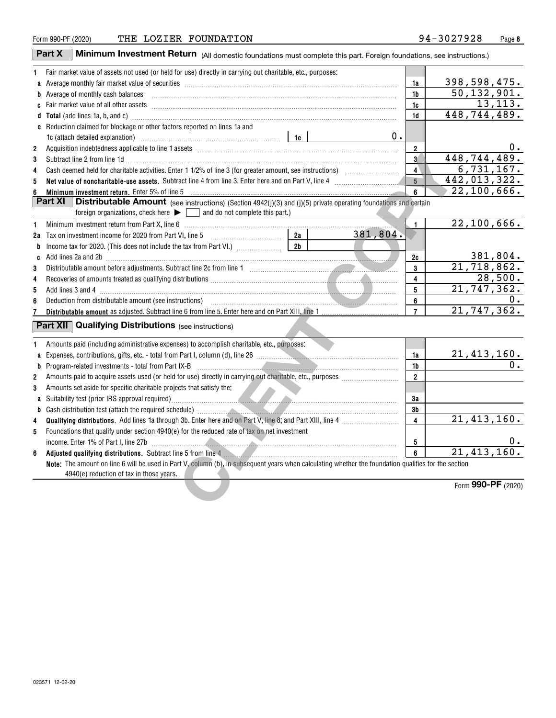|                         | <b>Minimum Investment Return</b> (All domestic foundations must complete this part. Foreign foundations, see instructions.)<br>Part X                                                                                                            |                         |                            |
|-------------------------|--------------------------------------------------------------------------------------------------------------------------------------------------------------------------------------------------------------------------------------------------|-------------------------|----------------------------|
| 1.                      | Fair market value of assets not used (or held for use) directly in carrying out charitable, etc., purposes:                                                                                                                                      |                         |                            |
|                         |                                                                                                                                                                                                                                                  | 1a                      | 398, 598, 475.             |
|                         | <b>b</b> Average of monthly cash balances                                                                                                                                                                                                        | 1 <sub>b</sub>          | $\overline{50, 132, 901.}$ |
|                         | c Fair market value of all other assets [11] married and material contracts and all other assets [11] married material contracts and all other assets [11] material contracts and material contracts and material contracts an                   | 1c                      | 13, 113.                   |
|                         | d Total (add lines 1a, b, and c) <b>manufacture and contact and contact and contact and contact and contact and contact and contact and contact and contact and contact and contact and contact and contact and contact and cont</b>             | 1d                      | 448,744,489.               |
|                         | e Reduction claimed for blockage or other factors reported on lines 1a and                                                                                                                                                                       |                         |                            |
|                         | $0$ .<br>1c (attach detailed explanation) manufactured and according to the last of the last series and the last series of the last series of the last series of the last series of the last series of the last series of the last seri          |                         |                            |
| $\overline{\mathbf{2}}$ | Acquisition indebtedness applicable to line 1 assets [11] matter content in the state of the content of the content of the content of the content of the content of the content of the content of the content of the content o                   | $\overline{\mathbf{2}}$ | υ.                         |
| 3                       | Subtract line 2 from line 1d <b>Machinese and Contract Line 2</b> from line 1d <b>machinese and contract line 2</b> from line 1d                                                                                                                 | 3 <sup>7</sup>          | 448, 744, 489.             |
| 4                       |                                                                                                                                                                                                                                                  | $4^{\circ}$             | 6,731,167.                 |
| 5                       | Net value of noncharitable-use assets. Subtract line 4 from line 3. Enter here and on Part V, line 4 [11, 11]                                                                                                                                    | 5                       | 442,013,322.               |
| 6                       |                                                                                                                                                                                                                                                  | 6                       | 22,100,666.                |
|                         | <b>Part XI</b>   Distributable Amount (see instructions) (Section 4942(j)(3) and (j)(5) private operating foundations and certain                                                                                                                |                         |                            |
|                         | foreign organizations, check here $\blacktriangleright \Box$ and do not complete this part.)                                                                                                                                                     |                         |                            |
| 1                       |                                                                                                                                                                                                                                                  | 1                       | 22,100,666.                |
|                         | 381,804.<br>2a<br>2a Tax on investment income for 2020 from Part VI, line 5 [100] [100] [100] [100] [100] [100] [100] [100] [100] [100] [100] [100] [100] [100] [100] [100] [100] [100] [100] [100] [100] [100] [100] [100] [100] [100] [100] [1 |                         |                            |
| b                       | 2 <sub>b</sub>                                                                                                                                                                                                                                   |                         |                            |
|                         | c Add lines 2a and 2b (a) and 20 (a) and 20 (a) and 2b (b) and 2b (c) and 3b (c) and 3b (c) and 3b (c) and 3b (c) and 3b (c) and 3b (c) and 3b (c) and 3b (c) and 3b (c) and 3b (c) and 3b (c) and 3b (c) and 3b (c) and 3b (c                   | 2c                      | 381,804.                   |
| 3                       |                                                                                                                                                                                                                                                  | 3                       | 21,718,862.                |
| 4                       |                                                                                                                                                                                                                                                  | $\overline{4}$          | 28,500.                    |
| 5                       | Add lines 3 and 4 <b>with an additional contract and all the set of the set of the set of the set of the set of the set of the set of the set of the set of the set of the set of the set of the set of the set of the set of th</b>             | 5                       | 21,747,362.                |
| 6                       |                                                                                                                                                                                                                                                  | 6                       |                            |
| 7                       |                                                                                                                                                                                                                                                  | $\overline{7}$          | 21,747,362.                |
|                         | <b>Part XII Qualifying Distributions</b> (see instructions)                                                                                                                                                                                      |                         |                            |
| 1                       | Amounts paid (including administrative expenses) to accomplish charitable, etc., purposes:                                                                                                                                                       |                         |                            |
|                         |                                                                                                                                                                                                                                                  | 1a                      | 21, 413, 160.              |
|                         |                                                                                                                                                                                                                                                  | 1b                      | $0$ .                      |
| $\overline{\mathbf{2}}$ |                                                                                                                                                                                                                                                  | $\overline{2}$          |                            |
| 3                       | Amounts set aside for specific charitable projects that satisfy the:                                                                                                                                                                             |                         |                            |
|                         |                                                                                                                                                                                                                                                  | 3a                      |                            |
|                         |                                                                                                                                                                                                                                                  | 3b                      |                            |
| 4                       |                                                                                                                                                                                                                                                  | $\overline{\mathbf{4}}$ | 21,413,160.                |
| 5                       | Foundations that qualify under section 4940(e) for the reduced rate of tax on net investment                                                                                                                                                     |                         |                            |
|                         |                                                                                                                                                                                                                                                  | 5                       | υ.                         |
| 6                       | Adjusted qualifying distributions. Subtract line 5 from line 4                                                                                                                                                                                   | 6                       | 21,413,160.                |
|                         | Note: The amount on line 6 will be used in Part V, column (b), in subsequent years when calculating whether the foundation qualifies for the section<br>4940(e) reduction of tax in those years.                                                 |                         |                            |
|                         |                                                                                                                                                                                                                                                  |                         | Form 990-PF (2020)         |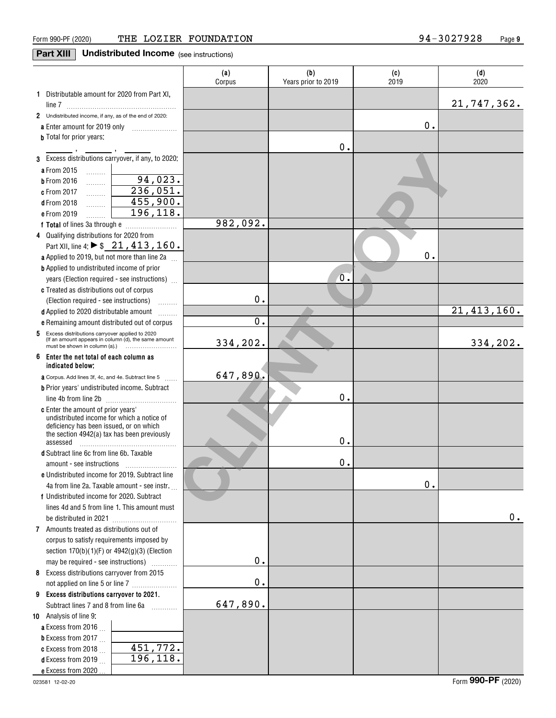## **Part XIII Undistributed Income** (see instructions)

|                                                                                                                                                                         | (a)<br>Corpus | (b)<br>Years prior to 2019 | (c)<br>2019 | (d)<br>2020 |
|-------------------------------------------------------------------------------------------------------------------------------------------------------------------------|---------------|----------------------------|-------------|-------------|
| 1 Distributable amount for 2020 from Part XI,                                                                                                                           |               |                            |             | 21,747,362. |
| 2 Undistributed income, if any, as of the end of 2020:                                                                                                                  |               |                            |             |             |
| a Enter amount for 2019 only                                                                                                                                            |               |                            | 0.          |             |
| <b>b</b> Total for prior years:                                                                                                                                         |               |                            |             |             |
|                                                                                                                                                                         |               | 0.                         |             |             |
| 3 Excess distributions carryover, if any, to 2020:                                                                                                                      |               |                            |             |             |
| <b>a</b> From 2015<br>1.1.1.1.1.1.1                                                                                                                                     |               |                            |             |             |
| 94,023.<br><b>b</b> From 2016<br>.                                                                                                                                      |               |                            |             |             |
| $\overline{236,051}$ .<br>c From 2017<br>$\frac{1}{2}$                                                                                                                  |               |                            |             |             |
| 455,900.<br><b>d</b> From 2018<br>.                                                                                                                                     |               |                            |             |             |
| 196, 118.<br>e From 2019                                                                                                                                                |               |                            |             |             |
|                                                                                                                                                                         | 982,092.      |                            |             |             |
| 4 Qualifying distributions for 2020 from                                                                                                                                |               |                            |             |             |
| Part XII, line 4: $\triangleright$ \$ 21, 413, 160.                                                                                                                     |               |                            |             |             |
| a Applied to 2019, but not more than line 2a                                                                                                                            |               |                            | 0.          |             |
| <b>b</b> Applied to undistributed income of prior                                                                                                                       |               |                            |             |             |
| years (Election required - see instructions)                                                                                                                            |               | $\mathbf 0$ .              |             |             |
| c Treated as distributions out of corpus                                                                                                                                |               |                            |             |             |
| (Election required - see instructions)<br><u>.</u>                                                                                                                      | 0.            |                            |             |             |
| d Applied to 2020 distributable amount                                                                                                                                  |               |                            |             | 21,413,160. |
| e Remaining amount distributed out of corpus                                                                                                                            | $\mathbf 0$ . |                            |             |             |
| Excess distributions carryover applied to 2020<br>5<br>(If an amount appears in column (d), the same amount<br>must be shown in column (a).) $\ldots$ $\ldots$ $\ldots$ | 334,202.      |                            |             | 334,202.    |
| 6<br>Enter the net total of each column as<br>indicated below;                                                                                                          |               |                            |             |             |
| <b>a</b> Corpus. Add lines 3f, 4c, and 4e. Subtract line 5                                                                                                              | 647,890.      |                            |             |             |
| <b>b</b> Prior years' undistributed income. Subtract                                                                                                                    |               |                            |             |             |
|                                                                                                                                                                         |               | 0.                         |             |             |
| c Enter the amount of prior years'                                                                                                                                      |               |                            |             |             |
| undistributed income for which a notice of                                                                                                                              |               |                            |             |             |
| deficiency has been issued, or on which                                                                                                                                 |               |                            |             |             |
| the section 4942(a) tax has been previously<br>assessed                                                                                                                 |               | 0.                         |             |             |
| <b>d</b> Subtract line 6c from line 6b. Taxable                                                                                                                         |               |                            |             |             |
| amount - see instructions                                                                                                                                               |               | о.                         |             |             |
| <b>e</b> Undistributed income for 2019. Subtract line                                                                                                                   |               |                            |             |             |
| 4a from line 2a. Taxable amount - see instr.                                                                                                                            |               |                            | 0.          |             |
| f Undistributed income for 2020. Subtract                                                                                                                               |               |                            |             |             |
| lines 4d and 5 from line 1. This amount must                                                                                                                            |               |                            |             |             |
|                                                                                                                                                                         |               |                            |             | 0.          |
| 7 Amounts treated as distributions out of                                                                                                                               |               |                            |             |             |
| corpus to satisfy requirements imposed by                                                                                                                               |               |                            |             |             |
| section $170(b)(1)(F)$ or $4942(g)(3)$ (Election                                                                                                                        |               |                            |             |             |
| may be required - see instructions)                                                                                                                                     | 0.            |                            |             |             |
| .<br>8 Excess distributions carryover from 2015                                                                                                                         |               |                            |             |             |
| not applied on line 5 or line 7                                                                                                                                         | $\mathbf 0$ . |                            |             |             |
| 9 Excess distributions carryover to 2021.                                                                                                                               |               |                            |             |             |
| Subtract lines 7 and 8 from line 6a                                                                                                                                     | 647,890.      |                            |             |             |
| .<br>10 Analysis of line 9:                                                                                                                                             |               |                            |             |             |
| a Excess from 2016                                                                                                                                                      |               |                            |             |             |
| <b>b</b> Excess from 2017 $\ldots$                                                                                                                                      |               |                            |             |             |
| 451,772.<br>c Excess from 2018 $\ldots$                                                                                                                                 |               |                            |             |             |
| 196, 118.<br><b>d</b> Excess from 2019                                                                                                                                  |               |                            |             |             |
| e Excess from 2020                                                                                                                                                      |               |                            |             |             |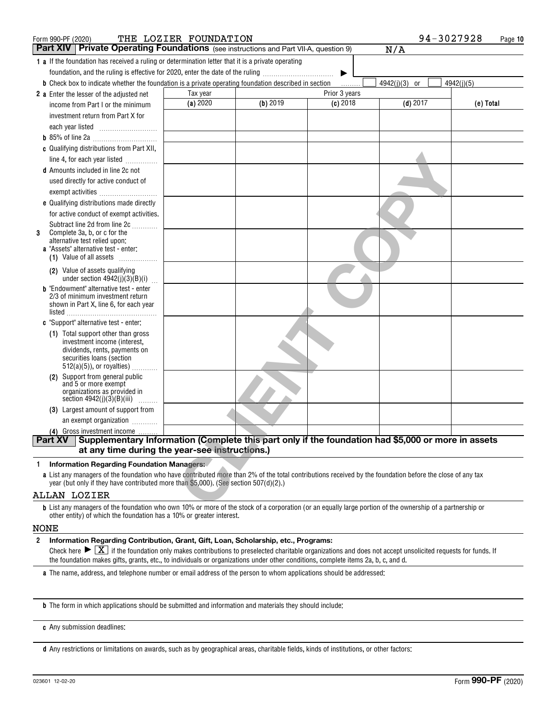| Form 990-PF (2020)                                                                                                                                                                                                                                | THE LOZIER FOUNDATION |          |               | 94-3027928    | Page 10    |
|---------------------------------------------------------------------------------------------------------------------------------------------------------------------------------------------------------------------------------------------------|-----------------------|----------|---------------|---------------|------------|
| <b>Part XIV   Private Operating Foundations</b> (see instructions and Part VII-A, question 9)                                                                                                                                                     |                       |          |               | N/A           |            |
| 1 a If the foundation has received a ruling or determination letter that it is a private operating                                                                                                                                                |                       |          |               |               |            |
| foundation, and the ruling is effective for 2020, enter the date of the ruling                                                                                                                                                                    |                       |          | ▶             |               |            |
| <b>b</b> Check box to indicate whether the foundation is a private operating foundation described in section                                                                                                                                      |                       |          | .             | 4942(j)(3) or | 4942(j)(5) |
| 2 a Enter the lesser of the adjusted net                                                                                                                                                                                                          | Tax year              |          | Prior 3 years |               |            |
| income from Part I or the minimum                                                                                                                                                                                                                 | (a) 2020              | (b) 2019 | $(c)$ 2018    | $(d)$ 2017    | (e) Total  |
| investment return from Part X for                                                                                                                                                                                                                 |                       |          |               |               |            |
|                                                                                                                                                                                                                                                   |                       |          |               |               |            |
|                                                                                                                                                                                                                                                   |                       |          |               |               |            |
| c Qualifying distributions from Part XII,                                                                                                                                                                                                         |                       |          |               |               |            |
| line 4, for each year listed                                                                                                                                                                                                                      |                       |          |               |               |            |
| <b>d</b> Amounts included in line 2c not                                                                                                                                                                                                          |                       |          |               |               |            |
| used directly for active conduct of                                                                                                                                                                                                               |                       |          |               |               |            |
| exempt activities                                                                                                                                                                                                                                 |                       |          |               |               |            |
| e Qualifying distributions made directly                                                                                                                                                                                                          |                       |          |               |               |            |
| for active conduct of exempt activities.                                                                                                                                                                                                          |                       |          |               |               |            |
| Subtract line 2d from line 2c                                                                                                                                                                                                                     |                       |          |               |               |            |
| Complete 3a, b, or c for the<br>3                                                                                                                                                                                                                 |                       |          |               |               |            |
| alternative test relied upon:<br>a "Assets" alternative test - enter:                                                                                                                                                                             |                       |          |               |               |            |
| (1) Value of all assets                                                                                                                                                                                                                           |                       |          |               |               |            |
| (2) Value of assets qualifying                                                                                                                                                                                                                    |                       |          |               |               |            |
| under section $4942(j)(3)(B)(i)$                                                                                                                                                                                                                  |                       |          |               |               |            |
| <b>b</b> "Endowment" alternative test - enter                                                                                                                                                                                                     |                       |          |               |               |            |
| 2/3 of minimum investment return<br>shown in Part X, line 6, for each year                                                                                                                                                                        |                       |          |               |               |            |
|                                                                                                                                                                                                                                                   |                       |          |               |               |            |
| c "Support" alternative test - enter:                                                                                                                                                                                                             |                       |          |               |               |            |
| (1) Total support other than gross                                                                                                                                                                                                                |                       |          |               |               |            |
| investment income (interest,                                                                                                                                                                                                                      |                       |          |               |               |            |
| dividends, rents, payments on<br>securities loans (section                                                                                                                                                                                        |                       |          |               |               |            |
| $512(a)(5)$ , or royalties)                                                                                                                                                                                                                       |                       |          |               |               |            |
| Support from general public<br>(2)                                                                                                                                                                                                                |                       |          |               |               |            |
| and 5 or more exempt<br>organizations as provided in                                                                                                                                                                                              |                       |          |               |               |            |
| section $4942(i)(3)(B)(iii)$                                                                                                                                                                                                                      |                       |          |               |               |            |
| (3) Largest amount of support from                                                                                                                                                                                                                |                       |          |               |               |            |
| an exempt organization                                                                                                                                                                                                                            |                       |          |               |               |            |
| (4) Gross investment income                                                                                                                                                                                                                       |                       |          |               |               |            |
| (4) Gross investment income   <br>Part XV Supplementary Information (Complete this part only if the foundation had \$5,000 or more in assets                                                                                                      |                       |          |               |               |            |
| at any time during the year-see instructions.)                                                                                                                                                                                                    |                       |          |               |               |            |
| <b>Information Regarding Foundation Managers:</b><br>1                                                                                                                                                                                            |                       |          |               |               |            |
| a List any managers of the foundation who have contributed more than 2% of the total contributions received by the foundation before the close of any tax<br>year (but only if they have contributed more than \$5,000). (See section 507(d)(2).) |                       |          |               |               |            |
| ALLAN LOZIER                                                                                                                                                                                                                                      |                       |          |               |               |            |
| <b>b</b> List any managers of the foundation who own 10% or more of the stock of a corporation (or an equally large portion of the ownership of a partnership or                                                                                  |                       |          |               |               |            |

#### **1Information Regarding Foundation Managers:**

#### ALLAN LOZIER

**b**List any managers of the foundation who own 10% or more of the stock of a corporation (or an equally large portion of the ownership of a partnership or other entity) of which the foundation has a 10% or greater interest.

#### NONE

#### **2Information Regarding Contribution, Grant, Gift, Loan, Scholarship, etc., Programs:**

Check here  $\blacktriangleright\lceil\frac{\mathbf{X}}{\mathbf{X}}\rceil$  if the foundation only makes contributions to preselected charitable organizations and does not accept unsolicited requests for funds. If the foundation makes gifts, grants, etc., to individuals or organizations under other conditions, complete items 2a, b, c, and d.

**a**The name, address, and telephone number or email address of the person to whom applications should be addressed:

**b**The form in which applications should be submitted and information and materials they should include:

**c**Any submission deadlines:

**d** Any restrictions or limitations on awards, such as by geographical areas, charitable fields, kinds of institutions, or other factors: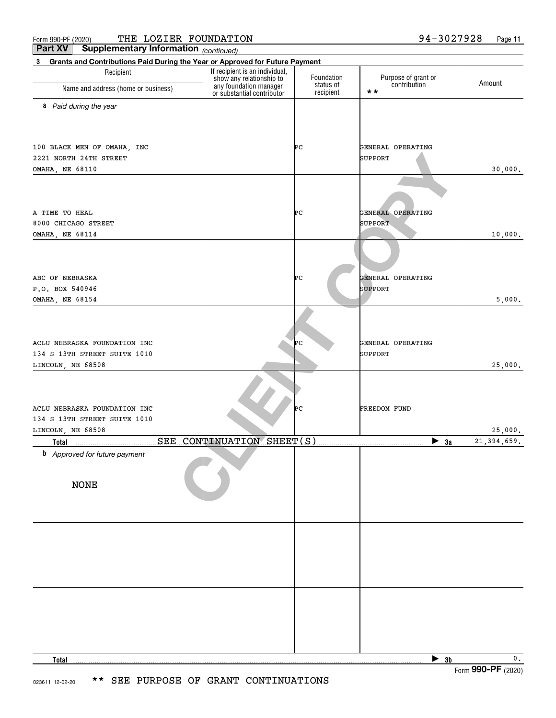| 3 <sup>1</sup><br>Grants and Contributions Paid During the Year or Approved for Future Payment |                                                            |                        |                                                     |             |
|------------------------------------------------------------------------------------------------|------------------------------------------------------------|------------------------|-----------------------------------------------------|-------------|
| Recipient                                                                                      | If recipient is an individual,<br>show any relationship to | Foundation             |                                                     |             |
| Name and address (home or business)                                                            | any foundation manager<br>or substantial contributor       | status of<br>recipient | Purpose of grant or<br>contribution<br>$\star\star$ | Amount      |
| a Paid during the year                                                                         |                                                            |                        |                                                     |             |
|                                                                                                |                                                            |                        |                                                     |             |
|                                                                                                |                                                            |                        |                                                     |             |
| 100 BLACK MEN OF OMAHA, INC                                                                    |                                                            | ÞС                     | GENERAL OPERATING                                   |             |
| 2221 NORTH 24TH STREET                                                                         |                                                            |                        | SUPPORT                                             |             |
| OMAHA, NE 68110                                                                                |                                                            |                        |                                                     | 30,000.     |
|                                                                                                |                                                            |                        |                                                     |             |
|                                                                                                |                                                            |                        |                                                     |             |
|                                                                                                |                                                            |                        |                                                     |             |
| A TIME TO HEAL<br>8000 CHICAGO STREET                                                          |                                                            | ÞС                     | GENERAL OPERATING<br><b>SUPPORT</b>                 |             |
| OMAHA, NE 68114                                                                                |                                                            |                        |                                                     | 10,000.     |
|                                                                                                |                                                            |                        |                                                     |             |
|                                                                                                |                                                            |                        |                                                     |             |
|                                                                                                |                                                            |                        |                                                     |             |
| ABC OF NEBRASKA                                                                                |                                                            | ÞС                     | GENERAL OPERATING                                   |             |
| P.O. BOX 540946                                                                                |                                                            |                        | <b>SUPPORT</b>                                      |             |
| OMAHA, NE 68154                                                                                |                                                            |                        |                                                     | 5,000.      |
|                                                                                                |                                                            |                        |                                                     |             |
|                                                                                                |                                                            |                        |                                                     |             |
| ACLU NEBRASKA FOUNDATION INC                                                                   |                                                            | Þс                     | GENERAL OPERATING                                   |             |
| 134 S 13TH STREET SUITE 1010                                                                   |                                                            |                        | SUPPORT                                             |             |
| LINCOLN, NE 68508                                                                              |                                                            |                        |                                                     | 25,000.     |
|                                                                                                |                                                            |                        |                                                     |             |
|                                                                                                |                                                            |                        |                                                     |             |
|                                                                                                |                                                            |                        |                                                     |             |
| ACLU NEBRASKA FOUNDATION INC                                                                   |                                                            | Þс                     | FREEDOM FUND                                        |             |
| 134 S 13TH STREET SUITE 1010<br>LINCOLN, NE 68508                                              |                                                            |                        |                                                     | 25,000.     |
| Total                                                                                          | SEE CONTINUATION SHEET(S)                                  |                        | $\blacktriangleright$ 3a                            | 21,394,659. |
| <b>b</b> Approved for future payment                                                           |                                                            |                        |                                                     |             |
|                                                                                                |                                                            |                        |                                                     |             |
|                                                                                                |                                                            |                        |                                                     |             |
| <b>NONE</b>                                                                                    |                                                            |                        |                                                     |             |
|                                                                                                |                                                            |                        |                                                     |             |
|                                                                                                |                                                            |                        |                                                     |             |
|                                                                                                |                                                            |                        |                                                     |             |
|                                                                                                |                                                            |                        |                                                     |             |
|                                                                                                |                                                            |                        |                                                     |             |
|                                                                                                |                                                            |                        |                                                     |             |
|                                                                                                |                                                            |                        |                                                     |             |
|                                                                                                |                                                            |                        |                                                     |             |
|                                                                                                |                                                            |                        |                                                     |             |
|                                                                                                |                                                            |                        |                                                     |             |
|                                                                                                |                                                            |                        |                                                     |             |
|                                                                                                |                                                            |                        |                                                     |             |
|                                                                                                |                                                            |                        |                                                     |             |
| <b>Total</b>                                                                                   |                                                            |                        | $\blacktriangleright$ 3b                            | 0.          |

**Part XV Supplementary Information**

*(continued)*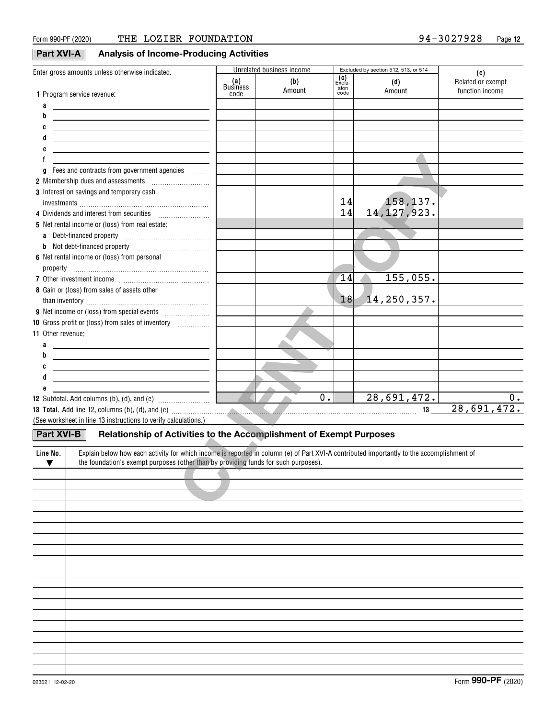## **Part XVI-A Analysis of Income-Producing Activities**

| Enter gross amounts unless otherwise indicated.                                                                                                                                      |                 | Unrelated business income |                               | Excluded by section 512, 513, or 514 | (e)                                  |
|--------------------------------------------------------------------------------------------------------------------------------------------------------------------------------------|-----------------|---------------------------|-------------------------------|--------------------------------------|--------------------------------------|
|                                                                                                                                                                                      | (a)<br>Business | (b)<br>Amount             | (C)<br>Exclu-<br>sion<br>code | (d)<br>Amount                        | Related or exempt<br>function income |
| 1 Program service revenue:                                                                                                                                                           | code            |                           |                               |                                      |                                      |
| a<br><u> 1989 - Johann Barn, amerikansk politiker (</u><br>b                                                                                                                         |                 |                           |                               |                                      |                                      |
| the control of the control of the control of the control of the control of the control of<br>C                                                                                       |                 |                           |                               |                                      |                                      |
| <u> 1989 - Johann Barn, amerikansk politiker (d. 1989)</u><br><u> 1989 - Johann Barn, mars ann an t-Amhain Aonaichte ann an t-Aonaichte ann an t-Aonaichte ann an t-Aonaichte an</u> |                 |                           |                               |                                      |                                      |
| <u> 1989 - Johann Barn, mars and de Brasilian (b. 1989)</u>                                                                                                                          |                 |                           |                               |                                      |                                      |
|                                                                                                                                                                                      |                 |                           |                               |                                      |                                      |
| g Fees and contracts from government agencies                                                                                                                                        |                 |                           |                               |                                      |                                      |
|                                                                                                                                                                                      |                 |                           |                               |                                      |                                      |
| 3 Interest on savings and temporary cash                                                                                                                                             |                 |                           |                               |                                      |                                      |
|                                                                                                                                                                                      |                 |                           | 14                            | 158,137.                             |                                      |
| 4 Dividends and interest from securities                                                                                                                                             |                 |                           | 14                            | 14, 127, 923.                        |                                      |
| 5 Net rental income or (loss) from real estate:                                                                                                                                      |                 |                           |                               |                                      |                                      |
|                                                                                                                                                                                      |                 |                           |                               |                                      |                                      |
|                                                                                                                                                                                      |                 |                           |                               |                                      |                                      |
| 6 Net rental income or (loss) from personal                                                                                                                                          |                 |                           |                               |                                      |                                      |
|                                                                                                                                                                                      |                 |                           |                               |                                      |                                      |
|                                                                                                                                                                                      |                 |                           | 14                            | 155,055.                             |                                      |
| 8 Gain or (loss) from sales of assets other                                                                                                                                          |                 |                           |                               |                                      |                                      |
|                                                                                                                                                                                      |                 |                           | 18                            | 14,250,357.                          |                                      |
|                                                                                                                                                                                      |                 |                           |                               |                                      |                                      |
| 10 Gross profit or (loss) from sales of inventory                                                                                                                                    |                 |                           |                               |                                      |                                      |
| 11 Other revenue:                                                                                                                                                                    |                 |                           |                               |                                      |                                      |
| a<br><u> 1989 - Johann Stoff, amerikansk politiker (d. 1989)</u><br>b                                                                                                                |                 |                           |                               |                                      |                                      |
| <u> 1989 - Johann Barbara, martxa al III-lea (h. 1989).</u>                                                                                                                          |                 |                           |                               |                                      |                                      |
| <u> 1989 - Johann John Stone, meil in der Stone in der Stone in der Stone in der Stone in der Stone in der Stone </u>                                                                |                 |                           |                               |                                      |                                      |
| <u> 1989 - Johann Barn, mars et al. (b. 1989)</u>                                                                                                                                    |                 |                           |                               |                                      |                                      |
|                                                                                                                                                                                      |                 | $\overline{\bullet}$ .    |                               | 28,691,472.                          | 0.                                   |
| 13 Total. Add line 12, columns (b), (d), and (e) Material Collection Control Control Control Control Control Co                                                                      |                 |                           |                               |                                      | 28,691,472.                          |
| (See worksheet in line 13 instructions to verify calculations.)                                                                                                                      |                 |                           |                               |                                      |                                      |
| Part XVI-B<br>Relationship of Activities to the Accomplishment of Exempt Purposes                                                                                                    |                 |                           |                               |                                      |                                      |
|                                                                                                                                                                                      |                 |                           |                               |                                      |                                      |
| Explain below how each activity for which income is reported in column (e) of Part XVI-A contributed importantly to the accomplishment of<br>Line No.                                |                 |                           |                               |                                      |                                      |
| the foundation's exempt purposes (other than by providing funds for such purposes).<br>▼                                                                                             |                 |                           |                               |                                      |                                      |
|                                                                                                                                                                                      |                 |                           |                               |                                      |                                      |
|                                                                                                                                                                                      |                 |                           |                               |                                      |                                      |
|                                                                                                                                                                                      |                 |                           |                               |                                      |                                      |
|                                                                                                                                                                                      |                 |                           |                               |                                      |                                      |
|                                                                                                                                                                                      |                 |                           |                               |                                      |                                      |
|                                                                                                                                                                                      |                 |                           |                               |                                      |                                      |
|                                                                                                                                                                                      |                 |                           |                               |                                      |                                      |
|                                                                                                                                                                                      |                 |                           |                               |                                      |                                      |
|                                                                                                                                                                                      |                 |                           |                               |                                      |                                      |
|                                                                                                                                                                                      |                 |                           |                               |                                      |                                      |
|                                                                                                                                                                                      |                 |                           |                               |                                      |                                      |
|                                                                                                                                                                                      |                 |                           |                               |                                      |                                      |
|                                                                                                                                                                                      |                 |                           |                               |                                      |                                      |
|                                                                                                                                                                                      |                 |                           |                               |                                      |                                      |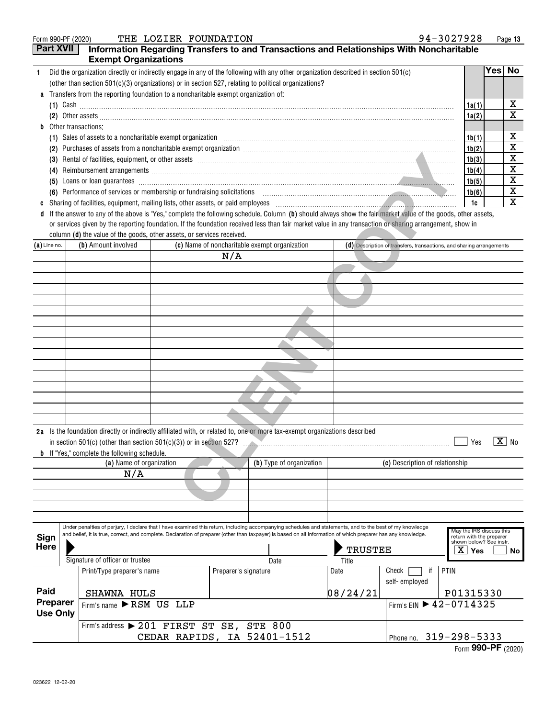| THE LOZIER FOUNDATION<br>Form 990-PF (2020)                                                                                                                                                                                                                                                                                             | 94-3027928 |        | Page 13 |
|-----------------------------------------------------------------------------------------------------------------------------------------------------------------------------------------------------------------------------------------------------------------------------------------------------------------------------------------|------------|--------|---------|
| <b>Part XVII</b><br>Information Regarding Transfers to and Transactions and Relationships With Noncharitable                                                                                                                                                                                                                            |            |        |         |
| <b>Exempt Organizations</b>                                                                                                                                                                                                                                                                                                             |            |        |         |
| Did the organization directly or indirectly engage in any of the following with any other organization described in section 501(c)                                                                                                                                                                                                      |            | Yes No |         |
| (other than section $501(c)(3)$ organizations) or in section 527, relating to political organizations?                                                                                                                                                                                                                                  |            |        |         |
| a Transfers from the reporting foundation to a noncharitable exempt organization of:                                                                                                                                                                                                                                                    |            |        |         |
| (1) Cash $\ldots$ $\ldots$ $\ldots$ $\ldots$ $\ldots$ $\ldots$ $\ldots$ $\ldots$ $\ldots$ $\ldots$ $\ldots$ $\ldots$ $\ldots$ $\ldots$ $\ldots$ $\ldots$ $\ldots$ $\ldots$ $\ldots$ $\ldots$ $\ldots$ $\ldots$ $\ldots$ $\ldots$ $\ldots$ $\ldots$ $\ldots$ $\ldots$ $\ldots$ $\ldots$ $\ldots$ $\ldots$ $\ldots$ $\ldots$ $\ldots$ $\$ | 1a(1)      |        | х       |
|                                                                                                                                                                                                                                                                                                                                         | 1a(2)      |        | х       |
| <b>b</b> Other transactions:                                                                                                                                                                                                                                                                                                            |            |        |         |
| (1) Sales of assets to a noncharitable exempt organization material content and content of assets to a noncharitable exempt organization                                                                                                                                                                                                | 1b(1)      |        | х       |
|                                                                                                                                                                                                                                                                                                                                         | 1b(2)      |        | х       |
| (3)                                                                                                                                                                                                                                                                                                                                     | 1b(3)      |        | х       |
| (4)<br>Reimbursement arrangements [111] March 2016 (2016) 2016 2017 (2016) 2016 2017 2018 2019 2019 2019 2019 2019 20                                                                                                                                                                                                                   | 1b(4)      |        | х       |
| Loans or loan guarantees <b>construction and all any construction</b> and all any construction of the construction of the construction of the construction of the construction of the construction of the construction of the const<br>(5)                                                                                              | 1b(5)      |        | х       |
| (6) Performance of services or membership or fundraising solicitations                                                                                                                                                                                                                                                                  | 1b(6)      |        | х       |
|                                                                                                                                                                                                                                                                                                                                         | 1c         |        | x       |

|                             | (3) Rental of facilities, equipment, or other assets [1] processed and according to the set of the set of the set of the set of the set of the set of the set of the set of the set of the set of the set of the set of the se      |                      |                                               |                |                                                                        | 1b(3)                                               | X      |
|-----------------------------|-------------------------------------------------------------------------------------------------------------------------------------------------------------------------------------------------------------------------------------|----------------------|-----------------------------------------------|----------------|------------------------------------------------------------------------|-----------------------------------------------------|--------|
|                             |                                                                                                                                                                                                                                     |                      |                                               |                |                                                                        | 1b(4)                                               | х      |
|                             | (5) Loans or loan guarantees <b>construction and construction</b> and construction of the construction of the construction of the construction of the construction of the construction of the construction of the construction of t |                      |                                               |                |                                                                        | 1b(5)                                               | X      |
|                             |                                                                                                                                                                                                                                     |                      |                                               |                |                                                                        | 1b(6)                                               | X      |
|                             | c Sharing of facilities, equipment, mailing lists, other assets, or paid employees [11,11] [11] content to the mail of facilities, equipment, mailing lists, other assets, or paid employees [11] [12] [12] [12] [12] [12] [12      |                      |                                               |                |                                                                        | 1c                                                  | X      |
|                             | d If the answer to any of the above is "Yes," complete the following schedule. Column (b) should always show the fair market value of the goods, other assets,                                                                      |                      |                                               |                |                                                                        |                                                     |        |
|                             | or services given by the reporting foundation. If the foundation received less than fair market value in any transaction or sharing arrangement, show in                                                                            |                      |                                               |                |                                                                        |                                                     |        |
|                             | column (d) the value of the goods, other assets, or services received.                                                                                                                                                              |                      |                                               |                |                                                                        |                                                     |        |
| $(a)$ Line no.              | (b) Amount involved                                                                                                                                                                                                                 |                      | (c) Name of noncharitable exempt organization |                | $(d)$ Description of transfers, transactions, and sharing arrangements |                                                     |        |
|                             |                                                                                                                                                                                                                                     | N/A                  |                                               |                |                                                                        |                                                     |        |
|                             |                                                                                                                                                                                                                                     |                      |                                               |                |                                                                        |                                                     |        |
|                             |                                                                                                                                                                                                                                     |                      |                                               |                |                                                                        |                                                     |        |
|                             |                                                                                                                                                                                                                                     |                      |                                               |                |                                                                        |                                                     |        |
|                             |                                                                                                                                                                                                                                     |                      |                                               |                |                                                                        |                                                     |        |
|                             |                                                                                                                                                                                                                                     |                      |                                               |                |                                                                        |                                                     |        |
|                             |                                                                                                                                                                                                                                     |                      |                                               |                |                                                                        |                                                     |        |
|                             |                                                                                                                                                                                                                                     |                      |                                               |                |                                                                        |                                                     |        |
|                             |                                                                                                                                                                                                                                     |                      |                                               |                |                                                                        |                                                     |        |
|                             |                                                                                                                                                                                                                                     |                      |                                               |                |                                                                        |                                                     |        |
|                             |                                                                                                                                                                                                                                     |                      |                                               |                |                                                                        |                                                     |        |
|                             |                                                                                                                                                                                                                                     |                      |                                               |                |                                                                        |                                                     |        |
|                             |                                                                                                                                                                                                                                     |                      |                                               |                |                                                                        |                                                     |        |
|                             |                                                                                                                                                                                                                                     |                      |                                               |                |                                                                        |                                                     |        |
|                             |                                                                                                                                                                                                                                     |                      |                                               |                |                                                                        |                                                     |        |
|                             | 2a Is the foundation directly or indirectly affiliated with, or related to, one or more tax-exempt organizations described                                                                                                          |                      |                                               |                |                                                                        |                                                     |        |
|                             | in section 501(c) (other than section 501(c)(3)) or in section 527?                                                                                                                                                                 |                      |                                               |                |                                                                        | Yes                                                 | $X$ No |
|                             | <b>b</b> If "Yes," complete the following schedule.                                                                                                                                                                                 |                      |                                               |                |                                                                        |                                                     |        |
|                             | (a) Name of organization<br>N/A                                                                                                                                                                                                     |                      | (b) Type of organization                      |                | (c) Description of relationship                                        |                                                     |        |
|                             |                                                                                                                                                                                                                                     |                      |                                               |                |                                                                        |                                                     |        |
|                             |                                                                                                                                                                                                                                     |                      |                                               |                |                                                                        |                                                     |        |
|                             |                                                                                                                                                                                                                                     |                      |                                               |                |                                                                        |                                                     |        |
|                             |                                                                                                                                                                                                                                     |                      |                                               |                |                                                                        |                                                     |        |
|                             | Under penalties of perjury, I declare that I have examined this return, including accompanying schedules and statements, and to the best of my knowledge                                                                            |                      |                                               |                |                                                                        | May the IRS discuss this                            |        |
| Sign                        | and belief, it is true, correct, and complete. Declaration of preparer (other than taxpayer) is based on all information of which preparer has any knowledge.                                                                       |                      |                                               |                |                                                                        | return with the preparer<br>shown below? See instr. |        |
| Here                        |                                                                                                                                                                                                                                     |                      |                                               | <b>TRUSTEE</b> |                                                                        | $\overline{\text{X}}$ Yes                           | No     |
|                             | Signature of officer or trustee                                                                                                                                                                                                     |                      | Date                                          | Title          |                                                                        |                                                     |        |
|                             | Print/Type preparer's name                                                                                                                                                                                                          | Preparer's signature |                                               | Date           | Check<br>if<br>PTIN                                                    |                                                     |        |
|                             |                                                                                                                                                                                                                                     |                      |                                               |                | self-employed                                                          |                                                     |        |
| Paid                        | SHAWNA HULS                                                                                                                                                                                                                         |                      |                                               | 08/24/21       |                                                                        | P01315330                                           |        |
| Preparer<br><b>Use Only</b> | Firm's name RSM US LLP                                                                                                                                                                                                              |                      |                                               |                | Firm's EIN 12-0714325                                                  |                                                     |        |
|                             |                                                                                                                                                                                                                                     |                      |                                               |                |                                                                        |                                                     |        |
|                             | Firm's address > 201 FIRST ST SE, STE 800                                                                                                                                                                                           |                      |                                               |                |                                                                        |                                                     |        |
|                             |                                                                                                                                                                                                                                     |                      | CEDAR RAPIDS, IA 52401-1512                   |                | Phone no. 319-298-5333                                                 |                                                     |        |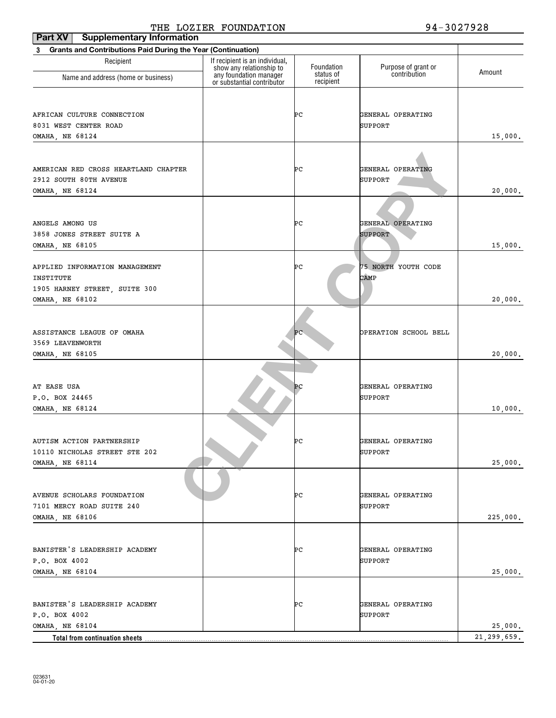| Part XV<br><b>Supplementary Information</b>                              |                                                            |                         |                                     |             |
|--------------------------------------------------------------------------|------------------------------------------------------------|-------------------------|-------------------------------------|-------------|
| <b>Grants and Contributions Paid During the Year (Continuation)</b><br>3 |                                                            |                         |                                     |             |
| Recipient                                                                | If recipient is an individual,<br>show any relationship to | Foundation<br>status of | Purpose of grant or<br>contribution | Amount      |
| Name and address (home or business)                                      | any foundation manager<br>or substantial contributor       | recipient               |                                     |             |
|                                                                          |                                                            |                         |                                     |             |
| AFRICAN CULTURE CONNECTION                                               |                                                            | ÞС                      | GENERAL OPERATING                   |             |
| 8031 WEST CENTER ROAD                                                    |                                                            |                         | SUPPORT                             |             |
| OMAHA, NE 68124                                                          |                                                            |                         |                                     | 15,000.     |
|                                                                          |                                                            |                         |                                     |             |
| AMERICAN RED CROSS HEARTLAND CHAPTER                                     |                                                            | ÞС                      | GENERAL OPERATING                   |             |
| 2912 SOUTH 80TH AVENUE                                                   |                                                            |                         | SUPPORT                             |             |
| OMAHA, NE 68124                                                          |                                                            |                         |                                     | 20,000.     |
|                                                                          |                                                            |                         |                                     |             |
| ANGELS AMONG US                                                          |                                                            |                         | GENERAL OPERATING                   |             |
|                                                                          |                                                            | ÞС                      | <b>SUPPORT</b>                      |             |
| 3858 JONES STREET SUITE A<br>OMAHA, NE 68105                             |                                                            |                         |                                     | 15,000.     |
|                                                                          |                                                            |                         |                                     |             |
| APPLIED INFORMATION MANAGEMENT                                           |                                                            | ÞС                      | 75 NORTH YOUTH CODE                 |             |
| INSTITUTE                                                                |                                                            |                         | CAMP                                |             |
| 1905 HARNEY STREET, SUITE 300                                            |                                                            |                         |                                     |             |
| OMAHA, NE 68102                                                          |                                                            |                         |                                     | 20,000.     |
|                                                                          |                                                            |                         |                                     |             |
| ASSISTANCE LEAGUE OF OMAHA                                               |                                                            | ÞС                      | OPERATION SCHOOL BELL               |             |
| 3569 LEAVENWORTH                                                         |                                                            |                         |                                     |             |
| OMAHA, NE 68105                                                          |                                                            |                         |                                     | 20,000.     |
|                                                                          |                                                            |                         |                                     |             |
|                                                                          |                                                            |                         |                                     |             |
| AT EASE USA                                                              |                                                            | P <sub>C</sub>          | GENERAL OPERATING                   |             |
| P.O. BOX 24465                                                           |                                                            |                         | SUPPORT                             |             |
| <b>OMAHA, NE 68124</b>                                                   |                                                            |                         |                                     | 10,000.     |
|                                                                          |                                                            |                         |                                     |             |
| AUTISM ACTION PARTNERSHIP                                                |                                                            | ÞС                      | GENERAL OPERATING                   |             |
| 10110 NICHOLAS STREET STE 202                                            |                                                            |                         | SUPPORT                             |             |
| OMAHA, NE 68114                                                          |                                                            |                         |                                     | 25,000.     |
|                                                                          |                                                            |                         |                                     |             |
| AVENUE SCHOLARS FOUNDATION                                               |                                                            | ÞС                      | GENERAL OPERATING                   |             |
| 7101 MERCY ROAD SUITE 240                                                |                                                            |                         | SUPPORT                             |             |
| OMAHA, NE 68106                                                          |                                                            |                         |                                     | 225,000.    |
|                                                                          |                                                            |                         |                                     |             |
| BANISTER'S LEADERSHIP ACADEMY                                            |                                                            | ÞС                      | GENERAL OPERATING                   |             |
| P.O. BOX 4002                                                            |                                                            |                         | SUPPORT                             |             |
| OMAHA, NE 68104                                                          |                                                            |                         |                                     | 25,000.     |
|                                                                          |                                                            |                         |                                     |             |
|                                                                          |                                                            |                         |                                     |             |
| BANISTER'S LEADERSHIP ACADEMY                                            |                                                            | ÞС                      | GENERAL OPERATING                   |             |
| P.O. BOX 4002<br>OMAHA, NE 68104                                         |                                                            |                         | SUPPORT                             | 25,000.     |
| Total from continuation sheets.                                          |                                                            |                         |                                     | 21,299,659. |
|                                                                          |                                                            |                         |                                     |             |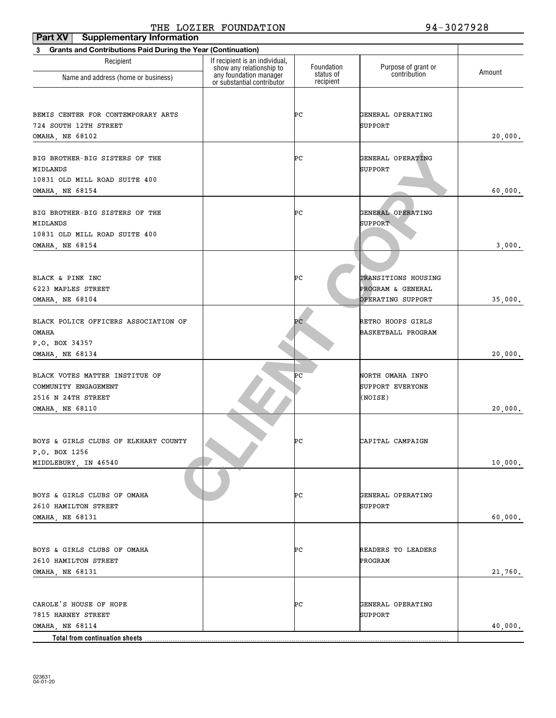## THE LOZIER FOUNDATION 94-3027928

| Part XV<br><b>Supplementary Information</b>                       |                                                            |                        |                                      |         |
|-------------------------------------------------------------------|------------------------------------------------------------|------------------------|--------------------------------------|---------|
| Grants and Contributions Paid During the Year (Continuation)<br>3 |                                                            |                        |                                      |         |
| Recipient                                                         | If recipient is an individual,<br>show any relationship to | Foundation             | Purpose of grant or<br>contribution  | Amount  |
| Name and address (home or business)                               | any foundation manager<br>or substantial contributor       | status of<br>recipient |                                      |         |
|                                                                   |                                                            |                        |                                      |         |
| BEMIS CENTER FOR CONTEMPORARY ARTS                                |                                                            | ÞС                     | GENERAL OPERATING                    |         |
| 724 SOUTH 12TH STREET                                             |                                                            |                        | SUPPORT                              |         |
| OMAHA, NE 68102                                                   |                                                            |                        |                                      | 20,000. |
|                                                                   |                                                            | ÞС                     | GENERAL OPERATING                    |         |
| BIG BROTHER-BIG SISTERS OF THE<br>MIDLANDS                        |                                                            |                        | SUPPORT                              |         |
| 10831 OLD MILL ROAD SUITE 400                                     |                                                            |                        |                                      |         |
| OMAHA, NE 68154                                                   |                                                            |                        |                                      | 60,000. |
|                                                                   |                                                            |                        |                                      |         |
| BIG BROTHER-BIG SISTERS OF THE                                    |                                                            | ÞС                     | GENERAL OPERATING                    |         |
| MIDLANDS                                                          |                                                            |                        | <b>SUPPORT</b>                       |         |
| 10831 OLD MILL ROAD SUITE 400                                     |                                                            |                        |                                      |         |
| OMAHA, NE 68154                                                   |                                                            |                        |                                      | 3,000.  |
|                                                                   |                                                            |                        |                                      |         |
| BLACK & PINK INC                                                  |                                                            | ÞС                     | TRANSITIONS HOUSING                  |         |
| 6223 MAPLES STREET                                                |                                                            |                        | PROGRAM & GENERAL                    |         |
| OMAHA, NE 68104                                                   |                                                            |                        | OPERATING SUPPORT                    | 35,000. |
|                                                                   |                                                            |                        |                                      |         |
| BLACK POLICE OFFICERS ASSOCIATION OF                              |                                                            | ÞС                     | RETRO HOOPS GIRLS                    |         |
| <b>OMAHA</b>                                                      |                                                            |                        | BASKETBALL PROGRAM                   |         |
| P.O. BOX 34357                                                    |                                                            |                        |                                      |         |
| OMAHA, NE 68134                                                   |                                                            |                        |                                      | 20,000. |
|                                                                   |                                                            |                        |                                      |         |
| BLACK VOTES MATTER INSTITUE OF<br>COMMUNITY ENGAGEMENT            |                                                            | ÞС                     | NORTH OMAHA INFO<br>SUPPORT EVERYONE |         |
| 2516 N 24TH STREET                                                |                                                            |                        | (NOISE)                              |         |
| OMAHA, NE 68110                                                   |                                                            |                        |                                      | 20,000. |
|                                                                   |                                                            |                        |                                      |         |
|                                                                   |                                                            |                        |                                      |         |
| BOYS & GIRLS CLUBS OF ELKHART COUNTY                              |                                                            | ÞС                     | CAPITAL CAMPAIGN                     |         |
| P.O. BOX 1256                                                     |                                                            |                        |                                      |         |
| MIDDLEBURY, IN 46540                                              |                                                            |                        |                                      | 10,000. |
|                                                                   |                                                            |                        |                                      |         |
| BOYS & GIRLS CLUBS OF OMAHA                                       |                                                            | ÞС                     | GENERAL OPERATING                    |         |
| 2610 HAMILTON STREET                                              |                                                            |                        | SUPPORT                              |         |
| OMAHA, NE 68131                                                   |                                                            |                        |                                      | 60,000. |
|                                                                   |                                                            |                        |                                      |         |
|                                                                   |                                                            |                        |                                      |         |
| BOYS & GIRLS CLUBS OF OMAHA                                       |                                                            | ÞС                     | READERS TO LEADERS                   |         |
| 2610 HAMILTON STREET                                              |                                                            |                        | PROGRAM                              |         |
| OMAHA, NE 68131                                                   |                                                            |                        |                                      | 21,760. |
|                                                                   |                                                            |                        |                                      |         |
| CAROLE'S HOUSE OF HOPE                                            |                                                            | ÞС                     | GENERAL OPERATING                    |         |
| 7815 HARNEY STREET                                                |                                                            |                        | SUPPORT                              |         |
| OMAHA, NE 68114                                                   |                                                            |                        |                                      | 40,000. |
| Total from continuation sheets                                    |                                                            |                        |                                      |         |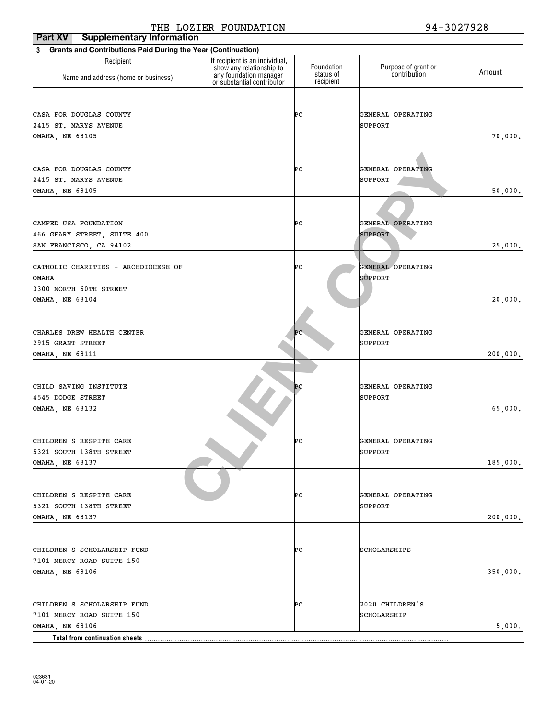| Part XV<br><b>Supplementary Information</b>                              |                                                            |                        |                                     |          |
|--------------------------------------------------------------------------|------------------------------------------------------------|------------------------|-------------------------------------|----------|
| <b>Grants and Contributions Paid During the Year (Continuation)</b><br>3 |                                                            |                        |                                     |          |
| Recipient                                                                | If recipient is an individual,<br>show any relationship to | Foundation             | Purpose of grant or<br>contribution | Amount   |
| Name and address (home or business)                                      | any foundation manager<br>or substantial contributor       | status of<br>recipient |                                     |          |
|                                                                          |                                                            |                        |                                     |          |
| CASA FOR DOUGLAS COUNTY                                                  |                                                            | ÞС                     | GENERAL OPERATING                   |          |
| 2415 ST. MARYS AVENUE                                                    |                                                            |                        | SUPPORT                             |          |
| OMAHA, NE 68105                                                          |                                                            |                        |                                     | 70,000.  |
|                                                                          |                                                            |                        |                                     |          |
| CASA FOR DOUGLAS COUNTY                                                  |                                                            | ÞС                     | GENERAL OPERATING                   |          |
| 2415 ST. MARYS AVENUE                                                    |                                                            |                        | SUPPORT                             |          |
| OMAHA, NE 68105                                                          |                                                            |                        |                                     | 50,000.  |
|                                                                          |                                                            |                        |                                     |          |
|                                                                          |                                                            |                        |                                     |          |
| CAMFED USA FOUNDATION                                                    |                                                            | ÞС                     | GENERAL OPERATING                   |          |
| 466 GEARY STREET, SUITE 400                                              |                                                            |                        | <b>SUPPORT</b>                      |          |
| SAN FRANCISCO, CA 94102                                                  |                                                            |                        |                                     | 25,000.  |
|                                                                          |                                                            |                        |                                     |          |
| CATHOLIC CHARITIES - ARCHDIOCESE OF                                      |                                                            | ÞС                     | GENERAL OPERATING                   |          |
| <b>OMAHA</b>                                                             |                                                            |                        | <b>SUPPORT</b>                      |          |
| 3300 NORTH 60TH STREET                                                   |                                                            |                        |                                     |          |
| OMAHA, NE 68104                                                          |                                                            |                        |                                     | 20,000.  |
|                                                                          |                                                            |                        |                                     |          |
| CHARLES DREW HEALTH CENTER                                               |                                                            | ÞС                     | GENERAL OPERATING                   |          |
| 2915 GRANT STREET                                                        |                                                            |                        | SUPPORT                             |          |
| OMAHA, NE 68111                                                          |                                                            |                        |                                     | 200,000. |
|                                                                          |                                                            |                        |                                     |          |
|                                                                          |                                                            |                        |                                     |          |
| CHILD SAVING INSTITUTE                                                   | <b>EA</b>                                                  | Þс                     | GENERAL OPERATING                   |          |
| 4545 DODGE STREET                                                        |                                                            |                        | SUPPORT                             |          |
| OMAHA, NE 68132                                                          |                                                            |                        |                                     | 65,000.  |
|                                                                          |                                                            |                        |                                     |          |
| CHILDREN'S RESPITE CARE                                                  |                                                            | ÞС                     | GENERAL OPERATING                   |          |
| 5321 SOUTH 138TH STREET                                                  |                                                            |                        | SUPPORT                             |          |
| OMAHA, NE 68137                                                          |                                                            |                        |                                     | 185,000. |
|                                                                          |                                                            |                        |                                     |          |
| CHILDREN'S RESPITE CARE                                                  |                                                            | ÞС                     | GENERAL OPERATING                   |          |
| 5321 SOUTH 138TH STREET                                                  |                                                            |                        | SUPPORT                             |          |
| OMAHA, NE 68137                                                          |                                                            |                        |                                     | 200,000. |
|                                                                          |                                                            |                        |                                     |          |
|                                                                          |                                                            |                        |                                     |          |
| CHILDREN'S SCHOLARSHIP FUND                                              |                                                            | ÞС                     | SCHOLARSHIPS                        |          |
| 7101 MERCY ROAD SUITE 150                                                |                                                            |                        |                                     |          |
| OMAHA, NE 68106                                                          |                                                            |                        |                                     | 350,000. |
|                                                                          |                                                            |                        |                                     |          |
| CHILDREN'S SCHOLARSHIP FUND                                              |                                                            | ÞС                     | 2020 CHILDREN'S                     |          |
| 7101 MERCY ROAD SUITE 150                                                |                                                            |                        | SCHOLARSHIP                         |          |
| OMAHA, NE 68106                                                          |                                                            |                        |                                     | 5,000.   |
| Total from continuation sheets                                           |                                                            |                        |                                     |          |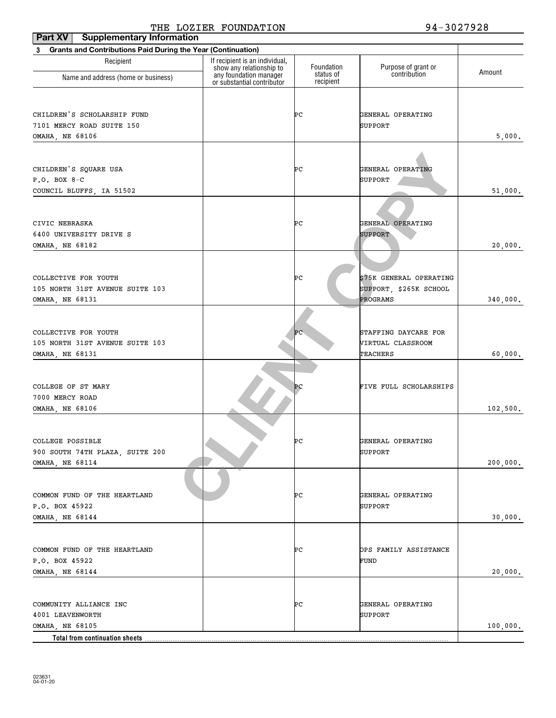| Part XV<br><b>Supplementary Information</b>                       |                                                            |                        |                         |          |
|-------------------------------------------------------------------|------------------------------------------------------------|------------------------|-------------------------|----------|
| Grants and Contributions Paid During the Year (Continuation)<br>3 |                                                            |                        |                         |          |
| Recipient                                                         | If recipient is an individual,<br>show any relationship to | Foundation             | Purpose of grant or     |          |
| Name and address (home or business)                               | any foundation manager<br>or substantial contributor       | status of<br>recipient | contribution            | Amount   |
|                                                                   |                                                            |                        |                         |          |
| CHILDREN'S SCHOLARSHIP FUND                                       |                                                            | ÞС                     | GENERAL OPERATING       |          |
| 7101 MERCY ROAD SUITE 150                                         |                                                            |                        | SUPPORT                 |          |
| OMAHA, NE 68106                                                   |                                                            |                        |                         | 5,000.   |
|                                                                   |                                                            |                        |                         |          |
| CHILDREN'S SQUARE USA                                             |                                                            | ÞС                     | GENERAL OPERATING       |          |
| $P.O. BOX 8-C$                                                    |                                                            |                        | SUPPORT                 |          |
| COUNCIL BLUFFS, IA 51502                                          |                                                            |                        |                         | 51,000.  |
|                                                                   |                                                            |                        |                         |          |
|                                                                   |                                                            |                        |                         |          |
| CIVIC NEBRASKA                                                    |                                                            | ÞС                     | GENERAL OPERATING       |          |
| 6400 UNIVERSITY DRIVE S<br><b>OMAHA, NE 68182</b>                 |                                                            |                        | <b>SUPPORT</b>          | 20,000.  |
|                                                                   |                                                            |                        |                         |          |
|                                                                   |                                                            |                        |                         |          |
| COLLECTIVE FOR YOUTH                                              |                                                            | ÞС                     | \$75K GENERAL OPERATING |          |
| 105 NORTH 31ST AVENUE SUITE 103                                   |                                                            |                        | SUPPORT, \$265K SCHOOL  |          |
| OMAHA, NE 68131                                                   |                                                            |                        | PROGRAMS                | 340,000. |
|                                                                   |                                                            |                        |                         |          |
| COLLECTIVE FOR YOUTH                                              |                                                            | ÞС                     | STAFFING DAYCARE FOR    |          |
| 105 NORTH 31ST AVENUE SUITE 103                                   |                                                            |                        | VIRTUAL CLASSROOM       |          |
| OMAHA, NE 68131                                                   |                                                            |                        | <b>TEACHERS</b>         | 60,000.  |
|                                                                   |                                                            |                        |                         |          |
|                                                                   |                                                            |                        |                         |          |
| COLLEGE OF ST MARY                                                |                                                            | PC                     | FIVE FULL SCHOLARSHIPS  |          |
| 7000 MERCY ROAD                                                   |                                                            |                        |                         |          |
| OMAHA, NE 68106                                                   |                                                            |                        |                         | 102,500. |
|                                                                   |                                                            |                        |                         |          |
| COLLEGE POSSIBLE                                                  |                                                            | ÞС                     | GENERAL OPERATING       |          |
| 900 SOUTH 74TH PLAZA, SUITE 200                                   |                                                            |                        | SUPPORT                 |          |
| OMAHA, NE 68114                                                   |                                                            |                        |                         | 200,000. |
|                                                                   |                                                            |                        |                         |          |
| COMMON FUND OF THE HEARTLAND                                      |                                                            | ÞС                     | GENERAL OPERATING       |          |
| P.O. BOX 45922                                                    |                                                            |                        | SUPPORT                 |          |
| OMAHA, NE 68144                                                   |                                                            |                        |                         | 30,000.  |
|                                                                   |                                                            |                        |                         |          |
| COMMON FUND OF THE HEARTLAND                                      |                                                            | ÞС                     | OPS FAMILY ASSISTANCE   |          |
| P.O. BOX 45922                                                    |                                                            |                        | FUND                    |          |
| OMAHA, NE 68144                                                   |                                                            |                        |                         | 20,000.  |
|                                                                   |                                                            |                        |                         |          |
| COMMUNITY ALLIANCE INC                                            |                                                            | ÞС                     | GENERAL OPERATING       |          |
| 4001 LEAVENWORTH                                                  |                                                            |                        | SUPPORT                 |          |
| OMAHA, NE 68105                                                   |                                                            |                        |                         | 100,000. |
| Total from continuation sheets                                    |                                                            |                        |                         |          |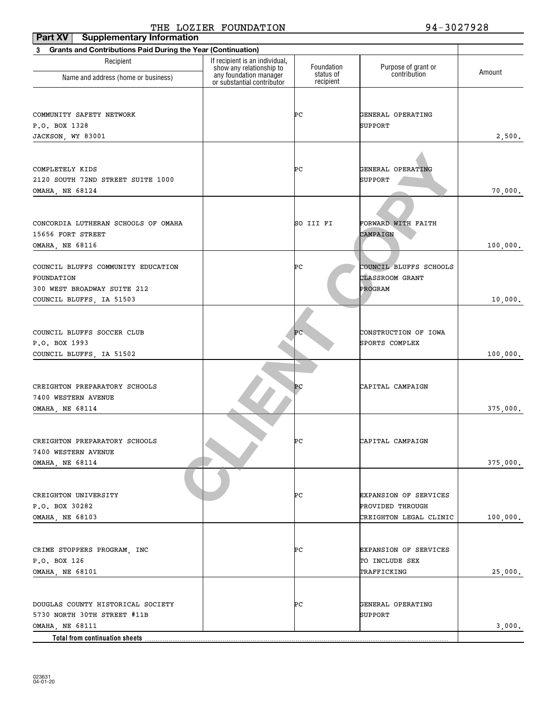| Part XV<br><b>Supplementary Information</b>                              |                                                            |                         |                                     |          |
|--------------------------------------------------------------------------|------------------------------------------------------------|-------------------------|-------------------------------------|----------|
| <b>Grants and Contributions Paid During the Year (Continuation)</b><br>3 |                                                            |                         |                                     |          |
| Recipient                                                                | If recipient is an individual,<br>show any relationship to | Foundation<br>status of | Purpose of grant or<br>contribution | Amount   |
| Name and address (home or business)                                      | any foundation manager<br>or substantial contributor       | recipient               |                                     |          |
|                                                                          |                                                            |                         |                                     |          |
| COMMUNITY SAFETY NETWORK                                                 |                                                            | ÞС                      | GENERAL OPERATING                   |          |
| P.O. BOX 1328                                                            |                                                            |                         | SUPPORT                             |          |
| JACKSON, WY 83001                                                        |                                                            |                         |                                     | 2,500.   |
|                                                                          |                                                            |                         |                                     |          |
| COMPLETELY KIDS                                                          |                                                            | ÞС                      | GENERAL OPERATING                   |          |
| 2120 SOUTH 72ND STREET SUITE 1000                                        |                                                            |                         | SUPPORT                             |          |
| OMAHA, NE 68124                                                          |                                                            |                         |                                     | 70,000.  |
|                                                                          |                                                            |                         |                                     |          |
| CONCORDIA LUTHERAN SCHOOLS OF OMAHA                                      |                                                            | SO III FI               | FORWARD WITH FAITH                  |          |
| 15656 FORT STREET                                                        |                                                            |                         | CAMPAIGN                            |          |
| <b>OMAHA, NE 68116</b>                                                   |                                                            |                         |                                     | 100,000. |
|                                                                          |                                                            |                         |                                     |          |
| COUNCIL BLUFFS COMMUNITY EDUCATION                                       |                                                            | ÞС                      | COUNCIL BLUFFS SCHOOLS              |          |
| FOUNDATION                                                               |                                                            |                         | CLASSROOM GRANT                     |          |
| 300 WEST BROADWAY SUITE 212                                              |                                                            |                         | PROGRAM                             |          |
| COUNCIL BLUFFS, IA 51503                                                 |                                                            |                         |                                     | 10,000.  |
|                                                                          |                                                            |                         |                                     |          |
| COUNCIL BLUFFS SOCCER CLUB                                               |                                                            | ÞС                      | CONSTRUCTION OF IOWA                |          |
| P.O. BOX 1993                                                            |                                                            |                         | SPORTS COMPLEX                      |          |
| COUNCIL BLUFFS, IA 51502                                                 |                                                            |                         |                                     | 100,000. |
|                                                                          |                                                            |                         |                                     |          |
|                                                                          |                                                            |                         |                                     |          |
| CREIGHTON PREPARATORY SCHOOLS                                            |                                                            | P <sub>C</sub>          | CAPITAL CAMPAIGN                    |          |
| 7400 WESTERN AVENUE                                                      |                                                            |                         |                                     |          |
| OMAHA, NE 68114                                                          |                                                            |                         |                                     | 375,000. |
|                                                                          |                                                            |                         |                                     |          |
| CREIGHTON PREPARATORY SCHOOLS                                            |                                                            | ÞС                      | CAPITAL CAMPAIGN                    |          |
| 7400 WESTERN AVENUE                                                      |                                                            |                         |                                     |          |
| OMAHA, NE 68114                                                          |                                                            |                         |                                     | 375,000. |
|                                                                          |                                                            |                         |                                     |          |
| CREIGHTON UNIVERSITY                                                     |                                                            | ÞС                      | EXPANSION OF SERVICES               |          |
| P.O. BOX 30282                                                           |                                                            |                         | PROVIDED THROUGH                    |          |
| <b>OMAHA, NE 68103</b>                                                   |                                                            |                         | CREIGHTON LEGAL CLINIC              | 100,000. |
|                                                                          |                                                            |                         |                                     |          |
| CRIME STOPPERS PROGRAM, INC                                              |                                                            | ÞС                      | EXPANSION OF SERVICES               |          |
| P.O. BOX 126                                                             |                                                            |                         | TO INCLUDE SEX                      |          |
| OMAHA, NE 68101                                                          |                                                            |                         | TRAFFICKING                         | 25,000.  |
|                                                                          |                                                            |                         |                                     |          |
|                                                                          |                                                            |                         |                                     |          |
| DOUGLAS COUNTY HISTORICAL SOCIETY                                        |                                                            | ÞС                      | GENERAL OPERATING                   |          |
| 5730 NORTH 30TH STREET #11B<br>OMAHA, NE 68111                           |                                                            |                         | SUPPORT                             | 3,000.   |
| <b>Total from continuation sheets</b>                                    |                                                            |                         |                                     |          |
|                                                                          |                                                            |                         |                                     |          |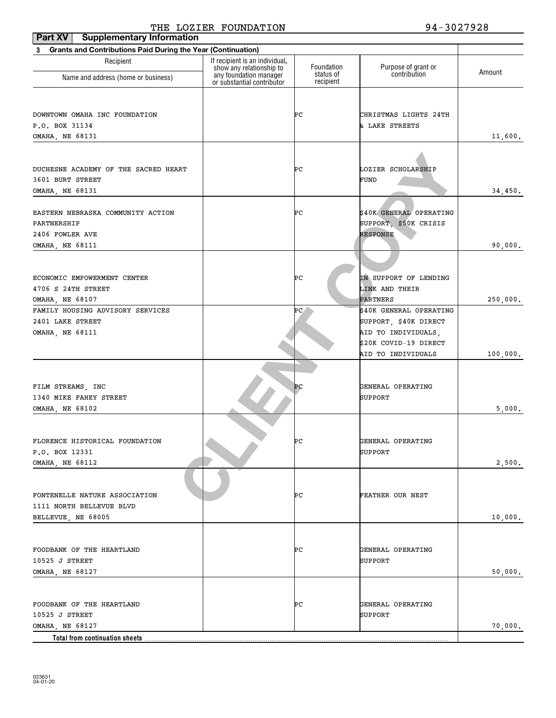| Part XV<br><b>Supplementary Information</b>                              |                                                                                      |                         |                                              |          |
|--------------------------------------------------------------------------|--------------------------------------------------------------------------------------|-------------------------|----------------------------------------------|----------|
| <b>Grants and Contributions Paid During the Year (Continuation)</b><br>3 |                                                                                      |                         |                                              |          |
| Recipient                                                                | If recipient is an individual,<br>show any relationship to<br>any foundation manager | Foundation<br>status of | Purpose of grant or<br>contribution          | Amount   |
| Name and address (home or business)                                      | or substantial contributor                                                           | recipient               |                                              |          |
|                                                                          |                                                                                      |                         |                                              |          |
| DOWNTOWN OMAHA INC FOUNDATION                                            |                                                                                      | ÞС                      | CHRISTMAS LIGHTS 24TH                        |          |
| P.O. BOX 31134                                                           |                                                                                      |                         | & LAKE STREETS                               |          |
| <b>OMAHA, NE 68131</b>                                                   |                                                                                      |                         |                                              | 11,600.  |
|                                                                          |                                                                                      |                         |                                              |          |
| DUCHESNE ACADEMY OF THE SACRED HEART                                     |                                                                                      | ÞС                      | LOZIER SCHOLARSHIP                           |          |
| 3601 BURT STREET                                                         |                                                                                      |                         | FUND                                         |          |
| OMAHA, NE 68131                                                          |                                                                                      |                         |                                              | 34,450.  |
|                                                                          |                                                                                      | ÞС                      | \$40K GENERAL OPERATING                      |          |
| EASTERN NEBRASKA COMMUNITY ACTION<br>PARTNERSHIP                         |                                                                                      |                         | SUPPORT, \$50K CRISIS                        |          |
| 2406 FOWLER AVE                                                          |                                                                                      |                         | <b>RESPONSE</b>                              |          |
| <b>OMAHA, NE 68111</b>                                                   |                                                                                      |                         |                                              | 90,000.  |
|                                                                          |                                                                                      |                         |                                              |          |
|                                                                          |                                                                                      |                         |                                              |          |
| ECONOMIC EMPOWERMENT CENTER                                              |                                                                                      | ÞС                      | IN SUPPORT OF LENDING                        |          |
| 4706 S 24TH STREET                                                       |                                                                                      |                         | LINK AND THEIR                               |          |
| OMAHA, NE 68107                                                          |                                                                                      |                         | PARTNERS                                     | 250,000. |
| FAMILY HOUSING ADVISORY SERVICES                                         |                                                                                      | ÞС.                     | \$40K GENERAL OPERATING                      |          |
| 2401 LAKE STREET                                                         |                                                                                      |                         | SUPPORT, \$40K DIRECT                        |          |
| <b>OMAHA, NE 68111</b>                                                   |                                                                                      |                         | AID TO INDIVIDUALS,<br>\$20K COVID-19 DIRECT |          |
|                                                                          |                                                                                      |                         | AID TO INDIVIDUALS                           | 100,000. |
|                                                                          |                                                                                      |                         |                                              |          |
|                                                                          |                                                                                      |                         |                                              |          |
| FILM STREAMS, INC                                                        |                                                                                      | PС                      | GENERAL OPERATING                            |          |
| 1340 MIKE FAHEY STREET                                                   |                                                                                      |                         | SUPPORT                                      |          |
| <b>OMAHA, NE 68102</b>                                                   |                                                                                      |                         |                                              | 5,000.   |
|                                                                          |                                                                                      |                         |                                              |          |
| FLORENCE HISTORICAL FOUNDATION                                           |                                                                                      | ÞС                      | GENERAL OPERATING                            |          |
| P.O. BOX 12331                                                           |                                                                                      |                         | SUPPORT                                      |          |
| OMAHA, NE 68112                                                          |                                                                                      |                         |                                              | 2,500.   |
|                                                                          |                                                                                      |                         |                                              |          |
| FONTENELLE NATURE ASSOCIATION                                            |                                                                                      | ÞС                      | FEATHER OUR NEST                             |          |
| 1111 NORTH BELLEVUE BLVD                                                 |                                                                                      |                         |                                              |          |
| BELLEVUE, NE 68005                                                       |                                                                                      |                         |                                              | 10,000.  |
|                                                                          |                                                                                      |                         |                                              |          |
|                                                                          |                                                                                      |                         |                                              |          |
| FOODBANK OF THE HEARTLAND<br>10525 J STREET                              |                                                                                      | ÞС                      | GENERAL OPERATING<br>SUPPORT                 |          |
|                                                                          |                                                                                      |                         |                                              |          |
| OMAHA, NE 68127                                                          |                                                                                      |                         |                                              | 50,000.  |
|                                                                          |                                                                                      |                         |                                              |          |
| FOODBANK OF THE HEARTLAND                                                |                                                                                      | ÞС                      | GENERAL OPERATING                            |          |
| 10525 J STREET                                                           |                                                                                      |                         | SUPPORT                                      |          |
| OMAHA, NE 68127                                                          |                                                                                      |                         |                                              | 70,000.  |
| Total from continuation sheets                                           |                                                                                      |                         |                                              |          |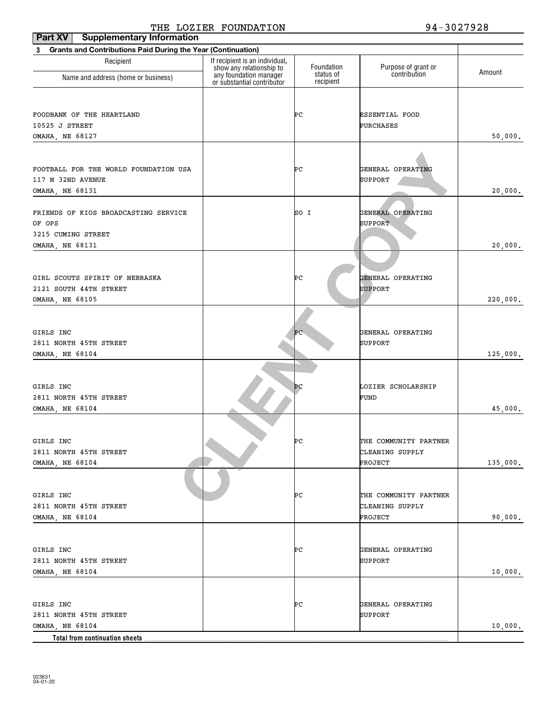| Part XV<br><b>Supplementary Information</b>                              |                                                            |                         |                                     |          |
|--------------------------------------------------------------------------|------------------------------------------------------------|-------------------------|-------------------------------------|----------|
| <b>Grants and Contributions Paid During the Year (Continuation)</b><br>3 |                                                            |                         |                                     |          |
| Recipient                                                                | If recipient is an individual,<br>show any relationship to | Foundation<br>status of | Purpose of grant or<br>contribution | Amount   |
| Name and address (home or business)                                      | any foundation manager<br>or substantial contributor       | recipient               |                                     |          |
|                                                                          |                                                            |                         |                                     |          |
| FOODBANK OF THE HEARTLAND                                                |                                                            | ÞС                      | <b>ESSENTIAL FOOD</b>               |          |
| 10525 J STREET                                                           |                                                            |                         | PURCHASES                           |          |
| OMAHA, NE 68127                                                          |                                                            |                         |                                     | 50,000.  |
|                                                                          |                                                            |                         |                                     |          |
|                                                                          |                                                            |                         |                                     |          |
| FOOTBALL FOR THE WORLD FOUNDATION USA<br>117 N 32ND AVENUE               |                                                            | ÞС                      | GENERAL OPERATING<br>SUPPORT        |          |
| OMAHA, NE 68131                                                          |                                                            |                         |                                     | 20,000.  |
|                                                                          |                                                            |                         |                                     |          |
| FRIENDS OF KIOS BROADCASTING SERVICE                                     |                                                            | SO I                    | GENERAL OPERATING                   |          |
| OF OPS                                                                   |                                                            |                         | <b>SUPPORT</b>                      |          |
| 3215 CUMING STREET                                                       |                                                            |                         |                                     |          |
| OMAHA, NE 68131                                                          |                                                            |                         |                                     | 20,000.  |
|                                                                          |                                                            |                         |                                     |          |
|                                                                          |                                                            |                         |                                     |          |
| GIRL SCOUTS SPIRIT OF NEBRASKA                                           |                                                            | ÞС                      | GENERAL OPERATING                   |          |
| 2121 SOUTH 44TH STREET<br>OMAHA, NE 68105                                |                                                            |                         | SUPPORT                             | 220,000. |
|                                                                          |                                                            |                         |                                     |          |
|                                                                          |                                                            |                         |                                     |          |
| GIRLS INC                                                                |                                                            | ÞС                      | GENERAL OPERATING                   |          |
| 2811 NORTH 45TH STREET                                                   |                                                            |                         | SUPPORT                             |          |
| OMAHA, NE 68104                                                          |                                                            |                         |                                     | 125,000. |
|                                                                          |                                                            |                         |                                     |          |
|                                                                          |                                                            | PC                      | LOZIER SCHOLARSHIP                  |          |
| GIRLS INC<br>2811 NORTH 45TH STREET                                      |                                                            |                         | FUND                                |          |
| OMAHA, NE 68104                                                          |                                                            |                         |                                     | 45,000.  |
|                                                                          |                                                            |                         |                                     |          |
|                                                                          |                                                            |                         |                                     |          |
| GIRLS INC                                                                |                                                            | ÞС                      | THE COMMUNITY PARTNER               |          |
| 2811 NORTH 45TH STREET                                                   |                                                            |                         | CLEANING SUPPLY                     |          |
| OMAHA, NE 68104                                                          |                                                            |                         | PROJECT                             | 135,000. |
|                                                                          |                                                            |                         |                                     |          |
| GIRLS INC                                                                |                                                            | ÞС                      | THE COMMUNITY PARTNER               |          |
| 2811 NORTH 45TH STREET                                                   |                                                            |                         | CLEANING SUPPLY                     |          |
| OMAHA, NE 68104                                                          |                                                            |                         | PROJECT                             | 90,000.  |
|                                                                          |                                                            |                         |                                     |          |
|                                                                          |                                                            |                         |                                     |          |
| GIRLS INC                                                                |                                                            | ÞС                      | GENERAL OPERATING                   |          |
| 2811 NORTH 45TH STREET                                                   |                                                            |                         | SUPPORT                             |          |
| OMAHA, NE 68104                                                          |                                                            |                         |                                     | 10,000.  |
|                                                                          |                                                            |                         |                                     |          |
| GIRLS INC                                                                |                                                            | ÞС                      | GENERAL OPERATING                   |          |
| 2811 NORTH 45TH STREET                                                   |                                                            |                         | SUPPORT                             |          |
| OMAHA, NE 68104                                                          |                                                            |                         |                                     | 10,000.  |
| Total from continuation sheets                                           |                                                            |                         |                                     |          |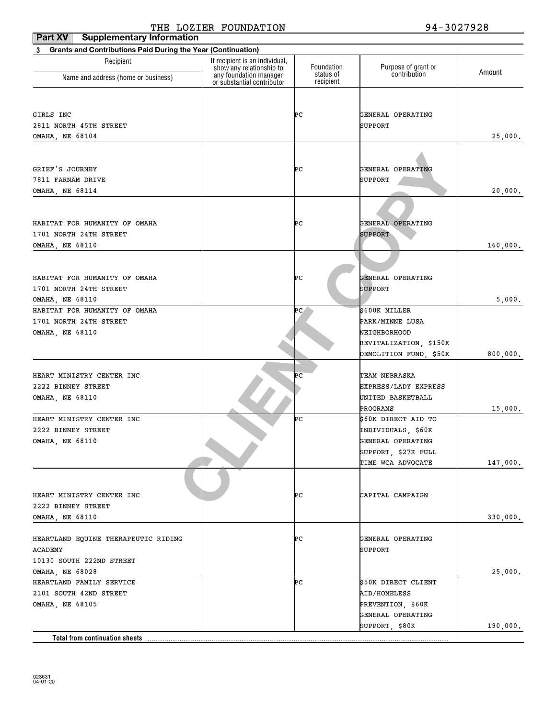| Part XV<br><b>Supplementary Information</b>                              |                                                            |                        |                        |          |
|--------------------------------------------------------------------------|------------------------------------------------------------|------------------------|------------------------|----------|
| <b>Grants and Contributions Paid During the Year (Continuation)</b><br>3 |                                                            |                        |                        |          |
| Recipient                                                                | If recipient is an individual,<br>show any relationship to | Foundation             | Purpose of grant or    | Amount   |
| Name and address (home or business)                                      | any foundation manager<br>or substantial contributor       | status of<br>recipient | contribution           |          |
|                                                                          |                                                            |                        |                        |          |
| GIRLS INC                                                                |                                                            | ÞС                     | GENERAL OPERATING      |          |
| 2811 NORTH 45TH STREET                                                   |                                                            |                        | SUPPORT                |          |
| OMAHA, NE 68104                                                          |                                                            |                        |                        | 25,000.  |
|                                                                          |                                                            |                        |                        |          |
| GRIEF'S JOURNEY                                                          |                                                            | ÞС                     | GENERAL OPERATING      |          |
| 7811 FARNAM DRIVE                                                        |                                                            |                        | SUPPORT                |          |
| OMAHA, NE 68114                                                          |                                                            |                        |                        | 20,000.  |
|                                                                          |                                                            |                        |                        |          |
| HABITAT FOR HUMANITY OF OMAHA                                            |                                                            | ÞС                     | GENERAL OPERATING      |          |
| 1701 NORTH 24TH STREET                                                   |                                                            |                        | <b>SUPPORT</b>         |          |
| OMAHA, NE 68110                                                          |                                                            |                        |                        | 160,000. |
|                                                                          |                                                            |                        |                        |          |
| HABITAT FOR HUMANITY OF OMAHA                                            |                                                            | ÞС                     | GÊNERAL OPERATING      |          |
| 1701 NORTH 24TH STREET                                                   |                                                            |                        | <b>SUPPORT</b>         |          |
| OMAHA, NE 68110                                                          |                                                            |                        |                        | 5,000.   |
| HABITAT FOR HUMANITY OF OMAHA                                            |                                                            | ÞС,                    | \$600K MILLER          |          |
| 1701 NORTH 24TH STREET                                                   |                                                            |                        | PARK/MINNE LUSA        |          |
| OMAHA, NE 68110                                                          |                                                            |                        | NEIGHBORHOOD           |          |
|                                                                          |                                                            |                        | REVITALIZATION, \$150K |          |
|                                                                          |                                                            |                        | DEMOLITION FUND, \$50K | 800,000. |
| HEART MINISTRY CENTER INC                                                |                                                            | ÞС                     | TEAM NEBRASKA          |          |
| 2222 BINNEY STREET                                                       |                                                            |                        | EXPRESS/LADY EXPRESS   |          |
| <b>OMAHA, NE 68110</b>                                                   |                                                            |                        | UNITED BASKETBALL      |          |
|                                                                          |                                                            |                        | PROGRAMS               | 15,000.  |
| HEART MINISTRY CENTER INC                                                |                                                            | ÞС                     | \$60K DIRECT AID TO    |          |
| 2222 BINNEY STREET                                                       |                                                            |                        | INDIVIDUALS, \$60K     |          |
| OMAHA, NE 68110                                                          |                                                            |                        | GENERAL OPERATING      |          |
|                                                                          |                                                            |                        | SUPPORT, \$27K FULL    |          |
|                                                                          |                                                            |                        | TIME WCA ADVOCATE      | 147,000. |
|                                                                          |                                                            |                        |                        |          |
| HEART MINISTRY CENTER INC                                                |                                                            | PС                     | CAPITAL CAMPAIGN       |          |
| 2222 BINNEY STREET                                                       |                                                            |                        |                        |          |
| OMAHA, NE 68110                                                          |                                                            |                        |                        | 330,000. |
| HEARTLAND EQUINE THERAPEUTIC RIDING                                      |                                                            | ÞС                     | GENERAL OPERATING      |          |
| ACADEMY                                                                  |                                                            |                        | SUPPORT                |          |
| 10130 SOUTH 222ND STREET                                                 |                                                            |                        |                        |          |
| OMAHA, NE 68028                                                          |                                                            |                        |                        | 25,000.  |
| HEARTLAND FAMILY SERVICE                                                 |                                                            | ÞС                     | \$50K DIRECT CLIENT    |          |
| 2101 SOUTH 42ND STREET                                                   |                                                            |                        | <b>AID/HOMELESS</b>    |          |
| OMAHA, NE 68105                                                          |                                                            |                        | PREVENTION, \$60K      |          |
|                                                                          |                                                            |                        | GENERAL OPERATING      |          |
|                                                                          |                                                            |                        | SUPPORT, \$80K         | 190,000. |
| Total from continuation sheets.                                          |                                                            |                        |                        |          |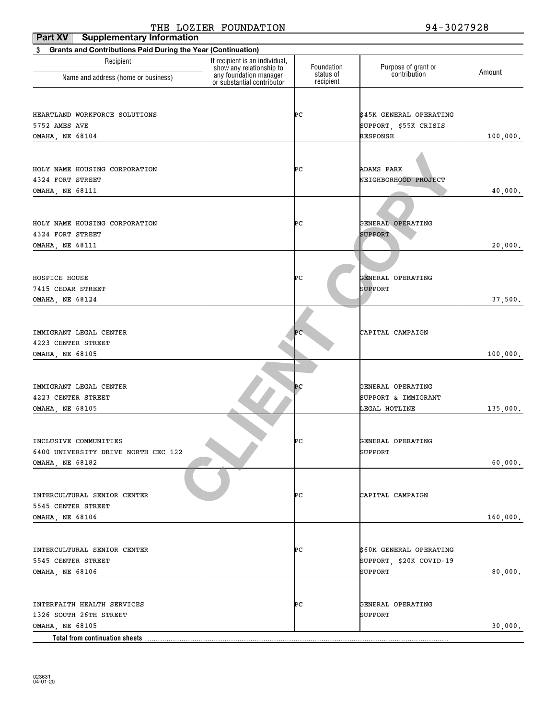| Part XV<br><b>Supplementary Information</b>                              |                                                    |                         |                                          |          |
|--------------------------------------------------------------------------|----------------------------------------------------|-------------------------|------------------------------------------|----------|
| <b>Grants and Contributions Paid During the Year (Continuation)</b><br>3 |                                                    |                         |                                          |          |
| Recipient                                                                | If recipient is an individual,                     |                         |                                          |          |
| Name and address (home or business)                                      | show any relationship to<br>any foundation manager | Foundation<br>status of | Purpose of grant or<br>contribution      | Amount   |
|                                                                          | or substantial contributor                         | recipient               |                                          |          |
|                                                                          |                                                    |                         |                                          |          |
| HEARTLAND WORKFORCE SOLUTIONS<br>5752 AMES AVE                           |                                                    | ÞС                      | \$45K GENERAL OPERATING                  |          |
| OMAHA, NE 68104                                                          |                                                    |                         | SUPPORT, \$55K CRISIS<br><b>RESPONSE</b> |          |
|                                                                          |                                                    |                         |                                          | 100,000. |
|                                                                          |                                                    |                         |                                          |          |
| HOLY NAME HOUSING CORPORATION                                            |                                                    | ÞС                      | ADAMS PARK                               |          |
| 4324 FORT STREET                                                         |                                                    |                         | NEIGHBORHOOD PROJECT                     |          |
| <b>OMAHA, NE 68111</b>                                                   |                                                    |                         |                                          | 40,000.  |
|                                                                          |                                                    |                         |                                          |          |
|                                                                          |                                                    |                         | GENERAL OPERATING                        |          |
| HOLY NAME HOUSING CORPORATION                                            |                                                    | ÞС                      |                                          |          |
| 4324 FORT STREET                                                         |                                                    |                         | <b>SUPPORT</b>                           |          |
| <b>OMAHA, NE 68111</b>                                                   |                                                    |                         |                                          | 20,000.  |
|                                                                          |                                                    |                         |                                          |          |
| HOSPICE HOUSE                                                            |                                                    | ÞС                      | GENERAL OPERATING                        |          |
| 7415 CEDAR STREET                                                        |                                                    |                         | SUPPORT                                  |          |
| OMAHA, NE 68124                                                          |                                                    |                         |                                          | 37,500.  |
|                                                                          |                                                    |                         |                                          |          |
|                                                                          |                                                    |                         |                                          |          |
| IMMIGRANT LEGAL CENTER                                                   |                                                    | ÞС                      | CAPITAL CAMPAIGN                         |          |
| 4223 CENTER STREET                                                       |                                                    |                         |                                          |          |
| OMAHA, NE 68105                                                          |                                                    |                         |                                          | 100,000. |
|                                                                          |                                                    |                         |                                          |          |
|                                                                          |                                                    |                         |                                          |          |
| IMMIGRANT LEGAL CENTER                                                   |                                                    | P <sub>C</sub>          | GENERAL OPERATING                        |          |
| 4223 CENTER STREET                                                       |                                                    |                         | SUPPORT & IMMIGRANT                      |          |
| OMAHA, NE 68105                                                          |                                                    |                         | LEGAL HOTLINE                            | 135,000. |
|                                                                          |                                                    |                         |                                          |          |
| INCLUSIVE COMMUNITIES                                                    |                                                    | ÞС                      | GENERAL OPERATING                        |          |
| 6400 UNIVERSITY DRIVE NORTH CEC 122                                      |                                                    |                         | SUPPORT                                  |          |
| <b>OMAHA, NE 68182</b>                                                   |                                                    |                         |                                          | 60,000.  |
|                                                                          |                                                    |                         |                                          |          |
| INTERCULTURAL SENIOR CENTER                                              |                                                    | ÞС                      |                                          |          |
| 5545 CENTER STREET                                                       |                                                    |                         | CAPITAL CAMPAIGN                         |          |
| OMAHA, NE 68106                                                          |                                                    |                         |                                          |          |
|                                                                          |                                                    |                         |                                          | 160,000. |
|                                                                          |                                                    |                         |                                          |          |
| INTERCULTURAL SENIOR CENTER                                              |                                                    | ÞС                      | \$60K GENERAL OPERATING                  |          |
| 5545 CENTER STREET                                                       |                                                    |                         | SUPPORT, \$20K COVID-19                  |          |
| OMAHA, NE 68106                                                          |                                                    |                         | SUPPORT                                  | 80,000.  |
|                                                                          |                                                    |                         |                                          |          |
|                                                                          |                                                    |                         |                                          |          |
| INTERFAITH HEALTH SERVICES                                               |                                                    | ÞС                      | GENERAL OPERATING                        |          |
| 1326 SOUTH 26TH STREET<br>OMAHA, NE 68105                                |                                                    |                         | SUPPORT                                  | 30,000.  |
| Total from continuation sheets                                           |                                                    |                         |                                          |          |
|                                                                          |                                                    |                         |                                          |          |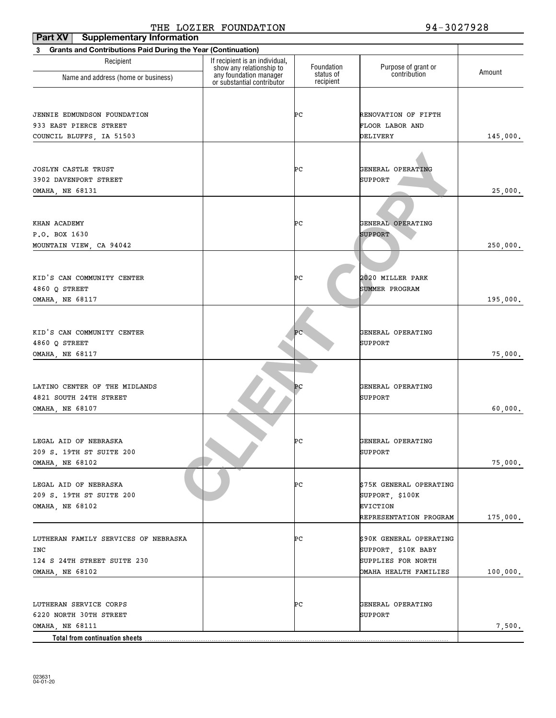| Part XV<br><b>Supplementary Information</b>                       |                                                    |                         |                                     |          |
|-------------------------------------------------------------------|----------------------------------------------------|-------------------------|-------------------------------------|----------|
| Grants and Contributions Paid During the Year (Continuation)<br>3 |                                                    |                         |                                     |          |
| Recipient                                                         | If recipient is an individual,                     |                         |                                     |          |
|                                                                   | show any relationship to<br>any foundation manager | Foundation<br>status of | Purpose of grant or<br>contribution | Amount   |
| Name and address (home or business)                               | or substantial contributor                         | recipient               |                                     |          |
|                                                                   |                                                    |                         |                                     |          |
| JENNIE EDMUNDSON FOUNDATION                                       |                                                    | ÞС                      | RENOVATION OF FIFTH                 |          |
| 933 EAST PIERCE STREET                                            |                                                    |                         | FLOOR LABOR AND                     |          |
| COUNCIL BLUFFS, IA 51503                                          |                                                    |                         | DELIVERY                            | 145,000. |
|                                                                   |                                                    |                         |                                     |          |
|                                                                   |                                                    |                         |                                     |          |
| <b>JOSLYN CASTLE TRUST</b>                                        |                                                    | ÞС                      | GENERAL OPERATING                   |          |
| 3902 DAVENPORT STREET                                             |                                                    |                         | SUPPORT                             |          |
| OMAHA, NE 68131                                                   |                                                    |                         |                                     | 25,000.  |
|                                                                   |                                                    |                         |                                     |          |
| KHAN ACADEMY                                                      |                                                    | ÞС                      | GENERAL OPERATING                   |          |
| P.O. BOX 1630                                                     |                                                    |                         | <b>SUPPORT</b>                      |          |
| MOUNTAIN VIEW, CA 94042                                           |                                                    |                         |                                     | 250,000. |
|                                                                   |                                                    |                         |                                     |          |
|                                                                   |                                                    |                         |                                     |          |
| KID'S CAN COMMUNITY CENTER                                        |                                                    | ÞС                      | 2020 MILLER PARK                    |          |
| 4860 O STREET                                                     |                                                    |                         | SUMMER PROGRAM                      |          |
| OMAHA, NE 68117                                                   |                                                    |                         |                                     | 195,000. |
|                                                                   |                                                    |                         |                                     |          |
|                                                                   |                                                    |                         |                                     |          |
| KID'S CAN COMMUNITY CENTER                                        |                                                    | ÞС                      | GENERAL OPERATING                   |          |
| 4860 Q STREET                                                     |                                                    |                         | SUPPORT                             |          |
| OMAHA, NE 68117                                                   |                                                    |                         |                                     | 75,000.  |
|                                                                   |                                                    |                         |                                     |          |
|                                                                   |                                                    |                         |                                     |          |
| LATINO CENTER OF THE MIDLANDS                                     |                                                    | P <sub>C</sub>          | GENERAL OPERATING                   |          |
| 4821 SOUTH 24TH STREET                                            |                                                    |                         | SUPPORT                             |          |
| OMAHA, NE 68107                                                   |                                                    |                         |                                     | 60,000.  |
|                                                                   |                                                    |                         |                                     |          |
| LEGAL AID OF NEBRASKA                                             |                                                    | ÞС                      | GENERAL OPERATING                   |          |
| 209 S. 19TH ST SUITE 200                                          |                                                    |                         | SUPPORT                             |          |
| <b>OMAHA, NE 68102</b>                                            |                                                    |                         |                                     | 75,000.  |
|                                                                   |                                                    |                         |                                     |          |
| LEGAL AID OF NEBRASKA                                             |                                                    | PС                      | \$75K GENERAL OPERATING             |          |
| 209 S. 19TH ST SUITE 200                                          |                                                    |                         | SUPPORT, \$100K                     |          |
| OMAHA, NE 68102                                                   |                                                    |                         | EVICTION                            |          |
|                                                                   |                                                    |                         | REPRESENTATION PROGRAM              | 175,000. |
|                                                                   |                                                    |                         |                                     |          |
| LUTHERAN FAMILY SERVICES OF NEBRASKA                              |                                                    | ÞС                      | \$90K GENERAL OPERATING             |          |
| INC                                                               |                                                    |                         | SUPPORT, \$10K BABY                 |          |
| 124 S 24TH STREET SUITE 230                                       |                                                    |                         | SUPPLIES FOR NORTH                  |          |
| OMAHA, NE 68102                                                   |                                                    |                         | OMAHA HEALTH FAMILIES               | 100,000. |
|                                                                   |                                                    |                         |                                     |          |
| LUTHERAN SERVICE CORPS                                            |                                                    | PС                      | GENERAL OPERATING                   |          |
| 6220 NORTH 30TH STREET                                            |                                                    |                         | SUPPORT                             |          |
| OMAHA, NE 68111                                                   |                                                    |                         |                                     | 7,500.   |
| Total from continuation sheets.                                   |                                                    |                         |                                     |          |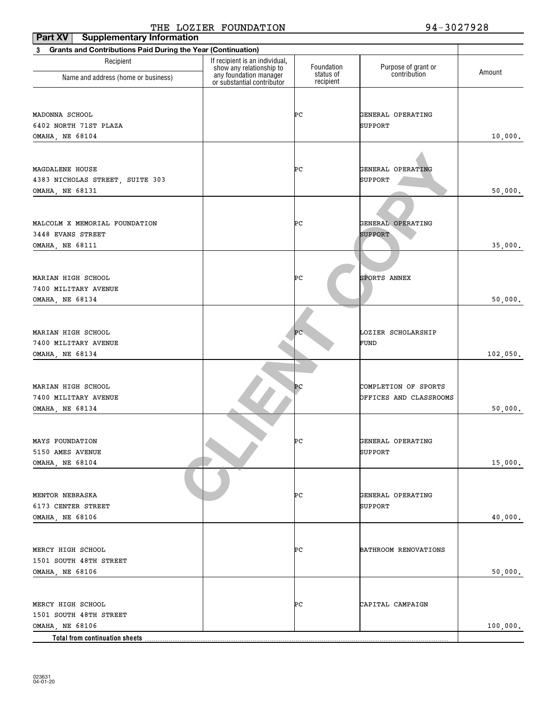| Part XV<br><b>Supplementary Information</b>                       |                                                    |                         |                                     |          |
|-------------------------------------------------------------------|----------------------------------------------------|-------------------------|-------------------------------------|----------|
| Grants and Contributions Paid During the Year (Continuation)<br>3 |                                                    |                         |                                     |          |
| Recipient                                                         | If recipient is an individual,                     |                         |                                     |          |
|                                                                   | show any relationship to<br>any foundation manager | Foundation<br>status of | Purpose of grant or<br>contribution | Amount   |
| Name and address (home or business)                               | or substantial contributor                         | recipient               |                                     |          |
|                                                                   |                                                    |                         |                                     |          |
|                                                                   |                                                    | ÞС                      |                                     |          |
| MADONNA SCHOOL                                                    |                                                    |                         | GENERAL OPERATING                   |          |
| 6402 NORTH 71ST PLAZA                                             |                                                    |                         | SUPPORT                             |          |
| OMAHA, NE 68104                                                   |                                                    |                         |                                     | 10,000.  |
|                                                                   |                                                    |                         |                                     |          |
| MAGDALENE HOUSE                                                   |                                                    | ÞС                      | GENERAL OPERATING                   |          |
| 4383 NICHOLAS STREET, SUITE 303                                   |                                                    |                         | SUPPORT                             |          |
| OMAHA, NE 68131                                                   |                                                    |                         |                                     | 50,000.  |
|                                                                   |                                                    |                         |                                     |          |
|                                                                   |                                                    |                         |                                     |          |
| MALCOLM X MEMORIAL FOUNDATION                                     |                                                    | ÞС                      | GENERAL OPERATING                   |          |
| 3448 EVANS STREET                                                 |                                                    |                         | <b>SUPPORT</b>                      |          |
| OMAHA, NE 68111                                                   |                                                    |                         |                                     | 35,000.  |
|                                                                   |                                                    |                         |                                     |          |
|                                                                   |                                                    |                         |                                     |          |
| MARIAN HIGH SCHOOL                                                |                                                    | ÞС                      | SPORTS ANNEX                        |          |
| 7400 MILITARY AVENUE                                              |                                                    |                         |                                     |          |
| OMAHA, NE 68134                                                   |                                                    |                         |                                     | 50,000.  |
|                                                                   |                                                    |                         |                                     |          |
|                                                                   |                                                    |                         |                                     |          |
| MARIAN HIGH SCHOOL                                                |                                                    | ÞС                      | LOZIER SCHOLARSHIP                  |          |
| 7400 MILITARY AVENUE                                              |                                                    |                         | FUND                                |          |
| OMAHA, NE 68134                                                   |                                                    |                         |                                     | 102,050. |
|                                                                   |                                                    |                         |                                     |          |
|                                                                   |                                                    |                         |                                     |          |
| MARIAN HIGH SCHOOL                                                |                                                    | PC                      | COMPLETION OF SPORTS                |          |
| 7400 MILITARY AVENUE                                              |                                                    |                         | OFFICES AND CLASSROOMS              |          |
| OMAHA, NE 68134                                                   |                                                    |                         |                                     | 50,000.  |
|                                                                   |                                                    |                         |                                     |          |
| MAYS FOUNDATION                                                   |                                                    | ÞС                      | GENERAL OPERATING                   |          |
| 5150 AMES AVENUE                                                  |                                                    |                         | SUPPORT                             |          |
| OMAHA, NE 68104                                                   |                                                    |                         |                                     | 15,000.  |
|                                                                   |                                                    |                         |                                     |          |
|                                                                   |                                                    |                         |                                     |          |
| MENTOR NEBRASKA                                                   |                                                    | PС                      | GENERAL OPERATING                   |          |
| 6173 CENTER STREET                                                |                                                    |                         | SUPPORT                             |          |
| OMAHA, NE 68106                                                   |                                                    |                         |                                     | 40,000.  |
|                                                                   |                                                    |                         |                                     |          |
|                                                                   |                                                    |                         |                                     |          |
| MERCY HIGH SCHOOL                                                 |                                                    | PС                      | BATHROOM RENOVATIONS                |          |
| 1501 SOUTH 48TH STREET                                            |                                                    |                         |                                     |          |
| OMAHA, NE 68106                                                   |                                                    |                         |                                     | 50,000.  |
|                                                                   |                                                    |                         |                                     |          |
| MERCY HIGH SCHOOL                                                 |                                                    | PС                      | CAPITAL CAMPAIGN                    |          |
| 1501 SOUTH 48TH STREET                                            |                                                    |                         |                                     |          |
| OMAHA, NE 68106                                                   |                                                    |                         |                                     | 100,000. |
| Total from continuation sheets                                    |                                                    |                         |                                     |          |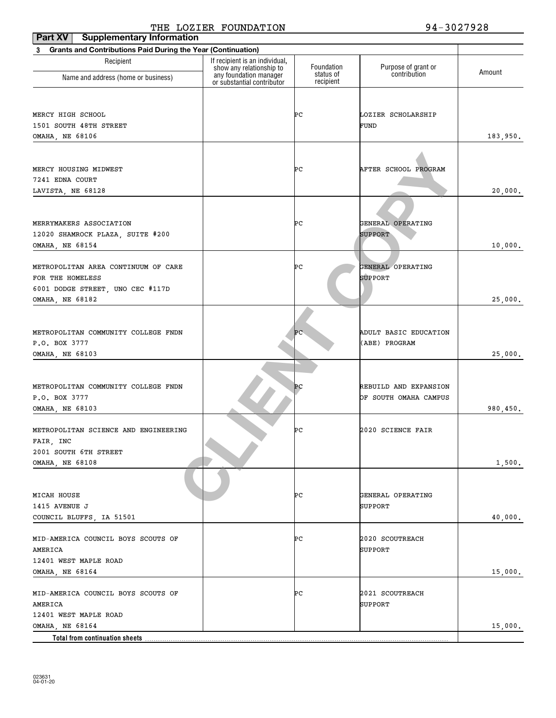| Part XV<br><b>Supplementary Information</b>                              |                                                            |                         |                                     |          |
|--------------------------------------------------------------------------|------------------------------------------------------------|-------------------------|-------------------------------------|----------|
| <b>Grants and Contributions Paid During the Year (Continuation)</b><br>3 |                                                            |                         |                                     |          |
| Recipient                                                                | If recipient is an individual,<br>show any relationship to | Foundation<br>status of | Purpose of grant or<br>contribution | Amount   |
| Name and address (home or business)                                      | any foundation manager<br>or substantial contributor       | recipient               |                                     |          |
|                                                                          |                                                            |                         |                                     |          |
| MERCY HIGH SCHOOL                                                        |                                                            | ÞС                      | LOZIER SCHOLARSHIP                  |          |
| 1501 SOUTH 48TH STREET                                                   |                                                            |                         | FUND                                |          |
| OMAHA, NE 68106                                                          |                                                            |                         |                                     | 183,950. |
|                                                                          |                                                            |                         |                                     |          |
| MERCY HOUSING MIDWEST                                                    |                                                            | ÞС                      | AFTER SCHOOL PROGRAM                |          |
| 7241 EDNA COURT                                                          |                                                            |                         |                                     |          |
| LAVISTA, NE 68128                                                        |                                                            |                         |                                     | 20,000.  |
|                                                                          |                                                            |                         |                                     |          |
|                                                                          |                                                            |                         |                                     |          |
| MERRYMAKERS ASSOCIATION                                                  |                                                            | ÞС                      | GENERAL OPERATING                   |          |
| 12020 SHAMROCK PLAZA, SUITE #200<br>OMAHA, NE 68154                      |                                                            |                         | <b>SUPPORT</b>                      | 10,000.  |
|                                                                          |                                                            |                         |                                     |          |
| METROPOLITAN AREA CONTINUUM OF CARE                                      |                                                            | ÞС                      | GENERAL OPERATING                   |          |
| FOR THE HOMELESS                                                         |                                                            |                         | <b>SUPPORT</b>                      |          |
| 6001 DODGE STREET, UNO CEC #117D                                         |                                                            |                         |                                     |          |
| OMAHA, NE 68182                                                          |                                                            |                         |                                     | 25,000.  |
|                                                                          |                                                            |                         |                                     |          |
|                                                                          |                                                            |                         |                                     |          |
| METROPOLITAN COMMUNITY COLLEGE FNDN                                      |                                                            | ÞС                      | ADULT BASIC EDUCATION               |          |
| P.O. BOX 3777<br>OMAHA, NE 68103                                         |                                                            |                         | (ABE) PROGRAM                       | 25,000.  |
|                                                                          |                                                            |                         |                                     |          |
|                                                                          |                                                            |                         |                                     |          |
| METROPOLITAN COMMUNITY COLLEGE FNDN                                      |                                                            | ÞС                      | REBUILD AND EXPANSION               |          |
| P.O. BOX 3777                                                            |                                                            |                         | OF SOUTH OMAHA CAMPUS               |          |
| OMAHA, NE 68103                                                          |                                                            |                         |                                     | 980,450. |
| METROPOLITAN SCIENCE AND ENGINEERING                                     |                                                            | ÞС                      | 2020 SCIENCE FAIR                   |          |
| FAIR, INC                                                                |                                                            |                         |                                     |          |
| 2001 SOUTH 6TH STREET                                                    |                                                            |                         |                                     |          |
| OMAHA, NE 68108                                                          |                                                            |                         |                                     | 1,500.   |
|                                                                          |                                                            |                         |                                     |          |
| MICAH HOUSE                                                              |                                                            | ÞС                      | GENERAL OPERATING                   |          |
| 1415 AVENUE J                                                            |                                                            |                         | SUPPORT                             |          |
| COUNCIL BLUFFS, IA 51501                                                 |                                                            |                         |                                     | 40,000.  |
|                                                                          |                                                            |                         |                                     |          |
| MID-AMERICA COUNCIL BOYS SCOUTS OF                                       |                                                            | ÞС                      | 2020 SCOUTREACH                     |          |
| AMERICA                                                                  |                                                            |                         | SUPPORT                             |          |
| 12401 WEST MAPLE ROAD                                                    |                                                            |                         |                                     |          |
| OMAHA, NE 68164                                                          |                                                            |                         |                                     | 15,000.  |
| MID-AMERICA COUNCIL BOYS SCOUTS OF                                       |                                                            | ÞС                      | 2021 SCOUTREACH                     |          |
| AMERICA                                                                  |                                                            |                         | SUPPORT                             |          |
| 12401 WEST MAPLE ROAD                                                    |                                                            |                         |                                     |          |
| OMAHA, NE 68164                                                          |                                                            |                         |                                     | 15,000.  |
| Total from continuation sheets                                           |                                                            |                         |                                     |          |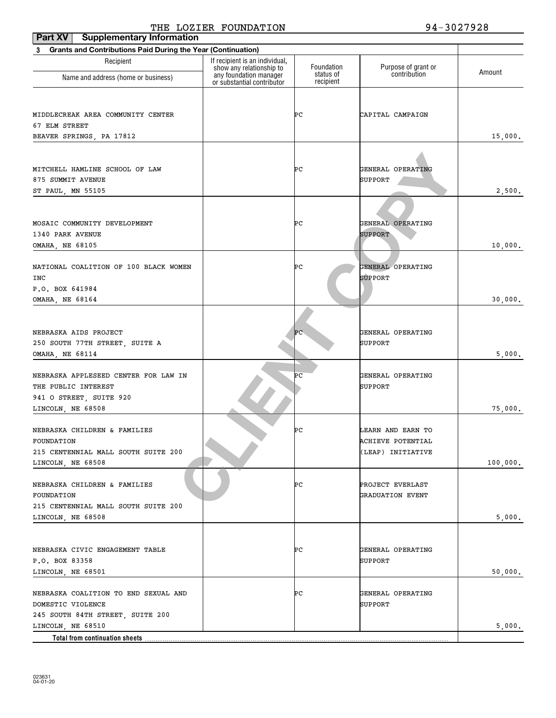| Part XV<br><b>Supplementary Information</b>                              |                                                                                      |                         |                                     |          |
|--------------------------------------------------------------------------|--------------------------------------------------------------------------------------|-------------------------|-------------------------------------|----------|
| <b>Grants and Contributions Paid During the Year (Continuation)</b><br>3 |                                                                                      |                         |                                     |          |
| Recipient                                                                | If recipient is an individual,<br>show any relationship to<br>any foundation manager | Foundation<br>status of | Purpose of grant or<br>contribution | Amount   |
| Name and address (home or business)                                      | or substantial contributor                                                           | recipient               |                                     |          |
|                                                                          |                                                                                      | ÞС                      |                                     |          |
| MIDDLECREAK AREA COMMUNITY CENTER<br>67 ELM STREET                       |                                                                                      |                         | CAPITAL CAMPAIGN                    |          |
| BEAVER SPRINGS, PA 17812                                                 |                                                                                      |                         |                                     | 15,000.  |
|                                                                          |                                                                                      |                         |                                     |          |
| MITCHELL HAMLINE SCHOOL OF LAW                                           |                                                                                      | ÞС                      | GENERAL OPERATING                   |          |
| 875 SUMMIT AVENUE                                                        |                                                                                      |                         | SUPPORT                             |          |
| ST PAUL, MN 55105                                                        |                                                                                      |                         |                                     | 2,500.   |
|                                                                          |                                                                                      |                         |                                     |          |
|                                                                          |                                                                                      |                         |                                     |          |
| MOSAIC COMMUNITY DEVELOPMENT<br>1340 PARK AVENUE                         |                                                                                      | ÞС                      | GENERAL OPERATING<br><b>SUPPORT</b> |          |
| OMAHA, NE 68105                                                          |                                                                                      |                         |                                     | 10,000.  |
|                                                                          |                                                                                      |                         |                                     |          |
| NATIONAL COALITION OF 100 BLACK WOMEN                                    |                                                                                      | ÞС                      | GENERAL OPERATING                   |          |
| <b>INC</b>                                                               |                                                                                      |                         | <b>SUPPORT</b>                      |          |
| P.O. BOX 641984<br>OMAHA, NE 68164                                       |                                                                                      |                         |                                     | 30,000.  |
|                                                                          |                                                                                      |                         |                                     |          |
|                                                                          |                                                                                      |                         |                                     |          |
| NEBRASKA AIDS PROJECT                                                    |                                                                                      | ÞС                      | GENERAL OPERATING                   |          |
| 250 SOUTH 77TH STREET, SUITE A                                           |                                                                                      |                         | SUPPORT                             |          |
| OMAHA, NE 68114                                                          |                                                                                      |                         |                                     | 5,000.   |
| NEBRASKA APPLESEED CENTER FOR LAW IN                                     |                                                                                      | PС                      | GENERAL OPERATING                   |          |
| THE PUBLIC INTEREST                                                      |                                                                                      |                         | SUPPORT                             |          |
| 941 O STREET, SUITE 920                                                  |                                                                                      |                         |                                     |          |
| LINCOLN, NE 68508                                                        |                                                                                      |                         |                                     | 75,000.  |
| NEBRASKA CHILDREN & FAMILIES                                             |                                                                                      | ÞС                      | LEARN AND EARN TO                   |          |
| FOUNDATION                                                               |                                                                                      |                         | ACHIEVE POTENTIAL                   |          |
| 215 CENTENNIAL MALL SOUTH SUITE 200                                      |                                                                                      |                         | (LEAP) INITIATIVE                   |          |
| LINCOLN, NE 68508                                                        |                                                                                      |                         |                                     | 100,000. |
| NEBRASKA CHILDREN & FAMILIES                                             |                                                                                      | ÞС                      | PROJECT EVERLAST                    |          |
| FOUNDATION                                                               |                                                                                      |                         | GRADUATION EVENT                    |          |
| 215 CENTENNIAL MALL SOUTH SUITE 200                                      |                                                                                      |                         |                                     |          |
| LINCOLN, NE 68508                                                        |                                                                                      |                         |                                     | 5,000.   |
|                                                                          |                                                                                      |                         |                                     |          |
| NEBRASKA CIVIC ENGAGEMENT TABLE                                          |                                                                                      | PС                      | GENERAL OPERATING                   |          |
| P.O. BOX 83358                                                           |                                                                                      |                         | SUPPORT                             |          |
| LINCOLN, NE 68501                                                        |                                                                                      |                         |                                     | 50,000.  |
|                                                                          |                                                                                      |                         |                                     |          |
| NEBRASKA COALITION TO END SEXUAL AND<br>DOMESTIC VIOLENCE                |                                                                                      | ÞС                      | GENERAL OPERATING<br>SUPPORT        |          |
| 245 SOUTH 84TH STREET, SUITE 200                                         |                                                                                      |                         |                                     |          |
| LINCOLN, NE 68510                                                        |                                                                                      |                         |                                     | 5,000.   |
| Total from continuation sheets                                           |                                                                                      |                         |                                     |          |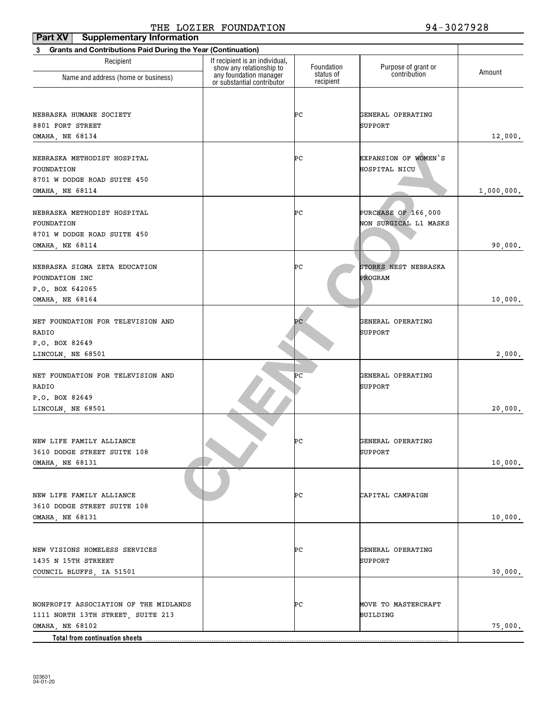| Part XV<br><b>Supplementary Information</b>                              |                                                            |                         |                                     |            |
|--------------------------------------------------------------------------|------------------------------------------------------------|-------------------------|-------------------------------------|------------|
| <b>Grants and Contributions Paid During the Year (Continuation)</b><br>3 |                                                            |                         |                                     |            |
| Recipient                                                                | If recipient is an individual,<br>show any relationship to | Foundation<br>status of | Purpose of grant or<br>contribution | Amount     |
| Name and address (home or business)                                      | any foundation manager<br>or substantial contributor       | recipient               |                                     |            |
|                                                                          |                                                            |                         |                                     |            |
| NEBRASKA HUMANE SOCIETY                                                  |                                                            | ÞС                      | GENERAL OPERATING                   |            |
| 8801 FORT STREET                                                         |                                                            |                         | SUPPORT                             |            |
| OMAHA, NE 68134                                                          |                                                            |                         |                                     | 12,000.    |
|                                                                          |                                                            |                         | EXPANSION OF WOMEN'S                |            |
| NEBRASKA METHODIST HOSPITAL<br>FOUNDATION                                |                                                            | ÞС                      | HOSPITAL NICU                       |            |
| 8701 W DODGE ROAD SUITE 450                                              |                                                            |                         |                                     |            |
| OMAHA, NE 68114                                                          |                                                            |                         |                                     | 1,000,000. |
|                                                                          |                                                            |                         |                                     |            |
| NEBRASKA METHODIST HOSPITAL                                              |                                                            | ÞС                      | <b>PURCHASE OF 166,000</b>          |            |
| FOUNDATION                                                               |                                                            |                         | NON SURGICAL L1 MASKS               |            |
| 8701 W DODGE ROAD SUITE 450                                              |                                                            |                         |                                     |            |
| OMAHA, NE 68114                                                          |                                                            |                         |                                     | 90,000.    |
|                                                                          |                                                            |                         |                                     |            |
| NEBRASKA SIGMA ZETA EDUCATION                                            |                                                            | ÞС                      | STORKS NEST NEBRASKA                |            |
| FOUNDATION INC<br>P.O. BOX 642065                                        |                                                            |                         | PROGRAM                             |            |
| OMAHA, NE 68164                                                          |                                                            |                         |                                     | 10,000.    |
|                                                                          |                                                            |                         |                                     |            |
| NET FOUNDATION FOR TELEVISION AND                                        |                                                            | ÞС                      | GENERAL OPERATING                   |            |
| RADIO                                                                    |                                                            |                         | SUPPORT                             |            |
| P.O. BOX 82649                                                           |                                                            |                         |                                     |            |
| LINCOLN, NE 68501                                                        |                                                            |                         |                                     | 2,000.     |
| NET FOUNDATION FOR TELEVISION AND                                        |                                                            | ÞС                      | GENERAL OPERATING                   |            |
| RADIO                                                                    |                                                            |                         | SUPPORT                             |            |
| P.O. BOX 82649                                                           |                                                            |                         |                                     |            |
| LINCOLN, NE 68501                                                        |                                                            |                         |                                     | 20,000.    |
|                                                                          |                                                            |                         |                                     |            |
|                                                                          |                                                            |                         |                                     |            |
| NEW LIFE FAMILY ALLIANCE                                                 |                                                            | ÞС                      | GENERAL OPERATING                   |            |
| 3610 DODGE STREET SUITE 108                                              |                                                            |                         | SUPPORT                             |            |
| OMAHA, NE 68131                                                          |                                                            |                         |                                     | 10,000.    |
|                                                                          |                                                            |                         |                                     |            |
| NEW LIFE FAMILY ALLIANCE                                                 |                                                            | ÞС                      | CAPITAL CAMPAIGN                    |            |
| 3610 DODGE STREET SUITE 108                                              |                                                            |                         |                                     |            |
| OMAHA, NE 68131                                                          |                                                            |                         |                                     | 10,000.    |
|                                                                          |                                                            |                         |                                     |            |
| NEW VISIONS HOMELESS SERVICES                                            |                                                            | ÞС                      | GENERAL OPERATING                   |            |
| 1435 N 15TH STREEET                                                      |                                                            |                         | SUPPORT                             |            |
| COUNCIL BLUFFS, IA 51501                                                 |                                                            |                         |                                     | 30,000.    |
|                                                                          |                                                            |                         |                                     |            |
|                                                                          |                                                            |                         |                                     |            |
| NONPROFIT ASSOCIATION OF THE MIDLANDS                                    |                                                            | ÞС                      | MOVE TO MASTERCRAFT                 |            |
| 1111 NORTH 13TH STREET, SUITE 213                                        |                                                            |                         | BUILDING                            |            |
| OMAHA, NE 68102                                                          |                                                            |                         |                                     | 75,000.    |
| Total from continuation sheets                                           |                                                            |                         |                                     |            |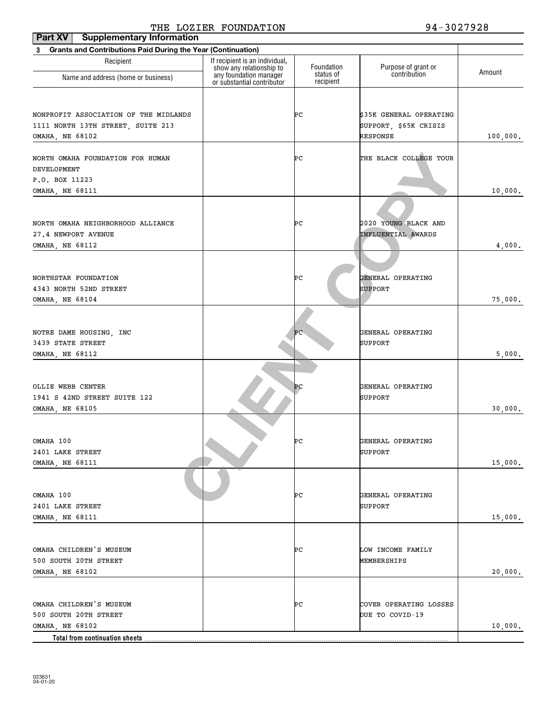## THE LOZIER FOUNDATION 94-3027928

| Part XV<br><b>Supplementary Information</b>                              |                                                            |                         |                                     |          |
|--------------------------------------------------------------------------|------------------------------------------------------------|-------------------------|-------------------------------------|----------|
| <b>Grants and Contributions Paid During the Year (Continuation)</b><br>3 |                                                            |                         |                                     |          |
| Recipient                                                                | If recipient is an individual,<br>show any relationship to | Foundation<br>status of | Purpose of grant or<br>contribution | Amount   |
| Name and address (home or business)                                      | any foundation manager<br>or substantial contributor       | recipient               |                                     |          |
|                                                                          |                                                            |                         |                                     |          |
| NONPROFIT ASSOCIATION OF THE MIDLANDS                                    |                                                            | ÞС                      | \$35K GENERAL OPERATING             |          |
| 1111 NORTH 13TH STREET, SUITE 213                                        |                                                            |                         | SUPPORT, \$65K CRISIS               |          |
| OMAHA, NE 68102                                                          |                                                            |                         | RESPONSE                            | 100,000. |
|                                                                          |                                                            |                         |                                     |          |
| NORTH OMAHA FOUNDATION FOR HUMAN                                         |                                                            | ÞС                      | THE BLACK COLLEGE TOUR              |          |
| DEVELOPMENT                                                              |                                                            |                         |                                     |          |
| P.O. BOX 11223                                                           |                                                            |                         |                                     |          |
| OMAHA, NE 68111                                                          |                                                            |                         |                                     | 10,000.  |
|                                                                          |                                                            |                         |                                     |          |
| NORTH OMAHA NEIGHBORHOOD ALLIANCE                                        |                                                            | ÞС                      | 2020 YOUNG BLACK AND                |          |
| 27.4 NEWPORT AVENUE                                                      |                                                            |                         | INFLUENTIAL AWARDS                  |          |
| OMAHA, NE 68112                                                          |                                                            |                         |                                     | 4,000.   |
|                                                                          |                                                            |                         |                                     |          |
|                                                                          |                                                            |                         |                                     |          |
| NORTHSTAR FOUNDATION                                                     |                                                            | ÞС                      | GENERAL OPERATING                   |          |
| 4343 NORTH 52ND STREET                                                   |                                                            |                         | SUPPORT                             |          |
| OMAHA, NE 68104                                                          |                                                            |                         |                                     | 75,000.  |
|                                                                          |                                                            |                         |                                     |          |
| NOTRE DAME HOUSING, INC                                                  |                                                            | ÞС                      | GENERAL OPERATING                   |          |
| 3439 STATE STREET                                                        |                                                            |                         | SUPPORT                             |          |
| OMAHA, NE 68112                                                          |                                                            |                         |                                     | 5,000.   |
|                                                                          |                                                            |                         |                                     |          |
|                                                                          |                                                            |                         |                                     |          |
| OLLIE WEBB CENTER                                                        |                                                            | ÞС                      | GENERAL OPERATING                   |          |
| 1941 S 42ND STREET SUITE 122                                             |                                                            |                         | SUPPORT                             |          |
| OMAHA, NE 68105                                                          |                                                            |                         |                                     | 30,000.  |
|                                                                          |                                                            |                         |                                     |          |
| OMAHA 100                                                                |                                                            | ÞС                      | GENERAL OPERATING                   |          |
| 2401 LAKE STREET                                                         |                                                            |                         | SUPPORT                             |          |
| OMAHA, NE 68111                                                          |                                                            |                         |                                     | 15,000.  |
|                                                                          |                                                            |                         |                                     |          |
|                                                                          |                                                            |                         |                                     |          |
| OMAHA 100                                                                |                                                            | ÞС                      | GENERAL OPERATING                   |          |
| 2401 LAKE STREET                                                         |                                                            |                         | SUPPORT                             |          |
| OMAHA, NE 68111                                                          |                                                            |                         |                                     | 15,000.  |
|                                                                          |                                                            |                         |                                     |          |
| OMAHA CHILDREN'S MUSEUM                                                  |                                                            | ÞС                      | LOW INCOME FAMILY                   |          |
| 500 SOUTH 20TH STREET                                                    |                                                            |                         | MEMBERSHIPS                         |          |
| OMAHA, NE 68102                                                          |                                                            |                         |                                     | 20,000.  |
|                                                                          |                                                            |                         |                                     |          |
|                                                                          |                                                            |                         |                                     |          |
| OMAHA CHILDREN'S MUSEUM                                                  |                                                            | ÞС                      | COVER OPERATING LOSSES              |          |
| 500 SOUTH 20TH STREET                                                    |                                                            |                         | DUE TO COVID-19                     |          |
| OMAHA, NE 68102                                                          |                                                            |                         |                                     | 10,000.  |
| <b>Total from continuation sheets</b>                                    |                                                            |                         |                                     |          |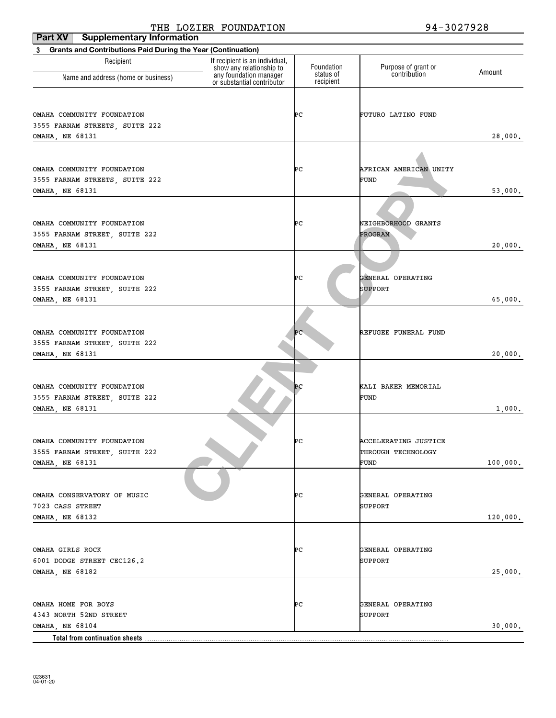| Part XV<br><b>Supplementary Information</b>                              |                                                            |                         |                                     |          |
|--------------------------------------------------------------------------|------------------------------------------------------------|-------------------------|-------------------------------------|----------|
| <b>Grants and Contributions Paid During the Year (Continuation)</b><br>3 |                                                            |                         |                                     |          |
| Recipient                                                                | If recipient is an individual,<br>show any relationship to | Foundation<br>status of | Purpose of grant or<br>contribution | Amount   |
| Name and address (home or business)                                      | any foundation manager<br>or substantial contributor       | recipient               |                                     |          |
|                                                                          |                                                            |                         |                                     |          |
| OMAHA COMMUNITY FOUNDATION                                               |                                                            | ÞС                      | FUTURO LATINO FUND                  |          |
| 3555 FARNAM STREETS, SUITE 222                                           |                                                            |                         |                                     |          |
| OMAHA, NE 68131                                                          |                                                            |                         |                                     | 28,000.  |
|                                                                          |                                                            |                         |                                     |          |
| OMAHA COMMUNITY FOUNDATION                                               |                                                            | ÞС                      | AFRICAN AMERICAN UNITY              |          |
| 3555 FARNAM STREETS, SUITE 222                                           |                                                            |                         | FUND                                |          |
| OMAHA, NE 68131                                                          |                                                            |                         |                                     | 53,000.  |
|                                                                          |                                                            |                         |                                     |          |
| OMAHA COMMUNITY FOUNDATION                                               |                                                            | ÞС                      | NEIGHBORHOOD GRANTS                 |          |
| 3555 FARNAM STREET, SUITE 222                                            |                                                            |                         | PROGRAM                             |          |
| OMAHA, NE 68131                                                          |                                                            |                         |                                     | 20,000.  |
|                                                                          |                                                            |                         |                                     |          |
| OMAHA COMMUNITY FOUNDATION                                               |                                                            | ÞС                      | GENERAL OPERATING                   |          |
| 3555 FARNAM STREET, SUITE 222                                            |                                                            |                         | SUPPORT                             |          |
| OMAHA, NE 68131                                                          |                                                            |                         |                                     | 65,000.  |
|                                                                          |                                                            |                         |                                     |          |
| OMAHA COMMUNITY FOUNDATION                                               |                                                            | ÞС                      | REFUGEE FUNERAL FUND                |          |
| 3555 FARNAM STREET, SUITE 222                                            |                                                            |                         |                                     |          |
| OMAHA, NE 68131                                                          |                                                            |                         |                                     | 20,000.  |
|                                                                          |                                                            |                         |                                     |          |
| OMAHA COMMUNITY FOUNDATION                                               |                                                            | ÞС                      | KALI BAKER MEMORIAL                 |          |
| 3555 FARNAM STREET, SUITE 222                                            |                                                            |                         | FUND                                |          |
| OMAHA, NE 68131                                                          |                                                            |                         |                                     | 1,000.   |
|                                                                          |                                                            |                         |                                     |          |
| OMAHA COMMUNITY FOUNDATION                                               |                                                            | ÞС                      | ACCELERATING JUSTICE                |          |
| 3555 FARNAM STREET, SUITE 222                                            |                                                            |                         | THROUGH TECHNOLOGY                  |          |
| OMAHA, NE 68131                                                          |                                                            |                         | FUND                                | 100,000. |
|                                                                          |                                                            |                         |                                     |          |
| OMAHA CONSERVATORY OF MUSIC                                              |                                                            | ÞС                      | GENERAL OPERATING                   |          |
| 7023 CASS STREET                                                         |                                                            |                         | SUPPORT                             |          |
| OMAHA, NE 68132                                                          |                                                            |                         |                                     | 120,000. |
|                                                                          |                                                            |                         |                                     |          |
| OMAHA GIRLS ROCK                                                         |                                                            | PС                      | GENERAL OPERATING                   |          |
| 6001 DODGE STREET CEC126.2                                               |                                                            |                         | SUPPORT                             |          |
| OMAHA, NE 68182                                                          |                                                            |                         |                                     | 25,000.  |
|                                                                          |                                                            |                         |                                     |          |
| OMAHA HOME FOR BOYS                                                      |                                                            | PС                      | GENERAL OPERATING                   |          |
| 4343 NORTH 52ND STREET                                                   |                                                            |                         | SUPPORT                             |          |
| OMAHA, NE 68104                                                          |                                                            |                         |                                     | 30,000.  |
| Total from continuation sheets.                                          |                                                            |                         |                                     |          |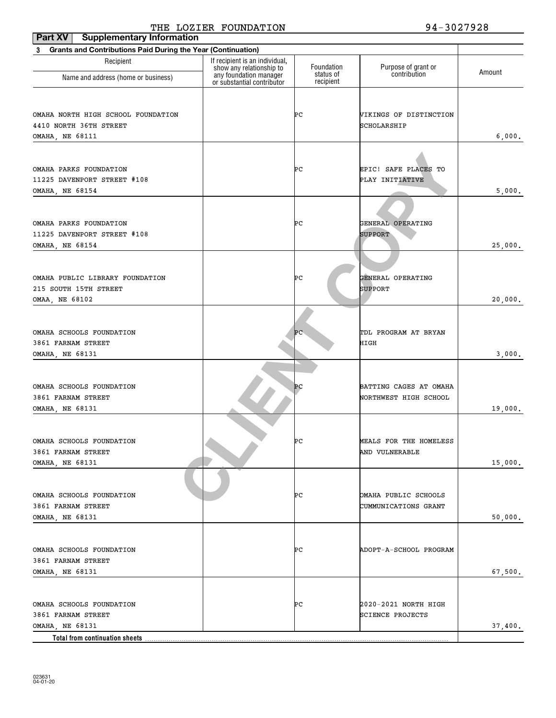| Part XV<br><b>Supplementary Information</b>                       |                                                            |                        |                                     |         |
|-------------------------------------------------------------------|------------------------------------------------------------|------------------------|-------------------------------------|---------|
| Grants and Contributions Paid During the Year (Continuation)<br>3 |                                                            |                        |                                     |         |
| Recipient                                                         | If recipient is an individual,<br>show any relationship to | Foundation             | Purpose of grant or<br>contribution | Amount  |
| Name and address (home or business)                               | any foundation manager<br>or substantial contributor       | status of<br>recipient |                                     |         |
|                                                                   |                                                            |                        |                                     |         |
| OMAHA NORTH HIGH SCHOOL FOUNDATION                                |                                                            | ÞС                     | VIKINGS OF DISTINCTION              |         |
| 4410 NORTH 36TH STREET                                            |                                                            |                        | SCHOLARSHIP                         |         |
| OMAHA, NE 68111                                                   |                                                            |                        |                                     | 6,000.  |
|                                                                   |                                                            |                        |                                     |         |
|                                                                   |                                                            | ÞС                     | EPIC! SAFE PLACES TO                |         |
| OMAHA PARKS FOUNDATION<br>11225 DAVENPORT STREET #108             |                                                            |                        | PLAY INITIATIVE                     |         |
| OMAHA, NE 68154                                                   |                                                            |                        |                                     | 5,000.  |
|                                                                   |                                                            |                        |                                     |         |
|                                                                   |                                                            |                        |                                     |         |
| OMAHA PARKS FOUNDATION                                            |                                                            | ÞС                     | GENERAL OPERATING                   |         |
| 11225 DAVENPORT STREET #108                                       |                                                            |                        | <b>SUPPORT</b>                      |         |
| OMAHA, NE 68154                                                   |                                                            |                        |                                     | 25,000. |
|                                                                   |                                                            |                        |                                     |         |
|                                                                   |                                                            |                        |                                     |         |
| OMAHA PUBLIC LIBRARY FOUNDATION                                   |                                                            | ÞС                     | GENERAL OPERATING                   |         |
| 215 SOUTH 15TH STREET                                             |                                                            |                        | SUPPORT                             |         |
| OMAA, NE 68102                                                    |                                                            |                        |                                     | 20,000. |
|                                                                   |                                                            |                        |                                     |         |
| OMAHA SCHOOLS FOUNDATION                                          |                                                            | ÞС                     | TDL PROGRAM AT BRYAN                |         |
| 3861 FARNAM STREET                                                |                                                            |                        | HIGH                                |         |
| OMAHA, NE 68131                                                   |                                                            |                        |                                     | 3,000.  |
|                                                                   |                                                            |                        |                                     |         |
|                                                                   |                                                            |                        |                                     |         |
| OMAHA SCHOOLS FOUNDATION                                          |                                                            | PC                     | BATTING CAGES AT OMAHA              |         |
| 3861 FARNAM STREET                                                |                                                            |                        | NORTHWEST HIGH SCHOOL               |         |
| OMAHA, NE 68131                                                   |                                                            |                        |                                     | 19,000. |
|                                                                   |                                                            |                        |                                     |         |
| OMAHA SCHOOLS FOUNDATION                                          |                                                            | ÞС                     | MEALS FOR THE HOMELESS              |         |
| 3861 FARNAM STREET                                                |                                                            |                        | AND VULNERABLE                      |         |
| OMAHA, NE 68131                                                   |                                                            |                        |                                     | 15,000. |
|                                                                   |                                                            |                        |                                     |         |
| OMAHA SCHOOLS FOUNDATION                                          |                                                            | PС                     | OMAHA PUBLIC SCHOOLS                |         |
| 3861 FARNAM STREET                                                |                                                            |                        | CUMMUNICATIONS GRANT                |         |
| OMAHA, NE 68131                                                   |                                                            |                        |                                     | 50,000. |
|                                                                   |                                                            |                        |                                     |         |
|                                                                   |                                                            |                        |                                     |         |
| OMAHA SCHOOLS FOUNDATION                                          |                                                            | PС                     | ADOPT-A-SCHOOL PROGRAM              |         |
| 3861 FARNAM STREET                                                |                                                            |                        |                                     |         |
| OMAHA, NE 68131                                                   |                                                            |                        |                                     | 67,500. |
|                                                                   |                                                            |                        |                                     |         |
| OMAHA SCHOOLS FOUNDATION                                          |                                                            | PС                     | 2020-2021 NORTH HIGH                |         |
| 3861 FARNAM STREET                                                |                                                            |                        | <b>SCIENCE PROJECTS</b>             |         |
| OMAHA, NE 68131                                                   |                                                            |                        |                                     | 37,400. |
| Total from continuation sheets                                    |                                                            |                        |                                     |         |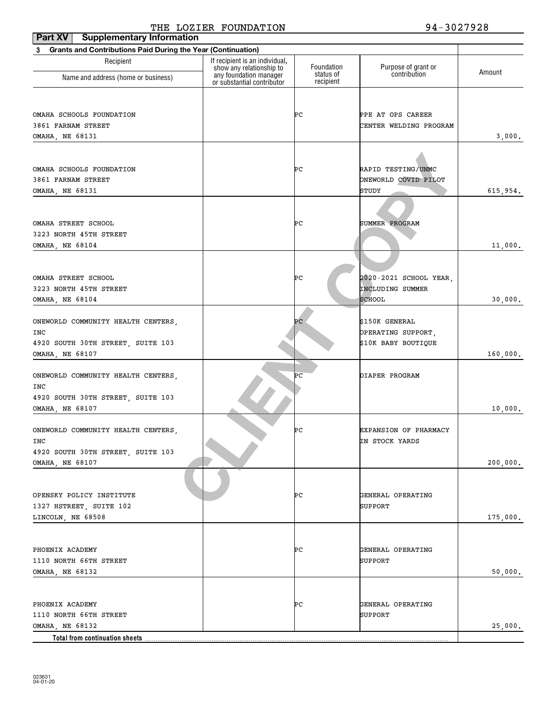| Part XV<br><b>Supplementary Information</b>                              |                                                                                      |                         |                                           |          |
|--------------------------------------------------------------------------|--------------------------------------------------------------------------------------|-------------------------|-------------------------------------------|----------|
| <b>Grants and Contributions Paid During the Year (Continuation)</b><br>3 |                                                                                      |                         |                                           |          |
| Recipient                                                                | If recipient is an individual,<br>show any relationship to<br>any foundation manager | Foundation<br>status of | Purpose of grant or<br>contribution       | Amount   |
| Name and address (home or business)                                      | or substantial contributor                                                           | recipient               |                                           |          |
|                                                                          |                                                                                      |                         |                                           |          |
| OMAHA SCHOOLS FOUNDATION                                                 |                                                                                      | ÞС                      | PPE AT OPS CAREER                         |          |
| 3861 FARNAM STREET                                                       |                                                                                      |                         | CENTER WELDING PROGRAM                    |          |
| <b>OMAHA, NE 68131</b>                                                   |                                                                                      |                         |                                           | 3,000.   |
|                                                                          |                                                                                      |                         |                                           |          |
| OMAHA SCHOOLS FOUNDATION                                                 |                                                                                      | ÞС                      | RAPID TESTING/UNMC                        |          |
| 3861 FARNAM STREET                                                       |                                                                                      |                         | ONEWORLD COVID PILOT                      |          |
| OMAHA, NE 68131                                                          |                                                                                      |                         | STUDY                                     | 615,954. |
|                                                                          |                                                                                      |                         |                                           |          |
| OMAHA STREET SCHOOL                                                      |                                                                                      | ÞС                      | SUMMER PROGRAM                            |          |
| 3223 NORTH 45TH STREET                                                   |                                                                                      |                         |                                           |          |
| OMAHA, NE 68104                                                          |                                                                                      |                         |                                           | 11,000.  |
|                                                                          |                                                                                      |                         |                                           |          |
| OMAHA STREET SCHOOL                                                      |                                                                                      | ÞС                      | 2020-2021 SCHOOL YEAR.                    |          |
| 3223 NORTH 45TH STREET                                                   |                                                                                      |                         | INCLUDING SUMMER                          |          |
| OMAHA, NE 68104                                                          |                                                                                      |                         | SCHOOL                                    | 30,000.  |
|                                                                          |                                                                                      |                         |                                           |          |
| ONEWORLD COMMUNITY HEALTH CENTERS,                                       |                                                                                      | ÞС                      | \$150K GENERAL                            |          |
| <b>INC</b><br>4920 SOUTH 30TH STREET, SUITE 103                          |                                                                                      |                         | OPERATING SUPPORT,<br>\$10K BABY BOUTIQUE |          |
| OMAHA, NE 68107                                                          |                                                                                      |                         |                                           | 160,000. |
|                                                                          |                                                                                      |                         |                                           |          |
| ONEWORLD COMMUNITY HEALTH CENTERS,                                       |                                                                                      | ÞС                      | DIAPER PROGRAM                            |          |
| <b>INC</b>                                                               |                                                                                      |                         |                                           |          |
| 4920 SOUTH 30TH STREET, SUITE 103<br>OMAHA, NE 68107                     |                                                                                      |                         |                                           | 10,000.  |
|                                                                          |                                                                                      |                         |                                           |          |
| ONEWORLD COMMUNITY HEALTH CENTERS,                                       |                                                                                      | ÞС                      | EXPANSION OF PHARMACY                     |          |
| <b>INC</b>                                                               |                                                                                      |                         | IN STOCK YARDS                            |          |
| 4920 SOUTH 30TH STREET, SUITE 103<br>OMAHA, NE 68107                     |                                                                                      |                         |                                           | 200,000. |
|                                                                          |                                                                                      |                         |                                           |          |
|                                                                          |                                                                                      |                         |                                           |          |
| OPENSKY POLICY INSTITUTE                                                 |                                                                                      | ÞС                      | GENERAL OPERATING                         |          |
| 1327 HSTREET, SUITE 102                                                  |                                                                                      |                         | SUPPORT                                   |          |
| LINCOLN, NE 68508                                                        |                                                                                      |                         |                                           | 175,000. |
|                                                                          |                                                                                      |                         |                                           |          |
| PHOENIX ACADEMY                                                          |                                                                                      | ÞС                      | GENERAL OPERATING                         |          |
| 1110 NORTH 66TH STREET                                                   |                                                                                      |                         | SUPPORT                                   |          |
| OMAHA, NE 68132                                                          |                                                                                      |                         |                                           | 50,000.  |
|                                                                          |                                                                                      |                         |                                           |          |
| PHOENIX ACADEMY                                                          |                                                                                      | ÞС                      | GENERAL OPERATING                         |          |
| 1110 NORTH 66TH STREET                                                   |                                                                                      |                         | SUPPORT                                   |          |
| OMAHA, NE 68132                                                          |                                                                                      |                         |                                           | 25,000.  |
| Total from continuation sheets                                           |                                                                                      |                         |                                           |          |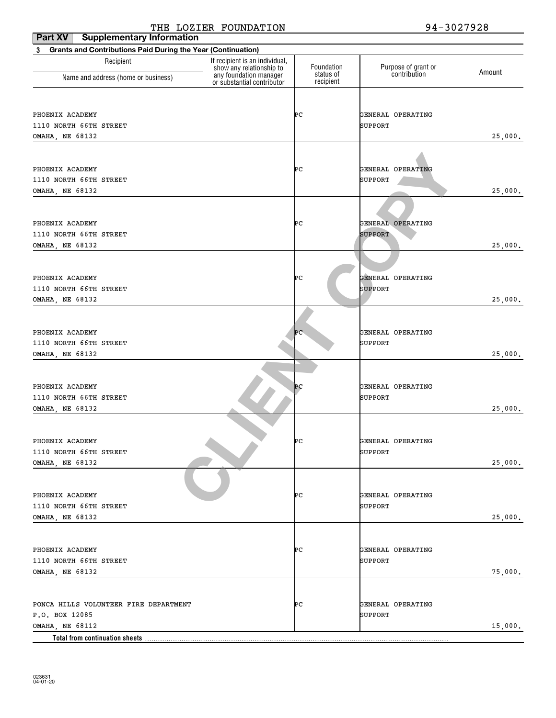| Part XV<br><b>Supplementary Information</b>                       |                                                            |                        |                                     |         |
|-------------------------------------------------------------------|------------------------------------------------------------|------------------------|-------------------------------------|---------|
| Grants and Contributions Paid During the Year (Continuation)<br>3 |                                                            |                        |                                     |         |
| Recipient                                                         | If recipient is an individual,<br>show any relationship to | Foundation             | Purpose of grant or<br>contribution | Amount  |
| Name and address (home or business)                               | any foundation manager<br>or substantial contributor       | status of<br>recipient |                                     |         |
|                                                                   |                                                            |                        |                                     |         |
| PHOENIX ACADEMY                                                   |                                                            | PС                     | GENERAL OPERATING                   |         |
| 1110 NORTH 66TH STREET                                            |                                                            |                        | SUPPORT                             |         |
| OMAHA, NE 68132                                                   |                                                            |                        |                                     | 25,000. |
|                                                                   |                                                            |                        |                                     |         |
| PHOENIX ACADEMY                                                   |                                                            | PС                     | GENERAL OPERATING                   |         |
| 1110 NORTH 66TH STREET                                            |                                                            |                        | SUPPORT                             |         |
| OMAHA, NE 68132                                                   |                                                            |                        |                                     | 25,000. |
|                                                                   |                                                            |                        |                                     |         |
| PHOENIX ACADEMY                                                   |                                                            | PС                     | GENERAL OPERATING                   |         |
| 1110 NORTH 66TH STREET                                            |                                                            |                        | <b>SUPPORT</b>                      |         |
| OMAHA, NE 68132                                                   |                                                            |                        |                                     | 25,000. |
|                                                                   |                                                            |                        |                                     |         |
|                                                                   |                                                            |                        |                                     |         |
| PHOENIX ACADEMY                                                   |                                                            | ÞС                     | GENERAL OPERATING                   |         |
| 1110 NORTH 66TH STREET                                            |                                                            |                        | <b>SUPPORT</b>                      |         |
| OMAHA, NE 68132                                                   |                                                            |                        |                                     | 25,000. |
|                                                                   |                                                            |                        |                                     |         |
| PHOENIX ACADEMY                                                   |                                                            | ÞС                     | GENERAL OPERATING                   |         |
| 1110 NORTH 66TH STREET                                            |                                                            |                        | SUPPORT                             |         |
| OMAHA, NE 68132                                                   |                                                            |                        |                                     | 25,000. |
|                                                                   |                                                            |                        |                                     |         |
|                                                                   |                                                            |                        |                                     |         |
| PHOENIX ACADEMY                                                   |                                                            | Þс                     | GENERAL OPERATING                   |         |
| 1110 NORTH 66TH STREET                                            |                                                            |                        | SUPPORT                             |         |
| OMAHA, NE 68132                                                   |                                                            |                        |                                     | 25,000. |
|                                                                   |                                                            |                        |                                     |         |
| PHOENIX ACADEMY                                                   |                                                            | ÞС                     | GENERAL OPERATING                   |         |
| 1110 NORTH 66TH STREET                                            |                                                            |                        | SUPPORT                             |         |
| OMAHA, NE 68132                                                   |                                                            |                        |                                     | 25,000. |
|                                                                   |                                                            |                        |                                     |         |
| PHOENIX ACADEMY                                                   |                                                            | PС                     | GENERAL OPERATING                   |         |
| 1110 NORTH 66TH STREET                                            |                                                            |                        | SUPPORT                             |         |
| OMAHA, NE 68132                                                   |                                                            |                        |                                     | 25,000. |
|                                                                   |                                                            |                        |                                     |         |
| PHOENIX ACADEMY                                                   |                                                            | PС                     | GENERAL OPERATING                   |         |
| 1110 NORTH 66TH STREET                                            |                                                            |                        | SUPPORT                             |         |
| OMAHA, NE 68132                                                   |                                                            |                        |                                     | 75,000. |
|                                                                   |                                                            |                        |                                     |         |
|                                                                   |                                                            |                        |                                     |         |
| PONCA HILLS VOLUNTEER FIRE DEPARTMENT<br>P.O. BOX 12085           |                                                            | PС                     | GENERAL OPERATING<br>SUPPORT        |         |
| OMAHA, NE 68112                                                   |                                                            |                        |                                     | 15,000. |
| Total from continuation sheets                                    |                                                            |                        |                                     |         |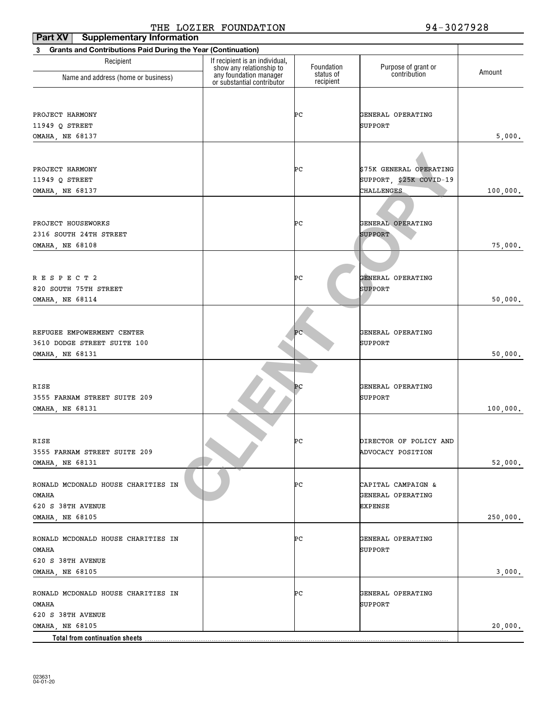| Part XV<br><b>Supplementary Information</b>                              |                                                                                      |                         |                                     |          |
|--------------------------------------------------------------------------|--------------------------------------------------------------------------------------|-------------------------|-------------------------------------|----------|
| <b>Grants and Contributions Paid During the Year (Continuation)</b><br>3 |                                                                                      |                         |                                     |          |
| Recipient                                                                | If recipient is an individual,<br>show any relationship to<br>any foundation manager | Foundation<br>status of | Purpose of grant or<br>contribution | Amount   |
| Name and address (home or business)                                      | or substantial contributor                                                           | recipient               |                                     |          |
|                                                                          |                                                                                      |                         |                                     |          |
| PROJECT HARMONY                                                          |                                                                                      | ÞС                      | GENERAL OPERATING                   |          |
| 11949 Q STREET                                                           |                                                                                      |                         | SUPPORT                             |          |
| OMAHA, NE 68137                                                          |                                                                                      |                         |                                     | 5,000.   |
|                                                                          |                                                                                      |                         |                                     |          |
| PROJECT HARMONY                                                          |                                                                                      | ÞС                      | \$75K GENERAL OPERATING             |          |
| 11949 Q STREET                                                           |                                                                                      |                         | SUPPORT, \$25K COVID-19             |          |
| OMAHA, NE 68137                                                          |                                                                                      |                         | CHALLENGES                          | 100,000. |
|                                                                          |                                                                                      |                         |                                     |          |
|                                                                          |                                                                                      |                         |                                     |          |
| PROJECT HOUSEWORKS<br>2316 SOUTH 24TH STREET                             |                                                                                      | ÞС                      | GENERAL OPERATING<br><b>SUPPORT</b> |          |
| OMAHA, NE 68108                                                          |                                                                                      |                         |                                     | 75,000.  |
|                                                                          |                                                                                      |                         |                                     |          |
|                                                                          |                                                                                      |                         |                                     |          |
| RESPECT 2                                                                |                                                                                      | ÞС                      | GENERAL OPERATING                   |          |
| 820 SOUTH 75TH STREET                                                    |                                                                                      |                         | SUPPORT                             |          |
| OMAHA, NE 68114                                                          |                                                                                      |                         |                                     | 50,000.  |
|                                                                          |                                                                                      |                         |                                     |          |
| REFUGEE EMPOWERMENT CENTER                                               |                                                                                      | ÞС                      | GENERAL OPERATING                   |          |
| 3610 DODGE STREET SUITE 100                                              |                                                                                      |                         | SUPPORT                             |          |
| OMAHA, NE 68131                                                          |                                                                                      |                         |                                     | 50,000.  |
|                                                                          |                                                                                      |                         |                                     |          |
| RISE                                                                     |                                                                                      | P <sub>C</sub>          | GENERAL OPERATING                   |          |
| 3555 FARNAM STREET SUITE 209                                             |                                                                                      |                         | SUPPORT                             |          |
| OMAHA, NE 68131                                                          |                                                                                      |                         |                                     | 100,000. |
|                                                                          |                                                                                      |                         |                                     |          |
|                                                                          |                                                                                      |                         |                                     |          |
| RISE                                                                     |                                                                                      | ÞС                      | DIRECTOR OF POLICY AND              |          |
| 3555 FARNAM STREET SUITE 209<br><b>OMAHA, NE 68131</b>                   |                                                                                      |                         | ADVOCACY POSITION                   | 52,000.  |
|                                                                          |                                                                                      |                         |                                     |          |
| RONALD MCDONALD HOUSE CHARITIES IN                                       |                                                                                      | ÞС                      | CAPITAL CAMPAIGN &                  |          |
| OMAHA                                                                    |                                                                                      |                         | GENERAL OPERATING                   |          |
| 620 S 38TH AVENUE                                                        |                                                                                      |                         | EXPENSE                             |          |
| OMAHA, NE 68105                                                          |                                                                                      |                         |                                     | 250,000. |
| RONALD MCDONALD HOUSE CHARITIES IN                                       |                                                                                      | ÞС                      | GENERAL OPERATING                   |          |
| <b>OMAHA</b>                                                             |                                                                                      |                         | SUPPORT                             |          |
| 620 S 38TH AVENUE                                                        |                                                                                      |                         |                                     |          |
| OMAHA, NE 68105                                                          |                                                                                      |                         |                                     | 3,000.   |
|                                                                          |                                                                                      |                         |                                     |          |
| RONALD MCDONALD HOUSE CHARITIES IN                                       |                                                                                      | ÞС                      | GENERAL OPERATING                   |          |
| <b>OMAHA</b><br>620 S 38TH AVENUE                                        |                                                                                      |                         | SUPPORT                             |          |
| OMAHA, NE 68105                                                          |                                                                                      |                         |                                     | 20,000.  |
| Total from continuation sheets                                           |                                                                                      |                         |                                     |          |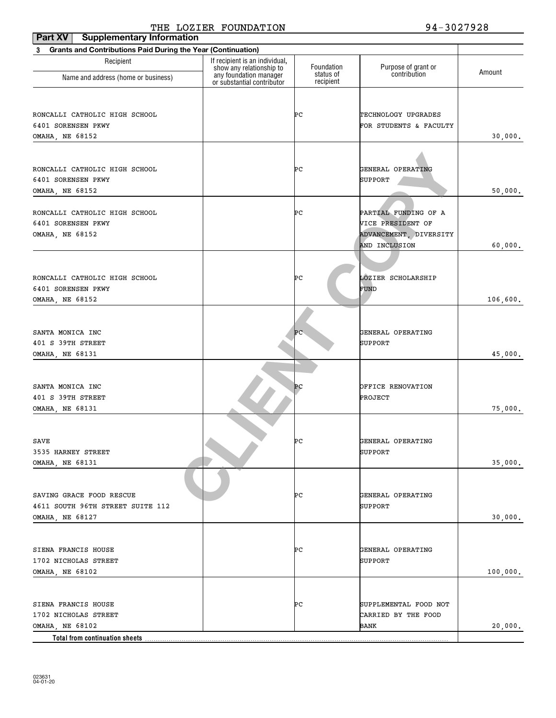| <b>Grants and Contributions Paid During the Year (Continuation)</b><br>3<br>If recipient is an individual,<br>Recipient<br>Foundation<br>Purpose of grant or<br>show any relationship to<br>Amount<br>contribution<br>status of<br>any foundation manager<br>Name and address (home or business)<br>recipient<br>or substantial contributor<br>RONCALLI CATHOLIC HIGH SCHOOL<br>ÞС<br>TECHNOLOGY UPGRADES<br>6401 SORENSEN PKWY<br>FOR STUDENTS & FACULTY<br>30,000.<br>OMAHA, NE 68152<br>ÞС<br>GENERAL OPERATING<br>6401 SORENSEN PKWY<br>SUPPORT<br>50,000.<br>PARTIAL FUNDING OF A<br>RONCALLI CATHOLIC HIGH SCHOOL<br>ÞС<br>VICE PRESIDENT OF<br>6401 SORENSEN PKWY<br>ADVANCEMENT, DIVERSITY<br>AND INCLUSION<br>60,000.<br>LOZIER SCHOLARSHIP<br>RONCALLI CATHOLIC HIGH SCHOOL<br>ÞС<br>FUND<br>6401 SORENSEN PKWY<br>106,600.<br>OMAHA, NE 68152<br>GENERAL OPERATING<br>ÞС<br>401 S 39TH STREET<br>SUPPORT<br>45,000.<br>OMAHA, NE 68131<br>ÞС<br>OFFICE RENOVATION<br>401 S 39TH STREET<br>PROJECT<br>75,000.<br>OMAHA, NE 68131<br>ÞС<br>GENERAL OPERATING<br>SUPPORT<br>35,000.<br>SAVING GRACE FOOD RESCUE<br>ÞС<br>GENERAL OPERATING<br>4611 SOUTH 96TH STREET SUITE 112<br>SUPPORT<br>30,000.<br>SIENA FRANCIS HOUSE<br>ÞС<br>GENERAL OPERATING<br>1702 NICHOLAS STREET<br>SUPPORT<br>OMAHA, NE 68102<br>100,000.<br>ÞС<br>SUPPLEMENTAL FOOD NOT<br>CARRIED BY THE FOOD<br>OMAHA, NE 68102<br>20,000.<br>BANK<br><b>Total from continuation sheets</b> | Part XV<br><b>Supplementary Information</b> |  |  |
|-----------------------------------------------------------------------------------------------------------------------------------------------------------------------------------------------------------------------------------------------------------------------------------------------------------------------------------------------------------------------------------------------------------------------------------------------------------------------------------------------------------------------------------------------------------------------------------------------------------------------------------------------------------------------------------------------------------------------------------------------------------------------------------------------------------------------------------------------------------------------------------------------------------------------------------------------------------------------------------------------------------------------------------------------------------------------------------------------------------------------------------------------------------------------------------------------------------------------------------------------------------------------------------------------------------------------------------------------------------------------------------------------------------------------------------------------------------------------|---------------------------------------------|--|--|
|                                                                                                                                                                                                                                                                                                                                                                                                                                                                                                                                                                                                                                                                                                                                                                                                                                                                                                                                                                                                                                                                                                                                                                                                                                                                                                                                                                                                                                                                       |                                             |  |  |
|                                                                                                                                                                                                                                                                                                                                                                                                                                                                                                                                                                                                                                                                                                                                                                                                                                                                                                                                                                                                                                                                                                                                                                                                                                                                                                                                                                                                                                                                       |                                             |  |  |
|                                                                                                                                                                                                                                                                                                                                                                                                                                                                                                                                                                                                                                                                                                                                                                                                                                                                                                                                                                                                                                                                                                                                                                                                                                                                                                                                                                                                                                                                       |                                             |  |  |
|                                                                                                                                                                                                                                                                                                                                                                                                                                                                                                                                                                                                                                                                                                                                                                                                                                                                                                                                                                                                                                                                                                                                                                                                                                                                                                                                                                                                                                                                       |                                             |  |  |
|                                                                                                                                                                                                                                                                                                                                                                                                                                                                                                                                                                                                                                                                                                                                                                                                                                                                                                                                                                                                                                                                                                                                                                                                                                                                                                                                                                                                                                                                       |                                             |  |  |
|                                                                                                                                                                                                                                                                                                                                                                                                                                                                                                                                                                                                                                                                                                                                                                                                                                                                                                                                                                                                                                                                                                                                                                                                                                                                                                                                                                                                                                                                       |                                             |  |  |
|                                                                                                                                                                                                                                                                                                                                                                                                                                                                                                                                                                                                                                                                                                                                                                                                                                                                                                                                                                                                                                                                                                                                                                                                                                                                                                                                                                                                                                                                       |                                             |  |  |
|                                                                                                                                                                                                                                                                                                                                                                                                                                                                                                                                                                                                                                                                                                                                                                                                                                                                                                                                                                                                                                                                                                                                                                                                                                                                                                                                                                                                                                                                       |                                             |  |  |
|                                                                                                                                                                                                                                                                                                                                                                                                                                                                                                                                                                                                                                                                                                                                                                                                                                                                                                                                                                                                                                                                                                                                                                                                                                                                                                                                                                                                                                                                       | RONCALLI CATHOLIC HIGH SCHOOL               |  |  |
|                                                                                                                                                                                                                                                                                                                                                                                                                                                                                                                                                                                                                                                                                                                                                                                                                                                                                                                                                                                                                                                                                                                                                                                                                                                                                                                                                                                                                                                                       |                                             |  |  |
|                                                                                                                                                                                                                                                                                                                                                                                                                                                                                                                                                                                                                                                                                                                                                                                                                                                                                                                                                                                                                                                                                                                                                                                                                                                                                                                                                                                                                                                                       | OMAHA, NE 68152                             |  |  |
|                                                                                                                                                                                                                                                                                                                                                                                                                                                                                                                                                                                                                                                                                                                                                                                                                                                                                                                                                                                                                                                                                                                                                                                                                                                                                                                                                                                                                                                                       |                                             |  |  |
|                                                                                                                                                                                                                                                                                                                                                                                                                                                                                                                                                                                                                                                                                                                                                                                                                                                                                                                                                                                                                                                                                                                                                                                                                                                                                                                                                                                                                                                                       |                                             |  |  |
|                                                                                                                                                                                                                                                                                                                                                                                                                                                                                                                                                                                                                                                                                                                                                                                                                                                                                                                                                                                                                                                                                                                                                                                                                                                                                                                                                                                                                                                                       | OMAHA, NE 68152                             |  |  |
|                                                                                                                                                                                                                                                                                                                                                                                                                                                                                                                                                                                                                                                                                                                                                                                                                                                                                                                                                                                                                                                                                                                                                                                                                                                                                                                                                                                                                                                                       |                                             |  |  |
|                                                                                                                                                                                                                                                                                                                                                                                                                                                                                                                                                                                                                                                                                                                                                                                                                                                                                                                                                                                                                                                                                                                                                                                                                                                                                                                                                                                                                                                                       |                                             |  |  |
|                                                                                                                                                                                                                                                                                                                                                                                                                                                                                                                                                                                                                                                                                                                                                                                                                                                                                                                                                                                                                                                                                                                                                                                                                                                                                                                                                                                                                                                                       |                                             |  |  |
|                                                                                                                                                                                                                                                                                                                                                                                                                                                                                                                                                                                                                                                                                                                                                                                                                                                                                                                                                                                                                                                                                                                                                                                                                                                                                                                                                                                                                                                                       |                                             |  |  |
|                                                                                                                                                                                                                                                                                                                                                                                                                                                                                                                                                                                                                                                                                                                                                                                                                                                                                                                                                                                                                                                                                                                                                                                                                                                                                                                                                                                                                                                                       |                                             |  |  |
|                                                                                                                                                                                                                                                                                                                                                                                                                                                                                                                                                                                                                                                                                                                                                                                                                                                                                                                                                                                                                                                                                                                                                                                                                                                                                                                                                                                                                                                                       |                                             |  |  |
|                                                                                                                                                                                                                                                                                                                                                                                                                                                                                                                                                                                                                                                                                                                                                                                                                                                                                                                                                                                                                                                                                                                                                                                                                                                                                                                                                                                                                                                                       |                                             |  |  |
|                                                                                                                                                                                                                                                                                                                                                                                                                                                                                                                                                                                                                                                                                                                                                                                                                                                                                                                                                                                                                                                                                                                                                                                                                                                                                                                                                                                                                                                                       | SANTA MONICA INC                            |  |  |
|                                                                                                                                                                                                                                                                                                                                                                                                                                                                                                                                                                                                                                                                                                                                                                                                                                                                                                                                                                                                                                                                                                                                                                                                                                                                                                                                                                                                                                                                       |                                             |  |  |
|                                                                                                                                                                                                                                                                                                                                                                                                                                                                                                                                                                                                                                                                                                                                                                                                                                                                                                                                                                                                                                                                                                                                                                                                                                                                                                                                                                                                                                                                       |                                             |  |  |
|                                                                                                                                                                                                                                                                                                                                                                                                                                                                                                                                                                                                                                                                                                                                                                                                                                                                                                                                                                                                                                                                                                                                                                                                                                                                                                                                                                                                                                                                       |                                             |  |  |
|                                                                                                                                                                                                                                                                                                                                                                                                                                                                                                                                                                                                                                                                                                                                                                                                                                                                                                                                                                                                                                                                                                                                                                                                                                                                                                                                                                                                                                                                       | SANTA MONICA INC                            |  |  |
|                                                                                                                                                                                                                                                                                                                                                                                                                                                                                                                                                                                                                                                                                                                                                                                                                                                                                                                                                                                                                                                                                                                                                                                                                                                                                                                                                                                                                                                                       |                                             |  |  |
|                                                                                                                                                                                                                                                                                                                                                                                                                                                                                                                                                                                                                                                                                                                                                                                                                                                                                                                                                                                                                                                                                                                                                                                                                                                                                                                                                                                                                                                                       |                                             |  |  |
|                                                                                                                                                                                                                                                                                                                                                                                                                                                                                                                                                                                                                                                                                                                                                                                                                                                                                                                                                                                                                                                                                                                                                                                                                                                                                                                                                                                                                                                                       |                                             |  |  |
|                                                                                                                                                                                                                                                                                                                                                                                                                                                                                                                                                                                                                                                                                                                                                                                                                                                                                                                                                                                                                                                                                                                                                                                                                                                                                                                                                                                                                                                                       | SAVE                                        |  |  |
|                                                                                                                                                                                                                                                                                                                                                                                                                                                                                                                                                                                                                                                                                                                                                                                                                                                                                                                                                                                                                                                                                                                                                                                                                                                                                                                                                                                                                                                                       | 3535 HARNEY STREET                          |  |  |
|                                                                                                                                                                                                                                                                                                                                                                                                                                                                                                                                                                                                                                                                                                                                                                                                                                                                                                                                                                                                                                                                                                                                                                                                                                                                                                                                                                                                                                                                       | OMAHA, NE 68131                             |  |  |
|                                                                                                                                                                                                                                                                                                                                                                                                                                                                                                                                                                                                                                                                                                                                                                                                                                                                                                                                                                                                                                                                                                                                                                                                                                                                                                                                                                                                                                                                       |                                             |  |  |
|                                                                                                                                                                                                                                                                                                                                                                                                                                                                                                                                                                                                                                                                                                                                                                                                                                                                                                                                                                                                                                                                                                                                                                                                                                                                                                                                                                                                                                                                       |                                             |  |  |
|                                                                                                                                                                                                                                                                                                                                                                                                                                                                                                                                                                                                                                                                                                                                                                                                                                                                                                                                                                                                                                                                                                                                                                                                                                                                                                                                                                                                                                                                       |                                             |  |  |
|                                                                                                                                                                                                                                                                                                                                                                                                                                                                                                                                                                                                                                                                                                                                                                                                                                                                                                                                                                                                                                                                                                                                                                                                                                                                                                                                                                                                                                                                       | OMAHA, NE 68127                             |  |  |
|                                                                                                                                                                                                                                                                                                                                                                                                                                                                                                                                                                                                                                                                                                                                                                                                                                                                                                                                                                                                                                                                                                                                                                                                                                                                                                                                                                                                                                                                       |                                             |  |  |
|                                                                                                                                                                                                                                                                                                                                                                                                                                                                                                                                                                                                                                                                                                                                                                                                                                                                                                                                                                                                                                                                                                                                                                                                                                                                                                                                                                                                                                                                       |                                             |  |  |
|                                                                                                                                                                                                                                                                                                                                                                                                                                                                                                                                                                                                                                                                                                                                                                                                                                                                                                                                                                                                                                                                                                                                                                                                                                                                                                                                                                                                                                                                       |                                             |  |  |
|                                                                                                                                                                                                                                                                                                                                                                                                                                                                                                                                                                                                                                                                                                                                                                                                                                                                                                                                                                                                                                                                                                                                                                                                                                                                                                                                                                                                                                                                       |                                             |  |  |
|                                                                                                                                                                                                                                                                                                                                                                                                                                                                                                                                                                                                                                                                                                                                                                                                                                                                                                                                                                                                                                                                                                                                                                                                                                                                                                                                                                                                                                                                       |                                             |  |  |
|                                                                                                                                                                                                                                                                                                                                                                                                                                                                                                                                                                                                                                                                                                                                                                                                                                                                                                                                                                                                                                                                                                                                                                                                                                                                                                                                                                                                                                                                       |                                             |  |  |
|                                                                                                                                                                                                                                                                                                                                                                                                                                                                                                                                                                                                                                                                                                                                                                                                                                                                                                                                                                                                                                                                                                                                                                                                                                                                                                                                                                                                                                                                       | SIENA FRANCIS HOUSE                         |  |  |
|                                                                                                                                                                                                                                                                                                                                                                                                                                                                                                                                                                                                                                                                                                                                                                                                                                                                                                                                                                                                                                                                                                                                                                                                                                                                                                                                                                                                                                                                       | 1702 NICHOLAS STREET                        |  |  |
|                                                                                                                                                                                                                                                                                                                                                                                                                                                                                                                                                                                                                                                                                                                                                                                                                                                                                                                                                                                                                                                                                                                                                                                                                                                                                                                                                                                                                                                                       |                                             |  |  |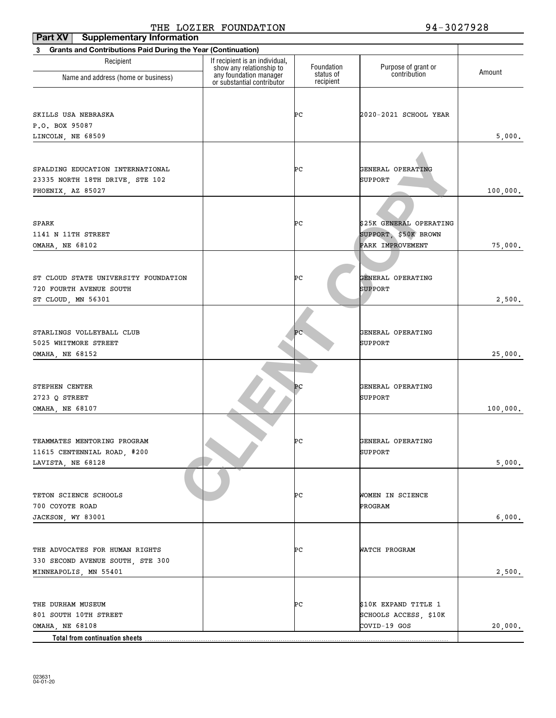| Part XV<br><b>Supplementary Information</b>                              |                                                    |                         |                                     |          |
|--------------------------------------------------------------------------|----------------------------------------------------|-------------------------|-------------------------------------|----------|
| <b>Grants and Contributions Paid During the Year (Continuation)</b><br>3 |                                                    |                         |                                     |          |
| Recipient                                                                | If recipient is an individual,                     |                         |                                     |          |
|                                                                          | show any relationship to<br>any foundation manager | Foundation<br>status of | Purpose of grant or<br>contribution | Amount   |
| Name and address (home or business)                                      | or substantial contributor                         | recipient               |                                     |          |
|                                                                          |                                                    |                         |                                     |          |
| SKILLS USA NEBRASKA                                                      |                                                    | ÞС                      | 2020-2021 SCHOOL YEAR               |          |
| P.O. BOX 95087                                                           |                                                    |                         |                                     |          |
| LINCOLN, NE 68509                                                        |                                                    |                         |                                     | 5,000.   |
|                                                                          |                                                    |                         |                                     |          |
|                                                                          |                                                    |                         |                                     |          |
| SPALDING EDUCATION INTERNATIONAL                                         |                                                    | ÞС                      | GENERAL OPERATING                   |          |
| 23335 NORTH 18TH DRIVE, STE 102                                          |                                                    |                         | SUPPORT                             |          |
| PHOENIX, AZ 85027                                                        |                                                    |                         |                                     | 100,000. |
|                                                                          |                                                    |                         |                                     |          |
|                                                                          |                                                    |                         |                                     |          |
| SPARK                                                                    |                                                    | ÞС                      | \$25K GENERAL OPERATING             |          |
| 1141 N 11TH STREET                                                       |                                                    |                         | SUPPORT, \$50K BROWN                |          |
| OMAHA, NE 68102                                                          |                                                    |                         | PARK IMPROVEMENT                    | 75,000.  |
|                                                                          |                                                    |                         |                                     |          |
| ST CLOUD STATE UNIVERSITY FOUNDATION                                     |                                                    | ÞС                      | GENERAL OPERATING                   |          |
| 720 FOURTH AVENUE SOUTH                                                  |                                                    |                         | <b>SUPPORT</b>                      |          |
| ST CLOUD, MN 56301                                                       |                                                    |                         |                                     | 2,500.   |
|                                                                          |                                                    |                         |                                     |          |
|                                                                          |                                                    |                         |                                     |          |
| STARLINGS VOLLEYBALL CLUB                                                |                                                    | ÞС                      | GENERAL OPERATING                   |          |
| 5025 WHITMORE STREET                                                     |                                                    |                         | SUPPORT                             |          |
| OMAHA, NE 68152                                                          |                                                    |                         |                                     | 25,000.  |
|                                                                          |                                                    |                         |                                     |          |
|                                                                          |                                                    |                         |                                     |          |
| STEPHEN CENTER                                                           |                                                    | Þс                      | GENERAL OPERATING                   |          |
| 2723 Q STREET                                                            |                                                    |                         | SUPPORT                             |          |
| OMAHA, NE 68107                                                          |                                                    |                         |                                     | 100,000. |
|                                                                          |                                                    |                         |                                     |          |
| TEAMMATES MENTORING PROGRAM                                              |                                                    | ÞС                      | GENERAL OPERATING                   |          |
| 11615 CENTENNIAL ROAD, #200                                              |                                                    |                         | SUPPORT                             |          |
| LAVISTA, NE 68128                                                        |                                                    |                         |                                     | 5,000.   |
|                                                                          |                                                    |                         |                                     |          |
|                                                                          |                                                    |                         |                                     |          |
| TETON SCIENCE SCHOOLS                                                    |                                                    | PС                      | WOMEN IN SCIENCE                    |          |
| 700 COYOTE ROAD                                                          |                                                    |                         | PROGRAM                             |          |
| JACKSON, WY 83001                                                        |                                                    |                         |                                     | 6,000.   |
|                                                                          |                                                    |                         |                                     |          |
|                                                                          |                                                    |                         |                                     |          |
| THE ADVOCATES FOR HUMAN RIGHTS                                           |                                                    | PС                      | WATCH PROGRAM                       |          |
| 330 SECOND AVENUE SOUTH, STE 300                                         |                                                    |                         |                                     |          |
| MINNEAPOLIS, MN 55401                                                    |                                                    |                         |                                     | 2,500.   |
|                                                                          |                                                    |                         |                                     |          |
| THE DURHAM MUSEUM                                                        |                                                    | PС                      | \$10K EXPAND TITLE 1                |          |
| 801 SOUTH 10TH STREET                                                    |                                                    |                         | SCHOOLS ACCESS, \$10K               |          |
| OMAHA, NE 68108                                                          |                                                    |                         | COVID-19 GOS                        | 20,000.  |
| Total from continuation sheets                                           |                                                    |                         |                                     |          |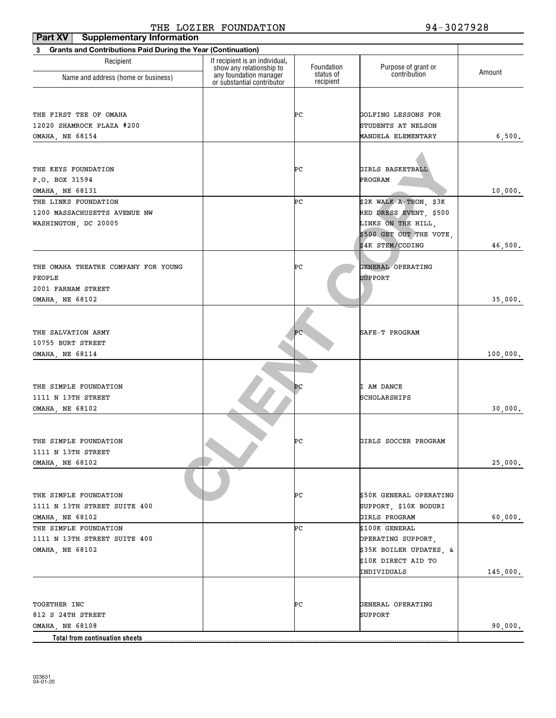| Part XV<br><b>Supplementary Information</b>                              |                                                    |                         |                                     |          |
|--------------------------------------------------------------------------|----------------------------------------------------|-------------------------|-------------------------------------|----------|
| <b>Grants and Contributions Paid During the Year (Continuation)</b><br>3 |                                                    |                         |                                     |          |
| Recipient                                                                | If recipient is an individual,                     |                         |                                     |          |
| Name and address (home or business)                                      | show any relationship to<br>any foundation manager | Foundation<br>status of | Purpose of grant or<br>contribution | Amount   |
|                                                                          | or substantial contributor                         | recipient               |                                     |          |
| THE FIRST TEE OF OMAHA                                                   |                                                    | ÞС                      | GOLFING LESSONS FOR                 |          |
| 12020 SHAMROCK PLAZA #200                                                |                                                    |                         | STUDENTS AT NELSON                  |          |
| OMAHA, NE 68154                                                          |                                                    |                         | MANDELA ELEMENTARY                  | 6,500.   |
|                                                                          |                                                    |                         |                                     |          |
| THE KEYS FOUNDATION                                                      |                                                    | ÞС                      | GIRLS BASKETBALL                    |          |
| P.O. BOX 31594                                                           |                                                    |                         | PROGRAM                             |          |
| OMAHA, NE 68131                                                          |                                                    |                         |                                     | 10,000.  |
| THE LINKS FOUNDATION                                                     |                                                    | ÞС                      | $$2K$ WALK-A-THON, $$3K$            |          |
| 1200 MASSACHUSETTS AVENUE NW                                             |                                                    |                         | RED DRESS EVENT, \$500              |          |
| WASHINGTON, DC 20005                                                     |                                                    |                         | LINKS ON THE HILL,                  |          |
|                                                                          |                                                    |                         | \$500 GET OUT THE VOTE,             |          |
|                                                                          |                                                    |                         | \$4K STEM/CODING                    | 46,500.  |
|                                                                          |                                                    |                         |                                     |          |
| THE OMAHA THEATRE COMPANY FOR YOUNG                                      |                                                    | ÞС                      | GENERAL OPERATING                   |          |
| PEOPLE                                                                   |                                                    |                         | <b>SUPPORT</b>                      |          |
| 2001 FARNAM STREET                                                       |                                                    |                         |                                     |          |
|                                                                          |                                                    |                         |                                     |          |
| OMAHA, NE 68102                                                          |                                                    |                         |                                     | 35,000.  |
|                                                                          |                                                    |                         |                                     |          |
| THE SALVATION ARMY                                                       |                                                    | ÞС                      | SAFE-T PROGRAM                      |          |
| 10755 BURT STREET                                                        |                                                    |                         |                                     |          |
| OMAHA, NE 68114                                                          |                                                    |                         |                                     | 100,000. |
|                                                                          |                                                    |                         |                                     |          |
|                                                                          |                                                    |                         |                                     |          |
| THE SIMPLE FOUNDATION                                                    |                                                    | ÞС                      | I AM DANCE                          |          |
| 1111 N 13TH STREET                                                       |                                                    |                         | SCHOLARSHIPS                        |          |
| OMAHA, NE 68102                                                          |                                                    |                         |                                     | 30,000.  |
|                                                                          |                                                    |                         |                                     |          |
| THE SIMPLE FOUNDATION                                                    |                                                    | ÞС                      | GIRLS SOCCER PROGRAM                |          |
| 1111 N 13TH STREET                                                       |                                                    |                         |                                     |          |
| OMAHA, NE 68102                                                          |                                                    |                         |                                     | 25,000.  |
|                                                                          |                                                    |                         |                                     |          |
|                                                                          |                                                    |                         |                                     |          |
| THE SIMPLE FOUNDATION                                                    |                                                    | ÞС                      | \$50K GENERAL OPERATING             |          |
| 1111 N 13TH STREET SUITE 400                                             |                                                    |                         | SUPPORT, \$10K BODURI               |          |
| OMAHA, NE 68102                                                          |                                                    |                         | GIRLS PROGRAM                       | 60,000.  |
| THE SIMPLE FOUNDATION                                                    |                                                    | ÞС                      | \$100K GENERAL                      |          |
| 1111 N 13TH STREET SUITE 400                                             |                                                    |                         | OPERATING SUPPORT,                  |          |
| OMAHA, NE 68102                                                          |                                                    |                         | \$35K BOILER UPDATES, &             |          |
|                                                                          |                                                    |                         | \$10K DIRECT AID TO                 |          |
|                                                                          |                                                    |                         | INDIVIDUALS                         | 145,000. |
|                                                                          |                                                    |                         |                                     |          |
| TOGETHER INC                                                             |                                                    | PС                      | GENERAL OPERATING                   |          |
| 812 S 24TH STREET                                                        |                                                    |                         | SUPPORT                             |          |
| OMAHA, NE 68108                                                          |                                                    |                         |                                     | 90,000.  |
| Total from continuation sheets.                                          |                                                    |                         |                                     |          |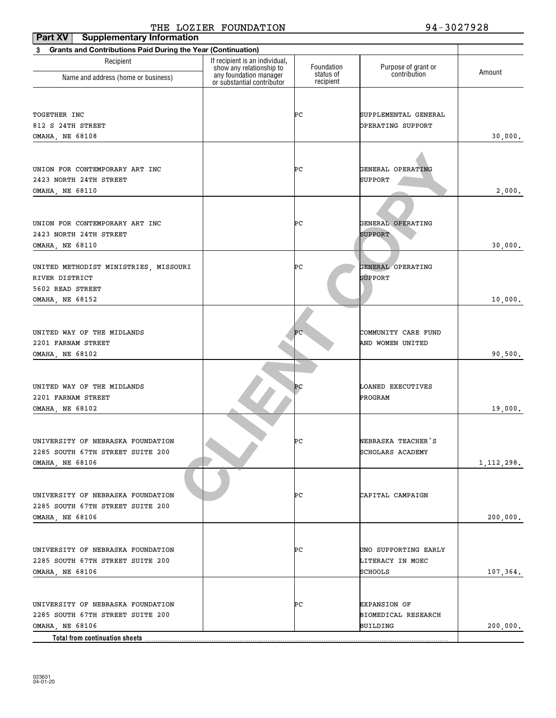| Part XV<br><b>Supplementary Information</b>                              |                                                            |                         |                                     |              |
|--------------------------------------------------------------------------|------------------------------------------------------------|-------------------------|-------------------------------------|--------------|
| <b>Grants and Contributions Paid During the Year (Continuation)</b><br>3 |                                                            |                         |                                     |              |
| Recipient                                                                | If recipient is an individual,<br>show any relationship to | Foundation<br>status of | Purpose of grant or<br>contribution | Amount       |
| Name and address (home or business)                                      | any foundation manager<br>or substantial contributor       | recipient               |                                     |              |
|                                                                          |                                                            |                         |                                     |              |
| TOGETHER INC                                                             |                                                            | ÞС                      | SUPPLEMENTAL GENERAL                |              |
| 812 S 24TH STREET                                                        |                                                            |                         | OPERATING SUPPORT                   |              |
| OMAHA, NE 68108                                                          |                                                            |                         |                                     | 30,000.      |
|                                                                          |                                                            |                         |                                     |              |
| UNION FOR CONTEMPORARY ART INC                                           |                                                            | ÞС                      | GENERAL OPERATING                   |              |
| 2423 NORTH 24TH STREET                                                   |                                                            |                         | SUPPORT                             |              |
| OMAHA, NE 68110                                                          |                                                            |                         |                                     | 2,000.       |
|                                                                          |                                                            |                         |                                     |              |
|                                                                          |                                                            |                         | GENERAL OPERATING                   |              |
| UNION FOR CONTEMPORARY ART INC                                           |                                                            | ÞС                      | SUPPORT                             |              |
| 2423 NORTH 24TH STREET<br><b>OMAHA, NE 68110</b>                         |                                                            |                         |                                     | 30,000.      |
|                                                                          |                                                            |                         |                                     |              |
| UNITED METHODIST MINISTRIES, MISSOURI                                    |                                                            | ÞС                      | GENERAL OPERATING                   |              |
| RIVER DISTRICT                                                           |                                                            |                         | <b>SUPPORT</b>                      |              |
| 5602 READ STREET                                                         |                                                            |                         |                                     |              |
| OMAHA, NE 68152                                                          |                                                            |                         |                                     | 10,000.      |
|                                                                          |                                                            |                         |                                     |              |
| UNITED WAY OF THE MIDLANDS                                               |                                                            | ÞС                      | COMMUNITY CARE FUND                 |              |
| 2201 FARNAM STREET                                                       |                                                            |                         | AND WOMEN UNITED                    |              |
| OMAHA, NE 68102                                                          |                                                            |                         |                                     | 90,500.      |
|                                                                          |                                                            |                         |                                     |              |
|                                                                          |                                                            |                         |                                     |              |
| UNITED WAY OF THE MIDLANDS                                               |                                                            | P <sub>C</sub>          | LOANED EXECUTIVES                   |              |
| 2201 FARNAM STREET                                                       |                                                            |                         | PROGRAM                             |              |
| OMAHA, NE 68102                                                          |                                                            |                         |                                     | 19,000.      |
|                                                                          |                                                            |                         |                                     |              |
| UNIVERSITY OF NEBRASKA FOUNDATION                                        |                                                            | ÞС                      | NEBRASKA TEACHER'S                  |              |
| 2285 SOUTH 67TH STREET SUITE 200                                         |                                                            |                         | SCHOLARS ACADEMY                    |              |
| OMAHA, NE 68106                                                          |                                                            |                         |                                     | 1, 112, 298. |
|                                                                          |                                                            |                         |                                     |              |
| UNIVERSITY OF NEBRASKA FOUNDATION                                        |                                                            | ÞС                      | CAPITAL CAMPAIGN                    |              |
| 2285 SOUTH 67TH STREET SUITE 200                                         |                                                            |                         |                                     |              |
| OMAHA, NE 68106                                                          |                                                            |                         |                                     | 200,000.     |
|                                                                          |                                                            |                         |                                     |              |
|                                                                          |                                                            |                         |                                     |              |
| UNIVERSITY OF NEBRASKA FOUNDATION                                        |                                                            | ÞС                      | UNO SUPPORTING EARLY                |              |
| 2285 SOUTH 67TH STREET SUITE 200                                         |                                                            |                         | LITERACY IN MOEC                    |              |
| OMAHA, NE 68106                                                          |                                                            |                         | SCHOOLS                             | 107,364.     |
|                                                                          |                                                            |                         |                                     |              |
| UNIVERSITY OF NEBRASKA FOUNDATION                                        |                                                            | ÞС                      | <b>EXPANSION OF</b>                 |              |
| 2285 SOUTH 67TH STREET SUITE 200                                         |                                                            |                         | BIOMEDICAL RESEARCH                 |              |
| OMAHA, NE 68106                                                          |                                                            |                         | BUILDING                            | 200,000.     |
| Total from continuation sheets.                                          |                                                            |                         |                                     |              |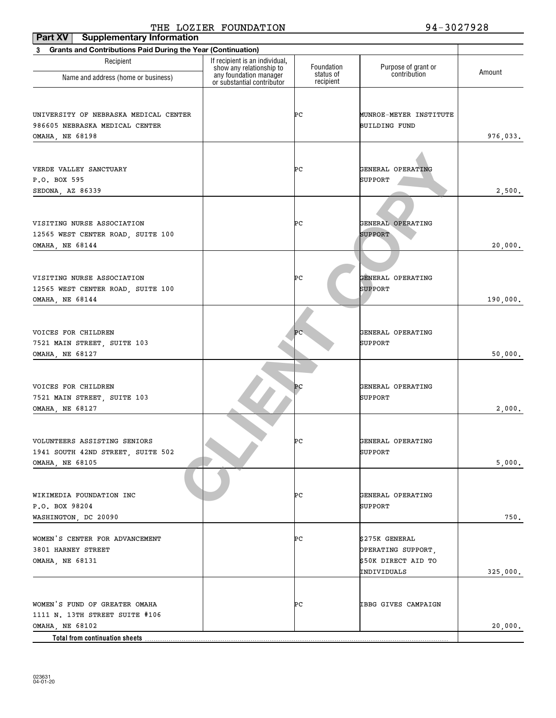| Part XV<br><b>Supplementary Information</b>                              |                                                            |                         |                                     |          |
|--------------------------------------------------------------------------|------------------------------------------------------------|-------------------------|-------------------------------------|----------|
| <b>Grants and Contributions Paid During the Year (Continuation)</b><br>3 |                                                            |                         |                                     |          |
| Recipient                                                                | If recipient is an individual,<br>show any relationship to | Foundation<br>status of | Purpose of grant or<br>contribution | Amount   |
| Name and address (home or business)                                      | any foundation manager<br>or substantial contributor       | recipient               |                                     |          |
|                                                                          |                                                            |                         |                                     |          |
| UNIVERSITY OF NEBRASKA MEDICAL CENTER                                    |                                                            | ÞС                      | MUNROE-MEYER INSTITUTE              |          |
| 986605 NEBRASKA MEDICAL CENTER                                           |                                                            |                         | <b>BUILDING FUND</b>                |          |
| OMAHA, NE 68198                                                          |                                                            |                         |                                     | 976,033. |
|                                                                          |                                                            |                         |                                     |          |
| VERDE VALLEY SANCTUARY                                                   |                                                            | ÞС                      | GENERAL OPERATING                   |          |
| P.O. BOX 595                                                             |                                                            |                         | SUPPORT                             |          |
| SEDONA, AZ 86339                                                         |                                                            |                         |                                     | 2,500.   |
|                                                                          |                                                            |                         |                                     |          |
|                                                                          |                                                            |                         |                                     |          |
| VISITING NURSE ASSOCIATION                                               |                                                            | ÞС                      | GENERAL OPERATING                   |          |
| 12565 WEST CENTER ROAD, SUITE 100<br>OMAHA, NE 68144                     |                                                            |                         | <b>SUPPORT</b>                      | 20,000.  |
|                                                                          |                                                            |                         |                                     |          |
|                                                                          |                                                            |                         |                                     |          |
| VISITING NURSE ASSOCIATION                                               |                                                            | ÞС                      | GENERAL OPERATING                   |          |
| 12565 WEST CENTER ROAD, SUITE 100                                        |                                                            |                         | <b>SUPPORT</b>                      |          |
| OMAHA, NE 68144                                                          |                                                            |                         |                                     | 190,000. |
|                                                                          |                                                            |                         |                                     |          |
| VOICES FOR CHILDREN                                                      |                                                            | ÞС                      | GENERAL OPERATING                   |          |
| 7521 MAIN STREET, SUITE 103                                              |                                                            |                         | SUPPORT                             |          |
| OMAHA, NE 68127                                                          |                                                            |                         |                                     | 50,000.  |
|                                                                          |                                                            |                         |                                     |          |
|                                                                          |                                                            |                         |                                     |          |
| VOICES FOR CHILDREN                                                      |                                                            | ÞС                      | GENERAL OPERATING                   |          |
| 7521 MAIN STREET, SUITE 103                                              |                                                            |                         | SUPPORT                             |          |
| OMAHA, NE 68127                                                          |                                                            |                         |                                     | 2,000.   |
|                                                                          |                                                            |                         |                                     |          |
| VOLUNTEERS ASSISTING SENIORS                                             |                                                            | ÞС                      | GENERAL OPERATING                   |          |
| 1941 SOUTH 42ND STREET, SUITE 502                                        |                                                            |                         | SUPPORT                             |          |
| OMAHA, NE 68105                                                          |                                                            |                         |                                     | 5,000.   |
|                                                                          |                                                            |                         |                                     |          |
| WIKIMEDIA FOUNDATION INC                                                 |                                                            |                         |                                     |          |
| P.O. BOX 98204                                                           |                                                            | PС                      | GENERAL OPERATING<br>SUPPORT        |          |
| WASHINGTON, DC 20090                                                     |                                                            |                         |                                     | 750.     |
|                                                                          |                                                            |                         |                                     |          |
| WOMEN'S CENTER FOR ADVANCEMENT                                           |                                                            | ÞС                      | \$275K GENERAL                      |          |
| 3801 HARNEY STREET                                                       |                                                            |                         | OPERATING SUPPORT,                  |          |
| OMAHA, NE 68131                                                          |                                                            |                         | \$50K DIRECT AID TO                 |          |
|                                                                          |                                                            |                         | INDIVIDUALS                         | 325,000. |
|                                                                          |                                                            |                         |                                     |          |
| WOMEN'S FUND OF GREATER OMAHA                                            |                                                            | PС                      | IBBG GIVES CAMPAIGN                 |          |
| 1111 N. 13TH STREET SUITE #106                                           |                                                            |                         |                                     |          |
| OMAHA, NE 68102                                                          |                                                            |                         |                                     | 20,000.  |
| Total from continuation sheets                                           |                                                            |                         |                                     |          |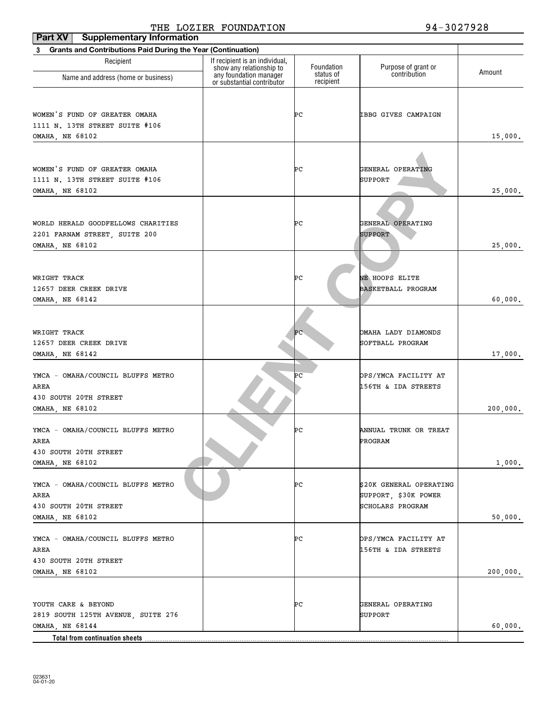| Part XV<br><b>Supplementary Information</b>                              |                                                                                      |                         |                                     |          |
|--------------------------------------------------------------------------|--------------------------------------------------------------------------------------|-------------------------|-------------------------------------|----------|
| <b>Grants and Contributions Paid During the Year (Continuation)</b><br>3 |                                                                                      |                         |                                     |          |
| Recipient                                                                | If recipient is an individual,<br>show any relationship to<br>any foundation manager | Foundation<br>status of | Purpose of grant or<br>contribution | Amount   |
| Name and address (home or business)                                      | or substantial contributor                                                           | recipient               |                                     |          |
|                                                                          |                                                                                      |                         |                                     |          |
| WOMEN'S FUND OF GREATER OMAHA                                            |                                                                                      | ÞС                      | <b>IBBG GIVES CAMPAIGN</b>          |          |
| 1111 N. 13TH STREET SUITE #106                                           |                                                                                      |                         |                                     |          |
| OMAHA, NE 68102                                                          |                                                                                      |                         |                                     | 15,000.  |
|                                                                          |                                                                                      |                         |                                     |          |
| WOMEN'S FUND OF GREATER OMAHA                                            |                                                                                      | ÞС                      | GENERAL OPERATING                   |          |
| 1111 N. 13TH STREET SUITE #106                                           |                                                                                      |                         | SUPPORT                             |          |
| OMAHA, NE 68102                                                          |                                                                                      |                         |                                     | 25,000.  |
|                                                                          |                                                                                      |                         |                                     |          |
|                                                                          |                                                                                      |                         |                                     |          |
| WORLD HERALD GOODFELLOWS CHARITIES                                       |                                                                                      | ÞС                      | GENERAL OPERATING                   |          |
| 2201 FARNAM STREET, SUITE 200                                            |                                                                                      |                         | <b>SUPPORT</b>                      |          |
| OMAHA, NE 68102                                                          |                                                                                      |                         |                                     | 25,000.  |
|                                                                          |                                                                                      |                         |                                     |          |
| WRIGHT TRACK                                                             |                                                                                      | ÞС                      | NE HOOPS ELITE                      |          |
| 12657 DEER CREEK DRIVE                                                   |                                                                                      |                         | <b>BASKETBALL PROGRAM</b>           |          |
| OMAHA, NE 68142                                                          |                                                                                      |                         |                                     | 60,000.  |
|                                                                          |                                                                                      |                         |                                     |          |
|                                                                          |                                                                                      |                         |                                     |          |
| WRIGHT TRACK                                                             |                                                                                      | ÞС                      | OMAHA LADY DIAMONDS                 |          |
| 12657 DEER CREEK DRIVE<br>OMAHA, NE 68142                                |                                                                                      |                         | SOFTBALL PROGRAM                    |          |
|                                                                          |                                                                                      |                         |                                     | 17,000.  |
| YMCA - OMAHA/COUNCIL BLUFFS METRO                                        |                                                                                      | ÞС                      | OPS/YMCA FACILITY AT                |          |
| AREA                                                                     |                                                                                      |                         | <b>156TH &amp; IDA STREETS</b>      |          |
| 430 SOUTH 20TH STREET                                                    |                                                                                      |                         |                                     |          |
| OMAHA, NE 68102                                                          |                                                                                      |                         |                                     | 200,000. |
|                                                                          |                                                                                      |                         |                                     |          |
| YMCA - OMAHA/COUNCIL BLUFFS METRO<br>AREA                                |                                                                                      | ÞС                      | ANNUAL TRUNK OR TREAT<br>PROGRAM    |          |
| 430 SOUTH 20TH STREET                                                    |                                                                                      |                         |                                     |          |
| OMAHA, NE 68102                                                          |                                                                                      |                         |                                     | 1,000.   |
|                                                                          |                                                                                      |                         |                                     |          |
| YMCA - OMAHA/COUNCIL BLUFFS METRO                                        |                                                                                      | ÞС                      | \$20K GENERAL OPERATING             |          |
| AREA                                                                     |                                                                                      |                         | SUPPORT, \$30K POWER                |          |
| 430 SOUTH 20TH STREET                                                    |                                                                                      |                         | SCHOLARS PROGRAM                    |          |
| <b>OMAHA, NE 68102</b>                                                   |                                                                                      |                         |                                     | 50,000.  |
| YMCA - OMAHA/COUNCIL BLUFFS METRO                                        |                                                                                      | ÞС                      | OPS/YMCA FACILITY AT                |          |
| AREA                                                                     |                                                                                      |                         | 156TH & IDA STREETS                 |          |
| 430 SOUTH 20TH STREET                                                    |                                                                                      |                         |                                     |          |
| OMAHA, NE 68102                                                          |                                                                                      |                         |                                     | 200,000. |
|                                                                          |                                                                                      |                         |                                     |          |
|                                                                          |                                                                                      |                         |                                     |          |
| YOUTH CARE & BEYOND<br>2819 SOUTH 125TH AVENUE, SUITE 276                |                                                                                      | ÞС                      | GENERAL OPERATING<br>SUPPORT        |          |
| OMAHA, NE 68144                                                          |                                                                                      |                         |                                     | 60,000.  |
| Total from continuation sheets                                           |                                                                                      |                         |                                     |          |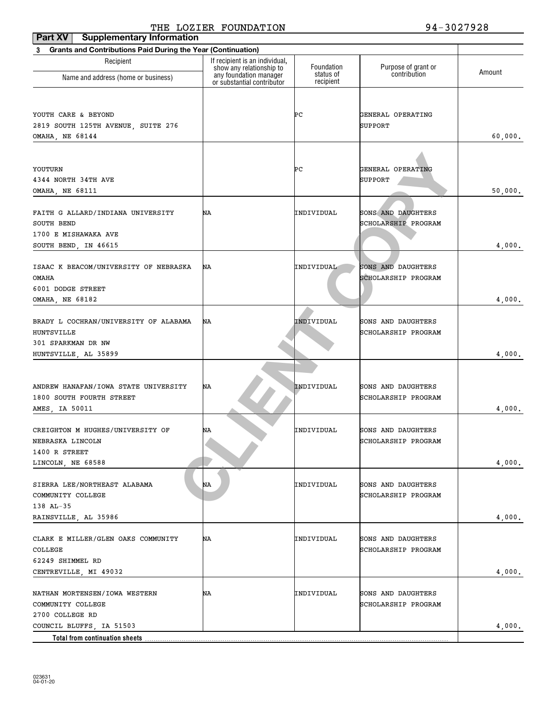| Part XV<br><b>Supplementary Information</b>                              |                                                                                      |                         |                                     |         |
|--------------------------------------------------------------------------|--------------------------------------------------------------------------------------|-------------------------|-------------------------------------|---------|
| <b>Grants and Contributions Paid During the Year (Continuation)</b><br>3 |                                                                                      |                         |                                     |         |
| Recipient                                                                | If recipient is an individual,<br>show any relationship to<br>any foundation manager | Foundation<br>status of | Purpose of grant or<br>contribution | Amount  |
| Name and address (home or business)                                      | or substantial contributor                                                           | recipient               |                                     |         |
|                                                                          |                                                                                      |                         |                                     |         |
| YOUTH CARE & BEYOND                                                      |                                                                                      | ÞС                      | GENERAL OPERATING                   |         |
| 2819 SOUTH 125TH AVENUE, SUITE 276                                       |                                                                                      |                         | SUPPORT                             |         |
| OMAHA, NE 68144                                                          |                                                                                      |                         |                                     | 60,000. |
|                                                                          |                                                                                      |                         |                                     |         |
| YOUTURN                                                                  |                                                                                      | ÞС                      | GENERAL OPERATING                   |         |
| 4344 NORTH 34TH AVE                                                      |                                                                                      |                         | SUPPORT                             |         |
| OMAHA, NE 68111                                                          |                                                                                      |                         |                                     | 50,000. |
|                                                                          |                                                                                      |                         |                                     |         |
| FAITH G ALLARD/INDIANA UNIVERSITY                                        | NA                                                                                   | INDIVIDUAL              | SONS AND DAUGHTERS                  |         |
| SOUTH BEND                                                               |                                                                                      |                         | SCHOLARSHIP PROGRAM                 |         |
| 1700 E MISHAWAKA AVE                                                     |                                                                                      |                         |                                     |         |
| SOUTH BEND, IN 46615                                                     |                                                                                      |                         |                                     | 4,000.  |
| ISAAC K BEACOM/UNIVERSITY OF NEBRASKA                                    | NA                                                                                   | INDIVIDUAL              | SONS AND DAUGHTERS                  |         |
| <b>OMAHA</b>                                                             |                                                                                      |                         | SCHOLARSHIP PROGRAM                 |         |
| 6001 DODGE STREET                                                        |                                                                                      |                         |                                     |         |
| OMAHA, NE 68182                                                          |                                                                                      |                         |                                     | 4,000.  |
|                                                                          |                                                                                      |                         |                                     |         |
| BRADY L COCHRAN/UNIVERSITY OF ALABAMA                                    | NA                                                                                   | INDIVIDUAL              | SONS AND DAUGHTERS                  |         |
| HUNTSVILLE                                                               |                                                                                      |                         | SCHOLARSHIP PROGRAM                 |         |
| 301 SPARKMAN DR NW<br>HUNTSVILLE, AL 35899                               |                                                                                      |                         |                                     | 4,000.  |
|                                                                          |                                                                                      |                         |                                     |         |
|                                                                          |                                                                                      |                         |                                     |         |
| ANDREW HANAFAN/IOWA STATE UNIVERSITY                                     | NA                                                                                   | INDIVIDUAL              | SONS AND DAUGHTERS                  |         |
| 1800 SOUTH FOURTH STREET                                                 |                                                                                      |                         | SCHOLARSHIP PROGRAM                 |         |
| AMES, IA 50011                                                           |                                                                                      |                         |                                     | 4,000.  |
| CREIGHTON M HUGHES/UNIVERSITY OF                                         | NA                                                                                   | INDIVIDUAL              | SONS AND DAUGHTERS                  |         |
| NEBRASKA LINCOLN                                                         |                                                                                      |                         | SCHOLARSHIP PROGRAM                 |         |
| 1400 R STREET                                                            |                                                                                      |                         |                                     |         |
| LINCOLN, NE 68588                                                        |                                                                                      |                         |                                     | 4,000.  |
|                                                                          |                                                                                      |                         |                                     |         |
| SIERRA LEE/NORTHEAST ALABAMA                                             | ΝA                                                                                   | INDIVIDUAL              | SONS AND DAUGHTERS                  |         |
| COMMUNITY COLLEGE<br>138 AL-35                                           |                                                                                      |                         | SCHOLARSHIP PROGRAM                 |         |
| RAINSVILLE, AL 35986                                                     |                                                                                      |                         |                                     | 4,000.  |
|                                                                          |                                                                                      |                         |                                     |         |
| CLARK E MILLER/GLEN OAKS COMMUNITY                                       | NA                                                                                   | INDIVIDUAL              | SONS AND DAUGHTERS                  |         |
| COLLEGE                                                                  |                                                                                      |                         | SCHOLARSHIP PROGRAM                 |         |
| 62249 SHIMMEL RD                                                         |                                                                                      |                         |                                     |         |
| CENTREVILLE, MI 49032                                                    |                                                                                      |                         |                                     | 4,000.  |
| NATHAN MORTENSEN/IOWA WESTERN                                            | NA                                                                                   | INDIVIDUAL              | SONS AND DAUGHTERS                  |         |
| COMMUNITY COLLEGE                                                        |                                                                                      |                         | SCHOLARSHIP PROGRAM                 |         |
| 2700 COLLEGE RD                                                          |                                                                                      |                         |                                     |         |
| COUNCIL BLUFFS, IA 51503                                                 |                                                                                      |                         |                                     | 4,000.  |
| Total from continuation sheets                                           |                                                                                      |                         |                                     |         |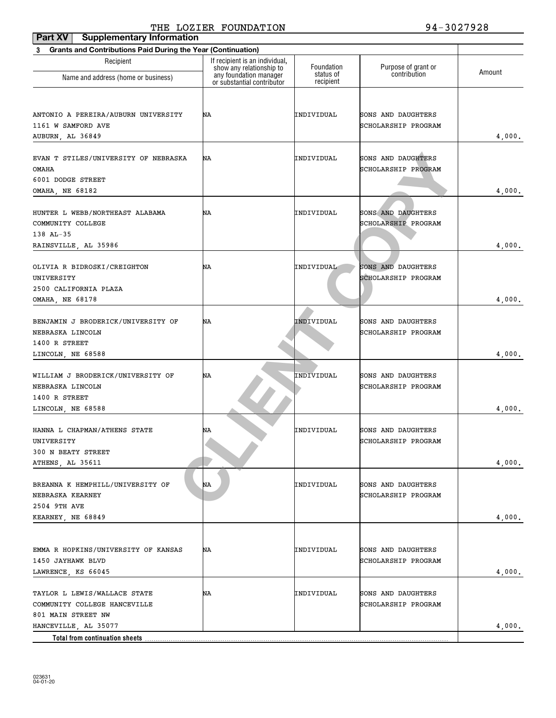| Part XV<br><b>Supplementary Information</b>                                                  |                                                                                      |                         |                                           |        |
|----------------------------------------------------------------------------------------------|--------------------------------------------------------------------------------------|-------------------------|-------------------------------------------|--------|
| <b>Grants and Contributions Paid During the Year (Continuation)</b><br>3                     |                                                                                      |                         |                                           |        |
| Recipient                                                                                    | If recipient is an individual,<br>show any relationship to<br>any foundation manager | Foundation<br>status of | Purpose of grant or<br>contribution       | Amount |
| Name and address (home or business)                                                          | or substantial contributor                                                           | recipient               |                                           |        |
| ANTONIO A PEREIRA/AUBURN UNIVERSITY<br>1161 W SAMFORD AVE<br>AUBURN, AL 36849                | NA                                                                                   | INDIVIDUAL              | SONS AND DAUGHTERS<br>SCHOLARSHIP PROGRAM | 4,000. |
| EVAN T STILES/UNIVERSITY OF NEBRASKA<br><b>OMAHA</b><br>6001 DODGE STREET<br>OMAHA, NE 68182 | NA                                                                                   | INDIVIDUAL              | SONS AND DAUGHTERS<br>SCHOLARSHIP PROGRAM | 4,000. |
| HUNTER L WEBB/NORTHEAST ALABAMA<br>COMMUNITY COLLEGE<br>138 AL-35<br>RAINSVILLE, AL 35986    | NA                                                                                   | INDIVIDUAL              | SONS AND DAUGHTERS<br>SCHOLARSHIP PROGRAM | 4,000. |
| OLIVIA R BIDROSKI/CREIGHTON<br>UNIVERSITY<br>2500 CALIFORNIA PLAZA<br>OMAHA, NE 68178        | ΝA                                                                                   | INDIVIDUAL              | SONS AND DAUGHTERS<br>SCHOLARSHIP PROGRAM | 4,000. |
| BENJAMIN J BRODERICK/UNIVERSITY OF<br>NEBRASKA LINCOLN<br>1400 R STREET<br>LINCOLN, NE 68588 | ΝA                                                                                   | INDIVIDUAL              | SONS AND DAUGHTERS<br>SCHOLARSHIP PROGRAM | 4,000. |
| WILLIAM J BRODERICK/UNIVERSITY OF<br>NEBRASKA LINCOLN<br>1400 R STREET<br>LINCOLN, NE 68588  | NΑ                                                                                   | INDIVIDUAL              | SONS AND DAUGHTERS<br>SCHOLARSHIP PROGRAM | 4,000. |
| HANNA L CHAPMAN/ATHENS STATE<br>UNIVERSITY<br>300 N BEATY STREET<br>ATHENS, AL 35611         | NA                                                                                   | INDIVIDUAL              | SONS AND DAUGHTERS<br>SCHOLARSHIP PROGRAM | 4,000. |
| BREANNA K HEMPHILL/UNIVERSITY OF<br>NEBRASKA KEARNEY<br>2504 9TH AVE<br>KEARNEY, NE 68849    | ΝA                                                                                   | INDIVIDUAL              | SONS AND DAUGHTERS<br>SCHOLARSHIP PROGRAM | 4,000. |
| EMMA R HOPKINS/UNIVERSITY OF KANSAS<br>1450 JAYHAWK BLVD<br>LAWRENCE, KS 66045               | NA                                                                                   | INDIVIDUAL              | SONS AND DAUGHTERS<br>SCHOLARSHIP PROGRAM | 4,000. |
| TAYLOR L LEWIS/WALLACE STATE<br>COMMUNITY COLLEGE HANCEVILLE<br>801 MAIN STREET NW           | NA                                                                                   | INDIVIDUAL              | SONS AND DAUGHTERS<br>SCHOLARSHIP PROGRAM |        |
| HANCEVILLE, AL 35077<br>Total from continuation sheets.                                      |                                                                                      |                         |                                           | 4,000. |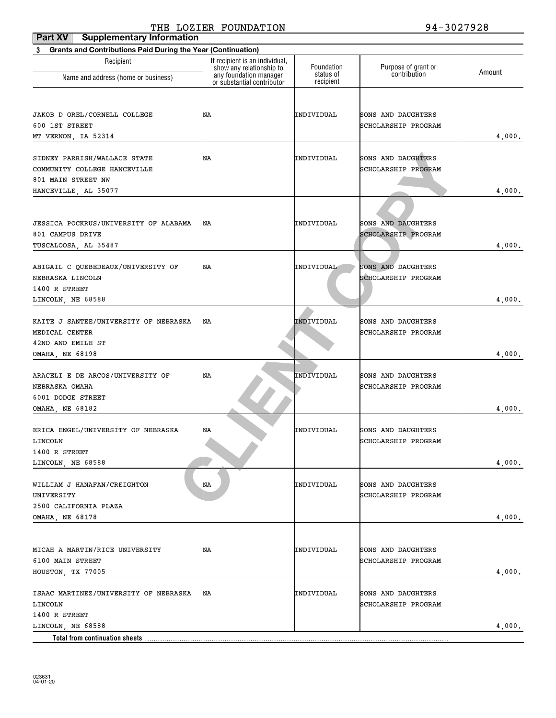| Part XV<br><b>Supplementary Information</b>                              |                                                                                      |                         |                                           |        |
|--------------------------------------------------------------------------|--------------------------------------------------------------------------------------|-------------------------|-------------------------------------------|--------|
| <b>Grants and Contributions Paid During the Year (Continuation)</b><br>3 |                                                                                      |                         |                                           |        |
| Recipient                                                                | If recipient is an individual,<br>show any relationship to<br>any foundation manager | Foundation<br>status of | Purpose of grant or<br>contribution       | Amount |
| Name and address (home or business)                                      | or substantial contributor                                                           | recipient               |                                           |        |
|                                                                          |                                                                                      |                         |                                           |        |
| JAKOB D OREL/CORNELL COLLEGE                                             | NA                                                                                   | INDIVIDUAL              | SONS AND DAUGHTERS                        |        |
| 600 1ST STREET                                                           |                                                                                      |                         | SCHOLARSHIP PROGRAM                       |        |
| MT VERNON, IA 52314                                                      |                                                                                      |                         |                                           | 4,000. |
|                                                                          |                                                                                      |                         |                                           |        |
| SIDNEY PARRISH/WALLACE STATE                                             | ΝA                                                                                   | INDIVIDUAL              | SONS AND DAUGHTERS                        |        |
| COMMUNITY COLLEGE HANCEVILLE                                             |                                                                                      |                         | SCHOLARSHIP PROGRAM                       |        |
| 801 MAIN STREET NW                                                       |                                                                                      |                         |                                           | 4,000. |
| HANCEVILLE, AL 35077                                                     |                                                                                      |                         |                                           |        |
|                                                                          |                                                                                      |                         |                                           |        |
| JESSICA POCKRUS/UNIVERSITY OF ALABAMA                                    | NA                                                                                   | INDIVIDUAL              | SONS AND DAUGHTERS                        |        |
| 801 CAMPUS DRIVE                                                         |                                                                                      |                         | SCHOLARSHIP PROGRAM                       |        |
| TUSCALOOSA, AL 35487                                                     |                                                                                      |                         |                                           | 4,000. |
|                                                                          |                                                                                      |                         |                                           |        |
| ABIGAIL C QUEBEDEAUX/UNIVERSITY OF                                       | ΝA                                                                                   | INDIVIDUAL              | SONS AND DAUGHTERS                        |        |
| NEBRASKA LINCOLN                                                         |                                                                                      |                         | SCHOLARSHIP PROGRAM                       |        |
| 1400 R STREET                                                            |                                                                                      |                         |                                           |        |
| LINCOLN, NE 68588                                                        |                                                                                      |                         |                                           | 4,000. |
|                                                                          |                                                                                      | INDIVIDUAL              |                                           |        |
| KAITE J SANTEE/UNIVERSITY OF NEBRASKA<br>MEDICAL CENTER                  | NA                                                                                   |                         | SONS AND DAUGHTERS<br>SCHOLARSHIP PROGRAM |        |
| 42ND AND EMILE ST                                                        |                                                                                      |                         |                                           |        |
| <b>OMAHA, NE 68198</b>                                                   |                                                                                      |                         |                                           | 4,000. |
|                                                                          |                                                                                      |                         |                                           |        |
| ARACELI E DE ARCOS/UNIVERSITY OF                                         | NΑ                                                                                   | INDIVIDUAL              | SONS AND DAUGHTERS                        |        |
| NEBRASKA OMAHA                                                           |                                                                                      |                         | SCHOLARSHIP PROGRAM                       |        |
| 6001 DODGE STREET                                                        |                                                                                      |                         |                                           |        |
| <b>OMAHA, NE 68182</b>                                                   |                                                                                      |                         |                                           | 4,000. |
|                                                                          |                                                                                      |                         |                                           |        |
| ERICA ENGEL/UNIVERSITY OF NEBRASKA                                       | NA                                                                                   | INDIVIDUAL              | SONS AND DAUGHTERS                        |        |
| LINCOLN                                                                  |                                                                                      |                         | SCHOLARSHIP PROGRAM                       |        |
| 1400 R STREET<br>LINCOLN, NE 68588                                       |                                                                                      |                         |                                           |        |
|                                                                          |                                                                                      |                         |                                           | 4,000. |
| WILLIAM J HANAFAN/CREIGHTON                                              | ΝA                                                                                   | INDIVIDUAL              | SONS AND DAUGHTERS                        |        |
| UNIVERSITY                                                               |                                                                                      |                         | SCHOLARSHIP PROGRAM                       |        |
| 2500 CALIFORNIA PLAZA                                                    |                                                                                      |                         |                                           |        |
| OMAHA, NE 68178                                                          |                                                                                      |                         |                                           | 4,000. |
|                                                                          |                                                                                      |                         |                                           |        |
|                                                                          |                                                                                      |                         |                                           |        |
| MICAH A MARTIN/RICE UNIVERSITY                                           | NA                                                                                   | INDIVIDUAL              | SONS AND DAUGHTERS                        |        |
| 6100 MAIN STREET                                                         |                                                                                      |                         | SCHOLARSHIP PROGRAM                       |        |
| HOUSTON, TX 77005                                                        |                                                                                      |                         |                                           | 4,000. |
| ISAAC MARTINEZ/UNIVERSITY OF NEBRASKA                                    | ΝA                                                                                   | INDIVIDUAL              | SONS AND DAUGHTERS                        |        |
| LINCOLN                                                                  |                                                                                      |                         | SCHOLARSHIP PROGRAM                       |        |
| 1400 R STREET                                                            |                                                                                      |                         |                                           |        |
| LINCOLN, NE 68588                                                        |                                                                                      |                         |                                           | 4,000. |
| Total from continuation sheets                                           |                                                                                      |                         |                                           |        |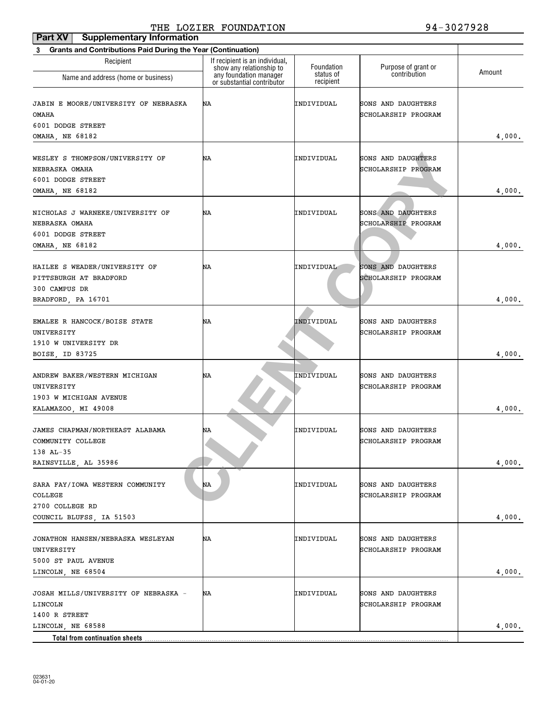| Part XV<br><b>Supplementary Information</b>                              |                                                                                      |                         |                                           |        |
|--------------------------------------------------------------------------|--------------------------------------------------------------------------------------|-------------------------|-------------------------------------------|--------|
| <b>Grants and Contributions Paid During the Year (Continuation)</b><br>3 |                                                                                      |                         |                                           |        |
| Recipient                                                                | If recipient is an individual,<br>show any relationship to<br>any foundation manager | Foundation<br>status of | Purpose of grant or<br>contribution       | Amount |
| Name and address (home or business)                                      | or substantial contributor                                                           | recipient               |                                           |        |
| <b>JABIN E MOORE/UNIVERSITY OF NEBRASKA</b><br><b>OMAHA</b>              | NA                                                                                   | INDIVIDUAL              | SONS AND DAUGHTERS<br>SCHOLARSHIP PROGRAM |        |
| 6001 DODGE STREET                                                        |                                                                                      |                         |                                           |        |
| OMAHA, NE 68182                                                          |                                                                                      |                         |                                           | 4,000. |
| WESLEY S THOMPSON/UNIVERSITY OF                                          | NA                                                                                   | INDIVIDUAL              | SONS AND DAUGHTERS                        |        |
| NEBRASKA OMAHA                                                           |                                                                                      |                         | SCHOLARSHIP PROGRAM                       |        |
| 6001 DODGE STREET                                                        |                                                                                      |                         |                                           |        |
| OMAHA, NE 68182                                                          |                                                                                      |                         |                                           | 4,000. |
| NICHOLAS J WARNEKE/UNIVERSITY OF<br>NEBRASKA OMAHA                       | NA                                                                                   | INDIVIDUAL              | SONS AND DAUGHTERS<br>SCHOLARSHIP PROGRAM |        |
| 6001 DODGE STREET                                                        |                                                                                      |                         |                                           |        |
| OMAHA, NE 68182                                                          |                                                                                      |                         |                                           | 4,000. |
| HAILEE S WEADER/UNIVERSITY OF<br>PITTSBURGH AT BRADFORD<br>300 CAMPUS DR | NA                                                                                   | INDIVIDUAL              | SONS AND DAUGHTERS<br>SCHOLARSHIP PROGRAM |        |
| BRADFORD, PA 16701                                                       |                                                                                      |                         |                                           | 4,000. |
|                                                                          |                                                                                      |                         |                                           |        |
| EMALEE R HANCOCK/BOISE STATE<br>UNIVERSITY<br>1910 W UNIVERSITY DR       | NA                                                                                   | INDIVIDUAL              | SONS AND DAUGHTERS<br>SCHOLARSHIP PROGRAM |        |
| BOISE, ID 83725                                                          |                                                                                      |                         |                                           | 4,000. |
|                                                                          |                                                                                      |                         |                                           |        |
| ANDREW BAKER/WESTERN MICHIGAN<br>UNIVERSITY                              | NA                                                                                   | INDIVIDUAL              | SONS AND DAUGHTERS<br>SCHOLARSHIP PROGRAM |        |
| 1903 W MICHIGAN AVENUE                                                   |                                                                                      |                         |                                           |        |
| KALAMAZOO, MI 49008                                                      |                                                                                      |                         |                                           | 4,000. |
| JAMES CHAPMAN/NORTHEAST ALABAMA<br>COMMUNITY COLLEGE<br>138 AL-35        | NA                                                                                   | INDIVIDUAL              | SONS AND DAUGHTERS<br>SCHOLARSHIP PROGRAM |        |
| RAINSVILLE, AL 35986                                                     |                                                                                      |                         |                                           | 4,000. |
| SARA FAY/IOWA WESTERN COMMUNITY<br>COLLEGE                               | ΝA                                                                                   | INDIVIDUAL              | SONS AND DAUGHTERS<br>SCHOLARSHIP PROGRAM |        |
| 2700 COLLEGE RD                                                          |                                                                                      |                         |                                           |        |
| COUNCIL BLUFSS, IA 51503                                                 |                                                                                      |                         |                                           | 4,000. |
| JONATHON HANSEN/NEBRASKA WESLEYAN<br>UNIVERSITY                          | ΝA                                                                                   | INDIVIDUAL              | SONS AND DAUGHTERS<br>SCHOLARSHIP PROGRAM |        |
| 5000 ST PAUL AVENUE                                                      |                                                                                      |                         |                                           |        |
| LINCOLN, NE 68504                                                        |                                                                                      |                         |                                           | 4,000. |
| JOSAH MILLS/UNIVERSITY OF NEBRASKA -<br>LINCOLN                          | ΝA                                                                                   | INDIVIDUAL              | SONS AND DAUGHTERS<br>SCHOLARSHIP PROGRAM |        |
| 1400 R STREET                                                            |                                                                                      |                         |                                           |        |
| LINCOLN, NE 68588                                                        |                                                                                      |                         |                                           | 4,000. |
| Total from continuation sheets.                                          |                                                                                      |                         |                                           |        |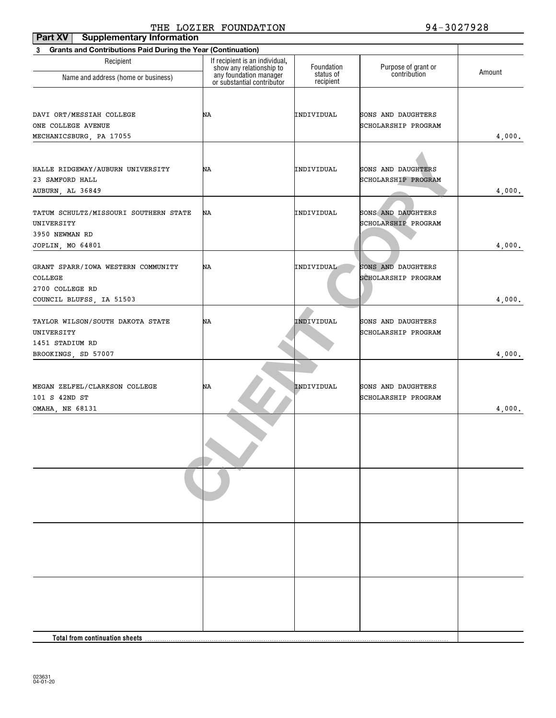| Part XV<br><b>Supplementary Information</b>                                                  |                                                            |                         |                                           |        |
|----------------------------------------------------------------------------------------------|------------------------------------------------------------|-------------------------|-------------------------------------------|--------|
| <b>Grants and Contributions Paid During the Year (Continuation)</b><br>3                     |                                                            |                         |                                           |        |
| Recipient                                                                                    | If recipient is an individual,<br>show any relationship to | Foundation<br>status of | Purpose of grant or<br>contribution       | Amount |
| Name and address (home or business)                                                          | any foundation manager<br>or substantial contributor       | recipient               |                                           |        |
| DAVI ORT/MESSIAH COLLEGE<br>ONE COLLEGE AVENUE<br>MECHANICSBURG, PA 17055                    | NA                                                         | INDIVIDUAL              | SONS AND DAUGHTERS<br>SCHOLARSHIP PROGRAM | 4,000. |
| HALLE RIDGEWAY/AUBURN UNIVERSITY<br>23 SAMFORD HALL<br>AUBURN, AL 36849                      | NA                                                         | INDIVIDUAL              | SONS AND DAUGHTERS<br>SCHOLARSHIP PROGRAM | 4,000. |
| TATUM SCHULTZ/MISSOURI SOUTHERN STATE<br>UNIVERSITY<br>3950 NEWMAN RD<br>JOPLIN, MO 64801    | NA                                                         | INDIVIDUAL              | SONS AND DAUGHTERS<br>SCHOLARSHIP PROGRAM | 4,000. |
| GRANT SPARR/IOWA WESTERN COMMUNITY<br>COLLEGE<br>2700 COLLEGE RD<br>COUNCIL BLUFSS, IA 51503 | NA                                                         | INDIVIDUAL              | SONS AND DAUGHTERS<br>SCHOLARSHIP PROGRAM | 4,000. |
| TAYLOR WILSON/SOUTH DAKOTA STATE<br>UNIVERSITY<br>1451 STADIUM RD<br>BROOKINGS, SD 57007     | NA                                                         | INDIVIDUAL              | SONS AND DAUGHTERS<br>SCHOLARSHIP PROGRAM | 4,000. |
| MEGAN ZELFEL/CLARKSON COLLEGE<br>101 S 42ND ST<br>OMAHA, NE 68131                            | NA                                                         | INDIVIDUAL              | SONS AND DAUGHTERS<br>SCHOLARSHIP PROGRAM | 4,000. |
|                                                                                              |                                                            |                         |                                           |        |
|                                                                                              |                                                            |                         |                                           |        |
|                                                                                              |                                                            |                         |                                           |        |
|                                                                                              |                                                            |                         |                                           |        |
| Total from continuation sheets                                                               |                                                            |                         |                                           |        |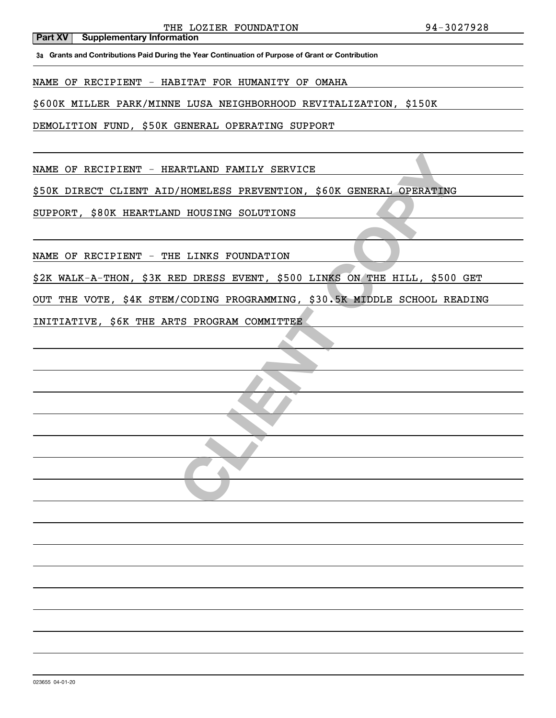**Part XV Supplementary Information**

**3a Grants and Contributions Paid During the Year Continuation of Purpose of Grant or Contribution**

NAME OF RECIPIENT - HABITAT FOR HUMANITY OF OMAHA

\$600K MILLER PARK/MINNE LUSA NEIGHBORHOOD REVITALIZATION, \$150K

DEMOLITION FUND, \$50K GENERAL OPERATING SUPPORT

NAME OF RECIPIENT - HEARTLAND FAMILY SERVICE

\$50K DIRECT CLIENT AID/HOMELESS PREVENTION, \$60K GENERAL OPERATING

SUPPORT, \$80K HEARTLAND HOUSING SOLUTIONS

NAME OF RECIPIENT - THE LINKS FOUNDATION

NATILAND FAMILY SERVICE<br>
CHOMELESS FREVENTION, \$60K GENERAL OPERATING<br>
CHOUSING SOLUTIONS<br>
E LINKS FOUNDATION<br>
CODING PROGRAMMING, \$30.5K MIDDLE SCHOOL RE<br>
TS PROGRAM COMMITTEE \$2K WALK-A-THON, \$3K RED DRESS EVENT, \$500 LINKS ON THE HILL, \$500 GET

OUT THE VOTE, \$4K STEM/CODING PROGRAMMING, \$30.5K MIDDLE SCHOOL READING

INITIATIVE, \$6K THE ARTS PROGRAM COMMITTEE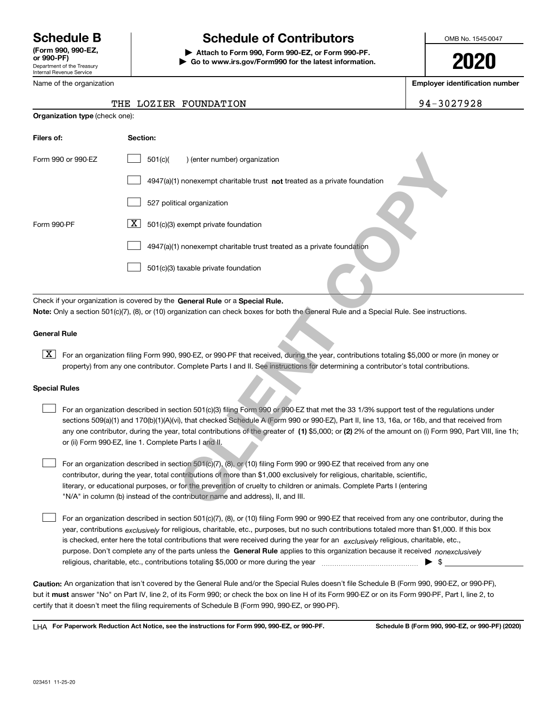Department of the Treasury Internal Revenue Service **(Form 990, 990-EZ, or 990-PF)**

Name of the organization

# **Schedule B Schedule of Contributors**

**| Attach to Form 990, Form 990-EZ, or Form 990-PF. | Go to www.irs.gov/Form990 for the latest information.** OMB No. 1545-0047

**2020**

**Employer identification number**

94-3027928

|  |  | THE LOZIER FOUNDATION |
|--|--|-----------------------|
|--|--|-----------------------|

| <b>Organization type (check one):</b>                                                                                                                                                                                                                                                                                                                                                                                                                                                                     |                                                                                                                                                                                                                                                                                  |  |  |  |
|-----------------------------------------------------------------------------------------------------------------------------------------------------------------------------------------------------------------------------------------------------------------------------------------------------------------------------------------------------------------------------------------------------------------------------------------------------------------------------------------------------------|----------------------------------------------------------------------------------------------------------------------------------------------------------------------------------------------------------------------------------------------------------------------------------|--|--|--|
| Filers of:                                                                                                                                                                                                                                                                                                                                                                                                                                                                                                | Section:                                                                                                                                                                                                                                                                         |  |  |  |
| Form 990 or 990-EZ                                                                                                                                                                                                                                                                                                                                                                                                                                                                                        | 501(c)<br>) (enter number) organization                                                                                                                                                                                                                                          |  |  |  |
|                                                                                                                                                                                                                                                                                                                                                                                                                                                                                                           | 4947(a)(1) nonexempt charitable trust not treated as a private foundation                                                                                                                                                                                                        |  |  |  |
|                                                                                                                                                                                                                                                                                                                                                                                                                                                                                                           | 527 political organization                                                                                                                                                                                                                                                       |  |  |  |
| Form 990-PF                                                                                                                                                                                                                                                                                                                                                                                                                                                                                               | X  <br>501(c)(3) exempt private foundation                                                                                                                                                                                                                                       |  |  |  |
|                                                                                                                                                                                                                                                                                                                                                                                                                                                                                                           | 4947(a)(1) nonexempt charitable trust treated as a private foundation                                                                                                                                                                                                            |  |  |  |
|                                                                                                                                                                                                                                                                                                                                                                                                                                                                                                           | 501(c)(3) taxable private foundation                                                                                                                                                                                                                                             |  |  |  |
|                                                                                                                                                                                                                                                                                                                                                                                                                                                                                                           | Check if your organization is covered by the General Rule or a Special Rule.<br>Note: Only a section 501(c)(7), (8), or (10) organization can check boxes for both the General Rule and a Special Rule. See instructions.                                                        |  |  |  |
| <b>General Rule</b>                                                                                                                                                                                                                                                                                                                                                                                                                                                                                       |                                                                                                                                                                                                                                                                                  |  |  |  |
| $\mid$ X $\mid$                                                                                                                                                                                                                                                                                                                                                                                                                                                                                           | For an organization filing Form 990, 990-EZ, or 990-PF that received, during the year, contributions totaling \$5,000 or more (in money or<br>property) from any one contributor. Complete Parts I and II. See instructions for determining a contributor's total contributions. |  |  |  |
| <b>Special Rules</b>                                                                                                                                                                                                                                                                                                                                                                                                                                                                                      |                                                                                                                                                                                                                                                                                  |  |  |  |
| For an organization described in section 501(c)(3) filing Form 990 or 990 EZ that met the 33 1/3% support test of the regulations under<br>sections 509(a)(1) and 170(b)(1)(A)(vi), that checked Schedule A (Form 990 or 990-EZ), Part II, line 13, 16a, or 16b, and that received from<br>any one contributor, during the year, total contributions of the greater of (1) \$5,000; or (2) 2% of the amount on (i) Form 990, Part VIII, line 1h;<br>or (ii) Form 990-EZ, line 1. Complete Parts I and II. |                                                                                                                                                                                                                                                                                  |  |  |  |
|                                                                                                                                                                                                                                                                                                                                                                                                                                                                                                           | For an organization described in section 501(c)(7), (8), or (10) filing Form 990 or 990-EZ that received from any one<br>contributor, during the year, total contributions of more than \$1,000 exclusively for religious, charitable, scientific,                               |  |  |  |
|                                                                                                                                                                                                                                                                                                                                                                                                                                                                                                           | literary, or educational purposes, or for the prevention of cruelty to children or animals. Complete Parts I (entering<br>"N/A" in column (b) instead of the contributor name and address), II, and III.                                                                         |  |  |  |
|                                                                                                                                                                                                                                                                                                                                                                                                                                                                                                           | For an organization described in section 501(c)(7), (8), or (10) filing Form 990 or 990-EZ that received from any one contributor, during the                                                                                                                                    |  |  |  |

#### **General Rule**

#### **Special Rules**

purpose. Don't complete any of the parts unless the **General Rule** applies to this organization because it received *nonexclusively* year, contributions <sub>exclusively</sub> for religious, charitable, etc., purposes, but no such contributions totaled more than \$1,000. If this box is checked, enter here the total contributions that were received during the year for an  $\;$ exclusively religious, charitable, etc., For an organization described in section 501(c)(7), (8), or (10) filing Form 990 or 990-EZ that received from any one contributor, during the religious, charitable, etc., contributions totaling \$5,000 or more during the year  $\Box$ — $\Box$   $\Box$ 

**Caution:**  An organization that isn't covered by the General Rule and/or the Special Rules doesn't file Schedule B (Form 990, 990-EZ, or 990-PF),  **must** but it answer "No" on Part IV, line 2, of its Form 990; or check the box on line H of its Form 990-EZ or on its Form 990-PF, Part I, line 2, to certify that it doesn't meet the filing requirements of Schedule B (Form 990, 990-EZ, or 990-PF).

**For Paperwork Reduction Act Notice, see the instructions for Form 990, 990-EZ, or 990-PF. Schedule B (Form 990, 990-EZ, or 990-PF) (2020)** LHA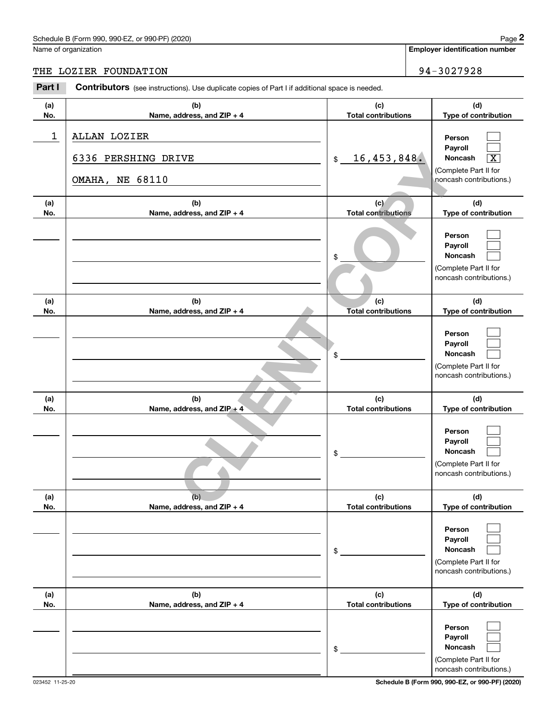# Schedule B (Form 990, 990-EZ, or 990-PF) (2020) Page 2

## THE LOZIER FOUNDATION 94-3027928

|            | Schedule B (Form 990, 990-EZ, or 990-PF) (2020)                                                |                                   | Page 2                                                                                                    |
|------------|------------------------------------------------------------------------------------------------|-----------------------------------|-----------------------------------------------------------------------------------------------------------|
|            | Name of organization                                                                           |                                   | <b>Employer identification number</b>                                                                     |
|            | THE LOZIER FOUNDATION                                                                          |                                   | 94-3027928                                                                                                |
| Part I     | Contributors (see instructions). Use duplicate copies of Part I if additional space is needed. |                                   |                                                                                                           |
| (a)<br>No. | (b)<br>Name, address, and ZIP + 4                                                              | (c)<br><b>Total contributions</b> | (d)<br>Type of contribution                                                                               |
| 1          | ALLAN LOZIER<br>6336 PERSHING DRIVE<br><b>OMAHA, NE 68110</b>                                  | 16,453,848.<br>\$                 | Person<br>Payroll<br>$\overline{\text{X}}$<br>Noncash<br>(Complete Part II for<br>noncash contributions.) |
| (a)<br>No. | (b)<br>Name, address, and ZIP + 4                                                              | (c)<br><b>Total contributions</b> | (d)<br>Type of contribution                                                                               |
|            |                                                                                                | \$                                | Person<br>Payroll<br>Noncash<br>(Complete Part II for<br>noncash contributions.)                          |
| (a)<br>No. | (b)<br>Name, address, and ZIP + 4                                                              | (c)<br><b>Total contributions</b> | (d)<br>Type of contribution                                                                               |
|            |                                                                                                | \$                                | Person<br>Payroll<br>Noncash<br>(Complete Part II for<br>noncash contributions.)                          |
| (a)<br>No. | (b)<br>Name, address, and ZIP + 4                                                              | (c)<br><b>Total contributions</b> | (d)<br>Type of contribution                                                                               |
|            |                                                                                                | \$                                | Person<br>Payroll<br>Noncash<br>(Complete Part II for<br>noncash contributions.)                          |
| (a)<br>No. | (b)<br>Name, address, and ZIP + 4                                                              | (c)<br><b>Total contributions</b> | (d)<br>Type of contribution                                                                               |
|            |                                                                                                | \$                                | Person<br>Payroll<br>Noncash<br>(Complete Part II for<br>noncash contributions.)                          |
| (a)<br>No. | (b)<br>Name, address, and ZIP + 4                                                              | (c)<br><b>Total contributions</b> | (d)<br>Type of contribution                                                                               |
|            |                                                                                                | \$                                | Person<br>Payroll<br>Noncash<br>(Complete Part II for<br>noncash contributions.)                          |

023452 11-25-20 **Schedule B (Form 990, 990-EZ, or 990-PF) (2020)**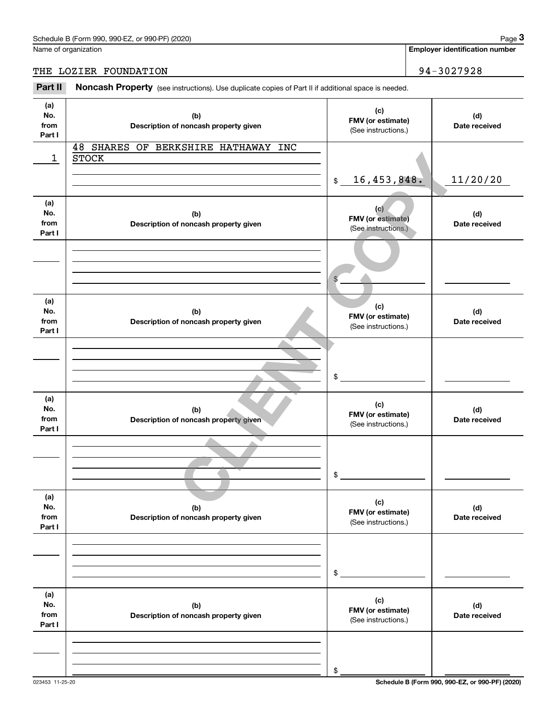Name of organization

THE LOZIER FOUNDATION 94-3027928

(see instructions). Use duplicate copies of Part II if additional space is needed.<br> **2Part II Noncash Property** (see instructions). Use duplicate copies of Part II if additional space is needed.<br>
3Part II **Noncash Proper** 

| (a)<br>No.<br>from<br>Part I | (b)<br>Description of noncash property given        | (c)<br>FMV (or estimate)<br>(See instructions.)        | (d)<br>Date received |
|------------------------------|-----------------------------------------------------|--------------------------------------------------------|----------------------|
| 1                            | 48 SHARES OF BERKSHIRE HATHAWAY INC<br><b>STOCK</b> |                                                        |                      |
|                              |                                                     | 16,453,848.<br>$\frac{1}{2}$                           | 11/20/20             |
| (a)<br>No.<br>from<br>Part I | (b)<br>Description of noncash property given        | (c)<br><b>FMV</b> (or estimate)<br>(See instructions.) | (d)<br>Date received |
|                              |                                                     | $\mathbb{S}$                                           |                      |
| (a)<br>No.<br>from<br>Part I | (b)<br>Description of noncash property given        | (c)<br>FMV (or estimate)<br>(See instructions.)        | (d)<br>Date received |
|                              |                                                     | \$                                                     |                      |
| (a)<br>No.<br>from<br>Part I | (b)<br>Description of noncash property given        | (c)<br>FMV (or estimate)<br>(See instructions.)        | (d)<br>Date received |
|                              |                                                     | \$                                                     |                      |
| (a)<br>No.<br>from<br>Part I | (b)<br>Description of noncash property given        | (c)<br>FMV (or estimate)<br>(See instructions.)        | (d)<br>Date received |
|                              |                                                     | \$                                                     |                      |
| (a)<br>No.<br>from<br>Part I | (b)<br>Description of noncash property given        | (c)<br>FMV (or estimate)<br>(See instructions.)        | (d)<br>Date received |
|                              |                                                     |                                                        |                      |
|                              |                                                     | \$                                                     |                      |

023453 11-25-20 **Schedule B (Form 990, 990-EZ, or 990-PF) (2020)**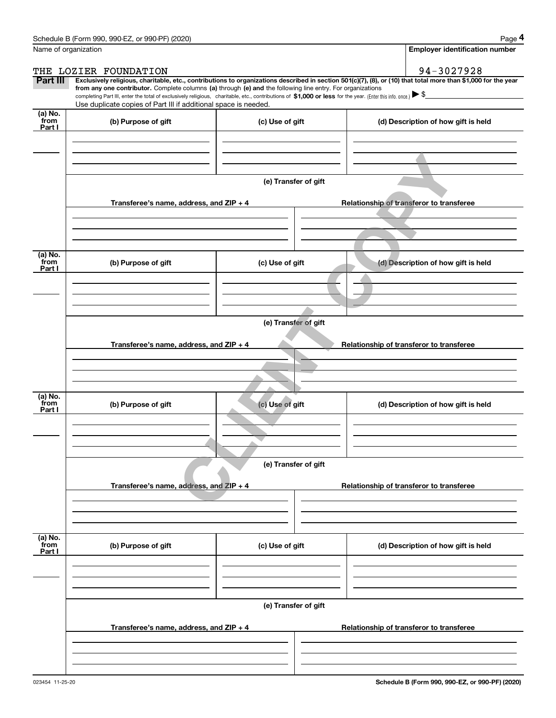|                           | Schedule B (Form 990, 990-EZ, or 990-PF) (2020)                                                                                                                                                                                 |                      | Page 4                                                                                                                                                         |  |  |
|---------------------------|---------------------------------------------------------------------------------------------------------------------------------------------------------------------------------------------------------------------------------|----------------------|----------------------------------------------------------------------------------------------------------------------------------------------------------------|--|--|
|                           | Name of organization                                                                                                                                                                                                            |                      | <b>Employer identification number</b>                                                                                                                          |  |  |
|                           | THE LOZIER FOUNDATION                                                                                                                                                                                                           |                      | 94-3027928                                                                                                                                                     |  |  |
| Part III                  | from any one contributor. Complete columns (a) through (e) and the following line entry. For organizations                                                                                                                      |                      | Exclusively religious, charitable, etc., contributions to organizations described in section 501(c)(7), (8), or (10) that total more than \$1,000 for the year |  |  |
|                           | completing Part III, enter the total of exclusively religious, charitable, etc., contributions of \$1,000 or less for the year. (Enter this info. once.) \\$<br>Use duplicate copies of Part III if additional space is needed. |                      |                                                                                                                                                                |  |  |
| (a) No.                   |                                                                                                                                                                                                                                 |                      |                                                                                                                                                                |  |  |
| from<br>Part I            | (b) Purpose of gift                                                                                                                                                                                                             | (c) Use of gift      | (d) Description of how gift is held                                                                                                                            |  |  |
|                           |                                                                                                                                                                                                                                 |                      |                                                                                                                                                                |  |  |
|                           |                                                                                                                                                                                                                                 |                      |                                                                                                                                                                |  |  |
|                           |                                                                                                                                                                                                                                 |                      |                                                                                                                                                                |  |  |
|                           |                                                                                                                                                                                                                                 | (e) Transfer of gift |                                                                                                                                                                |  |  |
|                           | Transferee's name, address, and ZIP + 4                                                                                                                                                                                         |                      | Relationship of transferor to transferee                                                                                                                       |  |  |
|                           |                                                                                                                                                                                                                                 |                      |                                                                                                                                                                |  |  |
|                           |                                                                                                                                                                                                                                 |                      |                                                                                                                                                                |  |  |
|                           |                                                                                                                                                                                                                                 |                      |                                                                                                                                                                |  |  |
| (a) No.<br>from           | (b) Purpose of gift                                                                                                                                                                                                             | (c) Use of gift      | (d) Description of how gift is held                                                                                                                            |  |  |
| Part I                    |                                                                                                                                                                                                                                 |                      |                                                                                                                                                                |  |  |
|                           |                                                                                                                                                                                                                                 |                      |                                                                                                                                                                |  |  |
|                           |                                                                                                                                                                                                                                 |                      |                                                                                                                                                                |  |  |
|                           | (e) Transfer of gift                                                                                                                                                                                                            |                      |                                                                                                                                                                |  |  |
|                           |                                                                                                                                                                                                                                 |                      |                                                                                                                                                                |  |  |
|                           | Transferee's name, address, and ZIP + 4                                                                                                                                                                                         |                      | Relationship of transferor to transferee                                                                                                                       |  |  |
|                           |                                                                                                                                                                                                                                 |                      |                                                                                                                                                                |  |  |
|                           |                                                                                                                                                                                                                                 |                      |                                                                                                                                                                |  |  |
| (a) No.                   |                                                                                                                                                                                                                                 |                      |                                                                                                                                                                |  |  |
| from<br>Part I            | (b) Purpose of gift                                                                                                                                                                                                             | (c) Use of gift      | (d) Description of how gift is held                                                                                                                            |  |  |
|                           |                                                                                                                                                                                                                                 |                      |                                                                                                                                                                |  |  |
|                           |                                                                                                                                                                                                                                 |                      |                                                                                                                                                                |  |  |
|                           |                                                                                                                                                                                                                                 |                      |                                                                                                                                                                |  |  |
|                           |                                                                                                                                                                                                                                 | (e) Transfer of gift |                                                                                                                                                                |  |  |
|                           | Transferee's name, address, and ZIP + 4                                                                                                                                                                                         |                      | Relationship of transferor to transferee                                                                                                                       |  |  |
|                           |                                                                                                                                                                                                                                 |                      |                                                                                                                                                                |  |  |
|                           |                                                                                                                                                                                                                                 |                      |                                                                                                                                                                |  |  |
|                           |                                                                                                                                                                                                                                 |                      |                                                                                                                                                                |  |  |
| (a) No.<br>from<br>Part I | (b) Purpose of gift                                                                                                                                                                                                             | (c) Use of gift      | (d) Description of how gift is held                                                                                                                            |  |  |
|                           |                                                                                                                                                                                                                                 |                      |                                                                                                                                                                |  |  |
|                           |                                                                                                                                                                                                                                 |                      |                                                                                                                                                                |  |  |
|                           |                                                                                                                                                                                                                                 |                      |                                                                                                                                                                |  |  |
|                           |                                                                                                                                                                                                                                 | (e) Transfer of gift |                                                                                                                                                                |  |  |
|                           | Transferee's name, address, and ZIP + 4                                                                                                                                                                                         |                      | Relationship of transferor to transferee                                                                                                                       |  |  |
|                           |                                                                                                                                                                                                                                 |                      |                                                                                                                                                                |  |  |
|                           |                                                                                                                                                                                                                                 |                      |                                                                                                                                                                |  |  |
|                           |                                                                                                                                                                                                                                 |                      |                                                                                                                                                                |  |  |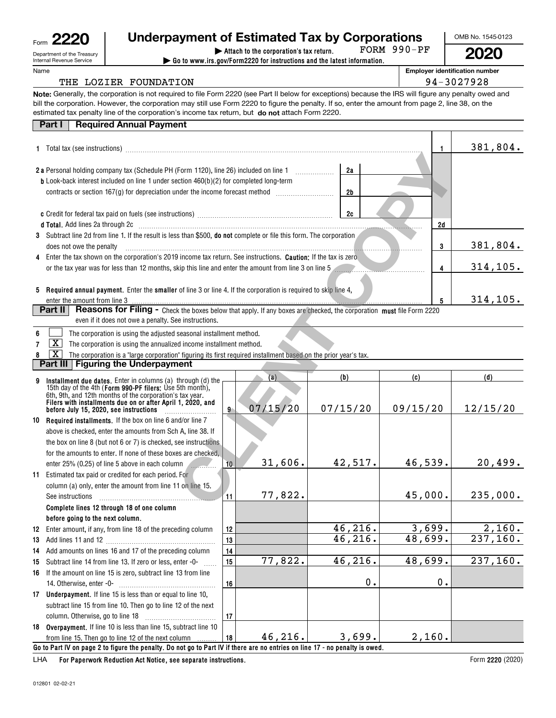| Form |                                                    |
|------|----------------------------------------------------|
|      | Department of the Treas<br>Internal Revenue Servic |

Name

# **Underpayment of Estimated Tax by Corporations**

FORM 990-PF

OMB No. 1545-0123 **2020**

| Department of the Treasury |  |
|----------------------------|--|
| Internal Revenue Service   |  |
|                            |  |

| nt of the Treasury<br>venue Service | Attach to the corporation's tax return.<br>$\triangleright$ Go to www.irs.gov/Form2220 for instructions and the latest information.          | FORM $990-PF$ | 2020                                  |
|-------------------------------------|----------------------------------------------------------------------------------------------------------------------------------------------|---------------|---------------------------------------|
|                                     |                                                                                                                                              |               | <b>Employer identification number</b> |
|                                     | THE LOZIER FOUNDATION                                                                                                                        |               | 94-3027928                            |
|                                     | operally the corporation is not required to file Ferm 2000 (eas Dart II below for expentional because the IDC will figure any penalty owed a |               |                                       |

**Note:** Generally, the corporation is not required to file Form 2220 (see Part II below for exceptions) because the IRS will figure any penalty owed and estimated tax penalty line of the corporation's income tax return, but **do not** attach Form 2220. bill the corporation. However, the corporation may still use Form 2220 to figure the penalty. If so, enter the amount from page 2, line 38, on the

| <b>Part I Required Annual Payment</b> |
|---------------------------------------|

|                |                                                                                                                                                                   |          |                | 1.                      | 381,804.  |
|----------------|-------------------------------------------------------------------------------------------------------------------------------------------------------------------|----------|----------------|-------------------------|-----------|
|                |                                                                                                                                                                   |          |                |                         |           |
|                | 2 a Personal holding company tax (Schedule PH (Form 1120), line 26) included on line 1                                                                            |          | 2a             |                         |           |
|                | <b>b</b> Look-back interest included on line 1 under section 460(b)(2) for completed long-term                                                                    |          |                |                         |           |
|                | contracts or section 167(g) for depreciation under the income forecast method [111] contracts or section 167(g) for depreciation under the income forecast method |          | 2 <sub>b</sub> |                         |           |
|                |                                                                                                                                                                   |          |                |                         |           |
|                |                                                                                                                                                                   |          | 2c             |                         |           |
|                |                                                                                                                                                                   |          |                | 2d                      |           |
|                | 3 Subtract line 2d from line 1. If the result is less than \$500, do not complete or file this form. The corporation<br>does not owe the penalty                  |          |                | 3                       | 381,804.  |
|                | 4 Enter the tax shown on the corporation's 2019 income tax return. See instructions. Caution: If the tax is zero                                                  |          |                |                         |           |
|                | or the tax year was for less than 12 months, skip this line and enter the amount from line 3 on line 5                                                            |          |                | $\overline{\mathbf{4}}$ | 314, 105. |
|                |                                                                                                                                                                   |          |                |                         |           |
|                | 5 Required annual payment. Enter the smaller of line 3 or line 4. If the corporation is required to skip line 4,                                                  |          |                |                         |           |
|                | enter the amount from line 3                                                                                                                                      |          |                | 5                       | 314, 105. |
|                | Reasons for Filing - Check the boxes below that apply. If any boxes are checked, the corporation must file Form 2220<br>Part II                                   |          |                |                         |           |
|                | even if it does not owe a penalty. See instructions.                                                                                                              |          |                |                         |           |
| 6              | The corporation is using the adjusted seasonal installment method.                                                                                                |          |                |                         |           |
| $\overline{7}$ | $\overline{\mathbf{X}}$<br>The corporation is using the annualized income installment method.                                                                     |          |                |                         |           |
|                | x<br>The corporation is a "large corporation" figuring its first required installment based on the prior year's tax.                                              |          |                |                         |           |
|                | Part III   Figuring the Underpayment                                                                                                                              |          |                |                         |           |
| 9              |                                                                                                                                                                   | (a)      | (b)            | (c)                     | (d)       |
|                | Installment due dates. Enter in columns (a) through (d) the 15th day of the 4th (Form 990-PF filers: Use 5th month),                                              |          |                |                         |           |
|                | 6th, 9th, and 12th months of the corporation's tax year.<br>Filers with installments due on or after April 1, 2020, and                                           |          |                |                         |           |
|                | $9 -$                                                                                                                                                             | 07/15/20 | 07/15/20       | 09/15/20                | 12/15/20  |
|                | 10 Required installments. If the box on line 6 and/or line 7                                                                                                      |          |                |                         |           |
|                | above is checked, enter the amounts from Sch A, line 38. If                                                                                                       |          |                |                         |           |
|                | the box on line 8 (but not 6 or 7) is checked, see instructions.                                                                                                  |          |                |                         |           |
|                | for the amounts to enter. If none of these boxes are checked,                                                                                                     |          |                |                         |           |
|                | 10<br>enter 25% (0.25) of line 5 above in each column                                                                                                             | 31,606.  | 42,517.        | 46,539.                 | 20,499.   |
|                | 11 Estimated tax paid or credited for each period. For                                                                                                            |          |                |                         |           |
|                | column (a) only, enter the amount from line 11 on line 15.                                                                                                        |          |                |                         |           |
|                | 11<br>See instructions                                                                                                                                            | 77,822.  |                | 45,000.                 | 235,000.  |
|                | Complete lines 12 through 18 of one column                                                                                                                        |          |                |                         |           |

|  |  | 6 The corporation is using the adjusted seasonal installment method. |
|--|--|----------------------------------------------------------------------|
|--|--|----------------------------------------------------------------------|

|    | Installment due dates. Enter in columns (a) through (d) the                                                                  |      | (a)      | (b)           | (c)      | (d)       |  |  |
|----|------------------------------------------------------------------------------------------------------------------------------|------|----------|---------------|----------|-----------|--|--|
|    | 15th day of the 4th (Form 990-PF filers: Use 5th month),                                                                     |      |          |               |          |           |  |  |
|    | 6th, 9th, and 12th months of the corporation's tax year.<br>Filers with installments due on or after April 1, 2020, and      |      |          |               |          |           |  |  |
|    | before July 15, 2020, see instructions                                                                                       | $9-$ | 07/15/20 | 07/15/20      | 09/15/20 | 12/15/20  |  |  |
| 10 | Required installments. If the box on line 6 and/or line 7                                                                    |      |          |               |          |           |  |  |
|    | above is checked, enter the amounts from Sch A, line 38. If                                                                  |      |          |               |          |           |  |  |
|    | the box on line 8 (but not 6 or 7) is checked, see instructions                                                              |      |          |               |          |           |  |  |
|    | for the amounts to enter. If none of these boxes are checked.                                                                |      |          |               |          |           |  |  |
|    | enter 25% (0.25) of line 5 above in each column                                                                              | 10   | 31,606.  | 42,517.       | 46,539.  | 20,499.   |  |  |
|    | 11 Estimated tax paid or credited for each period. For                                                                       |      |          |               |          |           |  |  |
|    | column (a) only, enter the amount from line 11 on line 15.                                                                   |      |          |               |          |           |  |  |
|    | See instructions                                                                                                             | 11   | 77,822.  |               | 45,000.  | 235,000.  |  |  |
|    | Complete lines 12 through 18 of one column                                                                                   |      |          |               |          |           |  |  |
|    | before going to the next column.                                                                                             |      |          |               |          |           |  |  |
| 12 | Enter amount, if any, from line 18 of the preceding column                                                                   | 12   |          | 46,216.       | 3,699.   | 2,160.    |  |  |
| 13 |                                                                                                                              | 13   |          | 46,216.       | 48,699.  | 237,160.  |  |  |
| 14 | Add amounts on lines 16 and 17 of the preceding column                                                                       | 14   |          |               |          |           |  |  |
| 15 | Subtract line 14 from line 13. If zero or less, enter -0-                                                                    | 15   | 77,822.  | 46,216.       | 48,699.  | 237, 160. |  |  |
| 16 | If the amount on line 15 is zero, subtract line 13 from line                                                                 |      |          |               |          |           |  |  |
|    | 14. Otherwise, enter -0-                                                                                                     | 16   |          | $\mathbf 0$ . | 0.       |           |  |  |
| 17 | <b>Underpayment.</b> If line 15 is less than or equal to line 10,                                                            |      |          |               |          |           |  |  |
|    | subtract line 15 from line 10. Then go to line 12 of the next                                                                |      |          |               |          |           |  |  |
|    | column. Otherwise, go to line 18                                                                                             | 17   |          |               |          |           |  |  |
|    | 18 Overpayment. If line 10 is less than line 15, subtract line 10                                                            |      |          |               |          |           |  |  |
|    | from line 15. Then go to line 12 of the next column                                                                          | 18   | 46, 216. | 3,699.        | 2,160.   |           |  |  |
|    | Go to Part IV on page 2 to figure the penalty. Do not go to Part IV if there are no entries on line 17 - no penalty is owed. |      |          |               |          |           |  |  |

**For Paperwork Reduction Act Notice, see separate instructions.** LHA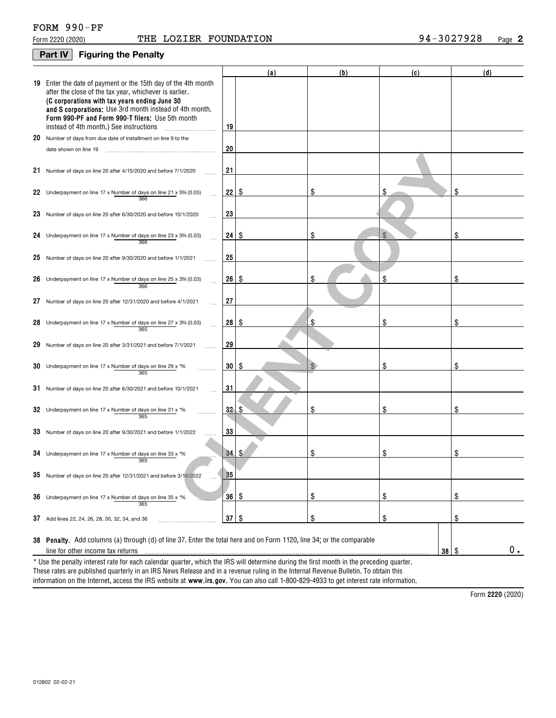|                       | FORM 990-PF |
|-----------------------|-------------|
| $F \cdot \cdot \cdot$ |             |

### **Part IV Figuring the Penalty**

|                                                                                                                                                                                                                                                                                         |                 | (a) | (b) | (c)        | (d) |    |
|-----------------------------------------------------------------------------------------------------------------------------------------------------------------------------------------------------------------------------------------------------------------------------------------|-----------------|-----|-----|------------|-----|----|
| 19 Enter the date of payment or the 15th day of the 4th month<br>after the close of the tax year, whichever is earlier.<br>(C corporations with tax years ending June 30<br>and S corporations: Use 3rd month instead of 4th month.<br>Form 990-PF and Form 990-T filers; Use 5th month |                 |     |     |            |     |    |
| instead of 4th month.) See instructions                                                                                                                                                                                                                                                 | 19              |     |     |            |     |    |
| 20 Number of days from due date of installment on line 9 to the                                                                                                                                                                                                                         |                 |     |     |            |     |    |
| date shown on line 19                                                                                                                                                                                                                                                                   | 20              |     |     |            |     |    |
| 21 Number of days on line 20 after 4/15/2020 and before 7/1/2020                                                                                                                                                                                                                        | 21              |     |     |            |     |    |
| 22 Underpayment on line 17 x Number of days on line 21 x 5% (0.05)<br>366                                                                                                                                                                                                               | $22$   \$       |     | \$  | \$         | \$  |    |
| 23 Number of days on line 20 after 6/30/2020 and before 10/1/2020                                                                                                                                                                                                                       | 23              |     |     |            |     |    |
| 24 Underpayment on line 17 x Number of days on line 23 x 3% (0.03)<br>366                                                                                                                                                                                                               | $24$   \$       |     | S   |            | \$  |    |
| 25 Number of days on line 20 after 9/30/2020 and before 1/1/2021                                                                                                                                                                                                                        | 25              |     |     |            |     |    |
| 26 Underpayment on line 17 x Number of days on line $25 \times 3\%$ (0.03)<br>366                                                                                                                                                                                                       | 26 S            |     | \$  | \$         | \$  |    |
| 27 Number of days on line 20 after 12/31/2020 and before 4/1/2021                                                                                                                                                                                                                       | 27              |     |     |            |     |    |
| 28 Underpayment on line 17 x Number of days on line 27 x 3% (0.03)<br>365                                                                                                                                                                                                               | 28 S            |     |     | \$         | S   |    |
| 29 Number of days on line 20 after 3/31/2021 and before 7/1/2021                                                                                                                                                                                                                        | 29              |     |     |            |     |    |
| 30 Underpayment on line 17 x Number of days on line 29 x *%<br>365                                                                                                                                                                                                                      | 30              | \$  |     | S          | \$  |    |
| 31 Number of days on line 20 after 6/30/2021 and before 10/1/2021                                                                                                                                                                                                                       | 31              |     |     |            |     |    |
| 32 Underpayment on line 17 x Number of days on line 31 x *%<br>365                                                                                                                                                                                                                      | 32 <sub>1</sub> | \$  | \$  | S          | \$  |    |
| 33 Number of days on line 20 after 9/30/2021 and before 1/1/2022                                                                                                                                                                                                                        | 33              |     |     |            |     |    |
| 34 Underpayment on line 17 x Number of days on line 33 x *%<br>365                                                                                                                                                                                                                      | 34              | \$  | \$  | \$         | \$  |    |
| <b>30</b> Number of days on line 20 after 12/31/2021 and before 3/16/2022                                                                                                                                                                                                               | ುರ              |     |     |            |     |    |
| 36 Underpayment on line 17 x Number of days on line 35 x *%                                                                                                                                                                                                                             | $36  $ \$       |     | \$  | \$         | \$  |    |
| 37 Add lines 22, 24, 26, 28, 30, 32, 34, and 36                                                                                                                                                                                                                                         | 37              | \$  | \$  | \$         | \$  |    |
| 38 Penalty. Add columns (a) through (d) of line 37. Enter the total here and on Form 1120, line 34; or the comparable<br>line for other income tax returns                                                                                                                              |                 |     |     | $38 \quad$ |     | 0. |
| * Use the penalty interest rate for each calendar quarter, which the IRS will determine during the first month in the preceding quarter.                                                                                                                                                |                 |     |     |            |     |    |

information on the Internet, access the IRS website at **www.irs.gov**. You can also call 1-800-829-4933 to get interest rate information. These rates are published quarterly in an IRS News Release and in a revenue ruling in the Internal Revenue Bulletin. To obtain this

**2220**  Form (2020)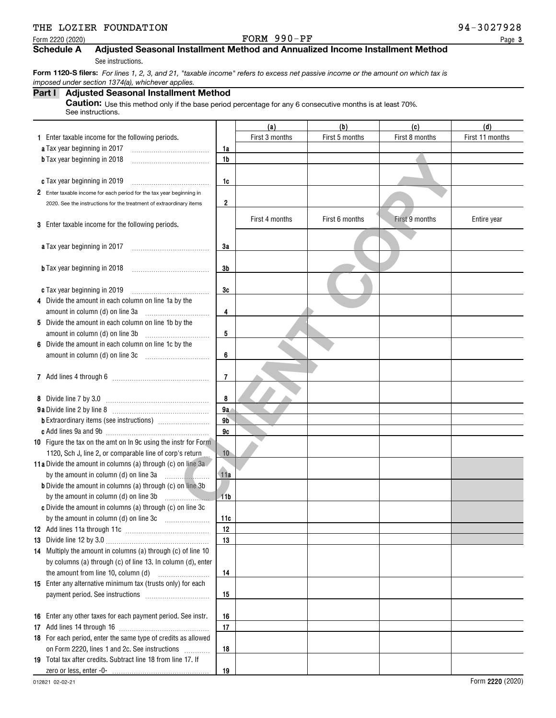## THE LOZIER FOUNDATION **1200 PM CHARGE 1200 PM CHARGE 1200 PM CHARGE 1200 PM CHARGE 1200 PM CHARGE 1200 PM CHARGE 1200 PM CHARGE 1200 PM CHARGE 1200 PM CHARGE 1200 PM CHARGE 1200 PM CHARGE 1200 PM CHARGE 1200 PM CHARGE 1200**

### Form 2220 (2020)  $P$  Page Page  $P$  Page  $P$  Page  $P$  Page  $P$  Page  $P$

**3**

### **Schedule A Adjusted Seasonal Installment Method and Annualized Income Installment Method**

See instructions.

 **Form 1120-S filers:** *For lines 1, 2, 3, and 21, "taxable income" refers to excess net passive income or the amount on which tax is imposed under section 1374(a), whichever applies.*

### **Part I Adjusted Seasonal Installment Method**

**Caution:** Use this method only if the base period percentage for any 6 consecutive months is at least 70%. See instructions.

|                                                                                                     |                | (a)            | (b)            | (c)            | (d)             |
|-----------------------------------------------------------------------------------------------------|----------------|----------------|----------------|----------------|-----------------|
| 1 Enter taxable income for the following periods.                                                   |                | First 3 months | First 5 months | First 8 months | First 11 months |
| a Tax year beginning in 2017                                                                        | 1a             |                |                |                |                 |
| <b>b</b> Tax year beginning in 2018                                                                 | 1 <sub>b</sub> |                |                |                |                 |
|                                                                                                     |                |                |                |                |                 |
| c Tax year beginning in 2019                                                                        | 1c             |                |                |                |                 |
| 2 Enter taxable income for each period for the tax year beginning in                                |                |                |                |                |                 |
| 2020. See the instructions for the treatment of extraordinary items                                 | $\overline{2}$ |                |                |                |                 |
|                                                                                                     |                | First 4 months | First 6 months | First 9 months | Entire year     |
| 3 Enter taxable income for the following periods.                                                   |                |                |                |                |                 |
|                                                                                                     |                |                |                |                |                 |
| a Tax year beginning in 2017                                                                        | 3a             |                |                |                |                 |
|                                                                                                     |                |                |                |                |                 |
| <b>b</b> Tax year beginning in 2018                                                                 | 3b             |                |                |                |                 |
|                                                                                                     |                |                |                |                |                 |
| c Tax year beginning in 2019                                                                        | 3c             |                |                |                |                 |
| 4 Divide the amount in each column on line 1a by the                                                |                |                |                |                |                 |
| amount in column (d) on line 3a                                                                     | 4              |                |                |                |                 |
| 5 Divide the amount in each column on line 1b by the                                                |                |                |                |                |                 |
| amount in column (d) on line 3b                                                                     | 5              |                |                |                |                 |
| 6 Divide the amount in each column on line 1c by the                                                |                |                |                |                |                 |
| amount in column (d) on line 3c                                                                     | 6              |                |                |                |                 |
|                                                                                                     |                |                |                |                |                 |
|                                                                                                     | $\overline{7}$ |                |                |                |                 |
|                                                                                                     |                |                |                |                |                 |
| 8 Divide line 7 by 3.0                                                                              | 8              |                |                |                |                 |
|                                                                                                     | 9a             |                |                |                |                 |
|                                                                                                     | 9 <sub>b</sub> |                |                |                |                 |
|                                                                                                     | 9c             |                |                |                |                 |
| 10 Figure the tax on the amt on In 9c using the instr for Form                                      |                |                |                |                |                 |
| 1120, Sch J, line 2, or comparable line of corp's return                                            | 10             |                |                |                |                 |
| 11a Divide the amount in columns (a) through (c) on line 3a.                                        |                |                |                |                |                 |
| by the amount in column (d) on line 3a                                                              | 11a            |                |                |                |                 |
| <b>b</b> Divide the amount in columns (a) through (c) on line 3b                                    |                |                |                |                |                 |
| by the amount in column (d) on line 3b<br>c Divide the amount in columns (a) through (c) on line 3c | 41b            |                |                |                |                 |
|                                                                                                     | 11c            |                |                |                |                 |
|                                                                                                     | 12             |                |                |                |                 |
|                                                                                                     | 13             |                |                |                |                 |
| 14 Multiply the amount in columns (a) through (c) of line 10                                        |                |                |                |                |                 |
| by columns (a) through (c) of line 13. In column (d), enter                                         |                |                |                |                |                 |
| the amount from line 10, column (d)                                                                 | 14             |                |                |                |                 |
| 15 Enter any alternative minimum tax (trusts only) for each                                         |                |                |                |                |                 |
|                                                                                                     | 15             |                |                |                |                 |
|                                                                                                     |                |                |                |                |                 |
| 16 Enter any other taxes for each payment period. See instr.                                        | 16             |                |                |                |                 |
| 17 Add lines 14 through 16                                                                          | 17             |                |                |                |                 |
| 18 For each period, enter the same type of credits as allowed                                       |                |                |                |                |                 |
| on Form 2220, lines 1 and 2c. See instructions                                                      | 18             |                |                |                |                 |
| 19 Total tax after credits. Subtract line 18 from line 17. If                                       |                |                |                |                |                 |
|                                                                                                     | 19             |                |                |                |                 |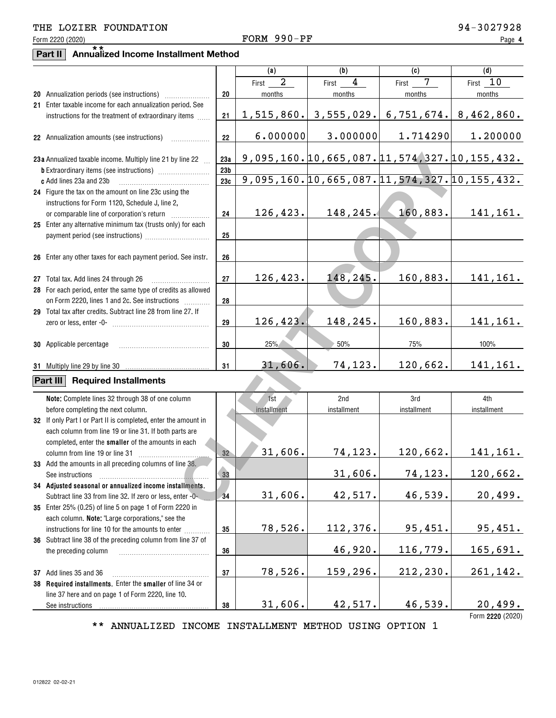### Form 2220 (2020)  $P$  Page Page  $P$  Page  $P$  Page  $P$  Page  $P$  Page  $P$

# **Part II Annualized Income Installment Method** \*\*

|                                                                |                 | (a)                     | (b)                                                | (c)         | (d)         |
|----------------------------------------------------------------|-----------------|-------------------------|----------------------------------------------------|-------------|-------------|
|                                                                |                 | $\overline{2}$<br>First | 4<br>First                                         | 7<br>First  | First 10    |
|                                                                | 20              | months                  | months                                             | months      | months      |
| 21 Enter taxable income for each annualization period. See     |                 |                         |                                                    |             |             |
| instructions for the treatment of extraordinary items          | 21              |                         | $1,515,860.$ 3,555,029. 6,751,674. 8,462,860.      |             |             |
|                                                                |                 |                         |                                                    |             |             |
| 22 Annualization amounts (see instructions)                    | 22              | 6.000000                | 3.000000                                           | 1.714290    | 1.200000    |
|                                                                |                 |                         |                                                    |             |             |
| 23a Annualized taxable income. Multiply line 21 by line 22     | 23a             |                         | <u>9,095,160.10,665,087.11,574,327.10,155,432.</u> |             |             |
|                                                                | 23 <sub>b</sub> |                         |                                                    |             |             |
| c Add lines 23a and 23b                                        | 23c             |                         | 9,095,160.10,665,087.11,574,327.10,155,432.        |             |             |
| 24 Figure the tax on the amount on line 23c using the          |                 |                         |                                                    |             |             |
| instructions for Form 1120, Schedule J, line 2,                |                 |                         |                                                    |             |             |
|                                                                | 24              | 126, 423.               | 148, 245.                                          | 160,883.    | 141,161.    |
| 25 Enter any alternative minimum tax (trusts only) for each    |                 |                         |                                                    |             |             |
|                                                                | 25              |                         |                                                    |             |             |
|                                                                |                 |                         |                                                    |             |             |
| 26 Enter any other taxes for each payment period. See instr.   | 26              |                         |                                                    |             |             |
|                                                                |                 |                         |                                                    |             |             |
| 27 Total tax. Add lines 24 through 26                          | 27              | 126,423.                | 148,245.                                           | 160,883.    | 141,161.    |
| 28 For each period, enter the same type of credits as allowed  |                 |                         |                                                    |             |             |
| on Form 2220, lines 1 and 2c. See instructions                 | 28              |                         |                                                    |             |             |
| 29 Total tax after credits. Subtract line 28 from line 27. If  |                 |                         |                                                    |             |             |
|                                                                |                 | 126,423.                | 148,245.                                           | 160,883.    | 141,161.    |
| zero or less, enter -0-                                        | 29              |                         |                                                    |             |             |
|                                                                |                 |                         |                                                    |             |             |
| <b>30</b> Applicable percentage                                | 30              | 25%                     | 50%                                                | 75%         | 100%        |
|                                                                |                 | 31,606.                 | 74,123.                                            | 120,662.    | 141,161.    |
|                                                                | 31              |                         |                                                    |             |             |
| <b>Part III</b><br><b>Required Installments</b>                |                 |                         |                                                    |             |             |
| Note: Complete lines 32 through 38 of one column               |                 | 1st                     | 2nd                                                | 3rd         | 4th         |
| before completing the next column.                             |                 | installment             | installment                                        | installment | installment |
| 32 If only Part I or Part II is completed, enter the amount in |                 |                         |                                                    |             |             |
|                                                                |                 |                         |                                                    |             |             |
| each column from line 19 or line 31. If both parts are         |                 |                         |                                                    |             |             |
| completed, enter the smaller of the amounts in each            |                 | 31,606.                 | 74,123.                                            | 120,662.    | 141,161.    |
| column from line 19 or line 31                                 | 32 <sup>°</sup> |                         |                                                    |             |             |
| 33 Add the amounts in all preceding columns of line 38.        |                 |                         | 31,606.                                            | 74,123.     | 120,662.    |
| See instructions                                               | 33              |                         |                                                    |             |             |
| 34 Adjusted seasonal or annualized income installments.        |                 |                         |                                                    |             |             |
| Subtract line 33 from line 32. If zero or less, enter -0-      | 34              | 31,606.                 | 42,517.                                            | 46,539.     | 20,499.     |
| 35 Enter 25% (0.25) of line 5 on page 1 of Form 2220 in        |                 |                         |                                                    |             |             |
| each column. Note: "Large corporations," see the               |                 |                         |                                                    |             |             |
| instructions for line 10 for the amounts to enter              | 35              | 78,526.                 | 112,376.                                           | 95,451.     | 95,451.     |
| 36 Subtract line 38 of the preceding column from line 37 of    |                 |                         |                                                    |             |             |
| the preceding column                                           | 36              |                         | 46,920.                                            | 116,779.    | 165,691.    |
|                                                                |                 |                         |                                                    |             |             |
| 37 Add lines 35 and 36                                         | 37              | 78,526.                 | 159,296.                                           | 212,230.    | 261,142.    |
| 38 Required installments. Enter the smaller of line 34 or      |                 |                         |                                                    |             |             |
| line 37 here and on page 1 of Form 2220, line 10.              |                 |                         |                                                    |             |             |
| See instructions                                               | 38              | 31,606.                 | 42,517.                                            | 46,539.     | 20,499.     |

\*\* ANNUALIZED INCOME INSTALLMENT METHOD USING OPTION 1

**2220**  Form (2020)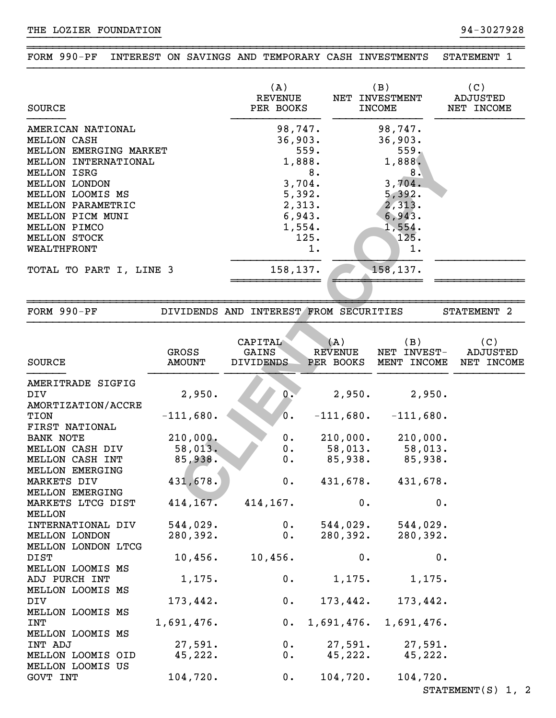~~~~~~~~~~~~~~~~~~~~~~~~~~~~~~~~~~~~~~~~~~~~~~~~~~~~~~~~~~~~~~~~~~~~~~~~~~~~~~FORM 990-PF INTEREST ON SAVINGS AND TEMPORARY CASH INVESTMENTS STATEMENT 1

}}}}}}}}}}}}}}}}}}}}} }}}}}}}}}}

| SOURCE                  | (A)<br><b>REVENUE</b><br>PER BOOKS | (B)<br>INVESTMENT<br>NET<br>INCOME | (C)<br>ADJUSTED<br>NET INCOME |
|-------------------------|------------------------------------|------------------------------------|-------------------------------|
| AMERICAN NATIONAL       | 98,747.                            | 98,747.                            |                               |
| MELLON CASH             | 36,903.                            | 36,903.                            |                               |
| MELLON EMERGING MARKET  | 559.                               | 559.                               |                               |
| MELLON INTERNATIONAL    | 1,888.                             | 1,888.                             |                               |
| MELLON ISRG             | 8.                                 | 8 <sub>1</sub>                     |                               |
| <b>MELLON LONDON</b>    | 3,704.                             | 3,704.                             |                               |
| MELLON LOOMIS MS        | 5,392.                             | 5,392.                             |                               |
| MELLON PARAMETRIC       | 2,313.                             | 2,313.                             |                               |
| MELLON PICM MUNI        | 6,943.                             | 6,943.                             |                               |
| MELLON PIMCO            | 1,554.                             | 1,554.                             |                               |
| <b>MELLON STOCK</b>     | 125.                               | 125.                               |                               |
| WEALTHFRONT             | 1.                                 | 1.                                 |                               |
| TOTAL TO PART I, LINE 3 | 158,137.                           | 158,137.                           |                               |
|                         |                                    |                                    |                               |

| MENDON EMERGING MARKEI<br>MELLON INTERNATIONAL<br>MELLON ISRG<br>MELLON LONDON<br>MELLON LOOMIS MS<br>MELLON PARAMETRIC<br>MELLON PICM MUNI<br>MELLON PIMCO<br>MELLON STOCK<br>WEALTHFRONT<br>TOTAL TO PART I, LINE 3 | 158,137.               | JJJ •<br>1,888.<br>8.<br>3,704.<br>5,392.<br>2,313.<br>6,943.<br>1,554.<br>125.<br>1. | <u>, در ر</u><br>1,888.<br>8.<br>3,704.<br>5,392.<br>2,313.<br>6,943.<br>1,554.<br>125.<br>$1$ .<br>158,137. |                                   |                               |
|-----------------------------------------------------------------------------------------------------------------------------------------------------------------------------------------------------------------------|------------------------|---------------------------------------------------------------------------------------|--------------------------------------------------------------------------------------------------------------|-----------------------------------|-------------------------------|
| FORM 990-PF                                                                                                                                                                                                           |                        | DIVIDENDS AND INTEREST FROM SECURITIES                                                |                                                                                                              |                                   | STATEMENT 2                   |
| <b>SOURCE</b>                                                                                                                                                                                                         | GROSS<br><b>AMOUNT</b> | CAPITAL<br>GAINS<br><b>DIVIDENDS</b>                                                  | (A)<br><b>REVENUE</b><br>PER BOOKS                                                                           | (B)<br>NET INVEST-<br>MENT INCOME | (C)<br>ADJUSTED<br>NET INCOME |
| AMERITRADE SIGFIG<br>DIV<br>AMORTIZATION/ACCRE                                                                                                                                                                        | 2,950.                 | $0$ .                                                                                 | 2,950.                                                                                                       | 2,950.                            |                               |
| TION<br>FIRST NATIONAL                                                                                                                                                                                                | $-111,680.$            | 0.                                                                                    | $-111,680.$                                                                                                  | $-111,680.$                       |                               |
| <b>BANK NOTE</b>                                                                                                                                                                                                      | 210,000.               | $0$ .                                                                                 |                                                                                                              | $210,000.$ 210,000.               |                               |
| MELLON CASH DIV                                                                                                                                                                                                       | 58,013.                | $0$ .                                                                                 | 58,013.                                                                                                      | 58,013.                           |                               |
| MELLON CASH INT<br>MELLON EMERGING                                                                                                                                                                                    | 85,938.                | 0.                                                                                    | 85,938.                                                                                                      | 85,938.                           |                               |
| MARKETS DIV<br>MELLON EMERGING                                                                                                                                                                                        | 431,678.               | $0$ .                                                                                 | 431,678.                                                                                                     | 431,678.                          |                               |
| MARKETS LTCG DIST<br><b>MELLON</b>                                                                                                                                                                                    | 414, 167.              | 414, 167.                                                                             | 0.                                                                                                           | 0.                                |                               |
| INTERNATIONAL DIV                                                                                                                                                                                                     | 544,029.               | $0$ .                                                                                 | 544,029.                                                                                                     | 544,029.                          |                               |
| MELLON LONDON<br>MELLON LONDON LTCG                                                                                                                                                                                   | 280,392.               | $0$ .                                                                                 | 280,392.                                                                                                     | 280,392.                          |                               |
| <b>DIST</b><br>MELLON LOOMIS MS                                                                                                                                                                                       | 10,456.                | $10,456$ .                                                                            | $0$ .                                                                                                        | 0.                                |                               |
| ADJ PURCH INT<br>MELLON LOOMIS MS                                                                                                                                                                                     | 1,175.                 |                                                                                       | 0.                                                                                                           | $1,175.$ 1,175.                   |                               |
| DIV<br>MELLON LOOMIS MS                                                                                                                                                                                               | 173,442.               | 0.                                                                                    | 173,442.                                                                                                     | 173,442.                          |                               |
| INT<br>MELLON LOOMIS MS                                                                                                                                                                                               | 1,691,476.             | 0.                                                                                    |                                                                                                              | 1,691,476. 1,691,476.             |                               |
| INT ADJ                                                                                                                                                                                                               | 27,591.                | $0$ .                                                                                 | 27,591.                                                                                                      | 27,591.                           |                               |
| MELLON LOOMIS OID<br>MELLON LOOMIS US                                                                                                                                                                                 | 45,222.                | 0.                                                                                    |                                                                                                              | $45,222.$ $45,222.$               |                               |
| GOVT INT                                                                                                                                                                                                              | 104,720.               | $0$ .                                                                                 | 104,720.                                                                                                     | 104,720.                          | $STATEMENT(S)$ 1, 2           |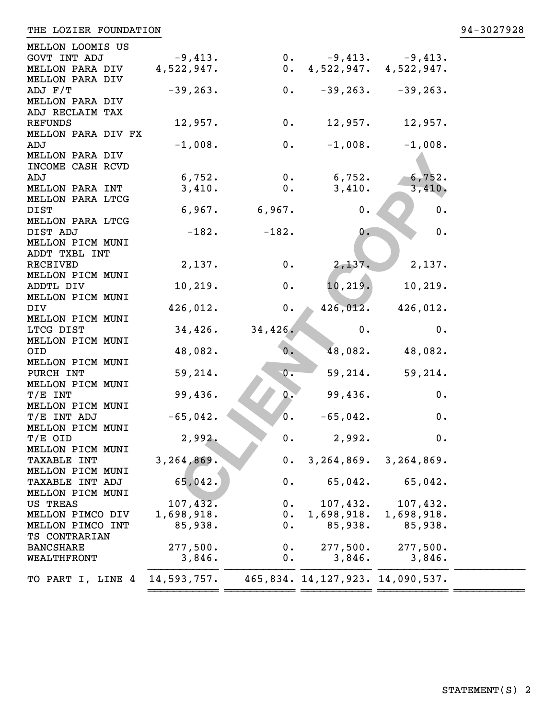| THE LOZIER FOUNDATION |  |  |  |
|-----------------------|--|--|--|
|-----------------------|--|--|--|

| MELLON LOOMIS US       |             |                |               |                                  |
|------------------------|-------------|----------------|---------------|----------------------------------|
| GOVT INT ADJ           | $-9,413.$   |                | 0.            | $-9,413.$ $-9,413.$              |
| MELLON PARA DIV        | 4,522,947.  | 0.             |               | 4,522,947. 4,522,947.            |
| MELLON PARA DIV        |             |                |               |                                  |
| ADJ F/T                | $-39, 263.$ | 0.             | $-39,263.$    | $-39, 263.$                      |
| MELLON PARA DIV        |             |                |               |                                  |
| ADJ RECLAIM TAX        |             |                |               |                                  |
| <b>REFUNDS</b>         | 12,957.     | 0.             | 12,957.       | 12,957.                          |
| MELLON PARA DIV FX     |             |                |               |                                  |
| ADJ                    | $-1,008.$   | 0.             | $-1,008.$     | $-1,008.$                        |
| MELLON PARA DIV        |             |                |               |                                  |
| INCOME CASH RCVD       |             |                |               |                                  |
| ADJ                    | 6,752.      | $0$ .          | 6,752.        | 6,752.                           |
| MELLON PARA INT        | 3,410.      | 0.             | 3,410.        | 3,410.                           |
| MELLON PARA LTCG       |             |                |               |                                  |
| DIST                   | 6,967.      | 6,967.         | $\mathbf 0$ . | $\mathbf 0$ .                    |
| MELLON PARA LTCG       |             |                |               |                                  |
| DIST ADJ               | $-182.$     | $-182.$        | 0.            | $\mathbf 0$ .                    |
| MELLON PICM MUNI       |             |                |               |                                  |
| ADDT TXBL INT          |             |                |               |                                  |
| <b>RECEIVED</b>        | 2,137.      | 0.             | 2,137.        | 2,137.                           |
| MELLON PICM MUNI       |             |                |               |                                  |
| ADDTL DIV              | 10, 219.    | 0.             | 10, 219.      | 10, 219.                         |
| MELLON PICM MUNI       |             |                |               |                                  |
| <b>DIV</b>             | 426,012.    | 0.             | 426,012.      | 426,012.                         |
| MELLON PICM MUNI       |             |                |               |                                  |
| LTCG DIST              | 34,426.     | 34,426.        | $0$ .         | 0.                               |
| MELLON PICM MUNI       |             |                |               |                                  |
| OID                    | 48,082.     | 0.             | 48,082.       | 48,082.                          |
| MELLON PICM MUNI       |             |                |               |                                  |
| PURCH INT              | 59,214.     | 0.             | 59, 214.      | 59,214.                          |
| MELLON PICM MUNI       |             |                |               |                                  |
| T/E INT                | 99,436.     | $0$ .          | 99,436.       | 0.                               |
| MELLON PICM MUNI       |             |                |               |                                  |
| T/E INT ADJ            | $-65,042.$  | $\mathbf{0}$ . | $-65,042.$    | 0.                               |
| MELLON PICM MUNI       |             |                |               |                                  |
| T/E OID                | 2,992.      | 0.             | 2,992.        | 0.                               |
| MELLON PICM MUNI       |             |                |               |                                  |
| TAXABLE INT            | 3,264,869.  | $0$ .          |               | $3, 264, 869.$ $3, 264, 869.$    |
| MELLON PICM MUNI       |             |                |               |                                  |
| <b>TAXABLE INT ADJ</b> | 65,042.     | 0.             | 65,042.       | 65,042.                          |
| MELLON PICM MUNI       |             |                |               |                                  |
| US TREAS               | 107,432.    | $0$ .          | 107,432.      | 107,432.                         |
| MELLON PIMCO DIV       | 1,698,918.  | $0$ .          | 1,698,918.    | 1,698,918.                       |
| MELLON PIMCO INT       | 85,938.     | $0$ .          | 85,938.       | 85,938.                          |
| TS CONTRARIAN          |             |                |               |                                  |
| <b>BANCSHARE</b>       | 277,500.    | $0$ .          | 277,500.      | 277,500.                         |
| WEALTHFRONT            | 3,846.      | 0.             | 3,846.        | 3,846.                           |
|                        |             |                |               |                                  |
| TO PART I, LINE 4      | 14,593,757. |                |               | 465,834. 14,127,923. 14,090,537. |
|                        |             |                |               |                                  |

}}}}}}}}}}}}}}}}}}}}} }}}}}}}}}}

~~~~~~~~~~~ ~~~~~~~~~~~ ~~~~~~~~~~~ ~~~~~~~~~~~ ~~~~~~~~~~~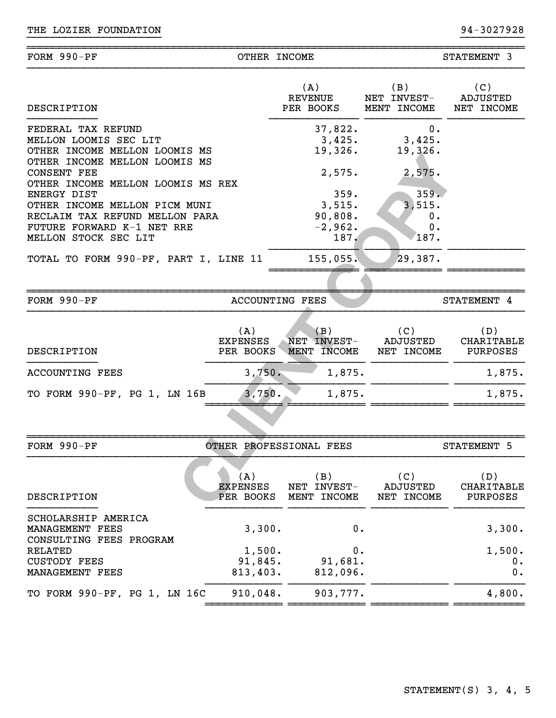| FORM 990-PF                                                                                                                                                                                                                                                                                                                                               |                                         | OTHER INCOME                                                                                         |                                                                                       | STATEMENT 3                          |
|-----------------------------------------------------------------------------------------------------------------------------------------------------------------------------------------------------------------------------------------------------------------------------------------------------------------------------------------------------------|-----------------------------------------|------------------------------------------------------------------------------------------------------|---------------------------------------------------------------------------------------|--------------------------------------|
| DESCRIPTION                                                                                                                                                                                                                                                                                                                                               |                                         | (A)<br><b>REVENUE</b><br>PER BOOKS                                                                   | (B)<br>NET INVEST-<br>MENT INCOME                                                     | (C)<br>ADJUSTED<br>NET INCOME        |
| FEDERAL TAX REFUND<br>MELLON LOOMIS SEC LIT<br>OTHER INCOME MELLON LOOMIS MS<br>OTHER INCOME MELLON LOOMIS MS<br><b>CONSENT FEE</b><br>OTHER INCOME MELLON LOOMIS MS REX<br>ENERGY DIST<br>OTHER INCOME MELLON PICM MUNI<br>RECLAIM TAX REFUND MELLON PARA<br>FUTURE FORWARD K-1 NET RRE<br>MELLON STOCK SEC LIT<br>TOTAL TO FORM 990-PF, PART I, LINE 11 |                                         | 37,822.<br>3,425.<br>19,326.<br>2,575.<br>359.<br>3,515.<br>90,808.<br>$-2,962.$<br>187.<br>155,055. | 0.<br>3,425.<br>19,326.<br>2,575.<br>359.<br>3,515.<br>0.<br>$0$ .<br>187.<br>29,387. |                                      |
| FORM 990-PF                                                                                                                                                                                                                                                                                                                                               |                                         | <b>ACCOUNTING FEES</b>                                                                               |                                                                                       | STATEMENT 4                          |
| DESCRIPTION                                                                                                                                                                                                                                                                                                                                               | (A)<br><b>EXPENSES</b><br>PER BOOKS     | (B)<br><b>NET</b><br>INVEST-<br>MENT INCOME                                                          | (C)<br>ADJUSTED<br>NET INCOME                                                         | (D)<br><b>CHARITABLE</b><br>PURPOSES |
| <b>ACCOUNTING FEES</b>                                                                                                                                                                                                                                                                                                                                    | 3,750.                                  | 1,875.                                                                                               |                                                                                       | 1,875.                               |
| TO FORM 990-PF, PG 1, LN 16B                                                                                                                                                                                                                                                                                                                              | 3,750.                                  | 1,875.                                                                                               |                                                                                       | 1,875.                               |
|                                                                                                                                                                                                                                                                                                                                                           |                                         |                                                                                                      |                                                                                       |                                      |
| FORM 990-PF                                                                                                                                                                                                                                                                                                                                               |                                         | OTHER PROFESSIONAL FEES                                                                              |                                                                                       | STATEMENT 5                          |
| DESCRIPTION                                                                                                                                                                                                                                                                                                                                               | (A)<br><b>EXPENSES</b><br>PER BOOKS     | (B)<br>NET INVEST-<br>MENT INCOME                                                                    | (C)<br><b>ADJUSTED</b><br>NET INCOME                                                  | (D)<br>CHARITABLE<br>PURPOSES        |
| SCHOLARSHIP AMERICA<br>MANAGEMENT FEES<br>CONSULTING FEES PROGRAM<br><b>RELATED</b><br><b>CUSTODY FEES</b><br>MANAGEMENT FEES                                                                                                                                                                                                                             | 3,300.<br>1,500.<br>91,845.<br>813,403. | 0.<br>0.<br>91,681.<br>812,096.                                                                      |                                                                                       | 3,300.<br>1,500.<br>0.<br>0.         |

TO FORM 990-PF, PG 1, LN 16C 910,048. 903,777. 4,800. ~~~~~~~~~~~~ ~~~~~~~~~~~~ ~~~~~~~~~~~~ ~~~~~~~~~~~

}}}}}}}}}}}}}}}}}}}}} }}}}}}}}}}

STATEMENT(S) 3, 4, 5

}}}}}}}}}}}} }}}}}}}}}}}} }}}}}}}}}}}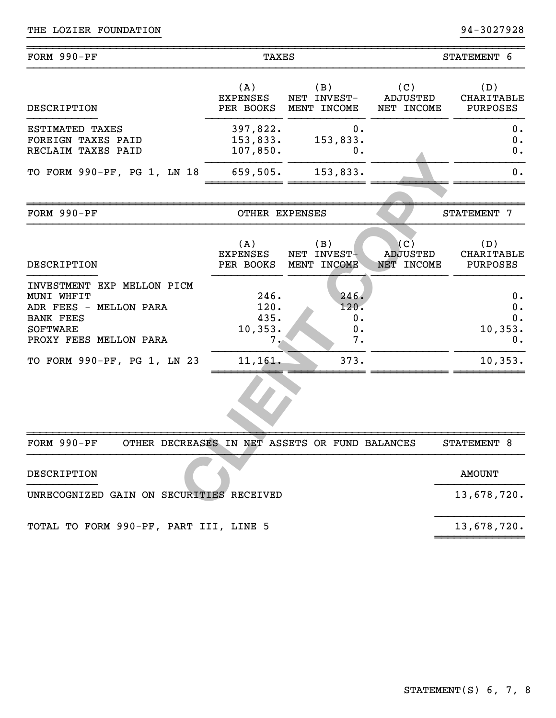| FORM 990-PF                                                                                                                                                                       | <b>TAXES</b>                                                                             |                                                                                |                                      | STATEMENT 6                                                                         |
|-----------------------------------------------------------------------------------------------------------------------------------------------------------------------------------|------------------------------------------------------------------------------------------|--------------------------------------------------------------------------------|--------------------------------------|-------------------------------------------------------------------------------------|
| DESCRIPTION                                                                                                                                                                       | (A)<br><b>EXPENSES</b><br>PER BOOKS                                                      | (B)<br>NET INVEST-<br>MENT INCOME                                              | (C)<br>ADJUSTED<br>NET INCOME        | (D)<br><b>CHARITABLE</b><br>PURPOSES                                                |
| ESTIMATED TAXES<br>FOREIGN TAXES PAID<br>RECLAIM TAXES PAID                                                                                                                       | 397,822.<br>153,833.<br>107,850.                                                         | 0.<br>153,833.<br>0.                                                           |                                      | 0.<br>$0$ .<br>0.                                                                   |
| TO FORM 990-PF, PG 1, LN 18                                                                                                                                                       | 659,505.                                                                                 | 153,833.                                                                       |                                      | 0.                                                                                  |
|                                                                                                                                                                                   |                                                                                          |                                                                                |                                      |                                                                                     |
| FORM 990-PF                                                                                                                                                                       | OTHER EXPENSES                                                                           |                                                                                |                                      | STATEMENT 7                                                                         |
| DESCRIPTION<br>INVESTMENT EXP MELLON PICM<br>MUNI WHFIT<br>ADR FEES - MELLON PARA<br><b>BANK FEES</b><br><b>SOFTWARE</b><br>PROXY FEES MELLON PARA<br>TO FORM 990-PF, PG 1, LN 23 | (A)<br><b>EXPENSES</b><br>PER BOOKS<br>246.<br>120.<br>435.<br>10, 353.<br>7.<br>11,161. | (B)<br>NET INVEST-<br>MENT INCOME<br>246.<br>120.<br>$0$ .<br>0.<br>7.<br>373. | (C)<br><b>ADJUSTED</b><br>NET INCOME | (D)<br>CHARITABLE<br>PURPOSES<br>$0$ .<br>$0$ .<br>0.<br>10, 353.<br>0.<br>10, 353. |
| FORM 990-PF<br>OTHER DECREASES IN NET ASSETS OR FUND BALANCES                                                                                                                     |                                                                                          |                                                                                |                                      | STATEMENT 8                                                                         |
| DESCRIPTION                                                                                                                                                                       |                                                                                          |                                                                                |                                      | <b>AMOUNT</b>                                                                       |
| UNRECOGNIZED GAIN ON SECURITIES RECEIVED                                                                                                                                          |                                                                                          |                                                                                |                                      | 13,678,720.                                                                         |
| TOTAL TO FORM 990-PF, PART III, LINE 5                                                                                                                                            |                                                                                          |                                                                                |                                      | 13,678,720.                                                                         |

 $~\sim$   $~\sim$   $~\sim$   $~\sim$   $~\sim$   $~\sim$   $~\sim$   $~\sim$   $~\sim$   $~\sim$   $~\sim$   $~\sim$   $~\sim$   $~\sim$   $~\sim$   $~\sim$   $~\sim$   $~\sim$   $~\sim$   $~\sim$   $~\sim$   $~\sim$   $~\sim$   $~\sim$   $~\sim$   $~\sim$   $~\sim$   $~\sim$   $~\sim$   $~\sim$   $~\sim$   $~\sim$   $~\sim$   $~\sim$   $~\sim$   $~\sim$   $~\sim$ 

}}}}}}}}}}}}}}}}}}}}} }}}}}}}}}}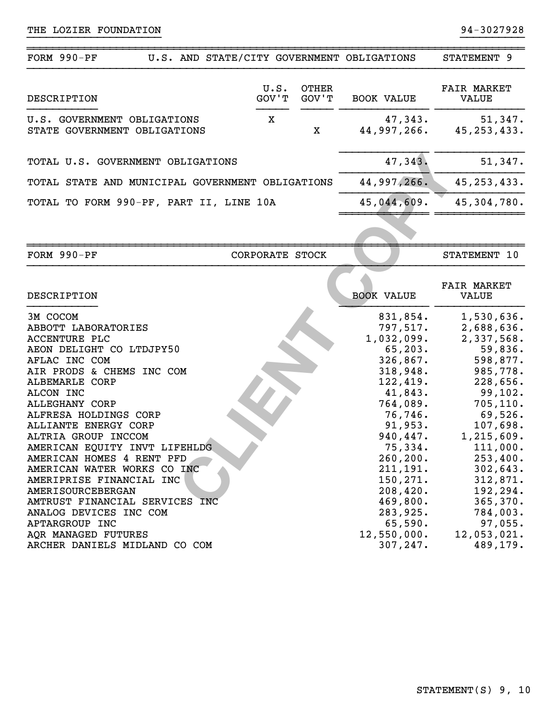| FORM 990-PF<br>U.S. AND STATE/CITY GOVERNMENT OBLIGATIONS                                                                                                                                                                                                                                                                                                                                                                                                                                                                                      |                 |                |                                                                                                                                                                                                                                                                         | STATEMENT 9                                                                                                                                                                                                                                                                  |
|------------------------------------------------------------------------------------------------------------------------------------------------------------------------------------------------------------------------------------------------------------------------------------------------------------------------------------------------------------------------------------------------------------------------------------------------------------------------------------------------------------------------------------------------|-----------------|----------------|-------------------------------------------------------------------------------------------------------------------------------------------------------------------------------------------------------------------------------------------------------------------------|------------------------------------------------------------------------------------------------------------------------------------------------------------------------------------------------------------------------------------------------------------------------------|
| DESCRIPTION                                                                                                                                                                                                                                                                                                                                                                                                                                                                                                                                    | U.S.<br>GOV'T   | OTHER<br>GOV'T | <b>BOOK VALUE</b>                                                                                                                                                                                                                                                       | <b>FAIR MARKET</b><br><b>VALUE</b>                                                                                                                                                                                                                                           |
| U.S. GOVERNMENT OBLIGATIONS<br>STATE GOVERNMENT OBLIGATIONS                                                                                                                                                                                                                                                                                                                                                                                                                                                                                    | X               | X              | 47,343.<br>44,997,266.                                                                                                                                                                                                                                                  | 51,347.<br>45, 253, 433.                                                                                                                                                                                                                                                     |
| TOTAL U.S. GOVERNMENT OBLIGATIONS                                                                                                                                                                                                                                                                                                                                                                                                                                                                                                              |                 |                | 47,343.                                                                                                                                                                                                                                                                 | 51,347.                                                                                                                                                                                                                                                                      |
| TOTAL STATE AND MUNICIPAL GOVERNMENT OBLIGATIONS                                                                                                                                                                                                                                                                                                                                                                                                                                                                                               |                 |                | 44,997,266.                                                                                                                                                                                                                                                             | 45, 253, 433.                                                                                                                                                                                                                                                                |
| TOTAL TO FORM 990-PF, PART II, LINE 10A                                                                                                                                                                                                                                                                                                                                                                                                                                                                                                        |                 |                | 45,044,609.                                                                                                                                                                                                                                                             | 45, 304, 780.                                                                                                                                                                                                                                                                |
|                                                                                                                                                                                                                                                                                                                                                                                                                                                                                                                                                |                 |                |                                                                                                                                                                                                                                                                         |                                                                                                                                                                                                                                                                              |
| FORM 990-PF                                                                                                                                                                                                                                                                                                                                                                                                                                                                                                                                    | CORPORATE STOCK |                |                                                                                                                                                                                                                                                                         | STATEMENT 10                                                                                                                                                                                                                                                                 |
| DESCRIPTION                                                                                                                                                                                                                                                                                                                                                                                                                                                                                                                                    |                 |                | <b>BOOK VALUE</b>                                                                                                                                                                                                                                                       | <b>FAIR MARKET</b><br><b>VALUE</b>                                                                                                                                                                                                                                           |
| 3M COCOM<br>ABBOTT LABORATORIES<br><b>ACCENTURE PLC</b><br>AEON DELIGHT CO LTDJPY50<br>AFLAC INC COM<br>AIR PRODS & CHEMS INC COM<br>ALBEMARLE CORP<br>ALCON INC<br>ALLEGHANY CORP<br>ALFRESA HOLDINGS CORP<br>ALLIANTE ENERGY CORP<br>ALTRIA GROUP INCCOM<br>AMERICAN EQUITY INVT LIFEHLDG<br>AMERICAN HOMES 4 RENT PFD<br>AMERICAN WATER WORKS CO INC<br>AMERIPRISE FINANCIAL INC<br>AMERISOURCEBERGAN<br>AMTRUST FINANCIAL SERVICES INC<br>ANALOG DEVICES INC COM<br>APTARGROUP INC<br>AQR MANAGED FUTURES<br>ARCHER DANIELS MIDLAND CO COM |                 |                | 831,854.<br>797,517.<br>1,032,099.<br>65, 203.<br>326,867.<br>318,948.<br>122,419.<br>41,843.<br>764,089.<br>76,746.<br>91,953.<br>940,447.<br>75,334.<br>260, 200.<br>211, 191.<br>150,271.<br>208,420.<br>469,800.<br>283,925.<br>65,590.<br>12,550,000.<br>307, 247. | 1,530,636.<br>2,688,636.<br>2,337,568.<br>59,836.<br>598,877.<br>985,778.<br>228,656.<br>99,102.<br>705, 110.<br>69,526.<br>107,698.<br>1,215,609.<br>111,000.<br>253,400.<br>302,643.<br>312,871.<br>192,294.<br>365,370.<br>784,003.<br>97,055.<br>12,053,021.<br>489,179. |

}}}}}}}}}}}}}}}}}}}}} }}}}}}}}}}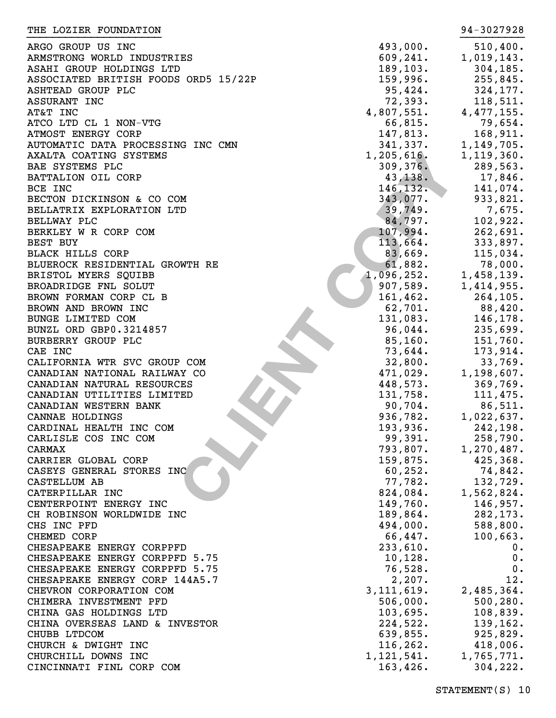| THE LOZIER FOUNDATION                |              | 94-3027928   |
|--------------------------------------|--------------|--------------|
| ARGO GROUP US INC                    | 493,000.     | 510, 400.    |
| ARMSTRONG WORLD INDUSTRIES           | 609, 241.    | 1,019,143.   |
| ASAHI GROUP HOLDINGS LTD             | 189, 103.    | 304,185.     |
| ASSOCIATED BRITISH FOODS ORD5 15/22P | 159,996.     | 255,845.     |
| ASHTEAD GROUP PLC                    | 95,424.      | 324,177.     |
| ASSURANT INC                         | 72, 393.     | 118,511.     |
| AT&T INC                             | 4,807,551.   | 4, 477, 155. |
| ATCO LTD CL 1 NON-VTG                | 66,815.      | 79,654.      |
| ATMOST ENERGY CORP                   | 147,813.     | 168,911.     |
| AUTOMATIC DATA PROCESSING INC CMN    | 341,337.     | 1,149,705.   |
| AXALTA COATING SYSTEMS               | 1, 205, 616. | 1,119,360.   |
| BAE SYSTEMS PLC                      | 309, 376.    | 289,563.     |
| <b>BATTALION OIL CORP</b>            | 43, 138.     | 17,846.      |
| BCE INC                              | 146, 132.    | 141,074.     |
| BECTON DICKINSON & CO COM            | 343,077.     | 933,821.     |
| BELLATRIX EXPLORATION LTD            | 39,749.      | 7,675.       |
|                                      | 84,797.      | 102,922.     |
| BELLWAY PLC                          |              |              |
| BERKLEY W R CORP COM                 | 107,994.     | 262,691.     |
| BEST BUY                             | 113,664.     | 333,897.     |
| <b>BLACK HILLS CORP</b>              | 83,669.      | 115,034.     |
| BLUEROCK RESIDENTIAL GROWTH RE       | 61,882.      | 78,000.      |
| BRISTOL MYERS SQUIBB                 | 1,096,252.   | 1,458,139.   |
| BROADRIDGE FNL SOLUT                 | 907,589.     | 1,414,955.   |
| BROWN FORMAN CORP CL B               | 161,462.     | 264, 105.    |
| BROWN AND BROWN INC                  | 62,701.      | 88,420.      |
| BUNGE LIMITED COM                    | 131,083.     | 146,178.     |
| BUNZL ORD GBP0.3214857               | 96,044.      | 235,699.     |
| BURBERRY GROUP PLC                   | 85,160.      | 151,760.     |
| CAE INC                              | 73,644.      | 173,914.     |
| CALIFORNIA WTR SVC GROUP COM         | 32,800.      | 33,769.      |
| CANADIAN NATIONAL RAILWAY CO         | 471,029.     | 1,198,607.   |
| CANADIAN NATURAL RESOURCES           | 448,573.     | 369,769.     |
| CANADIAN UTILITIES LIMITED           | 131,758.     | 111,475.     |
| CANADIAN WESTERN BANK                | 90,704.      | 86,511.      |
| CANNAE HOLDINGS                      | 936,782.     | 1,022,637.   |
| CARDINAL HEALTH INC COM              | 193,936.     | 242,198.     |
| CARLISLE COS INC COM                 | 99,391.      | 258,790.     |
| <b>CARMAX</b>                        | 793,807.     | 1,270,487.   |
| CARRIER GLOBAL CORP                  | 159,875.     | 425,368.     |
| CASEYS GENERAL STORES INC            | 60, 252.     | 74,842.      |
| CASTELLUM AB                         | 77,782.      | 132,729.     |
| CATERPILLAR INC                      | 824,084.     | 1,562,824.   |
| CENTERPOINT ENERGY INC               | 149,760.     | 146,957.     |
| CH ROBINSON WORLDWIDE INC            | 189,864.     | 282,173.     |
| CHS INC PFD                          | 494,000.     | 588,800.     |
| CHEMED CORP                          | 66,447.      | 100,663.     |
| CHESAPEAKE ENERGY CORPPFD            | 233,610.     | 0.           |
| CHESAPEAKE ENERGY CORPPFD 5.75       | 10, 128.     | 0.           |
| CHESAPEAKE ENERGY CORPPFD 5.75       | 76,528.      | 0.           |
| CHESAPEAKE ENERGY CORP 144A5.7       | 2,207.       | 12.          |
| CHEVRON CORPORATION COM              | 3, 111, 619. | 2,485,364.   |
| CHIMERA INVESTMENT PFD               | 506,000.     | 500, 280.    |
| CHINA GAS HOLDINGS LTD               | 103,695.     | 108,839.     |
| CHINA OVERSEAS LAND & INVESTOR       | 224,522.     | 139,162.     |
| CHUBB LTDCOM                         | 639,855.     | 925,829.     |
| CHURCH & DWIGHT INC                  | 116, 262.    | 418,006.     |
| CHURCHILL DOWNS INC                  | 1, 121, 541. | 1,765,771.   |
| CINCINNATI FINL CORP COM             | 163,426.     | 304, 222.    |

|                                                    | 94-3027928                       |
|----------------------------------------------------|----------------------------------|
| 493,000.                                           | 510,400.                         |
| 609,241.<br>189,103.                               | 1,019,143.                       |
|                                                    | 304,185.                         |
| 159,996.                                           | 255,845.                         |
| 95,424.<br>72,393.                                 | 324,177.                         |
| $4,807,551$ .                                      | 118,511.<br>4, 477, 155.         |
| 66,815.                                            | 79,654.                          |
| 147,813.                                           | 168, 911.                        |
| 341,337.                                           | 1,149,705.<br>1,119,360.         |
| 1,205,616.<br>309,376.                             |                                  |
|                                                    | 289,563.                         |
| 43, 138.<br>146                                    | 17,846.<br>141,074.              |
| $146, 132$<br>$343, 077$<br>$39, 749$<br>$84, 797$ | 933,821.                         |
|                                                    | 7,675.                           |
|                                                    | 102,922.                         |
| 107,994.                                           | 262,691.                         |
| 113,664.                                           | 333,897.                         |
| 83,669.                                            | 115,034.                         |
| 61,882.<br>1,096,252.                              | 78,000.<br>1,458,139.            |
| 907,589 <b>.</b>                                   | 1,414,955.                       |
|                                                    | 264,105.                         |
| 161,462.<br>62,701.                                | 88,420.                          |
| 131,083.                                           | 146,178.                         |
| 96,044.                                            | 235,699.<br>151,760.<br>173,914. |
| 85,160.<br>73,644.                                 |                                  |
| 32,800.                                            | 33,769.                          |
| 471,029.                                           |                                  |
| $448,573$<br>131,758.<br>90,704.<br>936,782.       | 1,198,607.<br>369,769.           |
|                                                    | 111,475.                         |
|                                                    | 86,511.                          |
|                                                    | 1,022,637.                       |
| 193,936 <b>.</b><br>99,391.                        | 242,198.<br>258,790.             |
| 793,807 <b>.</b>                                   | 1,270,487.                       |
| 159,875.                                           | 425,368.                         |
| 60,252 <b>.</b><br>77,782.                         | 74,842.                          |
|                                                    | 132,729.                         |
| 824,084.<br>149,760.                               | 1,562,824.                       |
| 189,864.                                           | 146,957 <b>.</b><br>282,173.     |
| 494,000.                                           | 588,800.                         |
| 66,447.                                            | 100,663.                         |
| 233,610.                                           | О.                               |
| 10, 128.                                           | О.                               |
| 76,528.                                            | О.                               |
| 2,207.                                             | 12.                              |
| , 111, 619.<br>3<br>506,000.                       | 2,485,364.<br>500, 280.          |
| 103,695.                                           | 108,839.                         |
| 224,522.                                           | 139,162.                         |
| 639,855.                                           | 925,829.                         |
| 116,262 <b>.</b>                                   | 418,006.                         |
| 121,541.<br>1.                                     | 1,765,771.                       |
| 163,426.                                           | 304,222.                         |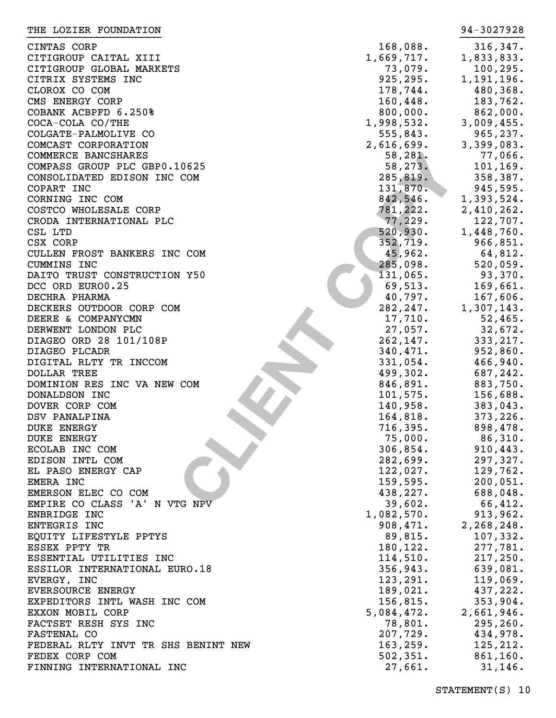| THE LOZIER FOUNDATION               |            | 94-3027928 |
|-------------------------------------|------------|------------|
| CINTAS CORP                         | 168,088.   | 316,347.   |
| CITIGROUP CAITAL XIII               | 1,669,717. | 1,833,833. |
| CITIGROUP GLOBAL MARKETS            | 73,079.    | 100,295.   |
| CITRIX SYSTEMS INC                  | 925, 295.  | 1,191,196. |
| CLOROX CO COM                       | 178,744.   | 480,368.   |
| CMS ENERGY CORP                     | 160,448.   | 183,762.   |
| COBANK ACBPFD 6.250%                | 800,000.   | 862,000.   |
| COCA-COLA CO/THE                    | 1,998,532. | 3,009,455. |
| COLGATE-PALMOLIVE CO                | 555,843.   | 965,237.   |
| COMCAST CORPORATION                 | 2,616,699. | 3,399,083. |
| COMMERCE BANCSHARES                 | 58,281.    | 77,066.    |
| COMPASS GROUP PLC GBP0.10625        | 58, 273.   | 101,169.   |
|                                     |            | 358,387.   |
| CONSOLIDATED EDISON INC COM         | 285, 819.  |            |
| COPART INC                          | 131,870.   | 945,595.   |
| CORNING INC COM                     | 842,546.   | 1,393,524. |
| COSTCO WHOLESALE CORP               | 781,222.   | 2,410,262. |
| CRODA INTERNATIONAL PLC             | 77,229.    | 122,707.   |
| CSL LTD                             | 520, 930.  | 1,448,760. |
| CSX CORP                            | 352,719.   | 966,851.   |
| CULLEN FROST BANKERS INC COM        | 45,962.    | 64,812.    |
| CUMMINS INC                         | 285,098.   | 520,059.   |
| DAITO TRUST CONSTRUCTION Y50        | 131,065.   | 93,370.    |
| DCC ORD EURO0.25                    | 69,513.    | 169,661.   |
| DECHRA PHARMA                       | 40,797.    | 167,606.   |
| DECKERS OUTDOOR CORP COM            | 282, 247.  | 1,307,143. |
| DEERE & COMPANYCMN                  | 17,710.    | 52,465.    |
| DERWENT LONDON PLC                  | 27,057.    | 32,672.    |
| DIAGEO ORD 28 101/108P              | 262, 147.  | 333, 217.  |
| DIAGEO PLCADR                       | 340,471.   | 952,860.   |
| DIGITAL RLTY TR INCCOM              | 331,054.   | 466,940.   |
| <b>DOLLAR TREE</b>                  | 499,302.   | 687,242.   |
| DOMINION RES INC VA NEW COM         | 846,891.   | 883,750.   |
| DONALDSON INC                       | 101, 575.  | 156,688.   |
| DOVER CORP COM                      | 140,958.   | 383,043.   |
| DSV PANALPINA                       | 164,818.   | 373,226.   |
| <b>DUKE ENERGY</b>                  | 716, 395.  | 898,478.   |
| <b>DUKE ENERGY</b>                  | 75,000.    | 86,310.    |
| ECOLAB INC COM                      | 306,854.   | 910, 443.  |
| EDISON INTL COM                     | 282,699.   | 297,327.   |
| EL PASO ENERGY CAP                  | 122,027.   | 129,762.   |
| EMERA INC                           | 159,595.   | 200,051.   |
| EMERSON ELEC CO COM                 | 438,227.   | 688,048.   |
| EMPIRE CO CLASS 'A' N VTG NPV       | 39,602.    | 66,412.    |
| ENBRIDGE INC                        | 1,082,570. | 913,962.   |
| ENTEGRIS INC                        | 908,471.   | 2,268,248. |
| EQUITY LIFESTYLE PPTYS              | 89,815.    | 107,332.   |
| ESSEX PPTY TR                       | 180,122.   | 277,781.   |
| ESSENTIAL UTILITIES INC             | 114,510.   | 217, 250.  |
| ESSILOR INTERNATIONAL EURO.18       | 356,943.   | 639,081.   |
| EVERGY, INC                         | 123, 291.  | 119,069.   |
| EVERSOURCE ENERGY                   | 189,021.   | 437,222.   |
| EXPEDITORS INTL WASH INC COM        | 156,815.   | 353,904.   |
| EXXON MOBIL CORP                    | 5,084,472. | 2,661,946. |
| FACTSET RESH SYS INC                | 78,801.    | 295, 260.  |
| FASTENAL CO                         | 207,729.   | 434,978.   |
| FEDERAL RLTY INVT TR SHS BENINT NEW | 163,259.   | 125,212.   |
| FEDEX CORP COM                      | 502, 351.  | 861,160.   |
| FINNING INTERNATIONAL INC           | 27,661.    | 31, 146.   |
|                                     |            |            |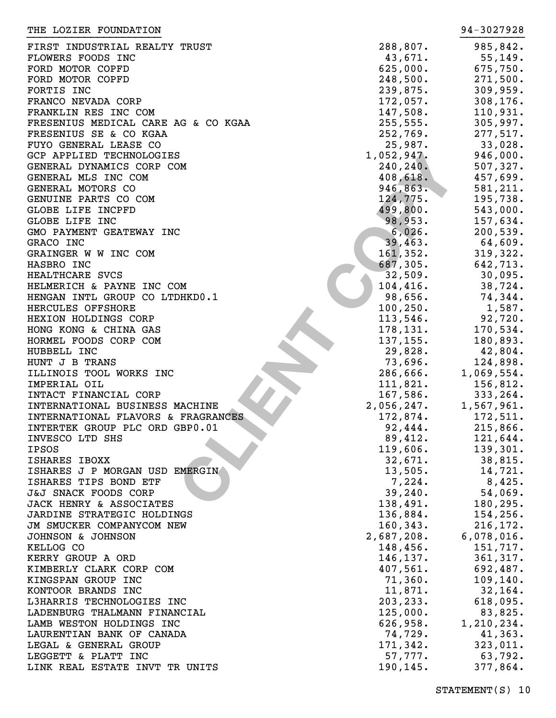| THE LOZIER FOUNDATION                                 |                      | 94-3027928            |
|-------------------------------------------------------|----------------------|-----------------------|
| FIRST INDUSTRIAL REALTY TRUST                         | 288,807.             | 985,842.              |
| FLOWERS FOODS INC                                     | 43,671.              | 55, 149.              |
| FORD MOTOR COPFD                                      | 625,000.             | 675,750.              |
| FORD MOTOR COPFD                                      | 248,500.             | 271,500.              |
| FORTIS INC                                            | 239,875.             | 309,959.              |
| FRANCO NEVADA CORP                                    | 172,057.             | 308, 176.             |
| FRANKLIN RES INC COM                                  | 147,508.             | 110,931.              |
| FRESENIUS MEDICAL CARE AG & CO KGAA                   | 255, 555.            | 305,997.              |
| FRESENIUS SE & CO KGAA                                | 252,769.             | 277,517.              |
| FUYO GENERAL LEASE CO                                 | 25,987.              | 33,028.               |
| <b>GCP APPLIED TECHNOLOGIES</b>                       | 1,052,947.           | 946,000.              |
| GENERAL DYNAMICS CORP COM                             | 240, 240.            | 507,327.              |
| GENERAL MLS INC COM                                   | 408,618.             | 457,699.              |
| GENERAL MOTORS CO                                     | 946,863.             | 581,211.              |
| GENUINE PARTS CO COM                                  | 124,775.             | 195,738.              |
| GLOBE LIFE INCPFD                                     | 499,800.             | 543,000.              |
| GLOBE LIFE INC                                        | 98,953.              | 157,634.              |
| GMO PAYMENT GEATEWAY INC                              | 6,026.               | 200,539.              |
| GRACO INC                                             | 39,463.              | 64,609.               |
| GRAINGER W W INC COM                                  | 161, 352.            | 319,322.              |
| HASBRO INC                                            | 687,305.             | 642,713.              |
| HEALTHCARE SVCS                                       | 32,509.              | 30,095.               |
| HELMERICH & PAYNE INC COM                             | 104, 416.            | 38,724.               |
| HENGAN INTL GROUP CO LTDHKD0.1                        | 98,656.              | 74,344.               |
| HERCULES OFFSHORE                                     | 100, 250.            | 1,587.                |
| HEXION HOLDINGS CORP                                  | 113,546.             | 92,720.               |
| HONG KONG & CHINA GAS                                 | 178,131.             | 170,534.              |
| HORMEL FOODS CORP COM                                 | 137,155.             | 180,893.              |
| HUBBELL INC                                           | 29,828.              | 42,804.               |
| HUNT J B TRANS                                        | 73,696.              | 124,898.              |
| ILLINOIS TOOL WORKS INC                               | 286,666.             | 1,069,554.            |
| IMPERIAL OIL                                          | 111,821.             | 156,812.              |
| INTACT FINANCIAL CORP                                 | 167,586.             | 333,264.              |
| INTERNATIONAL BUSINESS MACHINE                        | 2,056,247.           | 1,567,961.            |
| INTERNATIONAL FLAVORS & FRAGRANCES                    | 172,874.             | 172,511.              |
| INTERTEK GROUP PLC ORD GBP0.01                        | 92,444.              | 215,866.              |
| INVESCO LTD SHS                                       | 89,412.              | 121,644.              |
| <b>IPSOS</b>                                          | 119,606.             | 139,301.              |
| ISHARES IBOXX                                         | 32,671.              | 38,815.               |
| ISHARES J P MORGAN USD EMERGIN                        | 13,505.              | 14,721.               |
| ISHARES TIPS BOND ETF                                 | 7,224.               | 8,425.                |
| J&J SNACK FOODS CORP                                  | 39, 240.             | 54,069.               |
| JACK HENRY & ASSOCIATES                               | 138,491.             | 180,295.              |
| JARDINE STRATEGIC HOLDINGS                            | 136,884.             | 154,256.              |
| JM SMUCKER COMPANYCOM NEW                             | 160, 343.            | 216, 172.             |
| JOHNSON & JOHNSON                                     | 2,687,208.           | 6,078,016.            |
| KELLOG CO                                             | 148,456.             | 151,717.              |
| KERRY GROUP A ORD                                     | 146,137.             | 361,317.              |
| KIMBERLY CLARK CORP COM                               | 407,561.             | 692,487.              |
| KINGSPAN GROUP INC                                    | 71,360.              | 109, 140.             |
| KONTOOR BRANDS INC                                    | 11,871.              | 32,164.               |
| L3HARRIS TECHNOLOGIES INC                             | 203,233.             | 618,095.              |
| LADENBURG THALMANN FINANCIAL                          | 125,000.<br>626,958. | 83,825.<br>1,210,234. |
| LAMB WESTON HOLDINGS INC<br>LAURENTIAN BANK OF CANADA | 74,729.              | 41,363.               |
| LEGAL & GENERAL GROUP                                 | 171,342.             | 323,011.              |
| LEGGETT & PLATT INC                                   | 57,777.              | 63,792.               |
| LINK REAL ESTATE INVT TR UNITS                        | 190,145.             | 377,864.              |
|                                                       |                      |                       |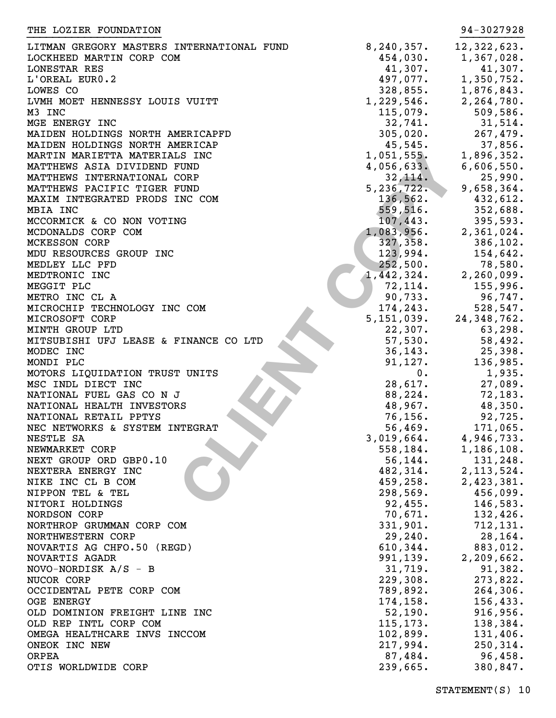| LITMAN GREGORY MASTERS INTERNATIONAL FUND | 8, 240, 357. | 12,322,623.   |
|-------------------------------------------|--------------|---------------|
| LOCKHEED MARTIN CORP COM                  | 454,030.     | 1,367,028.    |
| <b>LONESTAR RES</b>                       | 41,307.      | 41,307.       |
| L'OREAL EURO.2                            | 497,077.     | 1,350,752.    |
| LOWES CO                                  | 328,855.     | 1,876,843.    |
| LVMH MOET HENNESSY LOUIS VUITT            | 1,229,546.   | 2,264,780.    |
| M3 INC                                    | 115,079.     | 509,586.      |
| MGE ENERGY INC                            | 32,741.      | 31,514.       |
| MAIDEN HOLDINGS NORTH AMERICAPFD          | 305,020.     | 267,479.      |
| MAIDEN HOLDINGS NORTH AMERICAP            | 45,545.      | 37,856.       |
| MARTIN MARIETTA MATERIALS INC             | 1,051,555.   | 1,896,352.    |
| MATTHEWS ASIA DIVIDEND FUND               | 4,056,633.   | 6,606,550.    |
| MATTHEWS INTERNATIONAL CORP               | 32,114.      | 25,990.       |
| MATTHEWS PACIFIC TIGER FUND               | 5, 236, 722. | 9,658,364.    |
| MAXIM INTEGRATED PRODS INC COM            | 136, 562.    | 432,612.      |
| MBIA INC                                  | 559,516.     | 352,688.      |
| MCCORMICK & CO NON VOTING                 | 107,443.     | 395,593.      |
| MCDONALDS CORP COM                        | 1,083,956.   | 2,361,024.    |
| <b>MCKESSON CORP</b>                      | 327, 358.    | 386,102.      |
| MDU RESOURCES GROUP INC                   | 123,994.     | 154,642.      |
| MEDLEY LLC PFD                            | 252,500.     | 78,580.       |
| MEDTRONIC INC                             | 1,442,324.   | 2, 260, 099.  |
| MEGGIT PLC                                | 72,114.      | 155,996.      |
| METRO INC CL A                            | 90,733.      | 96,747.       |
| MICROCHIP TECHNOLOGY INC COM              | 174,243.     | 528,547.      |
| MICROSOFT CORP                            | 5,151,039.   | 24, 348, 762. |
| MINTH GROUP LTD                           | 22,307.      | 63,298.       |
| MITSUBISHI UFJ LEASE & FINANCE CO LTD     | 57,530.      | 58,492.       |
| MODEC INC                                 | 36, 143.     | 25,398.       |
| MONDI PLC                                 | 91,127.      | 136,985.      |
| MOTORS LIQUIDATION TRUST UNITS            | 0.           | 1,935.        |
| MSC INDL DIECT INC                        | 28,617.      | 27,089.       |
| NATIONAL FUEL GAS CO N J                  | 88,224.      | 72,183.       |
| NATIONAL HEALTH INVESTORS                 | 48,967.      | 48,350.       |
| NATIONAL RETAIL PPTYS                     | 76, 156.     | 92,725.       |
| NEC NETWORKS & SYSTEM INTEGRAT            | 56,469.      | 171,065.      |
| NESTLE SA                                 | 3,019,664.   | 4,946,733.    |
| NEWMARKET CORP                            | 558,184.     | 1,186,108.    |
| NEXT GROUP ORD GBP0.10                    | 56, 144.     | 131,248.      |
| NEXTERA ENERGY INC                        | 482,314.     | 2, 113, 524.  |
| NIKE INC CL B COM                         | 459,258.     | 2,423,381.    |
| NIPPON TEL & TEL                          | 298,569.     | 456,099.      |
| NITORI HOLDINGS                           | 92,455.      | 146,583.      |
| NORDSON CORP                              | 70,671.      | 132,426.      |
| NORTHROP GRUMMAN CORP COM                 | 331,901.     | 712, 131.     |
| NORTHWESTERN CORP                         | 29,240.      | 28,164.       |
| NOVARTIS AG CHFO.50 (REGD)                | 610, 344.    | 883,012.      |
| NOVARTIS AGADR                            | 991,139.     | 2,209,662.    |
| NOVO-NORDISK A/S - B                      | 31,719.      | 91,382.       |
| NUCOR CORP                                | 229,308.     | 273,822.      |
| OCCIDENTAL PETE CORP COM                  | 789,892.     | 264, 306.     |
| <b>OGE ENERGY</b>                         | 174,158.     | 156,433.      |
| OLD DOMINION FREIGHT LINE INC             | 52,190.      | 916,956.      |
| OLD REP INTL CORP COM                     | 115, 173.    | 138,384.      |
| OMEGA HEALTHCARE INVS INCCOM              | 102,899.     | 131,406.      |
| ONEOK INC NEW                             | 217,994.     | 250,314.      |
| <b>ORPEA</b>                              | 87,484.      | 96,458.       |
| OTIS WORLDWIDE CORP                       | 239,665.     | 380,847.      |

|    |               |  | $\sim$ $\sim$ $\sim$ |               |
|----|---------------|--|----------------------|---------------|
|    | 8,240,357.    |  |                      | 12,322,623.   |
|    | 454,030.      |  |                      | 1,367,028.    |
|    |               |  |                      |               |
|    | 41,307.       |  |                      | 41,307.       |
|    | 497,077.      |  |                      | 1,350,752.    |
|    | 328,855.      |  |                      | 1,876,843.    |
|    | 1,229,546.    |  |                      | 2,264,780.    |
|    |               |  |                      | 509,586.      |
|    | 115,079.      |  |                      |               |
|    | 32,741.       |  |                      | 31,514.       |
|    | 305,020.      |  |                      | 267,479.      |
|    | 45,545.       |  |                      | 37,856.       |
|    | 1,051,555.    |  |                      | 1,896,352.    |
|    |               |  |                      |               |
|    | 4,056,633.    |  |                      | 6,606,550.    |
|    | 32, 114.      |  |                      | 25,990.       |
|    | 5, 236, 722.  |  |                      | 9,658,364.    |
|    | 136,562.      |  |                      | 432,612.      |
|    | 559,516.      |  |                      | 352,688.      |
|    |               |  |                      |               |
|    | 107,443.      |  |                      | 395,593.      |
|    | 1,083,956.    |  |                      | 2,361,024.    |
|    | 327,358.      |  |                      | 386,102.      |
|    | 123,994.      |  |                      | 154,642.      |
|    | 252,500.      |  |                      | 78,580.       |
|    |               |  |                      |               |
|    | 1,442,324.    |  |                      | 2,260,099.    |
|    | 72,114.       |  |                      | 155,996.      |
|    | 90,733.       |  |                      | 96,747.       |
|    | 174,243.      |  |                      | 528,547.      |
|    | 5,151,039.    |  |                      | 24, 348, 762. |
|    |               |  |                      |               |
|    | 22,307.       |  |                      | 63,298.       |
|    | 57,530.       |  |                      | 58,492.       |
|    | 36,143.       |  |                      | 25,398.       |
|    | 91,127.       |  |                      | 136,985.      |
|    | $\mathbf 0$ . |  |                      | 1,935.        |
|    |               |  |                      |               |
|    | 28,617.       |  |                      | 27,089.       |
|    | 88,224.       |  |                      | 72,183.       |
|    | 48,967.       |  |                      | 48,350.       |
|    | 76,156.       |  |                      | 92,725.       |
|    | 56,469.       |  |                      | 171,065.      |
|    |               |  |                      |               |
| 3, | 019,664.      |  |                      | 4,946,733.    |
|    | 558,184.      |  |                      | 1,186,108.    |
|    | 56,144.       |  |                      | 131,248.      |
|    | 482,314.      |  |                      | 2,113,524.    |
|    | 459,258.      |  |                      | 2,423,381.    |
|    | 298,569.      |  |                      |               |
|    |               |  |                      | 456,099.      |
|    | 92,455.       |  |                      | 146,583.      |
|    | 70,671.       |  |                      | 132,426.      |
|    | 331,901.      |  |                      | 712,131.      |
|    | 29,240.       |  |                      | 28,164.       |
|    |               |  |                      |               |
|    | 610,344.      |  |                      | 883,012.      |
|    | 991,139.      |  |                      | 2,209,662.    |
|    | 31,719.       |  |                      | 91,382.       |
|    | 229,308.      |  |                      | 273,822.      |
|    | 789,892.      |  |                      | 264,306.      |
|    |               |  |                      |               |
|    | 174,158.      |  |                      | 156,433.      |
|    | 52,190.       |  |                      | 916,956.      |
|    | 115, 173.     |  |                      | 138,384.      |
|    | 102,899.      |  |                      | 131,406.      |
|    | 217,994.      |  |                      | 250,314.      |
|    |               |  |                      |               |
|    | 87,484.       |  |                      | 96,458.       |
|    | 239,665.      |  |                      | 380,847.      |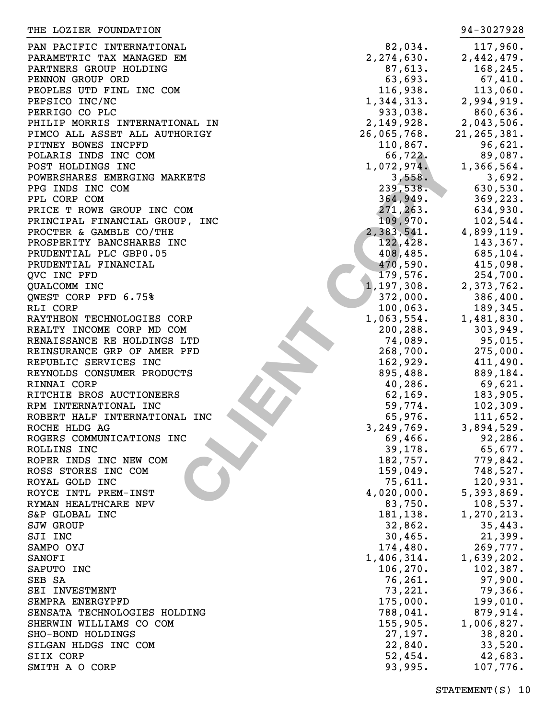| IND DOTTER LOOMDAIIOM          |              | 94-JUZ 1940   |
|--------------------------------|--------------|---------------|
| PAN PACIFIC INTERNATIONAL      | 82,034.      | 117,960.      |
| PARAMETRIC TAX MANAGED EM      | 2, 274, 630. | 2,442,479.    |
| PARTNERS GROUP HOLDING         | 87,613.      | 168,245.      |
| PENNON GROUP ORD               | 63,693.      | 67,410.       |
| PEOPLES UTD FINL INC COM       | 116,938.     | 113,060.      |
| PEPSICO INC/NC                 | 1,344,313.   | 2,994,919.    |
| PERRIGO CO PLC                 | 933,038.     | 860,636.      |
| PHILIP MORRIS INTERNATIONAL IN | 2,149,928.   | 2,043,506.    |
| PIMCO ALL ASSET ALL AUTHORIGY  | 26,065,768.  | 21, 265, 381. |
| PITNEY BOWES INCPFD            | 110,867.     | 96,621.       |
| POLARIS INDS INC COM           | 66,722.      | 89,087.       |
| POST HOLDINGS INC              | 1,072,974.   | 1,366,564.    |
| POWERSHARES EMERGING MARKETS   | 3,558.       | 3,692.        |
| PPG INDS INC COM               | 239,538.     | 630,530.      |
| PPL CORP COM                   | 364,949.     | 369,223.      |
| PRICE T ROWE GROUP INC COM     | 271,263.     | 634,930.      |
| PRINCIPAL FINANCIAL GROUP, INC | 109,970.     | 102,544.      |
| PROCTER & GAMBLE CO/THE        | 2,383,541.   | 4,899,119.    |
| PROSPERITY BANCSHARES INC      | 122,428.     | 143,367.      |
| PRUDENTIAL PLC GBP0.05         | 408,485.     | 685,104.      |
| PRUDENTIAL FINANCIAL           | 470,590.     | 415,098.      |
| QVC INC PFD                    | 179,576.     | 254,700.      |
| QUALCOMM INC                   | 1,197,308.   | 2,373,762.    |
| QWEST CORP PFD 6.75%           | 372,000.     | 386,400.      |
| RLI CORP                       | 100,063.     | 189,345.      |
| RAYTHEON TECHNOLOGIES CORP     | 1,063,554.   | 1,481,830.    |
| REALTY INCOME CORP MD COM      | 200,288.     | 303,949.      |
| RENAISSANCE RE HOLDINGS LTD    | 74,089.      | 95,015.       |
| REINSURANCE GRP OF AMER PFD    | 268,700.     | 275,000.      |
| REPUBLIC SERVICES INC          | 162,929.     | 411,490.      |
| REYNOLDS CONSUMER PRODUCTS     | 895,488.     | 889,184.      |
| RINNAI CORP                    | 40,286.      | 69,621.       |
| RITCHIE BROS AUCTIONEERS       | 62, 169.     | 183,905.      |
| RPM INTERNATIONAL INC          | 59,774.      | 102, 309.     |
| ROBERT HALF INTERNATIONAL INC  | 65,976.      | 111,652.      |
| ROCHE HLDG AG                  | 3, 249, 769. | 3,894,529.    |
| ROGERS COMMUNICATIONS INC      | 69,466.      | 92,286.       |
| ROLLINS INC                    | 39,178.      | 65,677.       |
| ROPER INDS INC NEW COM         | 182,757.     | 779,842.      |
| ROSS STORES INC COM            | 159,049.     | 748,527.      |
| ROYAL GOLD INC                 | 75,611.      | 120,931.      |
| ROYCE INTL PREM-INST           | 4,020,000.   | 5,393,869.    |
| RYMAN HEALTHCARE NPV           | 83,750.      | 108,537.      |
| S&P GLOBAL INC                 | 181,138.     | 1,270,213.    |
| <b>SJW GROUP</b>               | 32,862.      | 35,443.       |
| SJI INC                        | 30,465.      | 21,399.       |
| SAMPO OYJ                      | 174,480.     | 269,777.      |
| SANOFI                         | 1,406,314.   | 1,639,202.    |
| SAPUTO INC                     | 106, 270.    | 102,387.      |
| SEB SA                         | 76,261.      | 97,900.       |
| SEI INVESTMENT                 | 73,221.      | 79,366.       |
| SEMPRA ENERGYPFD               | 175,000.     | 199,010.      |
| SENSATA TECHNOLOGIES HOLDING   | 788,041.     | 879,914.      |
| SHERWIN WILLIAMS CO COM        | 155,905.     | 1,006,827.    |
| SHO-BOND HOLDINGS              | 27,197.      | 38,820.       |
| SILGAN HLDGS INC COM           | 22,840.      | 33,520.       |
| SIIX CORP                      | 52,454.      | 42,683.       |
| SMITH A O CORP                 | 93,995.      | 107,776.      |

| THE LOZIER FOUNDATION          |              | 94-3027928    |
|--------------------------------|--------------|---------------|
| PAN PACIFIC INTERNATIONAL      | 82,034.      | 117,960.      |
| PARAMETRIC TAX MANAGED EM      | 2, 274, 630. | 2,442,479.    |
| PARTNERS GROUP HOLDING         | 87,613.      | 168, 245.     |
| PENNON GROUP ORD               | 63,693.      | $67,410$ .    |
| PEOPLES UTD FINL INC COM       | 116,938.     | 113,060.      |
| PEPSICO INC/NC                 | 1,344,313.   | 2,994,919.    |
| PERRIGO CO PLC                 | 933,038.     | 860,636.      |
| PHILIP MORRIS INTERNATIONAL IN | 2,149,928.   | 2,043,506.    |
| PIMCO ALL ASSET ALL AUTHORIGY  | 26,065,768.  | 21, 265, 381. |
| PITNEY BOWES INCPFD            | 110,867.     | 96,621.       |
| POLARIS INDS INC COM           | 66,722.      | 89,087.       |
| POST HOLDINGS INC              | 1,072,974.   | 1,366,564.    |
| POWERSHARES EMERGING MARKETS   | 3,558.       | 3,692.        |
| PPG INDS INC COM               | 239,538.     | 630,530.      |
| PPL CORP COM                   | 364,949.     |               |
|                                | 271, 263.    | 369, 223.     |
| PRICE T ROWE GROUP INC COM     |              | 634,930.      |
| PRINCIPAL FINANCIAL GROUP, INC | 109,970.     | 102,544.      |
| PROCTER & GAMBLE CO/THE        | 2,383,541.   | 4,899,119.    |
| PROSPERITY BANCSHARES INC      | 122, 428.    | 143, 367.     |
| PRUDENTIAL PLC GBP0.05         | 408, 485.    | 685,104.      |
| PRUDENTIAL FINANCIAL           | 470,590.     | 415,098.      |
| QVC INC PFD                    | 179,576.     | 254,700.      |
| QUALCOMM INC                   | 1, 197, 308. | 2,373,762.    |
| QWEST CORP PFD 6.75%           | 372,000.     | 386,400.      |
| RLI CORP                       | 100,063.     | 189,345.      |
| RAYTHEON TECHNOLOGIES CORP     | 1,063,554.   | 1,481,830.    |
| REALTY INCOME CORP MD COM      | 200, 288.    | 303,949.      |
| RENAISSANCE RE HOLDINGS LTD    | 74,089.      | $95,015$ .    |
| REINSURANCE GRP OF AMER PFD    | 268,700.     | 275,000.      |
| REPUBLIC SERVICES INC          | 162,929.     | 411,490.      |
| REYNOLDS CONSUMER PRODUCTS     | 895,488.     | 889,184.      |
| RINNAI CORP                    | 40, 286.     | 69,621.       |
| RITCHIE BROS AUCTIONEERS       | 62, 169.     | 183,905.      |
| RPM INTERNATIONAL INC          | 59,774.      | 102, 309.     |
| ROBERT HALF INTERNATIONAL INC  | 65,976.      | 111,652.      |
| ROCHE HLDG AG                  | 3, 249, 769. | 3,894,529.    |
| ROGERS COMMUNICATIONS INC      | 69,466.      | 92,286.       |
| ROLLINS INC                    | 39,178.      | 65,677.       |
| ROPER INDS INC NEW COM         | 182,757.     | 779,842.      |
| ROSS STORES INC COM            | 159,049.     | 748,527.      |
| ROYAL GOLD INC                 | 75,611.      | 120,931.      |
| ROYCE INTL PREM-INST           | 4,020,000.   | 5,393,869.    |
| RYMAN HEALTHCARE NPV           | 83,750.      | 108,537.      |
| S&P GLOBAL INC                 | 181,138.     | 1,270,213.    |
| <b>SJW GROUP</b>               | 32,862.      | 35,443.       |
| SJI INC                        | 30,465.      | 21,399.       |
| SAMPO OYJ                      | 174,480.     | 269,777.      |
| SANOFI                         | 1,406,314.   | 1,639,202.    |
| SAPUTO INC                     | 106, 270.    | 102, 387.     |
| SEB SA                         | 76, 261.     | 97,900.       |
| SEI INVESTMENT                 | 73,221.      | 79,366.       |
| SEMPRA ENERGYPFD               | 175,000.     | 199,010.      |
| SENSATA TECHNOLOGIES HOLDING   | 788,041.     | 879,914.      |
| SHERWIN WILLIAMS CO COM        | 155,905.     | 1,006,827.    |
| SHO-BOND HOLDINGS              | 27,197.      | 38,820.       |
| SILGAN HLDGS INC COM           | 22,840.      | 33,520.       |
| SIIX CORP                      | 52,454.      | 42,683.       |
| SMITH A O CORP                 | 93 995.      | 107, 776.     |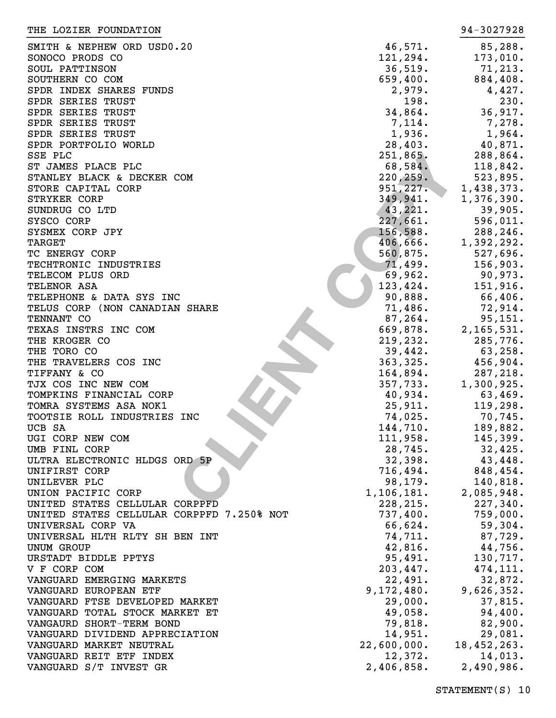| THE LOZIER FOUNDATION                     |                       | 94-3027928           |
|-------------------------------------------|-----------------------|----------------------|
| SMITH & NEPHEW ORD USD0.20                | 46,571.               | 85,288.              |
| SONOCO PRODS CO                           | 121,294.              | 173,010.             |
| SOUL PATTINSON                            | 36,519.               | 71, 213.             |
| SOUTHERN CO COM                           | 659,400.              | 884,408.             |
| SPDR INDEX SHARES FUNDS                   | 2,979.                | 4,427.               |
| SPDR SERIES TRUST                         | 198.                  | 230.                 |
| SPDR SERIES TRUST                         | 34,864.               | 36,917.              |
| SPDR SERIES TRUST                         | 7,114.                | 7,278.               |
| SPDR SERIES TRUST                         | 1,936.                | 1,964.               |
| SPDR PORTFOLIO WORLD                      | 28,403.               | 40,871.              |
| SSE PLC                                   | 251,865.              | 288,864.             |
| ST JAMES PLACE PLC                        | 68,584.               | 118,842.             |
| STANLEY BLACK & DECKER COM                | 220, 259.             | 523,895.             |
| STORE CAPITAL CORP                        | 951, 227.             | 1,438,373.           |
| <b>STRYKER CORP</b>                       | 349,941.              | 1,376,390.           |
| SUNDRUG CO LTD                            | 43,221.               | 39,905.              |
| SYSCO CORP                                | 227,661.              | 596,011.             |
| SYSMEX CORP JPY                           | 156,588.              | 288,246.             |
| <b>TARGET</b>                             | 406,666.              | 1,392,292.           |
| TC ENERGY CORP                            | 560,875.              | 527,696.             |
| TECHTRONIC INDUSTRIES                     | 71,499.               | 156,903.             |
| TELECOM PLUS ORD                          | 69,962.               | 90,973.              |
| TELENOR ASA                               | 123,424.              | 151,916.             |
| TELEPHONE & DATA SYS INC                  | 90,888.               | 66,406.              |
| TELUS CORP (NON CANADIAN SHARE            | 71,486.               | 72,914.              |
| TENNANT CO                                | 87,264.               | 95, 151.             |
| TEXAS INSTRS INC COM                      | 669,878.              | 2, 165, 531.         |
| THE KROGER CO                             | 219,232.              | 285,776.             |
| THE TORO CO                               | 39,442.               | 63,258.              |
| THE TRAVELERS COS INC                     | 363, 325.             | 456,904.             |
| TIFFANY & CO                              | 164,894.              | 287,218.             |
| TJX COS INC NEW COM                       | 357,733.              | 1,300,925.           |
| TOMPKINS FINANCIAL CORP                   | 40,934.               | 63,469.              |
| TOMRA SYSTEMS ASA NOK1                    | 25,911.               | 119,298.             |
| TOOTSIE ROLL INDUSTRIES INC               | 74,025.               | 70,745.              |
| UCB SA                                    | 144,710.              | 189,882.             |
| UGI CORP NEW COM                          | 111,958.              | 145,399.             |
| UMB FINL CORP                             | 28,745.               | 32,425.              |
| ULTRA ELECTRONIC HLDGS ORD 5P             | 32,398.               | 43,448.              |
| <b>UNIFIRST CORP</b>                      | 716,494.              | 848,454.<br>140,818. |
| UNILEVER PLC<br>UNION PACIFIC CORP        | 98,179.<br>1,106,181. | 2,085,948.           |
| UNITED STATES CELLULAR CORPPFD            | 228, 215.             | 227,340.             |
| UNITED STATES CELLULAR CORPPFD 7.250% NOT | 737,400.              | 759,000.             |
| UNIVERSAL CORP VA                         | 66,624.               | 59,304.              |
| UNIVERSAL HLTH RLTY SH BEN INT            | 74,711.               | 87,729.              |
| <b>UNUM GROUP</b>                         | 42,816.               | 44,756.              |
| URSTADT BIDDLE PPTYS                      | 95,491.               | 130,717.             |
| V F CORP COM                              | 203,447.              | 474,111.             |
| VANGUARD EMERGING MARKETS                 | 22,491.               | 32,872.              |
| VANGUARD EUROPEAN ETF                     | 9,172,480.            | 9,626,352.           |
| VANGUARD FTSE DEVELOPED MARKET            | 29,000.               | 37,815.              |
| VANGUARD TOTAL STOCK MARKET ET            | 49,058.               | 94,400.              |
| VANGAURD SHORT-TERM BOND                  | 79,818.               | 82,900.              |
| VANGUARD DIVIDEND APPRECIATION            | 14,951.               | 29,081.              |
| VANGUARD MARKET NEUTRAL                   | 22,600,000.           | 18,452,263.          |
| VANGUARD REIT ETF INDEX                   | 12,372.               | 14,013.              |
| VANGUARD S/T INVEST GR                    | 2,406,858.            | 2,490,986.           |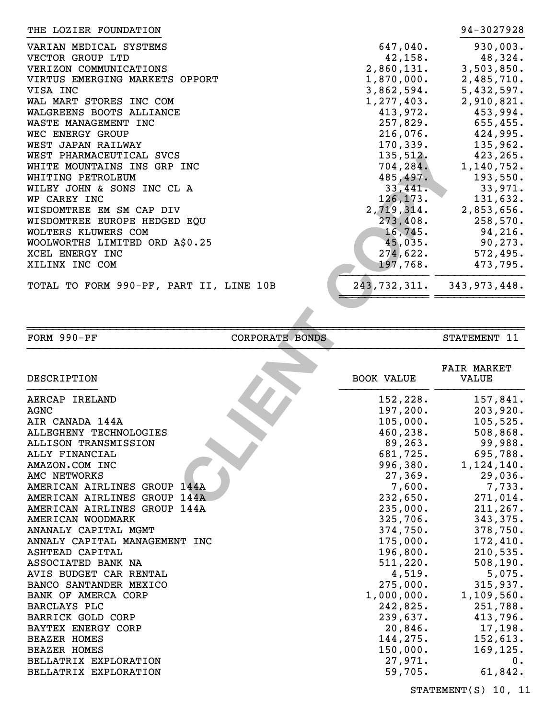| THE LOZIER FOUNDATION                                                                                                                                                                                                                                                                                                                                                                                                                                                                                                                                                          |                        |                                                                                                                                                                                                                                                                                        | 94-3027928                                                                                                                                                                                                                                                                          |
|--------------------------------------------------------------------------------------------------------------------------------------------------------------------------------------------------------------------------------------------------------------------------------------------------------------------------------------------------------------------------------------------------------------------------------------------------------------------------------------------------------------------------------------------------------------------------------|------------------------|----------------------------------------------------------------------------------------------------------------------------------------------------------------------------------------------------------------------------------------------------------------------------------------|-------------------------------------------------------------------------------------------------------------------------------------------------------------------------------------------------------------------------------------------------------------------------------------|
| VARIAN MEDICAL SYSTEMS<br>VECTOR GROUP LTD<br>VERIZON COMMUNICATIONS<br>VIRTUS EMERGING MARKETS OPPORT<br>VISA INC<br>WAL MART STORES INC COM<br>WALGREENS BOOTS ALLIANCE<br>WASTE MANAGEMENT INC<br>WEC ENERGY GROUP<br>WEST JAPAN RAILWAY<br>WEST PHARMACEUTICAL SVCS<br>WHITE MOUNTAINS INS GRP INC<br>WHITING PETROLEUM<br>WILEY JOHN & SONS INC CL A<br>WP CAREY INC<br>WISDOMTREE EM SM CAP DIV<br>WISDOMTREE EUROPE HEDGED EQU<br>WOLTERS KLUWERS COM<br>WOOLWORTHS LIMITED ORD A\$0.25<br>XCEL ENERGY INC<br>XILINX INC COM<br>TOTAL TO FORM 990-PF, PART II, LINE 10B |                        | 647,040.<br>42, 158.<br>2,860,131.<br>1,870,000.<br>3,862,594.<br>1, 277, 403.<br>413,972.<br>257,829.<br>216,076.<br>170, 339.<br>135,512.<br>704, 284.<br>485,497.<br>33,441.<br>126, 173.<br>2,719,314.<br>273,408.<br>16,745.<br>45,035.<br>274,622.<br>197,768.<br>243, 732, 311. | 930,003.<br>48,324.<br>3,503,850.<br>2,485,710.<br>5,432,597.<br>2,910,821.<br>453,994.<br>655,455.<br>424,995.<br>135,962.<br>423,265.<br>1,140,752.<br>193,550.<br>33,971.<br>131,632.<br>2,853,656.<br>258,570.<br>94,216.<br>90, 273.<br>572,495.<br>473,795.<br>343, 973, 448. |
| FORM 990-PF                                                                                                                                                                                                                                                                                                                                                                                                                                                                                                                                                                    | <b>CORPORATE BONDS</b> |                                                                                                                                                                                                                                                                                        | STATEMENT 11                                                                                                                                                                                                                                                                        |
| DESCRIPTION                                                                                                                                                                                                                                                                                                                                                                                                                                                                                                                                                                    |                        | <b>BOOK VALUE</b>                                                                                                                                                                                                                                                                      | <b>FAIR MARKET</b><br>VALUE                                                                                                                                                                                                                                                         |
| AERCAP IRELAND<br><b>AGNC</b><br>AIR CANADA 144A<br>ALLEGHENY TECHNOLOGIES<br>ALLISON TRANSMISSION<br>ALLY FINANCIAL<br>AMAZON.COM INC<br>AMC NETWORKS<br>AMERICAN AIRLINES GROUP 144A<br>AMERICAN AIRLINES GROUP 144A<br>ג//11 סווחסם פסודי וסדג וגמחדססואג                                                                                                                                                                                                                                                                                                                   |                        | 152,228.<br>197,200.<br>105,000.<br>460,238.<br>89, 263.<br>681,725.<br>996,380.<br>27,369.<br>7,600.<br>232,650.<br>235.000                                                                                                                                                           | 157,841.<br>203,920.<br>105, 525.<br>508,868.<br>99,988.<br>695,788.<br>1,124,140.<br>29,036.<br>7,733.<br>271,014.<br>21127                                                                                                                                                        |

| DESCRIPTION                     | <b>BOOK VALUE</b> | <b>FAIR MARKET</b><br>VALUE |
|---------------------------------|-------------------|-----------------------------|
| AERCAP IRELAND                  | 152,228.          | 157,841.                    |
| AGNC                            | 197,200.          | 203,920.                    |
| AIR CANADA 144A                 | 105,000.          | 105, 525.                   |
| ALLEGHENY TECHNOLOGIES          | 460,238.          | 508,868.                    |
| ALLISON TRANSMISSION            | 89, 263.          | 99,988.                     |
| ALLY FINANCIAL                  | 681,725.          | 695,788.                    |
| AMAZON.COM INC                  | 996,380.          | 1,124,140.                  |
| AMC NETWORKS                    | 27,369.           | 29,036.                     |
| AMERICAN AIRLINES GROUP<br>144A | 7,600.            | 7,733.                      |
| AMERICAN AIRLINES GROUP 144A    | 232,650.          | 271,014.                    |
| AMERICAN AIRLINES GROUP 144A    | 235,000.          | 211, 267.                   |
| AMERICAN WOODMARK               | 325,706.          | 343,375.                    |
| ANANALY CAPITAL MGMT            | 374,750.          | 378,750.                    |
| ANNALY CAPITAL MANAGEMENT INC   | 175,000.          | 172,410.                    |
| ASHTEAD CAPITAL                 | 196,800.          | 210,535.                    |
| ASSOCIATED BANK NA              | 511,220.          | 508, 190.                   |
| AVIS BUDGET CAR RENTAL          | 4,519.            | 5,075.                      |
| BANCO SANTANDER MEXICO          | 275,000.          | 315,937.                    |
| BANK OF AMERCA CORP             | 1,000,000.        | 1,109,560.                  |
| <b>BARCLAYS PLC</b>             | 242,825.          | 251,788.                    |
| BARRICK GOLD CORP               | 239,637.          | 413,796.                    |
| BAYTEX ENERGY CORP              | 20,846.           | 17,198.                     |
| <b>BEAZER HOMES</b>             | 144,275.          | 152,613.                    |
| <b>BEAZER HOMES</b>             | 150,000.          | 169, 125.                   |
| BELLATRIX EXPLORATION           | 27,971.           | 0.                          |
| BELLATRIX EXPLORATION           | 59,705.           | 61,842.                     |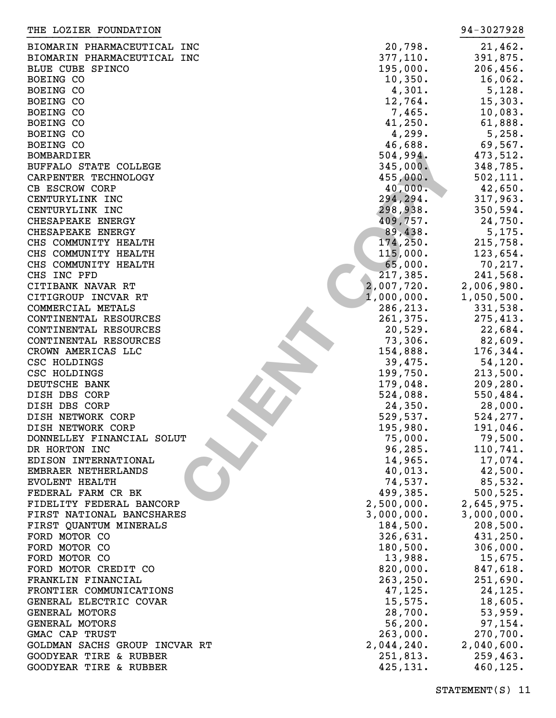| THE LOZIER FOUNDATION         |            | 94-3027928 |
|-------------------------------|------------|------------|
| BIOMARIN PHARMACEUTICAL INC   | 20,798.    | 21,462.    |
| BIOMARIN PHARMACEUTICAL INC   | 377,110.   | 391,875.   |
| BLUE CUBE SPINCO              | 195,000.   | 206, 456.  |
| BOEING CO                     | 10,350.    |            |
|                               |            | 16,062.    |
| BOEING CO                     | 4,301.     | 5,128.     |
| BOEING CO                     | 12,764.    | 15,303.    |
| BOEING CO                     | 7,465.     | 10,083.    |
| <b>BOEING CO</b>              | 41,250.    | 61,888.    |
| <b>BOEING CO</b>              | 4,299.     | 5,258.     |
| <b>BOEING CO</b>              | 46,688.    | 69,567.    |
| <b>BOMBARDIER</b>             | 504,994.   | 473,512.   |
| BUFFALO STATE COLLEGE         | 345,000.   | 348,785.   |
| CARPENTER TECHNOLOGY          | 455,000.   | 502, 111.  |
| CB ESCROW CORP                | 40,000.    | 42,650.    |
| CENTURYLINK INC               | 294,294.   | 317,963.   |
| CENTURYLINK INC               | 298,938.   | 350,594.   |
| CHESAPEAKE ENERGY             | 409,757.   | 24,750.    |
|                               |            |            |
| CHESAPEAKE ENERGY             | 89,438.    | 5,175.     |
| CHS COMMUNITY HEALTH          | 174,250.   | 215,758.   |
| CHS COMMUNITY HEALTH          | 115,000.   | 123,654.   |
| CHS COMMUNITY HEALTH          | 65,000.    | 70,217.    |
| CHS INC PFD                   | 217,385.   | 241,568.   |
| CITIBANK NAVAR RT             | 2,007,720. | 2,006,980. |
| CITIGROUP INCVAR RT           | 1,000,000. | 1,050,500. |
| COMMERCIAL METALS             | 286,213.   | 331,538.   |
| CONTINENTAL RESOURCES         | 261,375.   | 275,413.   |
| CONTINENTAL RESOURCES         | 20,529.    | 22,684.    |
| CONTINENTAL RESOURCES         | 73,306.    | 82,609.    |
| CROWN AMERICAS LLC            | 154,888.   | 176,344.   |
| CSC HOLDINGS                  | 39,475.    | 54, 120.   |
| CSC HOLDINGS                  | 199,750.   | 213,500.   |
| DEUTSCHE BANK                 | 179,048.   | 209,280.   |
| DISH DBS CORP                 | 524,088.   | 550,484.   |
| DISH DBS CORP                 | 24,350.    | 28,000.    |
| DISH NETWORK CORP             | 529,537.   | 524,277.   |
|                               |            |            |
| DISH NETWORK CORP             | 195,980.   | 191,046.   |
| DONNELLEY FINANCIAL SOLUT     | 75,000.    | 79,500.    |
| DR HORTON INC                 | 96, 285.   | 110,741.   |
| EDISON INTERNATIONAL          | 14,965.    | 17,074.    |
| EMBRAER NETHERLANDS           | 40,013.    | 42,500.    |
| EVOLENT HEALTH                | 74,537.    | 85,532.    |
| FEDERAL FARM CR BK            | 499,385.   | 500, 525.  |
| FIDELITY FEDERAL BANCORP      | 2,500,000. | 2,645,975. |
| FIRST NATIONAL BANCSHARES     | 3,000,000. | 3,000,000. |
| FIRST QUANTUM MINERALS        | 184,500.   | 208,500.   |
| FORD MOTOR CO                 | 326,631.   | 431,250.   |
| FORD MOTOR CO                 | 180,500.   | 306,000.   |
| FORD MOTOR CO                 | 13,988.    | 15,675.    |
| FORD MOTOR CREDIT CO          | 820,000.   | 847,618.   |
| FRANKLIN FINANCIAL            | 263, 250.  | 251,690.   |
| FRONTIER COMMUNICATIONS       | 47, 125.   | 24,125.    |
| GENERAL ELECTRIC COVAR        | 15,575.    | 18,605.    |
|                               |            |            |
| GENERAL MOTORS                | 28,700.    | 53,959.    |
| GENERAL MOTORS                | 56, 200.   | 97,154.    |
| GMAC CAP TRUST                | 263,000.   | 270,700.   |
| GOLDMAN SACHS GROUP INCVAR RT | 2,044,240. | 2,040,600. |
| GOODYEAR TIRE & RUBBER        | 251,813.   | 259,463.   |
| GOODYEAR TIRE & RUBBER        | 425,131.   | 460,125.   |
|                               |            |            |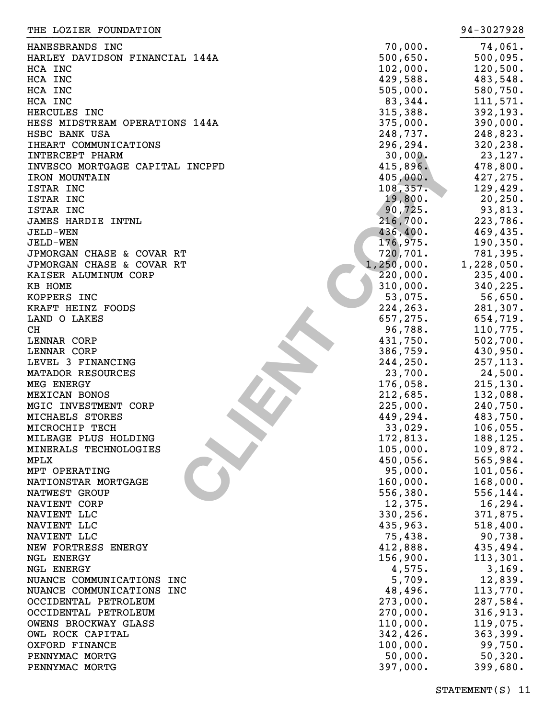| THE BOUTER LOONDUITON |                                                                                                                                                                                                                                                                                                                                                                                                                                                                                                                                                                                                                                                                                                                                                                                                                                                                                                                                                                                                                                                                                                         | <sub>J →</sub> - J V 4 <i>I J 4</i> 0                                                                                                                                                                                                                                                                                                                                                                                                                                                                                                                                                                                                      |
|-----------------------|---------------------------------------------------------------------------------------------------------------------------------------------------------------------------------------------------------------------------------------------------------------------------------------------------------------------------------------------------------------------------------------------------------------------------------------------------------------------------------------------------------------------------------------------------------------------------------------------------------------------------------------------------------------------------------------------------------------------------------------------------------------------------------------------------------------------------------------------------------------------------------------------------------------------------------------------------------------------------------------------------------------------------------------------------------------------------------------------------------|--------------------------------------------------------------------------------------------------------------------------------------------------------------------------------------------------------------------------------------------------------------------------------------------------------------------------------------------------------------------------------------------------------------------------------------------------------------------------------------------------------------------------------------------------------------------------------------------------------------------------------------------|
|                       |                                                                                                                                                                                                                                                                                                                                                                                                                                                                                                                                                                                                                                                                                                                                                                                                                                                                                                                                                                                                                                                                                                         | 74,061.                                                                                                                                                                                                                                                                                                                                                                                                                                                                                                                                                                                                                                    |
|                       |                                                                                                                                                                                                                                                                                                                                                                                                                                                                                                                                                                                                                                                                                                                                                                                                                                                                                                                                                                                                                                                                                                         | 500,095.                                                                                                                                                                                                                                                                                                                                                                                                                                                                                                                                                                                                                                   |
|                       |                                                                                                                                                                                                                                                                                                                                                                                                                                                                                                                                                                                                                                                                                                                                                                                                                                                                                                                                                                                                                                                                                                         | 120, 500.                                                                                                                                                                                                                                                                                                                                                                                                                                                                                                                                                                                                                                  |
|                       |                                                                                                                                                                                                                                                                                                                                                                                                                                                                                                                                                                                                                                                                                                                                                                                                                                                                                                                                                                                                                                                                                                         |                                                                                                                                                                                                                                                                                                                                                                                                                                                                                                                                                                                                                                            |
|                       |                                                                                                                                                                                                                                                                                                                                                                                                                                                                                                                                                                                                                                                                                                                                                                                                                                                                                                                                                                                                                                                                                                         | 483,548.                                                                                                                                                                                                                                                                                                                                                                                                                                                                                                                                                                                                                                   |
|                       |                                                                                                                                                                                                                                                                                                                                                                                                                                                                                                                                                                                                                                                                                                                                                                                                                                                                                                                                                                                                                                                                                                         | 580,750.                                                                                                                                                                                                                                                                                                                                                                                                                                                                                                                                                                                                                                   |
|                       |                                                                                                                                                                                                                                                                                                                                                                                                                                                                                                                                                                                                                                                                                                                                                                                                                                                                                                                                                                                                                                                                                                         | 111,571.                                                                                                                                                                                                                                                                                                                                                                                                                                                                                                                                                                                                                                   |
|                       | 315,388.                                                                                                                                                                                                                                                                                                                                                                                                                                                                                                                                                                                                                                                                                                                                                                                                                                                                                                                                                                                                                                                                                                | 392,193.                                                                                                                                                                                                                                                                                                                                                                                                                                                                                                                                                                                                                                   |
|                       |                                                                                                                                                                                                                                                                                                                                                                                                                                                                                                                                                                                                                                                                                                                                                                                                                                                                                                                                                                                                                                                                                                         | 390,000.                                                                                                                                                                                                                                                                                                                                                                                                                                                                                                                                                                                                                                   |
|                       |                                                                                                                                                                                                                                                                                                                                                                                                                                                                                                                                                                                                                                                                                                                                                                                                                                                                                                                                                                                                                                                                                                         | 248,823.                                                                                                                                                                                                                                                                                                                                                                                                                                                                                                                                                                                                                                   |
|                       |                                                                                                                                                                                                                                                                                                                                                                                                                                                                                                                                                                                                                                                                                                                                                                                                                                                                                                                                                                                                                                                                                                         | 320,238.                                                                                                                                                                                                                                                                                                                                                                                                                                                                                                                                                                                                                                   |
|                       |                                                                                                                                                                                                                                                                                                                                                                                                                                                                                                                                                                                                                                                                                                                                                                                                                                                                                                                                                                                                                                                                                                         |                                                                                                                                                                                                                                                                                                                                                                                                                                                                                                                                                                                                                                            |
|                       |                                                                                                                                                                                                                                                                                                                                                                                                                                                                                                                                                                                                                                                                                                                                                                                                                                                                                                                                                                                                                                                                                                         | 23,127.                                                                                                                                                                                                                                                                                                                                                                                                                                                                                                                                                                                                                                    |
|                       |                                                                                                                                                                                                                                                                                                                                                                                                                                                                                                                                                                                                                                                                                                                                                                                                                                                                                                                                                                                                                                                                                                         | 478,800.                                                                                                                                                                                                                                                                                                                                                                                                                                                                                                                                                                                                                                   |
|                       |                                                                                                                                                                                                                                                                                                                                                                                                                                                                                                                                                                                                                                                                                                                                                                                                                                                                                                                                                                                                                                                                                                         | 427,275.                                                                                                                                                                                                                                                                                                                                                                                                                                                                                                                                                                                                                                   |
|                       |                                                                                                                                                                                                                                                                                                                                                                                                                                                                                                                                                                                                                                                                                                                                                                                                                                                                                                                                                                                                                                                                                                         | 129,429.                                                                                                                                                                                                                                                                                                                                                                                                                                                                                                                                                                                                                                   |
|                       |                                                                                                                                                                                                                                                                                                                                                                                                                                                                                                                                                                                                                                                                                                                                                                                                                                                                                                                                                                                                                                                                                                         | 20, 250.                                                                                                                                                                                                                                                                                                                                                                                                                                                                                                                                                                                                                                   |
|                       |                                                                                                                                                                                                                                                                                                                                                                                                                                                                                                                                                                                                                                                                                                                                                                                                                                                                                                                                                                                                                                                                                                         | 93,813.                                                                                                                                                                                                                                                                                                                                                                                                                                                                                                                                                                                                                                    |
|                       |                                                                                                                                                                                                                                                                                                                                                                                                                                                                                                                                                                                                                                                                                                                                                                                                                                                                                                                                                                                                                                                                                                         | 223,786.                                                                                                                                                                                                                                                                                                                                                                                                                                                                                                                                                                                                                                   |
|                       |                                                                                                                                                                                                                                                                                                                                                                                                                                                                                                                                                                                                                                                                                                                                                                                                                                                                                                                                                                                                                                                                                                         |                                                                                                                                                                                                                                                                                                                                                                                                                                                                                                                                                                                                                                            |
|                       |                                                                                                                                                                                                                                                                                                                                                                                                                                                                                                                                                                                                                                                                                                                                                                                                                                                                                                                                                                                                                                                                                                         | 469,435.                                                                                                                                                                                                                                                                                                                                                                                                                                                                                                                                                                                                                                   |
|                       |                                                                                                                                                                                                                                                                                                                                                                                                                                                                                                                                                                                                                                                                                                                                                                                                                                                                                                                                                                                                                                                                                                         | 190, 350.                                                                                                                                                                                                                                                                                                                                                                                                                                                                                                                                                                                                                                  |
|                       |                                                                                                                                                                                                                                                                                                                                                                                                                                                                                                                                                                                                                                                                                                                                                                                                                                                                                                                                                                                                                                                                                                         | 781,395.                                                                                                                                                                                                                                                                                                                                                                                                                                                                                                                                                                                                                                   |
|                       |                                                                                                                                                                                                                                                                                                                                                                                                                                                                                                                                                                                                                                                                                                                                                                                                                                                                                                                                                                                                                                                                                                         | 1,228,050.                                                                                                                                                                                                                                                                                                                                                                                                                                                                                                                                                                                                                                 |
|                       | 220,000.                                                                                                                                                                                                                                                                                                                                                                                                                                                                                                                                                                                                                                                                                                                                                                                                                                                                                                                                                                                                                                                                                                | 235,400.                                                                                                                                                                                                                                                                                                                                                                                                                                                                                                                                                                                                                                   |
|                       |                                                                                                                                                                                                                                                                                                                                                                                                                                                                                                                                                                                                                                                                                                                                                                                                                                                                                                                                                                                                                                                                                                         | 340,225.                                                                                                                                                                                                                                                                                                                                                                                                                                                                                                                                                                                                                                   |
|                       |                                                                                                                                                                                                                                                                                                                                                                                                                                                                                                                                                                                                                                                                                                                                                                                                                                                                                                                                                                                                                                                                                                         | 56,650.                                                                                                                                                                                                                                                                                                                                                                                                                                                                                                                                                                                                                                    |
|                       |                                                                                                                                                                                                                                                                                                                                                                                                                                                                                                                                                                                                                                                                                                                                                                                                                                                                                                                                                                                                                                                                                                         | 281,307.                                                                                                                                                                                                                                                                                                                                                                                                                                                                                                                                                                                                                                   |
|                       |                                                                                                                                                                                                                                                                                                                                                                                                                                                                                                                                                                                                                                                                                                                                                                                                                                                                                                                                                                                                                                                                                                         |                                                                                                                                                                                                                                                                                                                                                                                                                                                                                                                                                                                                                                            |
|                       |                                                                                                                                                                                                                                                                                                                                                                                                                                                                                                                                                                                                                                                                                                                                                                                                                                                                                                                                                                                                                                                                                                         | 654,719.                                                                                                                                                                                                                                                                                                                                                                                                                                                                                                                                                                                                                                   |
|                       |                                                                                                                                                                                                                                                                                                                                                                                                                                                                                                                                                                                                                                                                                                                                                                                                                                                                                                                                                                                                                                                                                                         | 110,775.                                                                                                                                                                                                                                                                                                                                                                                                                                                                                                                                                                                                                                   |
|                       |                                                                                                                                                                                                                                                                                                                                                                                                                                                                                                                                                                                                                                                                                                                                                                                                                                                                                                                                                                                                                                                                                                         | 502,700.                                                                                                                                                                                                                                                                                                                                                                                                                                                                                                                                                                                                                                   |
|                       |                                                                                                                                                                                                                                                                                                                                                                                                                                                                                                                                                                                                                                                                                                                                                                                                                                                                                                                                                                                                                                                                                                         | 430,950.                                                                                                                                                                                                                                                                                                                                                                                                                                                                                                                                                                                                                                   |
|                       | 244, 250.                                                                                                                                                                                                                                                                                                                                                                                                                                                                                                                                                                                                                                                                                                                                                                                                                                                                                                                                                                                                                                                                                               | 257,113.                                                                                                                                                                                                                                                                                                                                                                                                                                                                                                                                                                                                                                   |
|                       |                                                                                                                                                                                                                                                                                                                                                                                                                                                                                                                                                                                                                                                                                                                                                                                                                                                                                                                                                                                                                                                                                                         | 24,500.                                                                                                                                                                                                                                                                                                                                                                                                                                                                                                                                                                                                                                    |
|                       |                                                                                                                                                                                                                                                                                                                                                                                                                                                                                                                                                                                                                                                                                                                                                                                                                                                                                                                                                                                                                                                                                                         | 215, 130.                                                                                                                                                                                                                                                                                                                                                                                                                                                                                                                                                                                                                                  |
|                       |                                                                                                                                                                                                                                                                                                                                                                                                                                                                                                                                                                                                                                                                                                                                                                                                                                                                                                                                                                                                                                                                                                         | 132,088.                                                                                                                                                                                                                                                                                                                                                                                                                                                                                                                                                                                                                                   |
|                       |                                                                                                                                                                                                                                                                                                                                                                                                                                                                                                                                                                                                                                                                                                                                                                                                                                                                                                                                                                                                                                                                                                         | 240,750.                                                                                                                                                                                                                                                                                                                                                                                                                                                                                                                                                                                                                                   |
|                       |                                                                                                                                                                                                                                                                                                                                                                                                                                                                                                                                                                                                                                                                                                                                                                                                                                                                                                                                                                                                                                                                                                         |                                                                                                                                                                                                                                                                                                                                                                                                                                                                                                                                                                                                                                            |
|                       |                                                                                                                                                                                                                                                                                                                                                                                                                                                                                                                                                                                                                                                                                                                                                                                                                                                                                                                                                                                                                                                                                                         | 483,750.                                                                                                                                                                                                                                                                                                                                                                                                                                                                                                                                                                                                                                   |
|                       |                                                                                                                                                                                                                                                                                                                                                                                                                                                                                                                                                                                                                                                                                                                                                                                                                                                                                                                                                                                                                                                                                                         | 106,055.                                                                                                                                                                                                                                                                                                                                                                                                                                                                                                                                                                                                                                   |
|                       |                                                                                                                                                                                                                                                                                                                                                                                                                                                                                                                                                                                                                                                                                                                                                                                                                                                                                                                                                                                                                                                                                                         | 188,125.                                                                                                                                                                                                                                                                                                                                                                                                                                                                                                                                                                                                                                   |
|                       |                                                                                                                                                                                                                                                                                                                                                                                                                                                                                                                                                                                                                                                                                                                                                                                                                                                                                                                                                                                                                                                                                                         | 109,872.                                                                                                                                                                                                                                                                                                                                                                                                                                                                                                                                                                                                                                   |
|                       |                                                                                                                                                                                                                                                                                                                                                                                                                                                                                                                                                                                                                                                                                                                                                                                                                                                                                                                                                                                                                                                                                                         | 565,984.                                                                                                                                                                                                                                                                                                                                                                                                                                                                                                                                                                                                                                   |
|                       |                                                                                                                                                                                                                                                                                                                                                                                                                                                                                                                                                                                                                                                                                                                                                                                                                                                                                                                                                                                                                                                                                                         | 101,056.                                                                                                                                                                                                                                                                                                                                                                                                                                                                                                                                                                                                                                   |
|                       |                                                                                                                                                                                                                                                                                                                                                                                                                                                                                                                                                                                                                                                                                                                                                                                                                                                                                                                                                                                                                                                                                                         | 168,000.                                                                                                                                                                                                                                                                                                                                                                                                                                                                                                                                                                                                                                   |
|                       |                                                                                                                                                                                                                                                                                                                                                                                                                                                                                                                                                                                                                                                                                                                                                                                                                                                                                                                                                                                                                                                                                                         | 556,144.                                                                                                                                                                                                                                                                                                                                                                                                                                                                                                                                                                                                                                   |
|                       |                                                                                                                                                                                                                                                                                                                                                                                                                                                                                                                                                                                                                                                                                                                                                                                                                                                                                                                                                                                                                                                                                                         |                                                                                                                                                                                                                                                                                                                                                                                                                                                                                                                                                                                                                                            |
|                       |                                                                                                                                                                                                                                                                                                                                                                                                                                                                                                                                                                                                                                                                                                                                                                                                                                                                                                                                                                                                                                                                                                         | 16,294.                                                                                                                                                                                                                                                                                                                                                                                                                                                                                                                                                                                                                                    |
|                       |                                                                                                                                                                                                                                                                                                                                                                                                                                                                                                                                                                                                                                                                                                                                                                                                                                                                                                                                                                                                                                                                                                         | 371,875.                                                                                                                                                                                                                                                                                                                                                                                                                                                                                                                                                                                                                                   |
|                       |                                                                                                                                                                                                                                                                                                                                                                                                                                                                                                                                                                                                                                                                                                                                                                                                                                                                                                                                                                                                                                                                                                         | 518,400.                                                                                                                                                                                                                                                                                                                                                                                                                                                                                                                                                                                                                                   |
|                       |                                                                                                                                                                                                                                                                                                                                                                                                                                                                                                                                                                                                                                                                                                                                                                                                                                                                                                                                                                                                                                                                                                         | 90,738.                                                                                                                                                                                                                                                                                                                                                                                                                                                                                                                                                                                                                                    |
|                       | 412,888.                                                                                                                                                                                                                                                                                                                                                                                                                                                                                                                                                                                                                                                                                                                                                                                                                                                                                                                                                                                                                                                                                                | 435,494.                                                                                                                                                                                                                                                                                                                                                                                                                                                                                                                                                                                                                                   |
|                       |                                                                                                                                                                                                                                                                                                                                                                                                                                                                                                                                                                                                                                                                                                                                                                                                                                                                                                                                                                                                                                                                                                         | 113,301.                                                                                                                                                                                                                                                                                                                                                                                                                                                                                                                                                                                                                                   |
|                       |                                                                                                                                                                                                                                                                                                                                                                                                                                                                                                                                                                                                                                                                                                                                                                                                                                                                                                                                                                                                                                                                                                         | 3,169.                                                                                                                                                                                                                                                                                                                                                                                                                                                                                                                                                                                                                                     |
|                       |                                                                                                                                                                                                                                                                                                                                                                                                                                                                                                                                                                                                                                                                                                                                                                                                                                                                                                                                                                                                                                                                                                         | 12,839.                                                                                                                                                                                                                                                                                                                                                                                                                                                                                                                                                                                                                                    |
|                       |                                                                                                                                                                                                                                                                                                                                                                                                                                                                                                                                                                                                                                                                                                                                                                                                                                                                                                                                                                                                                                                                                                         |                                                                                                                                                                                                                                                                                                                                                                                                                                                                                                                                                                                                                                            |
|                       |                                                                                                                                                                                                                                                                                                                                                                                                                                                                                                                                                                                                                                                                                                                                                                                                                                                                                                                                                                                                                                                                                                         | 113,770.                                                                                                                                                                                                                                                                                                                                                                                                                                                                                                                                                                                                                                   |
|                       |                                                                                                                                                                                                                                                                                                                                                                                                                                                                                                                                                                                                                                                                                                                                                                                                                                                                                                                                                                                                                                                                                                         | 287,584.                                                                                                                                                                                                                                                                                                                                                                                                                                                                                                                                                                                                                                   |
|                       |                                                                                                                                                                                                                                                                                                                                                                                                                                                                                                                                                                                                                                                                                                                                                                                                                                                                                                                                                                                                                                                                                                         | 316,913.                                                                                                                                                                                                                                                                                                                                                                                                                                                                                                                                                                                                                                   |
| OWENS BROCKWAY GLASS  |                                                                                                                                                                                                                                                                                                                                                                                                                                                                                                                                                                                                                                                                                                                                                                                                                                                                                                                                                                                                                                                                                                         | 119,075.                                                                                                                                                                                                                                                                                                                                                                                                                                                                                                                                                                                                                                   |
| OWL ROCK CAPITAL      | 342,426.                                                                                                                                                                                                                                                                                                                                                                                                                                                                                                                                                                                                                                                                                                                                                                                                                                                                                                                                                                                                                                                                                                | 363,399.                                                                                                                                                                                                                                                                                                                                                                                                                                                                                                                                                                                                                                   |
|                       |                                                                                                                                                                                                                                                                                                                                                                                                                                                                                                                                                                                                                                                                                                                                                                                                                                                                                                                                                                                                                                                                                                         | 99,750.                                                                                                                                                                                                                                                                                                                                                                                                                                                                                                                                                                                                                                    |
|                       |                                                                                                                                                                                                                                                                                                                                                                                                                                                                                                                                                                                                                                                                                                                                                                                                                                                                                                                                                                                                                                                                                                         | 50, 320.                                                                                                                                                                                                                                                                                                                                                                                                                                                                                                                                                                                                                                   |
|                       |                                                                                                                                                                                                                                                                                                                                                                                                                                                                                                                                                                                                                                                                                                                                                                                                                                                                                                                                                                                                                                                                                                         |                                                                                                                                                                                                                                                                                                                                                                                                                                                                                                                                                                                                                                            |
|                       |                                                                                                                                                                                                                                                                                                                                                                                                                                                                                                                                                                                                                                                                                                                                                                                                                                                                                                                                                                                                                                                                                                         | 399,680.                                                                                                                                                                                                                                                                                                                                                                                                                                                                                                                                                                                                                                   |
|                       | HANESBRANDS INC<br>HARLEY DAVIDSON FINANCIAL 144A<br>HCA INC<br>HCA INC<br>HCA INC<br>HCA INC<br>HERCULES INC<br>HESS MIDSTREAM OPERATIONS 144A<br>HSBC BANK USA<br>IHEART COMMUNICATIONS<br><b>INTERCEPT PHARM</b><br>INVESCO MORTGAGE CAPITAL INCPFD<br>IRON MOUNTAIN<br>ISTAR INC<br>ISTAR INC<br>ISTAR INC<br><b>JAMES HARDIE INTNL</b><br>JELD-WEN<br>JELD-WEN<br>JPMORGAN CHASE & COVAR RT<br>JPMORGAN CHASE & COVAR RT<br>KAISER ALUMINUM CORP<br>KB HOME<br>KOPPERS INC<br>KRAFT HEINZ FOODS<br>LAND O LAKES<br>CH<br>LENNAR CORP<br>LENNAR CORP<br>LEVEL 3 FINANCING<br>MATADOR RESOURCES<br>MEG ENERGY<br>MEXICAN BONOS<br>MGIC INVESTMENT CORP<br>MICHAELS STORES<br>MICROCHIP TECH<br>MILEAGE PLUS HOLDING<br>MINERALS TECHNOLOGIES<br><b>MPLX</b><br>MPT OPERATING<br>NATIONSTAR MORTGAGE<br>NATWEST GROUP<br>NAVIENT CORP<br>NAVIENT LLC<br>NAVIENT LLC<br>NAVIENT LLC<br>NEW FORTRESS ENERGY<br>NGL ENERGY<br>NGL ENERGY<br>NUANCE COMMUNICATIONS INC<br>NUANCE COMMUNICATIONS INC<br>OCCIDENTAL PETROLEUM<br>OCCIDENTAL PETROLEUM<br>OXFORD FINANCE<br>PENNYMAC MORTG<br>PENNYMAC MORTG | 70,000.<br>500, 650.<br>102,000.<br>429,588.<br>505,000.<br>83,344.<br>375,000.<br>248,737.<br>296,294.<br>30,000.<br>415,896.<br>405,000.<br>108, 357.<br>19,800.<br>90,725.<br>216,700.<br>436,400.<br>176,975.<br>720,701.<br>1,250,000.<br>310,000.<br>53,075.<br>224,263.<br>657,275.<br>96,788.<br>431,750.<br>386,759.<br>23,700.<br>176,058.<br>212,685.<br>225,000.<br>449,294.<br>33,029.<br>172,813.<br>105,000.<br>450,056.<br>95,000.<br>160,000.<br>556,380.<br>12,375.<br>330,256.<br>435,963.<br>75,438.<br>156,900.<br>4,575.<br>5,709.<br>48,496.<br>273,000.<br>270,000.<br>110,000.<br>100,000.<br>50,000.<br>397,000. |

| THE LOZIER FOUNDATION           |            | 94-3027928 |
|---------------------------------|------------|------------|
| HANESBRANDS INC                 | 70,000.    | 74,061.    |
| HARLEY DAVIDSON FINANCIAL 144A  | 500, 650.  | 500,095.   |
| HCA INC                         | 102,000.   | 120,500.   |
| HCA INC                         | 429,588.   | 483,548.   |
| HCA INC                         | 505,000.   | 580,750.   |
| HCA INC                         | 83,344.    | 111,571.   |
| HERCULES INC                    | 315,388.   | 392, 193.  |
| HESS MIDSTREAM OPERATIONS 144A  | 375,000.   | 390,000.   |
| HSBC BANK USA                   | 248,737.   | 248,823.   |
| IHEART COMMUNICATIONS           | 296,294.   | 320, 238.  |
| INTERCEPT PHARM                 | 30,000.    | 23,127.    |
| INVESCO MORTGAGE CAPITAL INCPFD | 415,896.   | 478,800.   |
| IRON MOUNTAIN                   | 405,000.   | 427,275.   |
| ISTAR INC                       | 108, 357.  | 129,429.   |
| ISTAR INC                       | 19,800.    | 20, 250.   |
| ISTAR INC                       | 90,725.    | 93,813.    |
| <b>JAMES HARDIE INTNL</b>       | 216,700.   | 223,786.   |
| <b>JELD-WEN</b>                 | 436, 400.  | 469,435.   |
| JELD-WEN                        | 176,975.   | 190, 350.  |
| JPMORGAN CHASE & COVAR RT       | 720,701.   | 781,395.   |
| JPMORGAN CHASE & COVAR RT       | 1,250,000. | 1,228,050. |
| KAISER ALUMINUM CORP            | 220,000.   | 235,400.   |
| KB HOME                         | 310,000.   | 340, 225.  |
| KOPPERS INC                     | 53,075.    | 56,650.    |
| KRAFT HEINZ FOODS               | 224,263.   | 281,307.   |
| LAND O LAKES                    | 657,275.   | 654,719.   |
| CH                              | 96,788.    | 110,775.   |
| LENNAR CORP                     | 431,750.   | 502,700.   |
| LENNAR CORP                     | 386,759.   | 430,950.   |
| LEVEL 3 FINANCING               | 244, 250.  | 257, 113.  |
| MATADOR RESOURCES               | 23,700.    | 24,500.    |
| MEG ENERGY                      | 176,058.   | 215, 130.  |
| MEXICAN BONOS                   | 212,685.   | 132,088.   |
| MGIC INVESTMENT CORP            | 225,000.   | 240,750.   |
| MICHAELS STORES                 | 449,294.   | 483,750.   |
| MICROCHIP TECH                  | 33,029.    | 106,055.   |
| MILEAGE PLUS HOLDING            | 172,813.   | 188,125.   |
| MINERALS TECHNOLOGIES           | 105,000.   | 109,872.   |
| MPLX                            | 450,056.   | 565,984.   |
| MPT OPERATING                   | 95,000.    | 101,056.   |
| NATIONSTAR MORTGAGE             | 160,000.   | 168,000.   |
| NATWEST GROUP                   | 556,380.   | 556,144.   |
| NAVIENT CORP                    | 12,375.    | 16, 294.   |
| NAVIENT LLC                     | 330, 256.  | 371,875.   |
| NAVIENT LLC                     | 435,963.   | 518,400.   |
| NAVIENT LLC                     | 75,438.    | 90,738.    |
| NEW FORTRESS ENERGY             | 412,888.   | 435,494.   |
| <b>NGL ENERGY</b>               | 156,900.   | 113,301.   |
| NGL ENERGY                      | 4,575.     | 3,169.     |
| NUANCE COMMUNICATIONS INC       | 5,709.     | 12,839.    |
| NUANCE COMMUNICATIONS INC       | 48,496.    | 113,770.   |
| OCCIDENTAL PETROLEUM            | 273,000.   | 287,584.   |
| OCCIDENTAL PETROLEUM            | 270,000.   | 316,913.   |
| OWENS BROCKWAY GLASS            | 110,000.   | 119,075.   |
| OWL ROCK CAPITAL                | 342, 426.  | 363,399.   |
| OXFORD FINANCE                  | 100,000.   | 99,750.    |
| PENNYMAC MORTG                  | 50,000.    | 50,320.    |
| PENNYMAC MORTG                  | 397.000.   | 399.680.   |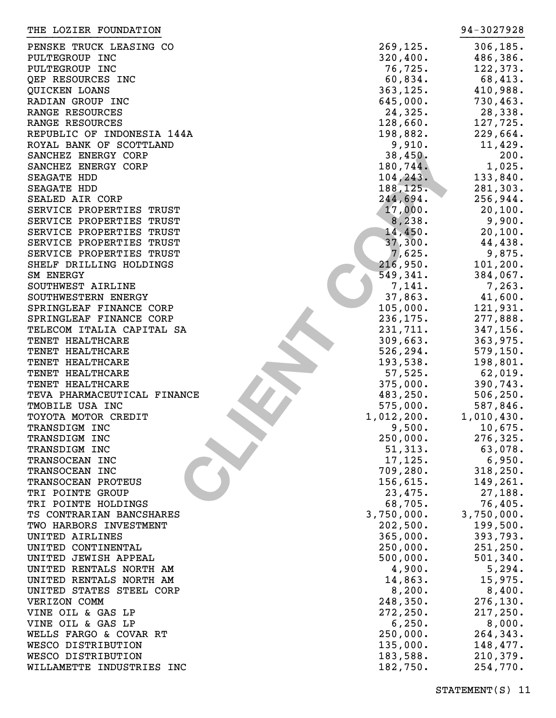| THE LOZIER FOUNDATION       |            | 94-3027928 |
|-----------------------------|------------|------------|
| PENSKE TRUCK LEASING CO     | 269, 125.  | 306, 185.  |
| PULTEGROUP INC              | 320,400.   | 486,386.   |
| PULTEGROUP INC              | 76, 725.   | 122,373.   |
| QEP RESOURCES INC           | 60,834.    | 68,413.    |
| QUICKEN LOANS               | 363, 125.  | 410,988.   |
| RADIAN GROUP INC            | 645,000.   | 730,463.   |
| RANGE RESOURCES             | 24,325.    | 28,338.    |
| RANGE RESOURCES             | 128,660.   | 127,725.   |
| REPUBLIC OF INDONESIA 144A  | 198,882.   | 229,664.   |
| ROYAL BANK OF SCOTTLAND     | 9,910.     | 11,429.    |
| SANCHEZ ENERGY CORP         | 38,450.    | 200.       |
| SANCHEZ ENERGY CORP         | 180,744.   | 1,025.     |
| SEAGATE HDD                 | 104, 243.  | 133,840.   |
| SEAGATE HDD                 | 188, 125.  | 281,303.   |
| SEALED AIR CORP             | 244,694.   | 256,944.   |
| SERVICE PROPERTIES TRUST    | 17,000.    | 20, 100.   |
| SERVICE PROPERTIES TRUST    | 8,238.     | 9,900.     |
| SERVICE PROPERTIES TRUST    | 14,450.    | 20,100.    |
| SERVICE PROPERTIES TRUST    | 37,300.    | 44,438.    |
| SERVICE PROPERTIES TRUST    | 7,625.     | 9,875.     |
| SHELF DRILLING HOLDINGS     | 216,950.   | 101, 200.  |
| SM ENERGY                   | 549,341.   | 384,067.   |
| SOUTHWEST AIRLINE           | 7,141.     | 7,263.     |
| SOUTHWESTERN ENERGY         | 37,863.    | 41,600.    |
| SPRINGLEAF FINANCE CORP     | 105,000.   | 121,931.   |
| SPRINGLEAF FINANCE CORP     | 236, 175.  | 277,888.   |
| TELECOM ITALIA CAPITAL SA   | 231,711.   | 347,156.   |
| TENET HEALTHCARE            | 309,663.   | 363,975.   |
| TENET HEALTHCARE            | 526, 294.  | 579, 150.  |
| TENET HEALTHCARE            | 193,538.   | 198,801.   |
| TENET HEALTHCARE            | 57,525.    | 62,019.    |
| TENET HEALTHCARE            | 375,000.   | 390,743.   |
| TEVA PHARMACEUTICAL FINANCE | 483,250.   | 506, 250.  |
| TMOBILE USA INC             | 575,000.   | 587,846.   |
| TOYOTA MOTOR CREDIT         | 1,012,200. | 1,010,430. |
| TRANSDIGM INC               | 9,500.     | 10,675.    |
| TRANSDIGM INC               | 250,000.   | 276,325.   |
| TRANSDIGM INC               | 51,313.    | 63,078.    |
| TRANSOCEAN INC              | 17, 125.   | 6,950.     |
| TRANSOCEAN INC              | 709,280.   | 318, 250.  |
| TRANSOCEAN PROTEUS          | 156,615.   | 149,261.   |
| TRI POINTE GROUP            | 23,475.    | 27,188.    |
| TRI POINTE HOLDINGS         | 68,705.    | 76,405.    |
| TS CONTRARIAN BANCSHARES    | 3,750,000. | 3,750,000. |
| TWO HARBORS INVESTMENT      | 202,500.   | 199,500.   |
| UNITED AIRLINES             | 365,000.   | 393,793.   |
| UNITED CONTINENTAL          | 250,000.   | 251, 250.  |
| UNITED JEWISH APPEAL        | 500,000.   | 501, 340.  |
| UNITED RENTALS NORTH AM     | 4,900.     | 5,294.     |
| UNITED RENTALS NORTH AM     | 14,863.    | 15,975.    |
| UNITED STATES STEEL CORP    | 8,200.     | 8,400.     |
| VERIZON COMM                | 248,350.   | 276, 130.  |
| VINE OIL & GAS LP           | 272, 250.  | 217, 250.  |
| VINE OIL & GAS LP           | 6, 250.    | 8,000.     |
| WELLS FARGO & COVAR RT      | 250,000.   | 264,343.   |
| WESCO DISTRIBUTION          | 135,000.   | 148,477.   |
| WESCO DISTRIBUTION          | 183,588.   | 210,379.   |
| WILLAMETTE INDUSTRIES INC   | 182,750.   | 254,770.   |
|                             |            |            |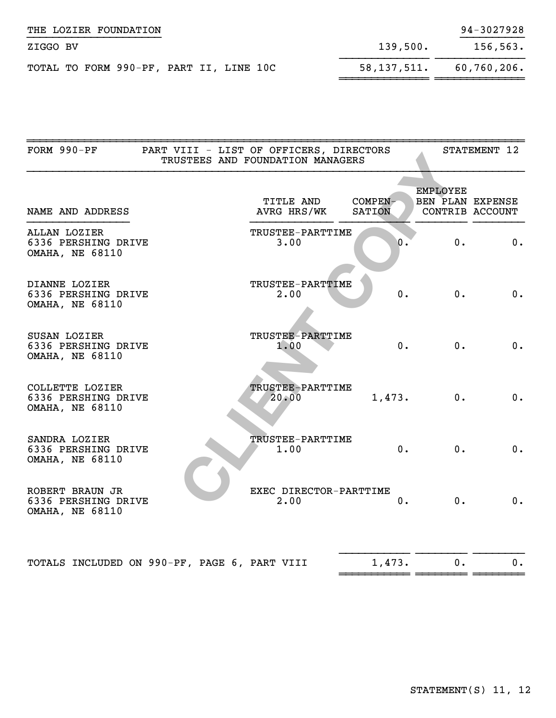| THE LOZIER FOUNDATION                   |             | 94-3027928  |
|-----------------------------------------|-------------|-------------|
| ZIGGO BV                                | 139,500.    | 156,563.    |
| TOTAL TO FORM 990-PF, PART II, LINE 10C | 58,137,511. | 60.760.206. |

| FORM 990-PF                                                      | PART VIII - LIST OF OFFICERS, DIRECTORS<br>TRUSTEES AND FOUNDATION MANAGERS | STATEMENT 12                   |                   |                                     |                 |
|------------------------------------------------------------------|-----------------------------------------------------------------------------|--------------------------------|-------------------|-------------------------------------|-----------------|
| NAME AND ADDRESS                                                 |                                                                             | TITLE AND<br>AVRG HRS/WK       | COMPEN-<br>SATION | <b>EMPLOYEE</b><br>BEN PLAN EXPENSE | CONTRIB ACCOUNT |
| ALLAN LOZIER<br>6336 PERSHING DRIVE<br><b>OMAHA, NE 68110</b>    |                                                                             | TRUSTEE-PARTTIME<br>3.00       | $\mathbf{0}$ .    | $0 \cdot$                           | 0.              |
| DIANNE LOZIER<br>6336 PERSHING DRIVE<br><b>OMAHA, NE 68110</b>   |                                                                             | TRUSTEE-PARTTIME<br>2.00       | $0$ .             | 0.                                  | 0.              |
| SUSAN LOZIER<br>6336 PERSHING DRIVE<br><b>OMAHA, NE 68110</b>    |                                                                             | TRUSTEE-PARTTIME<br>1.00       | 0.                | 0.                                  | 0.              |
| COLLETTE LOZIER<br>6336 PERSHING DRIVE<br><b>OMAHA, NE 68110</b> |                                                                             | TRUSTEE-PARTTIME<br>20.00      | 1,473.            | 0.                                  | 0.              |
| SANDRA LOZIER<br>6336 PERSHING DRIVE<br><b>OMAHA, NE 68110</b>   |                                                                             | TRUSTEE-PARTTIME<br>1.00       | 0.                | 0.                                  | $0$ .           |
| ROBERT BRAUN JR<br>6336 PERSHING DRIVE<br><b>OMAHA, NE 68110</b> |                                                                             | EXEC DIRECTOR-PARTTIME<br>2.00 | $0$ .             | 0.                                  | 0.              |
| TOTALS INCLUDED ON 990-PF, PAGE 6, PART VIII                     |                                                                             |                                | 1,473.            | $0$ .                               | 0.              |

~~~~~~~~~~~ ~~~~~~~~ ~~~~~~~~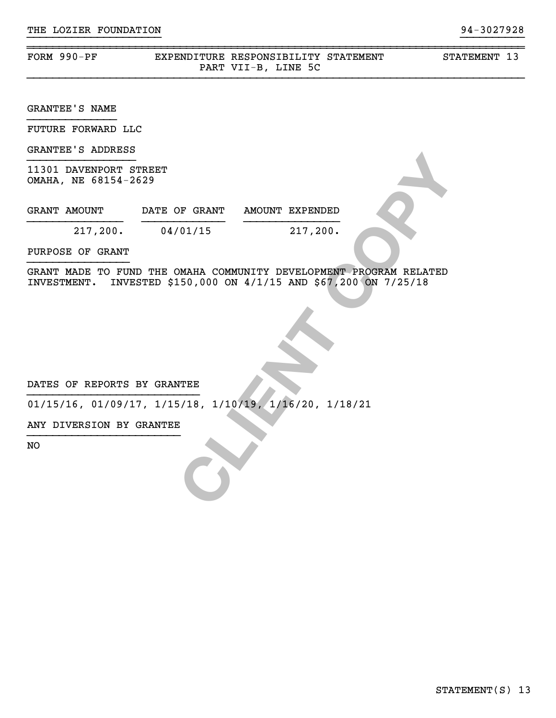| FORM $990-PF$ | EXPENDITURE RESPONSIBILITY STATEMENT |                     | STATEMENT 13 |  |
|---------------|--------------------------------------|---------------------|--------------|--|
|               |                                      | PART VII-B, LINE 5C |              |  |

}}}}}}}}}}}}}}}}}}}}} }}}}}}}}}}

~~~~~~~~~~~~~~~~~~~~~~~~~~~~~~~~~~~~~~~~~~~~~~~~~~~~~~~~~~~~~~~~~~~~~~~~~~~~~~

GRANTEE'S NAME

FUTURE FORWARD LLC

GRANTEE'S ADDRESS

| 11301 DAVENPORT STREET<br>OMAHA, NE 68154-2629                                                                                                                        |                               |  |           |  |
|-----------------------------------------------------------------------------------------------------------------------------------------------------------------------|-------------------------------|--|-----------|--|
| GRANT AMOUNT                                                                                                                                                          | DATE OF GRANT AMOUNT EXPENDED |  |           |  |
| $217,200.$ 04/01/15                                                                                                                                                   |                               |  | 217, 200. |  |
| PURPOSE OF GRANT                                                                                                                                                      |                               |  |           |  |
| GRANT MADE TO FUND THE OMAHA COMMUNITY DEVELOPMENT PROGRAM RELATED<br>INVESTMENT. INVESTED \$150,000 ON 4/1/15 AND \$67,200 ON 7/25/18<br>DATES OF REPORTS BY GRANTEE |                               |  |           |  |
| $01/15/16$ , $01/09/17$ , $1/15/18$ , $1/10/19$ , $1/16/20$ , $1/18/21$                                                                                               |                               |  |           |  |
| ANY DIVERSION BY GRANTEE                                                                                                                                              |                               |  |           |  |
| NO                                                                                                                                                                    |                               |  |           |  |

NO